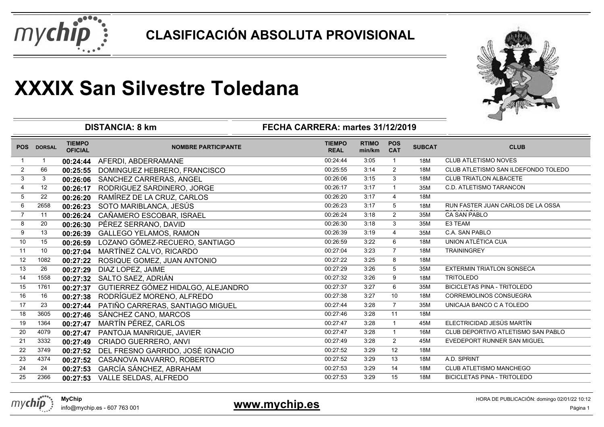



|                |                |                                 | <b>DISTANCIA: 8 km</b>             | FECHA CARRERA: martes 31/12/2019 |                        |                          |               |                                     |
|----------------|----------------|---------------------------------|------------------------------------|----------------------------------|------------------------|--------------------------|---------------|-------------------------------------|
|                | POS DORSAL     | <b>TIEMPO</b><br><b>OFICIAL</b> | <b>NOMBRE PARTICIPANTE</b>         | <b>TIEMPO</b><br><b>REAL</b>     | <b>RTIMO</b><br>min/km | <b>POS</b><br><b>CAT</b> | <b>SUBCAT</b> | <b>CLUB</b>                         |
|                | $\overline{1}$ | 00:24:44                        | AFERDI, ABDERRAMANE                | 00:24:44                         | 3:05                   | $\mathbf{1}$             | 18M           | <b>CLUB ATLETISMO NOVES</b>         |
| $\overline{2}$ | 66             | 00:25:55                        | DOMINGUEZ HEBRERO, FRANCISCO       | 00:25:55                         | 3:14                   | $\overline{2}$           | 18M           | CLUB ATLETISMO SAN ILDEFONDO TOLEDO |
| $\mathfrak{S}$ | $\mathbf{3}$   | 00:26:06                        | SANCHEZ CARRERAS, ANGEL            | 00:26:06                         | 3:15                   | $\mathbf{3}$             | 18M           | <b>CLUB TRIATLON ALBACETE</b>       |
| $\overline{4}$ | 12             | 00:26:17                        | RODRIGUEZ SARDINERO, JORGE         | 00:26:17                         | 3:17                   | $\mathbf{1}$             | 35M           | C.D. ATLETISMO TARANCON             |
| 5              | 22             | 00:26:20                        | RAMÍREZ DE LA CRUZ, CARLOS         | 00:26:20                         | 3:17                   | 4                        | 18M           |                                     |
| 6              | 2658           | 00:26:23                        | SOTO MARIBLANCA, JESÚS             | 00:26:23                         | 3:17                   | 5                        | 18M           | RUN FASTER JUAN CARLOS DE LA OSSA   |
| $\overline{7}$ | 11             | 00:26:24                        | CAÑAMERO ESCOBAR, ISRAEL           | 00:26:24                         | 3:18                   | 2                        | 35M           | <b>CA SAN PABLO</b>                 |
| 8              | 20             | 00:26:30                        | PÉREZ SERRANO, DAVID               | 00:26:30                         | 3:18                   | 3                        | 35M           | E3 TEAM                             |
| 9              | 13             | 00:26:39                        | <b>GALLEGO YELAMOS, RAMON</b>      | 00:26:39                         | 3:19                   | $\overline{4}$           | 35M           | C.A. SAN PABLO                      |
| 10             | 15             | 00:26:59                        | LOZANO GÓMEZ-RECUERO, SANTIAGO     | 00:26:59                         | 3:22                   | 6                        | 18M           | UNION ATLÉTICA CUA                  |
| 11             | 10             | 00:27:04                        | MARTÍNEZ CALVO, RICARDO            | 00:27:04                         | 3:23                   | $\overline{7}$           | 18M           | <b>TRAININGREY</b>                  |
| 12             | 1082           | 00:27:22                        | ROSIQUE GOMEZ, JUAN ANTONIO        | 00:27:22                         | 3:25                   | 8                        | 18M           |                                     |
| 13             | 26             | 00:27:29                        | DIAZ LOPEZ, JAIME                  | 00:27:29                         | 3:26                   | 5                        | 35M           | <b>EXTERMIN TRIATLON SONSECA</b>    |
| 14             | 1558           | 00:27:32                        | SALTO SAEZ, ADRIÁN                 | 00:27:32                         | 3:26                   | 9                        | 18M           | <b>TRITOLEDO</b>                    |
| 15             | 1761           | 00:27:37                        | GUTIERREZ GÓMEZ HIDALGO, ALEJANDRO | 00:27:37                         | 3:27                   | 6                        | 35M           | <b>BICICLETAS PINA - TRITOLEDO</b>  |
| 16             | 16             | 00:27:38                        | RODRÍGUEZ MORENO, ALFREDO          | 00:27:38                         | 3:27                   | 10                       | 18M           | CORREMOLINOS CONSUEGRA              |
| 17             | 23             | 00:27:44                        | PATIÑO CARRERAS, SANTIAGO MIGUEL   | 00:27:44                         | 3:28                   | $\overline{7}$           | 35M           | UNICAJA BANCO C A TOLEDO            |
| 18             | 3605           | 00:27:46                        | SÁNCHEZ CANO, MARCOS               | 00:27:46                         | 3:28                   | 11                       | 18M           |                                     |
| 19             | 1364           | 00:27:47                        | MARTÍN PÉREZ, CARLOS               | 00:27:47                         | 3:28                   | $\mathbf{1}$             | 45M           | ELECTRICIDAD JESÚS MARTÍN           |
| 20             | 4079           | 00:27:47                        | PANTOJA MANRIQUE, JAVIER           | 00:27:47                         | 3:28                   | $\mathbf{1}$             | 16M           | CLUB DEPORTIVO ATLETISMO SAN PABLO  |
| 21             | 3332           | 00:27:49                        | CRIADO GUERRERO, ANVI              | 00:27:49                         | 3:28                   | $\overline{2}$           | 45M           | EVEDEPORT RUNNER SAN MIGUEL         |
| 22             | 3749           | 00:27:52                        | DEL FRESNO GARRIDO, JOSÉ IGNACIO   | 00:27:52                         | 3:29                   | 12                       | 18M           |                                     |
| 23             | 4374           | 00:27:52                        | CASANOVA NAVARRO, ROBERTO          | 00:27:52                         | 3:29                   | 13                       | 18M           | A.D. SPRINT                         |
| 24             | 24             | 00:27:53                        | GARCÍA SÁNCHEZ, ABRAHAM            | 00:27:53                         | 3:29                   | 14                       | 18M           | CLUB ATLETISMO MANCHEGO             |
| 25             | 2366           | 00:27:53                        | VALLE SELDAS, ALFREDO              | 00:27:53                         | 3:29                   | 15                       | 18M           | <b>BICICLETAS PINA - TRITOLEDO</b>  |



### **www.mychip.es**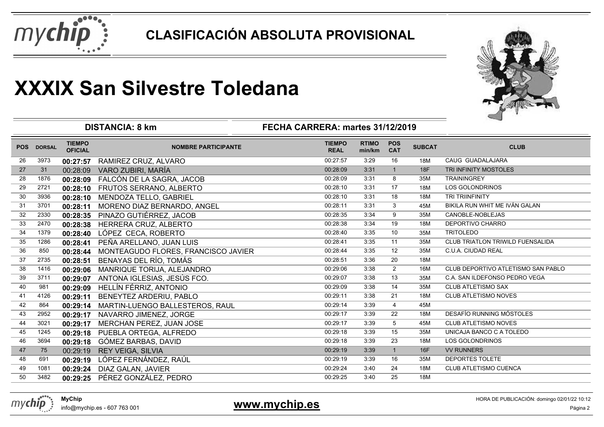



|            |               |                                 | <b>DISTANCIA: 8 km</b><br>FECHA CARRERA: martes 31/12/2019 | ⊸                            |                        |                          |               |                                         |
|------------|---------------|---------------------------------|------------------------------------------------------------|------------------------------|------------------------|--------------------------|---------------|-----------------------------------------|
| <b>POS</b> | <b>DORSAL</b> | <b>TIEMPO</b><br><b>OFICIAL</b> | <b>NOMBRE PARTICIPANTE</b>                                 | <b>TIEMPO</b><br><b>REAL</b> | <b>RTIMO</b><br>min/km | <b>POS</b><br><b>CAT</b> | <b>SUBCAT</b> | <b>CLUB</b>                             |
| 26         | 3973          | 00:27:57                        | RAMIREZ CRUZ, ALVARO                                       | 00:27:57                     | 3:29                   | 16                       | 18M           | CAUG GUADALAJARA                        |
| 27         | 31            | 00:28:09                        | VARO ZUBIRI, MARÍA                                         | 00:28:09                     | 3:31                   | $\overline{1}$           | 18F           | TRI INFINITY MOSTOLES                   |
| 28         | 1876          | 00:28:09                        | FALCÓN DE LA SAGRA, JACOB                                  | 00:28:09                     | 3:31                   | 8                        | 35M           | <b>TRAININGREY</b>                      |
| 29         | 2721          | 00:28:10                        | FRUTOS SERRANO, ALBERTO                                    | 00:28:10                     | 3:31                   | 17                       | 18M           | <b>LOS GOLONDRINOS</b>                  |
| 30         | 3936          | 00:28:10                        | MENDOZA TELLO, GABRIEL                                     | 00:28:10                     | 3:31                   | 18                       | 18M           | TRI TRIINFINITY                         |
| 31         | 3701          | 00:28:11                        | MORENO DIAZ BERNARDO, ANGEL                                | 00:28:11                     | 3:31                   | 3                        | 45M           | BIKILA RUN WHIT ME IVÁN GALAN           |
| 32         | 2330          | 00:28:35                        | PINAZO GUTIÉRREZ, JACOB                                    | 00:28:35                     | 3:34                   | 9                        | 35M           | CANOBLE-NOBLEJAS                        |
| 33         | 2470          | 00:28:38                        | HERRERA CRUZ, ALBERTO                                      | 00:28:38                     | 3:34                   | 19                       | 18M           | DEPORTIVO CHARRO                        |
| 34         | 1379          | 00:28:40                        | LÓPEZ CECA, ROBERTO                                        | 00:28:40                     | 3:35                   | 10                       | 35M           | <b>TRITOLEDO</b>                        |
| 35         | 1286          | 00:28:41                        | PEÑA ARELLANO, JUAN LUIS                                   | 00:28:41                     | 3:35                   | 11                       | 35M           | <b>CLUB TRIATLON TRIWILD FUENSALIDA</b> |
| 36         | 850           | 00:28:44                        | MONTEAGUDO FLORES, FRANCISCO JAVIER                        | 00:28:44                     | 3:35                   | 12                       | 35M           | C.U.A. CIUDAD REAL                      |
| 37         | 2735          | 00:28:51                        | BENAYAS DEL RÍO, TOMÁS                                     | 00:28:51                     | 3:36                   | 20                       | 18M           |                                         |
| 38         | 1416          | 00:29:06                        | MANRIQUE TORIJA, ALEJANDRO                                 | 00:29:06                     | 3:38                   | $\overline{2}$           | 16M           | CLUB DEPORTIVO ATLETISMO SAN PABLO      |
| 39         | 3711          | 00:29:07                        | ANTONA IGLESIAS, JESÚS FCO.                                | 00:29:07                     | 3:38                   | 13                       | 35M           | C.A. SAN ILDEFONSO PEDRO VEGA           |
| 40         | 981           | 00:29:09                        | HELLÍN FÉRRIZ, ANTONIO                                     | 00:29:09                     | 3:38                   | 14                       | 35M           | <b>CLUB ATLETISMO SAX</b>               |
| 41         | 4126          | 00:29:11                        | BENEYTEZ ARDERIU, PABLO                                    | 00:29:11                     | 3:38                   | 21                       | 18M           | <b>CLUB ATLETISMO NOVES</b>             |
| 42         | 864           | 00:29:14                        | MARTIN-LUENGO BALLESTEROS, RAUL                            | 00:29:14                     | 3:39                   | $\overline{4}$           | 45M           |                                         |
| 43         | 2952          | 00:29:17                        | NAVARRO JIMENEZ, JORGE                                     | 00:29:17                     | 3:39                   | 22                       | 18M           | <b>DESAFÍO RUNNING MÓSTOLES</b>         |
| 44         | 3021          | 00:29:17                        | MERCHAN PEREZ, JUAN JOSE                                   | 00:29:17                     | 3:39                   | 5                        | 45M           | <b>CLUB ATLETISMO NOVES</b>             |
| 45         | 1245          | 00:29:18                        | PUEBLA ORTEGA, ALFREDO                                     | 00:29:18                     | 3:39                   | 15                       | 35M           | UNICAJA BANCO C A TOLEDO                |
| 46         | 3694          | 00:29:18                        | GÓMEZ BARBAS, DAVID                                        | 00:29:18                     | 3:39                   | 23                       | 18M           | <b>LOS GOLONDRINOS</b>                  |
| 47         | 75            | 00:29:19                        | <b>REY VEIGA, SILVIA</b>                                   | 00:29:19                     | 3:39                   | $\overline{1}$           | 16F           | <b>VV RUNNERS</b>                       |
| 48         | 691           | 00:29:19                        | LÓPEZ FERNÁNDEZ, RAÚL                                      | 00:29:19                     | 3:39                   | 16                       | 35M           | <b>DEPORTES TOLETE</b>                  |
| 49         | 1081          | 00:29:24                        | DIAZ GALAN, JAVIER                                         | 00:29:24                     | 3:40                   | 24                       | 18M           | CLUB ATLETISMO CUENCA                   |
| 50         | 3482          | 00:29:25                        | PÉREZ GONZÁLEZ, PEDRO                                      | 00:29:25                     | 3:40                   | 25                       | 18M           |                                         |



### **www.mychip.es**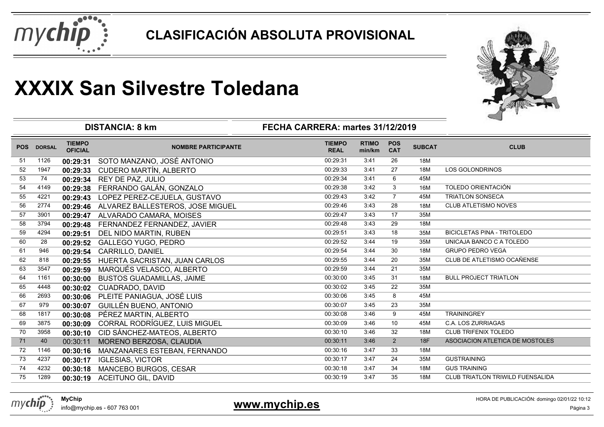



|            |               | <b>DISTANCIA: 8 km</b>          | ⊸                                         |                              |                        |                          |               |                                         |
|------------|---------------|---------------------------------|-------------------------------------------|------------------------------|------------------------|--------------------------|---------------|-----------------------------------------|
| <b>POS</b> | <b>DORSAL</b> | <b>TIEMPO</b><br><b>OFICIAL</b> | <b>NOMBRE PARTICIPANTE</b>                | <b>TIEMPO</b><br><b>REAL</b> | <b>RTIMO</b><br>min/km | <b>POS</b><br><b>CAT</b> | <b>SUBCAT</b> | <b>CLUB</b>                             |
| 51         | 1126          | 00:29:31                        | SOTO MANZANO, JOSÉ ANTONIO                | 00:29:31                     | 3:41                   | 26                       | 18M           |                                         |
| 52         | 1947          | 00:29:33                        | <b>CUDERO MARTÍN, ALBERTO</b>             | 00:29:33                     | 3:41                   | 27                       | 18M           | <b>LOS GOLONDRINOS</b>                  |
| 53         | 74            | 00:29:34                        | REY DE PAZ, JULIO                         | 00:29:34                     | 3:41                   | 6                        | 45M           |                                         |
| 54         | 4149          | 00:29:38                        | FERRANDO GALÁN, GONZALO                   | 00:29:38                     | 3:42                   | 3                        | 16M           | TOLEDO ORIENTACIÓN                      |
| 55         | 4221          | 00:29:43                        | LOPEZ PEREZ-CEJUELA, GUSTAVO              | 00:29:43                     | 3:42                   | $\overline{7}$           | 45M           | <b>TRIATLON SONSECA</b>                 |
| 56         | 2774          |                                 | 00:29:46 ALVAREZ BALLESTEROS, JOSE MIGUEL | 00:29:46                     | 3:43                   | 28                       | 18M           | <b>CLUB ATLETISMO NOVES</b>             |
| 57         | 3901          | 00:29:47                        | ALVARADO CAMARA, MOISES                   | 00:29:47                     | 3:43                   | 17                       | 35M           |                                         |
| 58         | 3794          | 00:29:48                        | FERNANDEZ FERNANDEZ, JAVIER               | 00:29:48                     | 3:43                   | 29                       | 18M           |                                         |
| 59         | 4294          | 00:29:51                        | DEL NIDO MARTIN, RUBEN                    | 00:29:51                     | 3:43                   | 18                       | 35M           | <b>BICICLETAS PINA - TRITOLEDO</b>      |
| 60         | 28            | 00:29:52                        | <b>GALLEGO YUGO, PEDRO</b>                | 00:29:52                     | 3:44                   | 19                       | 35M           | UNICAJA BANCO C A TOLEDO                |
| 61         | 946           | 00:29:54                        | <b>CARRILLO, DANIEL</b>                   | 00:29:54                     | 3:44                   | 30                       | 18M           | <b>GRUPO PEDRO VEGA</b>                 |
| 62         | 818           | 00:29:55                        | HUERTA SACRISTAN, JUAN CARLOS             | 00:29:55                     | 3:44                   | 20                       | 35M           | CLUB DE ATLETISMO OCAÑENSE              |
| 63         | 3547          | 00:29:59                        | MARQUÉS VELASCO, ALBERTO                  | 00:29:59                     | 3:44                   | 21                       | 35M           |                                         |
| 64         | 1161          | 00:30:00                        | <b>BUSTOS GUADAMILLAS, JAIME</b>          | 00:30:00                     | 3:45                   | 31                       | 18M           | <b>BULL PROJECT TRIATLON</b>            |
| 65         | 4448          | 00:30:02                        | CUADRADO, DAVID                           | 00:30:02                     | 3:45                   | 22                       | 35M           |                                         |
| 66         | 2693          | 00:30:06                        | PLEITE PANIAGUA, JOSÉ LUIS                | 00:30:06                     | 3:45                   | 8                        | 45M           |                                         |
| 67         | 979           | 00:30:07                        | GUILLÉN BUENO, ANTONIO                    | 00:30:07                     | 3:45                   | 23                       | 35M           |                                         |
| 68         | 1817          | 00:30:08                        | PÉREZ MARTIN, ALBERTO                     | 00:30:08                     | 3:46                   | 9                        | 45M           | <b>TRAININGREY</b>                      |
| 69         | 3875          | 00:30:09                        | CORRAL RODRÍGUEZ, LUIS MIGUEL             | 00:30:09                     | 3:46                   | 10                       | 45M           | <b>C.A. LOS ZURRIAGAS</b>               |
| 70         | 3958          | 00:30:10                        | CID SÁNCHEZ-MATEOS, ALBERTO               | 00:30:10                     | 3:46                   | 32                       | 18M           | <b>CLUB TRIFENIX TOLEDO</b>             |
| 71         | 40            | 00:30:11                        | MORENO BERZOSA, CLAUDIA                   | 00:30:11                     | 3:46                   | 2                        | 18F           | ASOCIACION ATLETICA DE MOSTOLES         |
| 72         | 1146          | 00:30:16                        | MANZANARES ESTEBAN, FERNANDO              | 00:30:16                     | 3:47                   | 33                       | 18M           |                                         |
| 73         | 4237          | 00:30:17                        | <b>IGLESIAS, VICTOR</b>                   | 00:30:17                     | 3:47                   | 24                       | 35M           | <b>GUSTRAINING</b>                      |
| 74         | 4232          | 00:30:18                        | MANCEBO BURGOS, CESAR                     | 00:30:18                     | 3:47                   | 34                       | 18M           | <b>GUS TRAINING</b>                     |
| 75         | 1289          |                                 | 00:30:19 ACEITUNO GIL, DAVID              | 00:30:19                     | 3:47                   | 35                       | 18M           | <b>CLUB TRIATLON TRIWILD FUENSALIDA</b> |



### **www.mychip.es**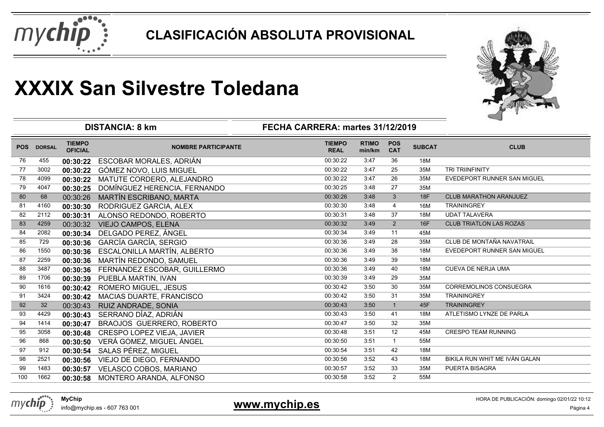



|            |               |                                 | <b>DISTANCIA: 8 km</b>          | FECHA CARRERA: martes 31/12/2019 |                        |                          |               | ⊸                              |
|------------|---------------|---------------------------------|---------------------------------|----------------------------------|------------------------|--------------------------|---------------|--------------------------------|
| <b>POS</b> | <b>DORSAL</b> | <b>TIEMPO</b><br><b>OFICIAL</b> | <b>NOMBRE PARTICIPANTE</b>      | <b>TIEMPO</b><br><b>REAL</b>     | <b>RTIMO</b><br>min/km | <b>POS</b><br><b>CAT</b> | <b>SUBCAT</b> | <b>CLUB</b>                    |
| 76         | 455           | 00:30:22                        | ESCOBAR MORALES, ADRIÁN         | 00:30:22                         | 3:47                   | 36                       | 18M           |                                |
| 77         | 3002          | 00:30:22                        | GÓMEZ NOVO, LUIS MIGUEL         | 00:30:22                         | 3:47                   | 25                       | 35M           | <b>TRI TRIINFINITY</b>         |
| 78         | 4099          | 00:30:22                        | MATUTE CORDERO, ALEJANDRO       | 00:30:22                         | 3:47                   | 26                       | 35M           | EVEDEPORT RUNNER SAN MIGUEL    |
| 79         | 4047          | 00:30:25                        | DOMÍNGUEZ HERENCIA, FERNANDO    | 00:30:25                         | 3:48                   | 27                       | 35M           |                                |
| 80         | 68            | 00:30:26                        | MARTÍN ESCRIBANO, MARTA         | 00:30:26                         | 3:48                   | $\mathbf{3}$             | <b>18F</b>    | <b>CLUB MARATHON ARANJUEZ</b>  |
| 81         | 4160          | 00:30:30                        | RODRIGUEZ GARCIA, ALEX          | 00:30:30                         | 3:48                   | $\overline{4}$           | 16M           | <b>TRAININGREY</b>             |
| 82         | 2112          | 00:30:31                        | ALONSO REDONDO, ROBERTO         | 00:30:31                         | 3:48                   | 37                       | 18M           | <b>UDAT TALAVERA</b>           |
| 83         | 4259          | 00:30:32                        | VIEJO CAMPOS, ELENA             | 00:30:32                         | 3:49                   | 2                        | 16F           | <b>CLUB TRIATLON LAS ROZAS</b> |
| 84         | 2082          | 00:30:34                        | DELGADO PEREZ, ÁNGEL            | 00:30:34                         | 3:49                   | 11                       | 45M           |                                |
| 85         | 729           | 00:30:36                        | <b>GARCÍA GARCÍA, SERGIO</b>    | 00:30:36                         | 3:49                   | 28                       | 35M           | CLUB DE MONTAÑA NAVATRAIL      |
| 86         | 1550          | 00:30:36                        | ESCALONILLA MARTÍN, ALBERTO     | 00:30:36                         | 3:49                   | 38                       | 18M           | EVEDEPORT RUNNER SAN MIGUEL    |
| 87         | 2259          | 00:30:36                        | MARTÍN REDONDO, SAMUEL          | 00:30:36                         | 3:49                   | 39                       | 18M           |                                |
| 88         | 3487          | 00:30:36                        | FERNANDEZ ESCOBAR, GUILLERMO    | 00:30:36                         | 3:49                   | 40                       | 18M           | <b>CUEVA DE NERJA UMA</b>      |
| 89         | 1706          | 00:30:39                        | PUEBLA MARTIN, IVAN             | 00:30:39                         | 3:49                   | 29                       | 35M           |                                |
| 90         | 1616          | 00:30:42                        | <b>ROMERO MIGUEL, JESUS</b>     | 00:30:42                         | 3:50                   | 30                       | 35M           | <b>CORREMOLINOS CONSUEGRA</b>  |
| 91         | 3424          | 00:30:42                        | <b>MACIAS DUARTE, FRANCISCO</b> | 00:30:42                         | 3:50                   | 31                       | 35M           | <b>TRAININGREY</b>             |
| 92         | 32            | 00:30:43                        | RUIZ ANDRADE, SONIA             | 00:30:43                         | 3:50                   | $\overline{1}$           | 45F           | <b>TRAININGREY</b>             |
| 93         | 4429          | 00:30:43                        | SERRANO DÍAZ, ADRIÁN            | 00:30:43                         | 3:50                   | 41                       | 18M           | ATLETISMO LYNZE DE PARLA       |
| 94         | 1414          | 00:30:47                        | BRAOJOS GUERRERO, ROBERTO       | 00:30:47                         | 3:50                   | 32                       | 35M           |                                |
| 95         | 3058          | 00:30:48                        | CRESPO LOPEZ VIEJA, JAVIER      | 00:30:48                         | 3:51                   | 12                       | 45M           | <b>CRESPO TEAM RUNNING</b>     |
| 96         | 868           | 00:30:50                        | VERÁ GOMEZ, MIGUEL ÁNGEL        | 00:30:50                         | 3:51                   | $\mathbf{1}$             | 55M           |                                |
| 97         | 912           | 00:30:54                        | SALAS PÉREZ, MIGUEL             | 00:30:54                         | 3:51                   | 42                       | 18M           |                                |
| 98         | 2521          | 00:30:56                        | VIEJO DE DIEGO, FERNANDO        | 00:30:56                         | 3:52                   | 43                       | 18M           | BIKILA RUN WHIT ME IVÁN GALAN  |
| 99         | 1483          | 00:30:57                        | VELASCO COBOS, MARIANO          | 00:30:57                         | 3:52                   | 33                       | 35M           | PUERTA BISAGRA                 |
| 100        | 1662          | 00:30:58                        | MONTERO ARANDA, ALFONSO         | 00:30:58                         | 3:52                   | 2                        | 55M           |                                |



mychip

### **www.mychip.es**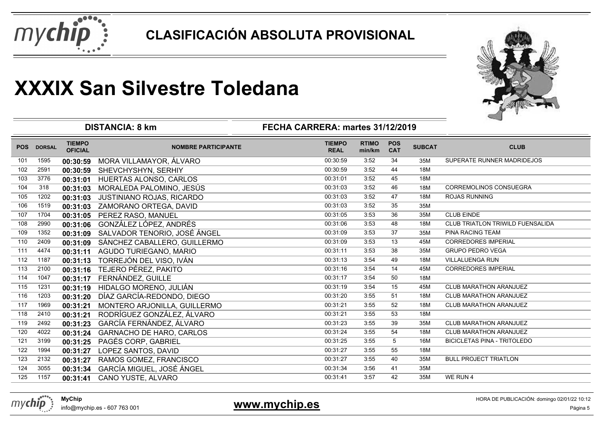



|            |               |                                 | <b>DISTANCIA: 8 km</b>          | FECHA CARRERA: martes 31/12/2019 |                        |                          |               |                                    |
|------------|---------------|---------------------------------|---------------------------------|----------------------------------|------------------------|--------------------------|---------------|------------------------------------|
| <b>POS</b> | <b>DORSAL</b> | <b>TIEMPO</b><br><b>OFICIAL</b> | <b>NOMBRE PARTICIPANTE</b>      | <b>TIEMPO</b><br><b>REAL</b>     | <b>RTIMO</b><br>min/km | <b>POS</b><br><b>CAT</b> | <b>SUBCAT</b> | <b>CLUB</b>                        |
| 101        | 1595          | 00:30:59                        | MORA VILLAMAYOR, ÁLVARO         | 00:30:59                         | 3:52                   | 34                       | 35M           | SUPERATE RUNNER MADRIDEJOS         |
| 102        | 2591          | 00:30:59                        | SHEVCHYSHYN, SERHIY             | 00:30:59                         | 3:52                   | 44                       | 18M           |                                    |
| 103        | 3776          | 00:31:01                        | HUERTAS ALONSO, CARLOS          | 00:31:01                         | 3:52                   | 45                       | 18M           |                                    |
| 104        | 318           | 00:31:03                        | MORALEDA PALOMINO, JESÚS        | 00:31:03                         | 3:52                   | 46                       | 18M           | <b>CORREMOLINOS CONSUEGRA</b>      |
| 105        | 1202          | 00:31:03                        | JUSTINIANO ROJAS, RICARDO       | 00:31:03                         | 3:52                   | 47                       | 18M           | <b>ROJAS RUNNING</b>               |
| 106        | 1519          | 00:31:03                        | ZAMORANO ORTEGA, DAVID          | 00:31:03                         | 3:52                   | 35                       | 35M           |                                    |
| 107        | 1704          | 00:31:05                        | PEREZ RASO, MANUEL              | 00:31:05                         | 3:53                   | 36                       | 35M           | <b>CLUB EINDE</b>                  |
| 108        | 2990          | 00:31:06                        | GONZÁLEZ LÓPEZ, ANDRÉS          | 00:31:06                         | 3:53                   | 48                       | 18M           | CLUB TRIATLON TRIWILD FUENSALIDA   |
| 109        | 1352          | 00:31:09                        | SALVADOR TENORIO, JOSÉ ÁNGEL    | 00:31:09                         | 3:53                   | 37                       | 35M           | PINA RACING TEAM                   |
| 110        | 2409          | 00:31:09                        | SÁNCHEZ CABALLERO, GUILLERMO    | 00:31:09                         | 3:53                   | 13                       | 45M           | <b>CORREDORES IMPERIAL</b>         |
| 111        | 4474          | 00:31:11                        | AGUDO TURIEGANO, MARIO          | 00:31:11                         | 3:53                   | 38                       | 35M           | <b>GRUPO PEDRO VEGA</b>            |
| 112        | 1187          | 00:31:13                        | TORREJÓN DEL VISO, IVÁN         | 00:31:13                         | 3:54                   | 49                       | 18M           | VILLALUENGA RUN                    |
| 113        | 2100          | 00:31:16                        | TEJERO PÉREZ, PAKITO            | 00:31:16                         | 3:54                   | 14                       | 45M           | <b>CORREDORES IMPERIAL</b>         |
| 114        | 1047          | 00:31:17                        | FERNÁNDEZ, GUILLE               | 00:31:17                         | 3:54                   | 50                       | 18M           |                                    |
| 115        | 1231          | 00:31:19                        | HIDALGO MORENO, JULIÁN          | 00:31:19                         | 3:54                   | 15                       | 45M           | <b>CLUB MARATHON ARANJUEZ</b>      |
| 116        | 1203          | 00:31:20                        | DÍAZ GARCÍA-REDONDO, DIEGO      | 00:31:20                         | 3:55                   | 51                       | 18M           | CLUB MARATHON ARANJUEZ             |
| 117        | 1969          | 00:31:21                        | MONTERO ARJONILLA, GUILLERMO    | 00:31:21                         | 3:55                   | 52                       | 18M           | <b>CLUB MARATHON ARANJUEZ</b>      |
| 118        | 2410          | 00:31:21                        | RODRÍGUEZ GONZÁLEZ, ÁLVARO      | 00:31:21                         | 3:55                   | 53                       | 18M           |                                    |
| 119        | 2492          | 00:31:23                        | GARCÍA FERNÁNDEZ, ÁLVARO        | 00:31:23                         | 3:55                   | 39                       | 35M           | CLUB MARATHON ARANJUEZ             |
| 120        | 4022          | 00:31:24                        | <b>GARNACHO DE HARO, CARLOS</b> | 00:31:24                         | 3:55                   | 54                       | 18M           | CLUB MARATHON ARANJUEZ             |
| 121        | 3199          | 00:31:25                        | PAGÉS CORP, GABRIEL             | 00:31:25                         | 3:55                   | 5                        | 16M           | <b>BICICLETAS PINA - TRITOLEDO</b> |
| 122        | 1994          | 00:31:27                        | LOPEZ SANTOS, DAVID             | 00:31:27                         | 3:55                   | 55                       | 18M           |                                    |
| 123        | 2132          | 00:31:27                        | RAMOS GOMEZ, FRANCISCO          | 00:31:27                         | 3:55                   | 40                       | 35M           | <b>BULL PROJECT TRIATLON</b>       |
| 124        | 3055          | 00:31:34                        | GARCÍA MIGUEL, JOSÉ ÁNGEL       | 00:31:34                         | 3:56                   | 41                       | 35M           |                                    |
| 125        | 1157          | 00:31:41                        | CANO YUSTE, ALVARO              | 00:31:41                         | 3:57                   | 42                       | 35M           | WE RUN 4                           |



### **www.mychip.es**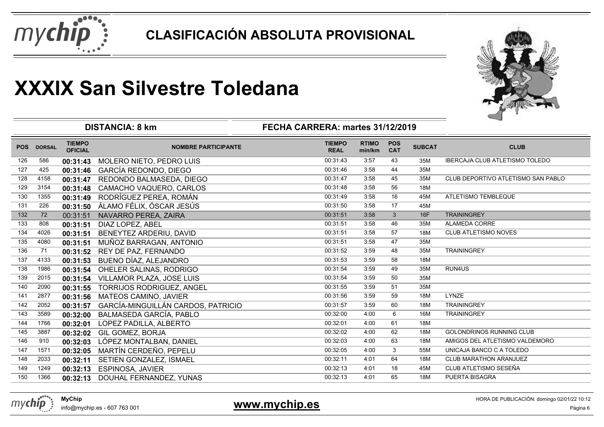



|            |               | <b>DISTANCIA: 8 km</b>          | ⊸                                  |                              |                        |                          |               |                                       |
|------------|---------------|---------------------------------|------------------------------------|------------------------------|------------------------|--------------------------|---------------|---------------------------------------|
| <b>POS</b> | <b>DORSAL</b> | <b>TIEMPO</b><br><b>OFICIAL</b> | <b>NOMBRE PARTICIPANTE</b>         | <b>TIEMPO</b><br><b>REAL</b> | <b>RTIMO</b><br>min/km | <b>POS</b><br><b>CAT</b> | <b>SUBCAT</b> | <b>CLUB</b>                           |
| 126        | 586           | 00:31:43                        | MOLERO NIETO, PEDRO LUIS           | 00:31:43                     | 3:57                   | 43                       | 35M           | <b>IBERCAJA CLUB ATLETISMO TOLEDO</b> |
| 127        | 425           | 00:31:46                        | GARCÍA REDONDO, DIEGO              | 00:31:46                     | 3:58                   | 44                       | 35M           |                                       |
| 128        | 4158          | 00:31:47                        | REDONDO BALMASEDA, DIEGO           | 00:31:47                     | 3:58                   | 45                       | 35M           | CLUB DEPORTIVO ATLETISMO SAN PABLO    |
| 129        | 3154          | 00:31:48                        | CAMACHO VAQUERO, CARLOS            | 00:31:48                     | 3:58                   | 56                       | 18M           |                                       |
| 130        | 1355          | 00:31:49                        | RODRÍGUEZ PEREA, ROMÁN             | 00:31:49                     | 3:58                   | 16                       | 45M           | ATLETISMO TEMBLEQUE                   |
| 131        | 226           | 00:31:50                        | ÁLAMO FÉLIX, ÓSCAR JESÚS           | 00:31:50                     | 3:58                   | 17                       | 45M           |                                       |
| 132        | 72            | 00:31:51                        | NAVARRO PEREA, ZAIRA               | 00:31:51                     | 3:58                   | $\mathbf{3}$             | <b>16F</b>    | <b>TRAININGREY</b>                    |
| 133        | 808           | 00:31:51                        | DIAZ LOPEZ, ABEL                   | 00:31:51                     | 3:58                   | 46                       | 35M           | ALAMEDA CORRE                         |
| 134        | 4026          | 00:31:51                        | BENEYTEZ ARDERIU, DAVID            | 00:31:51                     | 3:58                   | 57                       | 18M           | CLUB ATLETISMO NOVES                  |
| 135        | 4080          | 00:31:51                        | MUÑOZ BARRAGAN, ANTONIO            | 00:31:51                     | 3:58                   | 47                       | 35M           |                                       |
| 136        | 71            | 00:31:52                        | REY DE PAZ, FERNANDO               | 00:31:52                     | 3:59                   | 48                       | 35M           | <b>TRAININGREY</b>                    |
| 137        | 4133          | 00:31:53                        | BUENO DÍAZ, ALEJANDRO              | 00:31:53                     | 3:59                   | 58                       | 18M           |                                       |
| 138        | 1986          | 00:31:54                        | OHELER SALINAS, RODRIGO            | 00:31:54                     | 3:59                   | 49                       | 35M           | RUN4US                                |
| 139        | 2015          | 00:31:54                        | VILLAMOR PLAZA, JOSE LUIS          | 00:31:54                     | 3:59                   | 50                       | 35M           |                                       |
| 140        | 2090          | 00:31:55                        | <b>TORRIJOS RODRIGUEZ, ANGEL</b>   | 00:31:55                     | 3:59                   | 51                       | 35M           |                                       |
| 141        | 2877          | 00:31:56                        | <b>MATEOS CAMINO, JAVIER</b>       | 00:31:56                     | 3:59                   | 59                       | 18M           | LYNZE                                 |
| 142        | 2052          | 00:31:57                        | GARCÍA-MINGUILLÁN CARDOS, PATRICIO | 00:31:57                     | 3:59                   | 60                       | 18M           | <b>TRAININGREY</b>                    |
| 143        | 3589          | 00:32:00                        | BALMASEDA GARCÍA, PABLO            | 00:32:00                     | 4:00                   | 6                        | 16M           | <b>TRAININGREY</b>                    |
| 144        | 1766          | 00:32:01                        | LOPEZ PADILLA, ALBERTO             | 00:32:01                     | 4:00                   | 61                       | 18M           |                                       |
| 145        | 3887          | 00:32:02                        | <b>GIL GOMEZ, BORJA</b>            | 00:32:02                     | 4:00                   | 62                       | 18M           | <b>GOLONDRINOS RUNNING CLUB</b>       |
| 146        | 910           | 00:32:03                        | LÓPEZ MONTALBAN, DANIEL            | 00:32:03                     | 4:00                   | 63                       | 18M           | AMIGOS DEL ATLETISMO VALDEMORO        |
| 147        | 1571          | 00:32:05                        | MARTÍN CERDEÑO, PEPELU             | 00:32:05                     | 4:00                   | 3                        | 55M           | UNICAJA BANCO C A TOLEDO              |
| 148        | 2033          | 00:32:11                        | SETIEN GONZALEZ, ISMAEL            | 00:32:11                     | 4:01                   | 64                       | 18M           | <b>CLUB MARATHON ARANJUEZ</b>         |
| 149        | 1249          | 00:32:13                        | ESPINOSA, JAVIER                   | 00:32:13                     | 4:01                   | 18                       | 45M           | CLUB ATLETISMO SESEÑA                 |
| 150        | 1366          | 00:32:13                        | DOUHAL FERNANDEZ, YUNAS            | 00:32:13                     | 4:01                   | 65                       | 18M           | PUERTA BISAGRA                        |
|            |               |                                 |                                    |                              |                        |                          |               |                                       |



**www.mychip.es**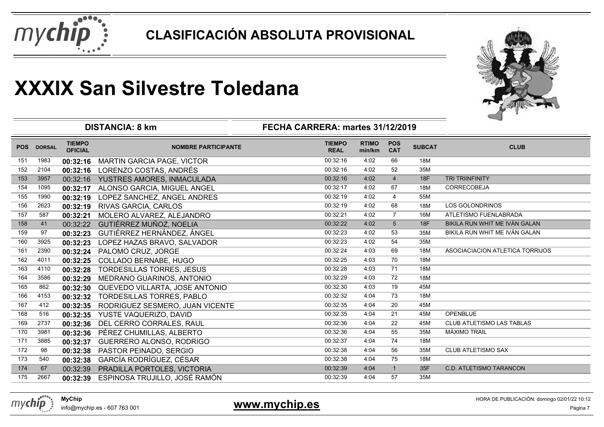



|            |               |                                 | <b>DISTANCIA: 8 km</b>              | FECHA CARRERA: martes 31/12/2019 |                        |                          |               |                                 |
|------------|---------------|---------------------------------|-------------------------------------|----------------------------------|------------------------|--------------------------|---------------|---------------------------------|
| <b>POS</b> | <b>DORSAL</b> | <b>TIEMPO</b><br><b>OFICIAL</b> | <b>NOMBRE PARTICIPANTE</b>          | <b>TIEMPO</b><br><b>REAL</b>     | <b>RTIMO</b><br>min/km | <b>POS</b><br><b>CAT</b> | <b>SUBCAT</b> | <b>CLUB</b>                     |
| 151        | 1983          | 00:32:16                        | <b>MARTIN GARCIA PAGE, VICTOR</b>   | 00:32:16                         | 4:02                   | 66                       | 18M           |                                 |
| 152        | 2104          |                                 | 00:32:16 LORENZO COSTAS, ANDRÉS     | 00:32:16                         | 4:02                   | 52                       | 35M           |                                 |
| 153        | 3957          |                                 | 00:32:16 YUSTRES AMORES, INMACULADA | 00:32:16                         | 4:02                   | $\overline{4}$           | 18F           | <b>TRI TRIINFINITY</b>          |
| 154        | 1095          | 00:32:17                        | ALONSO GARCIA, MIGUEL ANGEL         | 00:32:17                         | 4:02                   | 67                       | 18M           | CORRECOBEJA                     |
| 155        | 1990          | 00:32:19                        | LOPEZ SANCHEZ, ANGEL ANDRES         | 00:32:19                         | 4:02                   | $\overline{4}$           | 55M           |                                 |
| 156        | 2623          | 00:32:19                        | RIVAS GARCIA, CARLOS                | 00:32:19                         | 4:02                   | 68                       | 18M           | LOS GOLONDRINOS                 |
| 157        | 587           | 00:32:21                        | MOLERO ALVAREZ, ALEJANDRO           | 00:32:21                         | 4:02                   | $\overline{7}$           | 16M           | ATLETISMO FUENLABRADA           |
| 158        | 41            | 00:32:22                        | GUTIÉRREZ MUÑOZ, NOELIA             | 00:32:22                         | 4:02                   | $5\phantom{.0}$          | 18F           | BIKILA RUN WHIT ME IVÁN GALAN   |
| 159        | 97            | 00:32:23                        | GUTIÉRREZ HERNÁNDEZ, ÁNGEL          | 00:32:23                         | 4:02                   | 53                       | 35M           | BIKILA RUN WHIT ME IVÁN GALAN   |
| 160        | 3925          | 00:32:23                        | LOPEZ HAZAS BRAVO, SALVADOR         | 00:32:23                         | 4:02                   | 54                       | 35M           |                                 |
| 161        | 2390          | 00:32:24                        | PALOMO CRUZ, JORGE                  | 00:32:24                         | 4:03                   | 69                       | 18M           | ASOCIACIACION ATLETICA TORRIJOS |
| 162        | 4011          | 00:32:25                        | <b>COLLADO BERNABE, HUGO</b>        | 00:32:25                         | 4:03                   | 70                       | 18M           |                                 |
| 163        | 4110          | 00:32:28                        | <b>TORDESILLAS TORRES, JESUS</b>    | 00:32:28                         | 4:03                   | 71                       | 18M           |                                 |
| 164        | 3586          | 00:32:29                        | MEDRANO GUARINOS, ANTONIO           | 00:32:29                         | 4:03                   | 72                       | 18M           |                                 |
| 165        | 862           | 00:32:30                        | QUEVEDO VILLARTA, JOSE ANTONIO      | 00:32:30                         | 4:03                   | 19                       | 45M           |                                 |
| 166        | 4153          | 00:32:32                        | <b>TORDESILLAS TORRES, PABLO</b>    | 00:32:32                         | 4:04                   | 73                       | 18M           |                                 |
| 167        | 412           | 00:32:35                        | RODRIGUEZ SESMERO, JUAN VICENTE     | 00:32:35                         | 4:04                   | 20                       | 45M           |                                 |
| 168        | 516           | 00:32:35                        | YUSTE VAQUERIZO, DAVID              | 00:32:35                         | 4:04                   | 21                       | 45M           | <b>OPENBLUE</b>                 |
| 169        | 2737          | 00:32:36                        | DEL CERRO CORRALES, RAUL            | 00:32:36                         | 4:04                   | 22                       | 45M           | CLUB ATLETISMO LAS TABLAS       |
| 170        | 3981          | 00:32:36                        | PÉREZ CHUMILLAS, ALBERTO            | 00:32:36                         | 4:04                   | 55                       | 35M           | <b>MÁXIMO TRAIL</b>             |
| 171        | 3885          | 00:32:37                        | GUERRERO ALONSO, RODRIGO            | 00:32:37                         | 4:04                   | 74                       | 18M           |                                 |
| 172        | 98            | 00:32:38                        | PASTOR PEINADO, SERGIO              | 00:32:38                         | 4:04                   | 56                       | 35M           | <b>CLUB ATLETISMO SAX</b>       |
| 173        | 540           | 00:32:38                        | GARCÍA RODRÍGUEZ, CÉSAR             | 00:32:38                         | 4:04                   | 75                       | 18M           |                                 |
| 174        | 67            | 00:32:39                        | PRADILLA PORTOLES, VICTORIA         | 00:32:39                         | 4:04                   | $\overline{1}$           | 35F           | <b>C.D. ATLETISMO TARANCON</b>  |
| 175        | 2667          | 00:32:39                        | ESPINOSA TRUJILLO, JOSÉ RAMÓN       | 00:32:39                         | 4:04                   | 57                       | 35M           |                                 |
|            |               |                                 |                                     |                                  |                        |                          |               |                                 |



info@mychip.es - 607 763 001

### **www.mychip.es**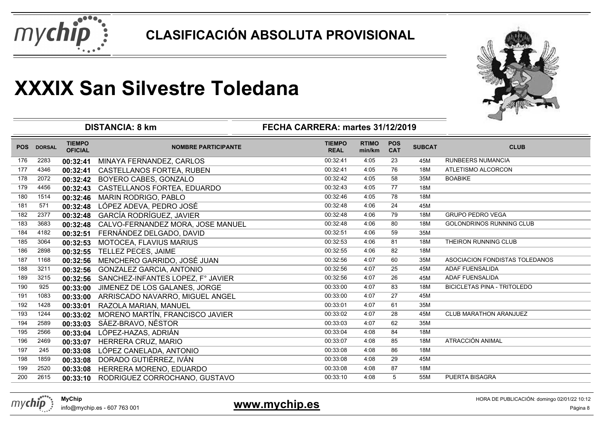



|            |               | <b>DISTANCIA: 8 km</b>          |                                   |                              |                        |                          |               |                                    |
|------------|---------------|---------------------------------|-----------------------------------|------------------------------|------------------------|--------------------------|---------------|------------------------------------|
| <b>POS</b> | <b>DORSAL</b> | <b>TIEMPO</b><br><b>OFICIAL</b> | <b>NOMBRE PARTICIPANTE</b>        | <b>TIEMPO</b><br><b>REAL</b> | <b>RTIMO</b><br>min/km | <b>POS</b><br><b>CAT</b> | <b>SUBCAT</b> | <b>CLUB</b>                        |
| 176        | 2283          | 00:32:41                        | MINAYA FERNANDEZ, CARLOS          | 00:32:41                     | 4:05                   | 23                       | 45M           | <b>RUNBEERS NUMANCIA</b>           |
| 177        | 4346          | 00:32:41                        | <b>CASTELLANOS FORTEA, RUBEN</b>  | 00:32:41                     | 4:05                   | 76                       | 18M           | ATLETISMO ALCORCON                 |
| 178        | 2072          | 00:32:42                        | BOYERO CABES, GONZALO             | 00:32:42                     | 4:05                   | 58                       | 35M           | <b>BOABIKE</b>                     |
| 179        | 4456          | 00:32:43                        | CASTELLANOS FORTEA, EDUARDO       | 00:32:43                     | 4:05                   | 77                       | 18M           |                                    |
| 180        | 1514          | 00:32:46                        | MARIN RODRIGO, PABLO              | 00:32:46                     | 4:05                   | 78                       | 18M           |                                    |
| 181        | 571           | 00:32:48                        | LÓPEZ ADEVA, PEDRO JOSÉ           | 00:32:48                     | 4:06                   | 24                       | 45M           |                                    |
| 182        | 2377          | 00:32:48                        | GARCÍA RODRÍGUEZ, JAVIER          | 00:32:48                     | 4:06                   | 79                       | 18M           | <b>GRUPO PEDRO VEGA</b>            |
| 183        | 3683          | 00:32:48                        | CALVO-FERNANDEZ MORA, JOSE MANUEL | 00:32:48                     | 4:06                   | 80                       | 18M           | <b>GOLONDRINOS RUNNING CLUB</b>    |
| 184        | 4182          | 00:32:51                        | FERNÁNDEZ DELGADO, DAVID          | 00:32:51                     | 4:06                   | 59                       | 35M           |                                    |
| 185        | 3064          | 00:32:53                        | MOTOCEA, FLAVIUS MARIUS           | 00:32:53                     | 4:06                   | 81                       | 18M           | THEIRON RUNNING CLUB               |
| 186        | 2898          | 00:32:55                        | TELLEZ PECES, JAIME               | 00:32:55                     | 4:06                   | 82                       | 18M           |                                    |
| 187        | 1168          | 00:32:56                        | MENCHERO GARRIDO, JOSÉ JUAN       | 00:32:56                     | 4:07                   | 60                       | 35M           | ASOCIACION FONDISTAS TOLEDANOS     |
| 188        | 3211          | 00:32:56                        | <b>GONZALEZ GARCIA, ANTONIO</b>   | 00:32:56                     | 4:07                   | 25                       | 45M           | <b>ADAF FUENSALIDA</b>             |
| 189        | 3215          | 00:32:56                        | SANCHEZ-INFANTES LOPEZ, F° JAVIER | 00:32:56                     | 4:07                   | 26                       | 45M           | <b>ADAF FUENSALIDA</b>             |
| 190        | 925           | 00:33:00                        | JIMENEZ DE LOS GALANES, JORGE     | 00:33:00                     | 4:07                   | 83                       | 18M           | <b>BICICLETAS PINA - TRITOLEDO</b> |
| 191        | 1083          | 00:33:00                        | ARRISCADO NAVARRO, MIGUEL ANGEL   | 00:33:00                     | 4:07                   | 27                       | 45M           |                                    |
| 192        | 1428          | 00:33:01                        | RAZOLA MARIAN, MANUEL             | 00:33:01                     | 4:07                   | 61                       | 35M           |                                    |
| 193        | 1244          | 00:33:02                        | MORENO MARTÍN, FRANCISCO JAVIER   | 00:33:02                     | 4:07                   | 28                       | 45M           | <b>CLUB MARATHON ARANJUEZ</b>      |
| 194        | 2589          | 00:33:03                        | SÁEZ-BRAVO, NÉSTOR                | 00:33:03                     | 4:07                   | 62                       | 35M           |                                    |
| 195        | 2566          | 00:33:04                        | LÓPEZ-HAZAS, ADRIÁN               | 00:33:04                     | 4:08                   | 84                       | 18M           |                                    |
| 196        | 2469          | 00:33:07                        | HERRERA CRUZ, MARIO               | 00:33:07                     | 4:08                   | 85                       | 18M           | ATRACCIÓN ANIMAL                   |
| 197        | 245           | 00:33:08                        | LÓPEZ CANELADA, ANTONIO           | 00:33:08                     | 4:08                   | 86                       | 18M           |                                    |
| 198        | 1859          | 00:33:08                        | DORADO GUTIÉRREZ, IVÁN            | 00:33:08                     | 4:08                   | 29                       | 45M           |                                    |
| 199        | 2520          | 00:33:08                        | HERRERA MORENO, EDUARDO           | 00:33:08                     | 4:08                   | 87                       | 18M           |                                    |
| 200        | 2615          | 00:33:10                        | RODRIGUEZ CORROCHANO, GUSTAVO     | 00:33:10                     | 4:08                   | 5                        | 55M           | <b>PUERTA BISAGRA</b>              |



### **www.mychip.es**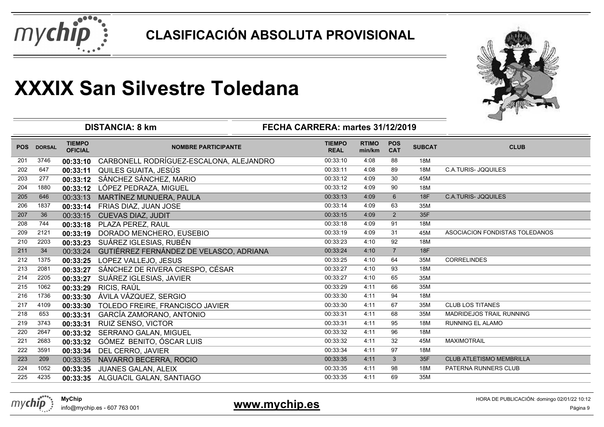



|            |               |                                 | <b>DISTANCIA: 8 km</b><br>FECHA CARRERA: martes 31/12/2019 | ⊸                            |                        |                          |               |                                 |
|------------|---------------|---------------------------------|------------------------------------------------------------|------------------------------|------------------------|--------------------------|---------------|---------------------------------|
| <b>POS</b> | <b>DORSAL</b> | <b>TIEMPO</b><br><b>OFICIAL</b> | <b>NOMBRE PARTICIPANTE</b>                                 | <b>TIEMPO</b><br><b>REAL</b> | <b>RTIMO</b><br>min/km | <b>POS</b><br><b>CAT</b> | <b>SUBCAT</b> | <b>CLUB</b>                     |
| 201        | 3746          | 00:33:10                        | CARBONELL RODRÍGUEZ-ESCALONA, ALEJANDRO                    | 00:33:10                     | 4:08                   | 88                       | 18M           |                                 |
| 202        | 647           | 00:33:11                        | QUILES GUAITA, JESÚS                                       | 00:33:11                     | 4:08                   | 89                       | 18M           | <b>C.A.TURIS- JOQUILES</b>      |
| 203        | 277           | 00:33:12                        | SÁNCHEZ SÁNCHEZ, MARIO                                     | 00:33:12                     | 4:09                   | 30                       | 45M           |                                 |
| 204        | 1880          | 00:33:12                        | LÓPEZ PEDRAZA, MIGUEL                                      | 00:33:12                     | 4:09                   | 90                       | 18M           |                                 |
| 205        | 646           | 00:33:13                        | MARTÍNEZ MUNUERA, PAULA                                    | 00:33:13                     | 4:09                   | $6\phantom{1}6$          | <b>18F</b>    | <b>C.A.TURIS- JOQUILES</b>      |
| 206        | 1837          | 00:33:14                        | FRIAS DIAZ, JUAN JOSE                                      | 00:33:14                     | 4:09                   | 63                       | 35M           |                                 |
| 207        | 36            | 00:33:15                        | <b>CUEVAS DIAZ, JUDIT</b>                                  | 00:33:15                     | 4:09                   | 2                        | 35F           |                                 |
| 208        | 744           | 00:33:18                        | PLAZA PEREZ, RAUL                                          | 00:33:18                     | 4:09                   | 91                       | 18M           |                                 |
| 209        | 2121          | 00:33:19                        | DORADO MENCHERO, EUSEBIO                                   | 00:33:19                     | 4:09                   | 31                       | 45M           | ASOCIACION FONDISTAS TOLEDANOS  |
| 210        | 2203          | 00:33:23                        | SUÁREZ IGLESIAS, RUBÉN                                     | 00:33:23                     | 4:10                   | 92                       | 18M           |                                 |
| 211        | 34            | 00:33:24                        | GUTIÉRREZ FERNÁNDEZ DE VELASCO, ADRIANA                    | 00:33:24                     | 4:10                   | $\overline{7}$           | <b>18F</b>    |                                 |
| 212        | 1375          | 00:33:25                        | LOPEZ VALLEJO, JESUS                                       | 00:33:25                     | 4:10                   | 64                       | 35M           | <b>CORRELINDES</b>              |
| 213        | 2081          | 00:33:27                        | SÁNCHEZ DE RIVERA CRESPO, CÉSAR                            | 00:33:27                     | 4:10                   | 93                       | 18M           |                                 |
| 214        | 2205          | 00:33:27                        | SUÁREZ IGLESIAS, JAVIER                                    | 00:33:27                     | 4:10                   | 65                       | 35M           |                                 |
| 215        | 1062          | 00:33:29                        | RICIS, RAÚL                                                | 00:33:29                     | 4:11                   | 66                       | 35M           |                                 |
| 216        | 1736          | 00:33:30                        | ÁVILA VÁZQUEZ, SERGIO                                      | 00:33:30                     | 4:11                   | 94                       | 18M           |                                 |
| 217        | 4109          | 00:33:30                        | TOLEDO FREIRE, FRANCISCO JAVIER                            | 00:33:30                     | 4:11                   | 67                       | 35M           | <b>CLUB LOS TITANES</b>         |
| 218        | 653           | 00:33:31                        | GARCÍA ZAMORANO, ANTONIO                                   | 00:33:31                     | 4:11                   | 68                       | 35M           | <b>MADRIDEJOS TRAIL RUNNING</b> |
| 219        | 3743          | 00:33:31                        | RUIZ SENSO, VICTOR                                         | 00:33:31                     | 4:11                   | 95                       | 18M           | <b>RUNNING EL ALAMO</b>         |
| 220        | 2647          | 00:33:32                        | SERRANO GALAN, MIGUEL                                      | 00:33:32                     | 4:11                   | 96                       | 18M           |                                 |
| 221        | 2683          | 00:33:32                        | GÓMEZ BENITO, ÓSCAR LUIS                                   | 00:33:32                     | 4:11                   | 32                       | 45M           | <b>MAXIMOTRAIL</b>              |
| 222        | 3591          | 00:33:34                        | DEL CERRO, JAVIER                                          | 00:33:34                     | 4:11                   | 97                       | 18M           |                                 |
| 223        | 209           | 00:33:35                        | NAVARRO BECERRA, ROCIO                                     | 00:33:35                     | 4:11                   | $\mathbf{3}$             | 35F           | <b>CLUB ATLETISMO MEMBRILLA</b> |
| 224        | 1052          | 00:33:35                        | <b>JUANES GALAN, ALEIX</b>                                 | 00:33:35                     | 4:11                   | 98                       | 18M           | PATERNA RUNNERS CLUB            |
| 225        | 4235          | 00:33:35                        | ALGUACIL GALAN, SANTIAGO                                   | 00:33:35                     | 4:11                   | 69                       | 35M           |                                 |

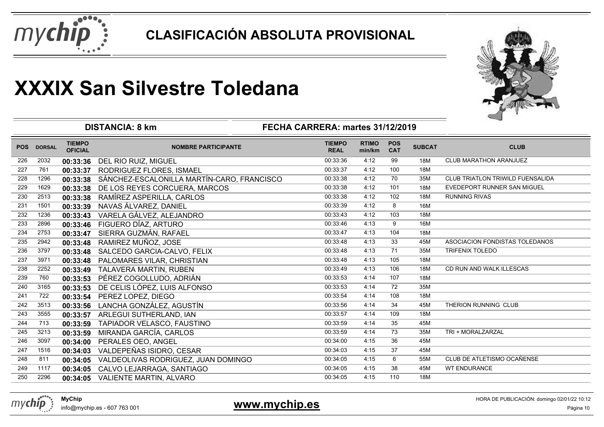



|            |               |                                 | <b>DISTANCIA: 8 km</b><br>FECHA CARRERA: martes 31/12/2019 |                              |                        |                          |               |                                  |
|------------|---------------|---------------------------------|------------------------------------------------------------|------------------------------|------------------------|--------------------------|---------------|----------------------------------|
| <b>POS</b> | <b>DORSAL</b> | <b>TIEMPO</b><br><b>OFICIAL</b> | <b>NOMBRE PARTICIPANTE</b>                                 | <b>TIEMPO</b><br><b>REAL</b> | <b>RTIMO</b><br>min/km | <b>POS</b><br><b>CAT</b> | <b>SUBCAT</b> | <b>CLUB</b>                      |
| 226        | 2032          | 00:33:36                        | DEL RIO RUIZ, MIGUEL                                       | 00:33:36                     | 4:12                   | 99                       | <b>18M</b>    | <b>CLUB MARATHON ARANJUEZ</b>    |
| 227        | 761           | 00:33:37                        | RODRIGUEZ FLORES, ISMAEL                                   | 00:33:37                     | 4:12                   | 100                      | 18M           |                                  |
| 228        | 1296          | 00:33:38                        | SÁNCHEZ-ESCALONILLA MARTÍN-CARO, FRANCISCO                 | 00:33:38                     | 4:12                   | 70                       | 35M           | CLUB TRIATLON TRIWILD FUENSALIDA |
| 229        | 1629          | 00:33:38                        | DE LOS REYES CORCUERA, MARCOS                              | 00:33:38                     | 4:12                   | 101                      | 18M           | EVEDEPORT RUNNER SAN MIGUEL      |
| 230        | 2513          | 00:33:38                        | RAMÍREZ ASPERILLA, CARLOS                                  | 00:33:38                     | 4:12                   | 102                      | 18M           | <b>RUNNING RIVAS</b>             |
| 231        | 1501          | 00:33:39                        | NAVAS ÁLVAREZ, DANIEL                                      | 00:33:39                     | 4:12                   | 8                        | 16M           |                                  |
| 232        | 1236          | 00:33:43                        | VARELA GÁLVEZ, ALEJANDRO                                   | 00:33:43                     | 4:12                   | 103                      | 18M           |                                  |
| 233        | 2896          | 00:33:46                        | FIGUERO DÍAZ, ARTURO                                       | 00:33:46                     | 4:13                   | 9                        | 16M           |                                  |
| 234        | 2753          | 00:33:47                        | SIERRA GUZMÁN, RAFAEL                                      | 00:33:47                     | 4:13                   | 104                      | 18M           |                                  |
| 235        | 2942          | 00:33:48                        | RAMIREZ MUÑOZ, JOSE                                        | 00:33:48                     | 4:13                   | 33                       | 45M           | ASOCIACION FONDISTAS TOLEDANOS   |
| 236        | 3797          | 00:33:48                        | SALCEDO GARCIA-CALVO, FELIX                                | 00:33:48                     | 4:13                   | 71                       | 35M           | <b>TRIFENIX TOLEDO</b>           |
| 237        | 3971          | 00:33:48                        | PALOMARES VILAR, CHRISTIAN                                 | 00:33:48                     | 4:13                   | 105                      | 18M           |                                  |
| 238        | 2252          | 00:33:49                        | TALAVERA MARTIN, RUBEN                                     | 00:33:49                     | 4:13                   | 106                      | 18M           | CD RUN AND WALK ILLESCAS         |
| 239        | 760           | 00:33:53                        | PÉREZ COGOLLUDO, ADRIÁN                                    | 00:33:53                     | 4:14                   | 107                      | 18M           |                                  |
| 240        | 3165          | 00:33:53                        | DE CELIS LÓPEZ, LUIS ALFONSO                               | 00:33:53                     | 4:14                   | 72                       | 35M           |                                  |
| 241        | 722           | 00:33:54                        | PEREZ LOPEZ, DIEGO                                         | 00:33:54                     | 4:14                   | 108                      | 18M           |                                  |
| 242        | 3513          | 00:33:56                        | LANCHA GONZÁLEZ, AGUSTÍN                                   | 00:33:56                     | 4:14                   | 34                       | 45M           | THERION RUNNING CLUB             |
| 243        | 3555          | 00:33:57                        | ARLEGUI SUTHERLAND, IAN                                    | 00:33:57                     | 4:14                   | 109                      | 18M           |                                  |
| 244        | 713           | 00:33:59                        | TAPIADOR VELASCO, FAUSTINO                                 | 00:33:59                     | 4:14                   | 35                       | 45M           |                                  |
| 245        | 3213          | 00:33:59                        | MIRANDA GARCÍA, CARLOS                                     | 00:33:59                     | 4:14                   | 73                       | 35M           | TRI + MORALZARZAL                |
| 246        | 3097          | 00:34:00                        | PERALES OEO, ANGEL                                         | 00:34:00                     | 4:15                   | 36                       | 45M           |                                  |
| 247        | 1516          | 00:34:03                        | VALDEPEÑAS ISIDRO, CESAR                                   | 00:34:03                     | 4:15                   | 37                       | 45M           |                                  |
| 248        | 811           | 00:34:05                        | VALDEOLIVAS RODRIGUEZ, JUAN DOMINGO                        | 00:34:05                     | 4:15                   | 6                        | 55M           | CLUB DE ATLETISMO OCAÑENSE       |
| 249        | 1117          | 00:34:05                        | CALVO LEJARRAGA, SANTIAGO                                  | 00:34:05                     | 4:15                   | 38                       | 45M           | <b>WT ENDURANCE</b>              |
| 250        | 2296          | 00:34:05                        | VALIENTE MARTIN, ALVARO                                    | 00:34:05                     | 4:15                   | 110                      | 18M           |                                  |

mychip

### **www.mychip.es**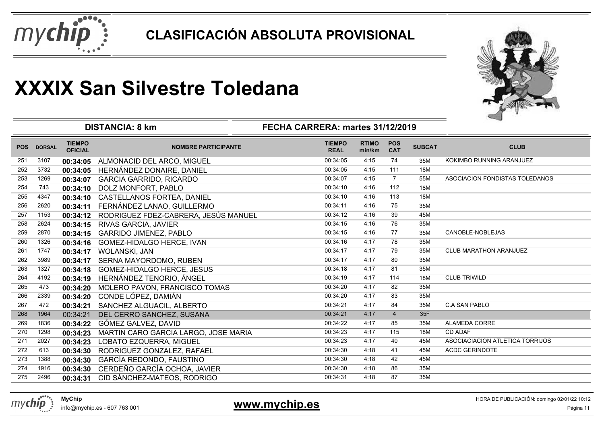



|            |               |                                 | <b>DISTANCIA: 8 km</b>               | ──                               |                        |                          |               |                                 |
|------------|---------------|---------------------------------|--------------------------------------|----------------------------------|------------------------|--------------------------|---------------|---------------------------------|
|            |               |                                 |                                      | FECHA CARRERA: martes 31/12/2019 |                        |                          |               |                                 |
| <b>POS</b> | <b>DORSAL</b> | <b>TIEMPO</b><br><b>OFICIAL</b> | <b>NOMBRE PARTICIPANTE</b>           | <b>TIEMPO</b><br><b>REAL</b>     | <b>RTIMO</b><br>min/km | <b>POS</b><br><b>CAT</b> | <b>SUBCAT</b> | <b>CLUB</b>                     |
| 251        | 3107          | 00:34:05                        | ALMONACID DEL ARCO, MIGUEL           | 00:34:05                         | 4:15                   | 74                       | 35M           | KOKIMBO RUNNING ARANJUEZ        |
| 252        | 3732          | 00:34:05                        | HERNÁNDEZ DONAIRE, DANIEL            | 00:34:05                         | 4:15                   | 111                      | 18M           |                                 |
| 253        | 1269          | 00:34:07                        | <b>GARCIA GARRIDO, RICARDO</b>       | 00:34:07                         | 4:15                   | $\overline{7}$           | 55M           | ASOCIACION FONDISTAS TOLEDANOS  |
| 254        | 743           | 00:34:10                        | DOLZ MONFORT, PABLO                  | 00:34:10                         | 4:16                   | 112                      | 18M           |                                 |
| 255        | 4347          | 00:34:10                        | CASTELLANOS FORTEA, DANIEL           | 00:34:10                         | 4:16                   | 113                      | 18M           |                                 |
| 256        | 2620          | 00:34:11                        | FERNÁNDEZ LANAO, GUILLERMO           | 00:34:11                         | 4:16                   | 75                       | 35M           |                                 |
| 257        | 1153          | 00:34:12                        | RODRIGUEZ FDEZ-CABRERA, JESÚS MANUEL | 00:34:12                         | 4:16                   | 39                       | 45M           |                                 |
| 258        | 2624          | 00:34:15                        | <b>RIVAS GARCIA, JAVIER</b>          | 00:34:15                         | 4:16                   | 76                       | 35M           |                                 |
| 259        | 2870          | 00:34:15                        | <b>GARRIDO JIMENEZ, PABLO</b>        | 00:34:15                         | 4:16                   | 77                       | 35M           | CANOBLE-NOBLEJAS                |
| 260        | 1326          | 00:34:16                        | GOMEZ-HIDALGO HERCE, IVAN            | 00:34:16                         | 4:17                   | 78                       | 35M           |                                 |
| 261        | 1747          | 00:34:17                        | WOLANSKI, JAN                        | 00:34:17                         | 4:17                   | 79                       | 35M           | <b>CLUB MARATHON ARANJUEZ</b>   |
| 262        | 3989          | 00:34:17                        | SERNA MAYORDOMO, RUBEN               | 00:34:17                         | 4:17                   | 80                       | 35M           |                                 |
| 263        | 1327          | 00:34:18                        | GOMEZ-HIDALGO HERCE, JESUS           | 00:34:18                         | 4:17                   | 81                       | 35M           |                                 |
| 264        | 4192          | 00:34:19                        | HERNÁNDEZ TENORIO, ÁNGEL             | 00:34:19                         | 4:17                   | 114                      | 18M           | <b>CLUB TRIWILD</b>             |
| 265        | 473           | 00:34:20                        | MOLERO PAVON, FRANCISCO TOMAS        | 00:34:20                         | 4:17                   | 82                       | 35M           |                                 |
| 266        | 2339          | 00:34:20                        | CONDE LÓPEZ, DAMIÁN                  | 00:34:20                         | 4:17                   | 83                       | 35M           |                                 |
| 267        | 472           | 00:34:21                        | SANCHEZ ALGUACIL, ALBERTO            | 00:34:21                         | 4:17                   | 84                       | 35M           | <b>C.A SAN PABLO</b>            |
| 268        | 1964          | 00:34:21                        | DEL CERRO SANCHEZ, SUSANA            | 00:34:21                         | 4:17                   | $\overline{4}$           | 35F           |                                 |
| 269        | 1836          | 00:34:22                        | GÓMEZ GALVEZ, DAVID                  | 00:34:22                         | 4:17                   | 85                       | 35M           | ALAMEDA CORRE                   |
| 270        | 1298          | 00:34:23                        | MARTIN CARO GARCIA LARGO, JOSE MARIA | 00:34:23                         | 4:17                   | 115                      | 18M           | <b>CD ADAF</b>                  |
| 271        | 2027          | 00:34:23                        | LOBATO EZQUERRA, MIGUEL              | 00:34:23                         | 4:17                   | 40                       | 45M           | ASOCIACIACION ATLETICA TORRIJOS |
| 272        | 613           | 00:34:30                        | RODRIGUEZ GONZALEZ, RAFAEL           | 00:34:30                         | 4:18                   | 41                       | 45M           | <b>ACDC GERINDOTE</b>           |
| 273        | 1388          | 00:34:30                        | GARCÍA REDONDO, FAUSTINO             | 00:34:30                         | 4:18                   | 42                       | 45M           |                                 |
| 274        | 1916          | 00:34:30                        | CERDEÑO GARCÍA OCHOA, JAVIER         | 00:34:30                         | 4:18                   | 86                       | 35M           |                                 |
| 275        | 2496          | 00:34:31                        | CID SÁNCHEZ-MATEOS, RODRIGO          | 00:34:31                         | 4:18                   | 87                       | 35M           |                                 |
|            |               |                                 |                                      |                                  |                        |                          |               |                                 |



### **www.mychip.es**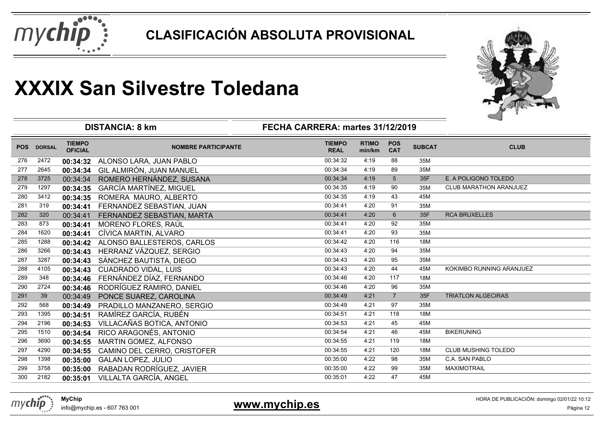



|            |               |                                 | <b>DISTANCIA: 8 km</b>         | FECHA CARRERA: martes 31/12/2019 |                        |                          |               |                               |
|------------|---------------|---------------------------------|--------------------------------|----------------------------------|------------------------|--------------------------|---------------|-------------------------------|
| <b>POS</b> | <b>DORSAL</b> | <b>TIEMPO</b><br><b>OFICIAL</b> | <b>NOMBRE PARTICIPANTE</b>     | <b>TIEMPO</b><br><b>REAL</b>     | <b>RTIMO</b><br>min/km | <b>POS</b><br><b>CAT</b> | <b>SUBCAT</b> | <b>CLUB</b>                   |
| 276        | 2472          | 00:34:32                        | ALONSO LARA, JUAN PABLO        | 00:34:32                         | 4:19                   | 88                       | 35M           |                               |
| 277        | 2645          | 00:34:34                        | GIL ALMIRÓN, JUAN MANUEL       | 00:34:34                         | 4:19                   | 89                       | 35M           |                               |
| 278        | 3725          | 00:34:34                        | ROMERO HERNÁNDEZ, SUSANA       | 00:34:34                         | 4:19                   | 5                        | 35F           | E. A POLIGONO TOLEDO          |
| 279        | 1297          | 00:34:35                        | <b>GARCÍA MARTÍNEZ, MIGUEL</b> | 00:34:35                         | 4:19                   | 90                       | 35M           | <b>CLUB MARATHON ARANJUEZ</b> |
| 280        | 3412          | 00:34:35                        | ROMERA MAURO, ALBERTO          | 00:34:35                         | 4:19                   | 43                       | 45M           |                               |
| 281        | 319           | 00:34:41                        | FERNANDEZ SEBASTIAN, JUAN      | 00:34:41                         | 4:20                   | 91                       | 35M           |                               |
| 282        | 320           | 00:34:41                        | FERNANDEZ SEBASTIAN, MARTA     | 00:34:41                         | 4:20                   | 6                        | 35F           | <b>RCA BRUXELLES</b>          |
| 283        | 873           | 00:34:41                        | MORENO FLORES, RAÚL            | 00:34:41                         | 4:20                   | 92                       | 35M           |                               |
| 284        | 1620          | 00:34:41                        | CÍVICA MARTIN, ALVARO          | 00:34:41                         | 4:20                   | 93                       | 35M           |                               |
| 285        | 1288          | 00:34:42                        | ALONSO BALLESTEROS, CARLOS     | 00:34:42                         | 4:20                   | 116                      | 18M           |                               |
| 286        | 3266          | 00:34:43                        | HERRANZ VÁZQUEZ, SERGIO        | 00:34:43                         | 4:20                   | 94                       | 35M           |                               |
| 287        | 3287          | 00:34:43                        | SÁNCHEZ BAUTISTA, DIEGO        | 00:34:43                         | 4:20                   | 95                       | 35M           |                               |
| 288        | 4105          | 00:34:43                        | <b>CUADRADO VIDAL, LUIS</b>    | 00:34:43                         | 4:20                   | 44                       | 45M           | KOKIMBO RUNNING ARANJUEZ      |
| 289        | 348           | 00:34:46                        | FERNÁNDEZ DÍAZ, FERNANDO       | 00:34:46                         | 4:20                   | 117                      | 18M           |                               |
| 290        | 2724          | 00:34:46                        | RODRÍGUEZ RAMIRO, DANIEL       | 00:34:46                         | 4:20                   | 96                       | 35M           |                               |
| 291        | 39            | 00:34:49                        | PONCE SUAREZ, CAROLINA         | 00:34:49                         | 4:21                   | $\overline{7}$           | 35F           | <b>TRIATLON ALGECIRAS</b>     |
| 292        | 568           | 00:34:49                        | PRADILLO MANZANERO, SERGIO     | 00:34:49                         | 4:21                   | 97                       | 35M           |                               |
| 293        | 1395          | 00:34:51                        | RAMÍREZ GARCÍA, RUBÉN          | 00:34:51                         | 4:21                   | 118                      | 18M           |                               |
| 294        | 2196          | 00:34:53                        | VILLACAÑAS BOTICA, ANTONIO     | 00:34:53                         | 4:21                   | 45                       | 45M           |                               |
| 295        | 1510          | 00:34:54                        | RICO ARAGONÉS, ANTONIO         | 00:34:54                         | 4:21                   | 46                       | 45M           | <b>BIKERUNING</b>             |
| 296        | 3690          | 00:34:55                        | MARTIN GOMEZ, ALFONSO          | 00:34:55                         | 4:21                   | 119                      | 18M           |                               |
| 297        | 4290          | 00:34:55                        | CAMINO DEL CERRO, CRISTOFER    | 00:34:55                         | 4:21                   | 120                      | 18M           | <b>CLUB MUSHING TOLEDO</b>    |
| 298        | 1398          | 00:35:00                        | <b>GALAN LOPEZ, JULIO</b>      | 00:35:00                         | 4:22                   | 98                       | 35M           | <b>C.A. SAN PABLO</b>         |
| 299        | 3758          | 00:35:00                        | RABADAN RODRÍGUEZ, JAVIER      | 00:35:00                         | 4:22                   | 99                       | 35M           | <b>MAXIMOTRAIL</b>            |
| 300        | 2182          | 00:35:01                        | VILLALTA GARCÍA, ANGEL         | 00:35:01                         | 4:22                   | 47                       | 45M           |                               |
|            |               |                                 |                                |                                  |                        |                          |               |                               |

mychip

### **www.mychip.es**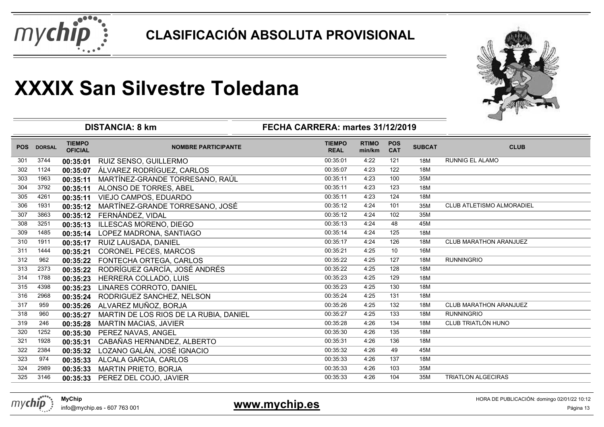



| <b>TIEMPO</b><br><b>TIEMPO</b><br><b>RTIMO</b><br><b>POS</b><br><b>SUBCAT</b><br><b>CLUB</b><br><b>POS</b><br><b>DORSAL</b><br><b>NOMBRE PARTICIPANTE</b><br><b>OFICIAL</b><br><b>CAT</b><br><b>REAL</b><br>min/km<br>3744<br>121<br>18M<br><b>RUNNIG EL ALAMO</b><br>301<br>RUIZ SENSO, GUILLERMO<br>00:35:01<br>4:22<br>00:35:01 |  |
|------------------------------------------------------------------------------------------------------------------------------------------------------------------------------------------------------------------------------------------------------------------------------------------------------------------------------------|--|
|                                                                                                                                                                                                                                                                                                                                    |  |
|                                                                                                                                                                                                                                                                                                                                    |  |
| ÁLVAREZ RODRÍGUEZ, CARLOS<br>00:35:07<br>4:23<br>122<br>302<br>1124<br>18M<br>00:35:07                                                                                                                                                                                                                                             |  |
| 00:35:11<br>100<br>35M<br>303<br>1963<br>MARTÍNEZ-GRANDE TORRESANO, RAÚL<br>4:23<br>00:35:11                                                                                                                                                                                                                                       |  |
| 00:35:11<br>4:23<br>123<br>18M<br>304<br>3792<br>00:35:11<br>ALONSO DE TORRES, ABEL                                                                                                                                                                                                                                                |  |
| 00:35:11<br>4:23<br>124<br>18M<br>305<br>4261<br>VIEJO CAMPOS, EDUARDO<br>00:35:11                                                                                                                                                                                                                                                 |  |
| 00:35:12<br>4:24<br>101<br>CLUB ATLETISMO ALMORADIEL<br>306<br>MARTÍNEZ-GRANDE TORRESANO, JOSÉ<br>1931<br>35M<br>00:35:12                                                                                                                                                                                                          |  |
| 00:35:12<br>4:24<br>102<br>35M<br>307<br>3863<br>FERNÁNDEZ, VIDAL<br>00:35:12                                                                                                                                                                                                                                                      |  |
| 00:35:13<br>4:24<br>48<br>308<br>3251<br>45M<br><b>ILLESCAS MORENO, DIEGO</b><br>00:35:13                                                                                                                                                                                                                                          |  |
| 125<br>1485<br>LOPEZ MADRONA, SANTIAGO<br>00:35:14<br>4:24<br>18M<br>309<br>00:35:14                                                                                                                                                                                                                                               |  |
| 1911<br>00:35:17<br>4:24<br>126<br><b>CLUB MARATHON ARANJUEZ</b><br>310<br>18M<br>RUIZ LAUSADA, DANIEL<br>00:35:17                                                                                                                                                                                                                 |  |
| 10<br>311<br>1444<br>00:35:21<br>4:25<br>16M<br>CORONEL PECES, MARCOS<br>00:35:21                                                                                                                                                                                                                                                  |  |
| 127<br><b>RUNNINGRIO</b><br>312<br>962<br>00:35:22<br>4:25<br>18M<br>FONTECHA ORTEGA, CARLOS<br>00:35:22                                                                                                                                                                                                                           |  |
| RODRÍGUEZ GARCÍA, JOSÉ ANDRÉS<br>00:35:22<br>4:25<br>128<br>18M<br>313<br>2373<br>00:35:22                                                                                                                                                                                                                                         |  |
| 00:35:23<br>129<br>314<br>HERRERA COLLADO, LUIS<br>4:25<br>18M<br>1788<br>00:35:23                                                                                                                                                                                                                                                 |  |
| 315<br>00:35:23<br>4:25<br>130<br>18M<br>4398<br><b>LINARES CORROTO, DANIEL</b><br>00:35:23                                                                                                                                                                                                                                        |  |
| 00:35:24<br>316<br>2968<br>4:25<br>131<br>18M<br>RODRIGUEZ SANCHEZ, NELSON<br>00:35:24                                                                                                                                                                                                                                             |  |
| 132<br><b>CLUB MARATHON ARANJUEZ</b><br>317<br>959<br>ALVAREZ MUÑOZ, BORJA<br>00:35:26<br>4:25<br>18M<br>00:35:26                                                                                                                                                                                                                  |  |
| <b>RUNNINGRIO</b><br>00:35:27<br>4:25<br>133<br>318<br>960<br>18M<br>MARTIN DE LOS RIOS DE LA RUBIA, DANIEL<br>00:35:27                                                                                                                                                                                                            |  |
| CLUB TRIATLÓN HUNO<br>00:35:28<br>4:26<br>134<br>319<br>246<br>18M<br>00:35:28<br><b>MARTIN MACIAS, JAVIER</b>                                                                                                                                                                                                                     |  |
| 00:35:30<br>4:26<br>135<br>18M<br>320<br>1252<br>PEREZ NAVAS, ANGEL<br>00:35:30                                                                                                                                                                                                                                                    |  |
| CABAÑAS HERNANDEZ, ALBERTO<br>00:35:31<br>4:26<br>136<br>18M<br>321<br>1928<br>00:35:31                                                                                                                                                                                                                                            |  |
| 49<br>45M<br>LOZANO GALÁN, JOSÉ IGNACIO<br>00:35:32<br>4:26<br>322<br>2384<br>00:35:32                                                                                                                                                                                                                                             |  |
| 137<br>323<br>00:35:33<br>4:26<br>974<br>18M<br>ALCALA GARCIA, CARLOS<br>00:35:33                                                                                                                                                                                                                                                  |  |
| 324<br><b>MARTIN PRIETO, BORJA</b><br>00:35:33<br>4:26<br>103<br>35M<br>2989<br>00:35:33                                                                                                                                                                                                                                           |  |
| <b>TRIATLON ALGECIRAS</b><br>3146<br>PEREZ DEL COJO, JAVIER<br>00:35:33<br>4:26<br>104<br>35M<br>325<br>00:35:33                                                                                                                                                                                                                   |  |



info@mychip.es - 607 763 001

### **www.mychip.es**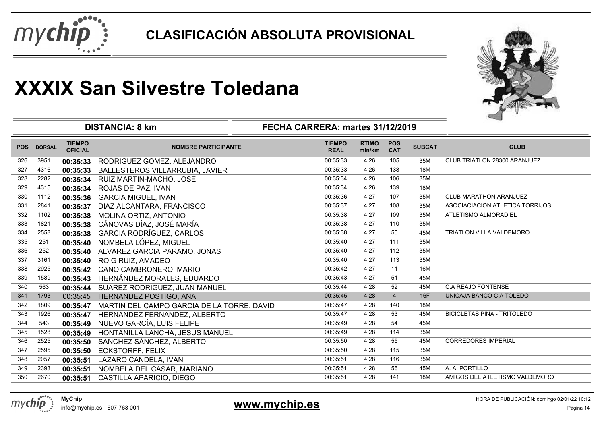



|            |               |                                 | <b>DISTANCIA: 8 km</b>                     | FECHA CARRERA: martes 31/12/2019 |                        |                          |               |                                    |
|------------|---------------|---------------------------------|--------------------------------------------|----------------------------------|------------------------|--------------------------|---------------|------------------------------------|
| <b>POS</b> | <b>DORSAL</b> | <b>TIEMPO</b><br><b>OFICIAL</b> | <b>NOMBRE PARTICIPANTE</b>                 | <b>TIEMPO</b><br><b>REAL</b>     | <b>RTIMO</b><br>min/km | <b>POS</b><br><b>CAT</b> | <b>SUBCAT</b> | <b>CLUB</b>                        |
| 326        | 3951          | 00:35:33                        | RODRIGUEZ GOMEZ, ALEJANDRO                 | 00:35:33                         | 4:26                   | 105                      | 35M           | CLUB TRIATLON 28300 ARANJUEZ       |
| 327        | 4316          | 00:35:33                        | <b>BALLESTEROS VILLARRUBIA, JAVIER</b>     | 00:35:33                         | 4:26                   | 138                      | 18M           |                                    |
| 328        | 2282          | 00:35:34                        | RUIZ MARTIN-MACHO, JOSE                    | 00:35:34                         | 4:26                   | 106                      | 35M           |                                    |
| 329        | 4315          | 00:35:34                        | ROJAS DE PAZ, IVÁN                         | 00:35:34                         | 4:26                   | 139                      | 18M           |                                    |
| 330        | 1112          | 00:35:36                        | <b>GARCIA MIGUEL, IVAN</b>                 | 00:35:36                         | 4:27                   | 107                      | 35M           | <b>CLUB MARATHON ARANJUEZ</b>      |
| 331        | 2841          | 00:35:37                        | DIAZ ALCANTARA, FRANCISCO                  | 00:35:37                         | 4:27                   | 108                      | 35M           | ASOCIACIACION ATLETICA TORRIJOS    |
| 332        | 1102          | 00:35:38                        | MOLINA ORTIZ, ANTONIO                      | 00:35:38                         | 4:27                   | 109                      | 35M           | ATLETISMO ALMORADIEL               |
| 333        | 1821          | 00:35:38                        | CÁNOVAS DÍAZ, JOSÉ MARÍA                   | 00:35:38                         | 4:27                   | 110                      | 35M           |                                    |
| 334        | 2558          | 00:35:38                        | <b>GARCIA RODRÍGUEZ, CARLOS</b>            | 00:35:38                         | 4:27                   | 50                       | 45M           | <b>TRIATLON VILLA VALDEMORO</b>    |
| 335        | 251           | 00:35:40                        | NOMBELA LÓPEZ, MIGUEL                      | 00:35:40                         | 4:27                   | 111                      | 35M           |                                    |
| 336        | 252           | 00:35:40                        | ALVAREZ GARCIA PARAMO, JONAS               | 00:35:40                         | 4:27                   | 112                      | 35M           |                                    |
| 337        | 3161          | 00:35:40                        | ROIG RUIZ, AMADEO                          | 00:35:40                         | 4:27                   | 113                      | 35M           |                                    |
| 338        | 2925          | 00:35:42                        | CANO CAMBRONERO, MARIO                     | 00:35:42                         | 4:27                   | 11                       | 16M           |                                    |
| 339        | 1589          | 00:35:43                        | HERNÁNDEZ MORALES, EDUARDO                 | 00:35:43                         | 4:27                   | 51                       | 45M           |                                    |
| 340        | 563           | 00:35:44                        | SUAREZ RODRIGUEZ, JUAN MANUEL              | 00:35:44                         | 4:28                   | 52                       | 45M           | <b>C.A REAJO FONTENSE</b>          |
| 341        | 1793          | 00:35:45                        | HERNANDEZ POSTIGO, ANA                     | 00:35:45                         | 4:28                   | $\overline{4}$           | 16F           | UNICAJA BANCO C A TOLEDO           |
| 342        | 1809          | 00:35:47                        | MARTIN DEL CAMPO GARCIA DE LA TORRE, DAVID | 00:35:47                         | 4:28                   | 140                      | 18M           |                                    |
| 343        | 1926          | 00:35:47                        | HERNANDEZ FERNANDEZ, ALBERTO               | 00:35:47                         | 4:28                   | 53                       | 45M           | <b>BICICLETAS PINA - TRITOLEDO</b> |
| 344        | 543           | 00:35:49                        | NUEVO GARCÍA, LUIS FELIPE                  | 00:35:49                         | 4:28                   | 54                       | 45M           |                                    |
| 345        | 1528          | 00:35:49                        | HONTANILLA LANCHA, JESUS MANUEL            | 00:35:49                         | 4:28                   | 114                      | 35M           |                                    |
| 346        | 2525          | 00:35:50                        | SÁNCHEZ SÁNCHEZ, ALBERTO                   | 00:35:50                         | 4:28                   | 55                       | 45M           | <b>CORREDORES IMPERIAL</b>         |
| 347        | 2595          | 00:35:50                        | <b>ECKSTORFF, FELIX</b>                    | 00:35:50                         | 4:28                   | 115                      | 35M           |                                    |
| 348        | 2057          | 00:35:51                        | LAZARO CANDELA, IVAN                       | 00:35:51                         | 4:28                   | 116                      | 35M           |                                    |
| 349        | 2393          | 00:35:51                        | NOMBELA DEL CASAR, MARIANO                 | 00:35:51                         | 4:28                   | 56                       | 45M           | A. A. PORTILLO                     |
| 350        | 2670          | 00:35:51                        | CASTILLA APARICIO, DIEGO                   | 00:35:51                         | 4:28                   | 141                      | 18M           | AMIGOS DEL ATLETISMO VALDEMORO     |

mychip

### **www.mychip.es**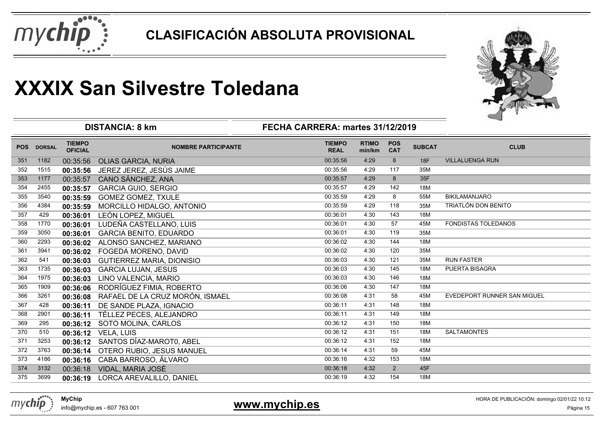



|            |               |                                 | <b>DISTANCIA: 8 km</b>           | FECHA CARRERA: martes 31/12/2019 |                        |                          |               |                             |
|------------|---------------|---------------------------------|----------------------------------|----------------------------------|------------------------|--------------------------|---------------|-----------------------------|
| <b>POS</b> | <b>DORSAL</b> | <b>TIEMPO</b><br><b>OFICIAL</b> | <b>NOMBRE PARTICIPANTE</b>       | <b>TIEMPO</b><br><b>REAL</b>     | <b>RTIMO</b><br>min/km | <b>POS</b><br><b>CAT</b> | <b>SUBCAT</b> | <b>CLUB</b>                 |
| 351        | 1182          | 00:35:56                        | <b>OLIAS GARCIA, NURIA</b>       | 00:35:56                         | 4:29                   | 8                        | 18F           | <b>VILLALUENGA RUN</b>      |
| 352        | 1515          | 00:35:56                        | JEREZ JEREZ, JESÚS JAIME         | 00:35:56                         | 4:29                   | 117                      | 35M           |                             |
| 353        | 1177          | 00:35:57                        | CANO SÁNCHEZ, ANA                | 00:35:57                         | 4:29                   | 8                        | 35F           |                             |
| 354        | 2455          | 00:35:57                        | <b>GARCIA GUIO, SERGIO</b>       | 00:35:57                         | 4:29                   | 142                      | 18M           |                             |
| 355        | 3540          | 00:35:59                        | <b>GOMEZ GOMEZ, TXULE</b>        | 00:35:59                         | 4:29                   | 8                        | 55M           | <b>BIKILAMANJARO</b>        |
| 356        | 4384          | 00:35:59                        | MORCILLO HIDALGO, ANTONIO        | 00:35:59                         | 4:29                   | 118                      | 35M           | <b>TRIATLÓN DON BENITO</b>  |
| 357        | 429           | 00:36:01                        | LEÓN LOPEZ, MIGUEL               | 00:36:01                         | 4:30                   | 143                      | 18M           |                             |
| 358        | 1770          | 00:36:01                        | LUDEÑA CASTELLANO, LUIS          | 00:36:01                         | 4:30                   | 57                       | 45M           | <b>FONDISTAS TOLEDANOS</b>  |
| 359        | 3050          | 00:36:01                        | <b>GARCIA BENITO, EDUARDO</b>    | 00:36:01                         | 4:30                   | 119                      | 35M           |                             |
| 360        | 2293          | 00:36:02                        | ALONSO SANCHEZ, MARIANO          | 00:36:02                         | 4:30                   | 144                      | 18M           |                             |
| 361        | 3941          | 00:36:02                        | FOGEDA MORENO, DAVID             | 00:36:02                         | 4:30                   | 120                      | 35M           |                             |
| 362        | 541           | 00:36:03                        | <b>GUTIERREZ MARIA, DIONISIO</b> | 00:36:03                         | 4:30                   | 121                      | 35M           | <b>RUN FASTER</b>           |
| 363        | 1735          | 00:36:03                        | <b>GARCIA LUJAN, JESUS</b>       | 00:36:03                         | 4:30                   | 145                      | 18M           | PUERTA BISAGRA              |
| 364        | 1975          | 00:36:03                        | LINO VALENCIA, MARIO             | 00:36:03                         | 4:30                   | 146                      | 18M           |                             |
| 365        | 1909          | 00:36:06                        | RODRÍGUEZ FIMIA, ROBERTO         | 00:36:06                         | 4:30                   | 147                      | 18M           |                             |
| 366        | 3261          | 00:36:08                        | RAFAEL DE LA CRUZ MORÓN, ISMAEL  | 00:36:08                         | 4:31                   | 58                       | 45M           | EVEDEPORT RUNNER SAN MIGUEL |
| 367        | 428           | 00:36:11                        | DE SANDE PLAZA, IGNACIO          | 00:36:11                         | 4:31                   | 148                      | 18M           |                             |
| 368        | 2901          | 00:36:11                        | TÉLLEZ PECES, ALEJANDRO          | 00:36:11                         | 4:31                   | 149                      | 18M           |                             |
| 369        | 295           | 00:36:12                        | SOTO MOLINA, CARLOS              | 00:36:12                         | 4:31                   | 150                      | 18M           |                             |
| 370        | 510           | 00:36:12                        | <b>VELA, LUIS</b>                | 00:36:12                         | 4:31                   | 151                      | 18M           | <b>SALTAMONTES</b>          |
| 371        | 3253          | 00:36:12                        | SANTOS DÍAZ-MAROTO, ABEL         | 00:36:12                         | 4:31                   | 152                      | 18M           |                             |
| 372        | 3763          | 00:36:14                        | OTERO RUBIO, JESUS MANUEL        | 00:36:14                         | 4:31                   | 59                       | 45M           |                             |
| 373        | 4186          | 00:36:16                        | CABA BARROSO, ÁLVARO             | 00:36:16                         | 4:32                   | 153                      | 18M           |                             |
| 374        | 3132          | 00:36:18                        | VIDAL, MARIA JOSÈ                | 00:36:18                         | 4:32                   | 2                        | 45F           |                             |
| 375        | 3699          | 00:36:19                        | LORCA AREVALILLO, DANIEL         | 00:36:19                         | 4:32                   | 154                      | 18M           |                             |



info@mychip.es - 607 763 001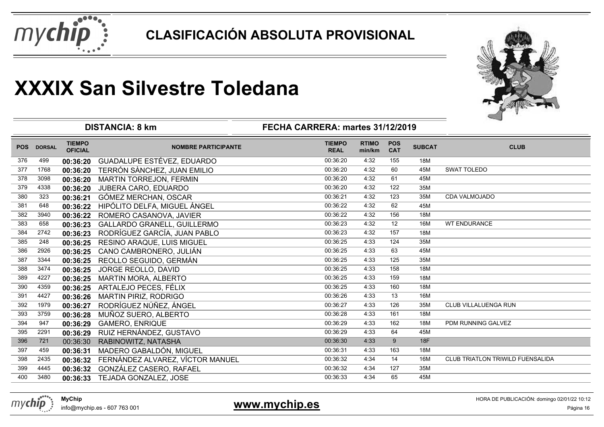



|            |               |                                 | <b>DISTANCIA: 8 km</b>             | FECHA CARRERA: martes 31/12/2019 |                        |                          |               |                                         |
|------------|---------------|---------------------------------|------------------------------------|----------------------------------|------------------------|--------------------------|---------------|-----------------------------------------|
| <b>POS</b> | <b>DORSAL</b> | <b>TIEMPO</b><br><b>OFICIAL</b> | <b>NOMBRE PARTICIPANTE</b>         | <b>TIEMPO</b><br><b>REAL</b>     | <b>RTIMO</b><br>min/km | <b>POS</b><br><b>CAT</b> | <b>SUBCAT</b> | <b>CLUB</b>                             |
| 376        | 499           | 00:36:20                        | GUADALUPE ESTÉVEZ, EDUARDO         | 00:36:20                         | 4:32                   | 155                      | 18M           |                                         |
| 377        | 1768          | 00:36:20                        | TERRÓN SÀNCHEZ, JUAN EMILIO        | 00:36:20                         | 4:32                   | 60                       | 45M           | <b>SWAT TOLEDO</b>                      |
| 378        | 3098          | 00:36:20                        | <b>MARTIN TORREJON, FERMIN</b>     | 00:36:20                         | 4:32                   | 61                       | 45M           |                                         |
| 379        | 4338          | 00:36:20                        | JUBERA CARO, EDUARDO               | 00:36:20                         | 4:32                   | 122                      | 35M           |                                         |
| 380        | 323           | 00:36:21                        | GÓMEZ MERCHAN, OSCAR               | 00:36:21                         | 4:32                   | 123                      | 35M           | CDA VALMOJADO                           |
| 381        | 648           | 00:36:22                        | HIPÓLITO DELFA, MIGUEL ÁNGEL       | 00:36:22                         | 4:32                   | 62                       | 45M           |                                         |
| 382        | 3940          | 00:36:22                        | ROMERO CASANOVA, JAVIER            | 00:36:22                         | 4:32                   | 156                      | 18M           |                                         |
| 383        | 658           | 00:36:23                        | <b>GALLARDO GRANELL, GUILLERMO</b> | 00:36:23                         | 4:32                   | 12                       | 16M           | <b>WT ENDURANCE</b>                     |
| 384        | 2742          | 00:36:23                        | RODRÍGUEZ GARCÍA, JUAN PABLO       | 00:36:23                         | 4:32                   | 157                      | 18M           |                                         |
| 385        | 248           | 00:36:25                        | RESINO ARAQUE, LUIS MIGUEL         | 00:36:25                         | 4:33                   | 124                      | 35M           |                                         |
| 386        | 2926          | 00:36:25                        | CANO CAMBRONERO, JULIÁN            | 00:36:25                         | 4:33                   | 63                       | 45M           |                                         |
| 387        | 3344          | 00:36:25                        | REOLLO SEGUIDO, GERMÁN             | 00:36:25                         | 4:33                   | 125                      | 35M           |                                         |
| 388        | 3474          | 00:36:25                        | JORGE REOLLO, DAVID                | 00:36:25                         | 4:33                   | 158                      | 18M           |                                         |
| 389        | 4227          | 00:36:25                        | MARTIN MORA, ALBERTO               | 00:36:25                         | 4:33                   | 159                      | 18M           |                                         |
| 390        | 4359          | 00:36:25                        | ARTALEJO PECES, FÉLIX              | 00:36:25                         | 4:33                   | 160                      | 18M           |                                         |
| 391        | 4427          | 00:36:26                        | MARTIN PIRIZ, RODRIGO              | 00:36:26                         | 4:33                   | 13                       | 16M           |                                         |
| 392        | 1979          | 00:36:27                        | RODRÍGUEZ NÚÑEZ, ÁNGEL             | 00:36:27                         | 4:33                   | 126                      | 35M           | CLUB VILLALUENGA RUN                    |
| 393        | 3759          | 00:36:28                        | MUÑOZ SUERO, ALBERTO               | 00:36:28                         | 4:33                   | 161                      | 18M           |                                         |
| 394        | 947           | 00:36:29                        | <b>GAMERO, ENRIQUE</b>             | 00:36:29                         | 4:33                   | 162                      | 18M           | PDM RUNNING GALVEZ                      |
| 395        | 2291          | 00:36:29                        | RUIZ HERNÁNDEZ, GUSTAVO            | 00:36:29                         | 4:33                   | 64                       | 45M           |                                         |
| 396        | 721           | 00:36:30                        | RABINOWITZ, NATASHA                | 00:36:30                         | 4:33                   | 9                        | 18F           |                                         |
| 397        | 459           | 00:36:31                        | MADERO GABALDÓN, MIGUEL            | 00:36:31                         | 4:33                   | 163                      | 18M           |                                         |
| 398        | 2435          | 00:36:32                        | FERNÁNDEZ ALVAREZ, VÍCTOR MANUEL   | 00:36:32                         | 4:34                   | 14                       | 16M           | <b>CLUB TRIATLON TRIWILD FUENSALIDA</b> |
| 399        | 4445          | 00:36:32                        | GONZÁLEZ CASERO, RAFAEL            | 00:36:32                         | 4:34                   | 127                      | 35M           |                                         |
| 400        | 3480          | 00:36:33                        | TEJADA GONZALEZ, JOSE              | 00:36:33                         | 4:34                   | 65                       | 45M           |                                         |
|            |               |                                 |                                    |                                  |                        |                          |               |                                         |

mychip

**www.mychip.es**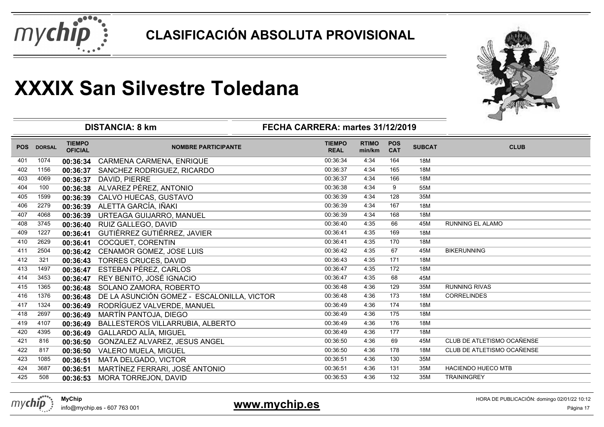



|            |               |                                 | <b>DISTANCIA: 8 km</b>                     | FECHA CARRERA: martes 31/12/2019 |                        |                          |               |                            |
|------------|---------------|---------------------------------|--------------------------------------------|----------------------------------|------------------------|--------------------------|---------------|----------------------------|
| <b>POS</b> | <b>DORSAL</b> | <b>TIEMPO</b><br><b>OFICIAL</b> | <b>NOMBRE PARTICIPANTE</b>                 | <b>TIEMPO</b><br><b>REAL</b>     | <b>RTIMO</b><br>min/km | <b>POS</b><br><b>CAT</b> | <b>SUBCAT</b> | <b>CLUB</b>                |
| 401        | 1074          | 00:36:34                        | CARMENA CARMENA, ENRIQUE                   | 00:36:34                         | 4:34                   | 164                      | 18M           |                            |
| 402        | 1156          | 00:36:37                        | SANCHEZ RODRIGUEZ, RICARDO                 | 00:36:37                         | 4:34                   | 165                      | 18M           |                            |
| 403        | 4069          | 00:36:37                        | DAVID, PIERRE                              | 00:36:37                         | 4:34                   | 166                      | 18M           |                            |
| 404        | 100           | 00:36:38                        | ALVAREZ PÉREZ, ANTONIO                     | 00:36:38                         | 4:34                   | 9                        | 55M           |                            |
| 405        | 1599          | 00:36:39                        | CALVO HUECAS, GUSTAVO                      | 00:36:39                         | 4:34                   | 128                      | 35M           |                            |
| 406        | 2279          | 00:36:39                        | ALETTA GARCÍA, IÑAKI                       | 00:36:39                         | 4:34                   | 167                      | 18M           |                            |
| 407        | 4068          | 00:36:39                        | URTEAGA GUIJARRO, MANUEL                   | 00:36:39                         | 4:34                   | 168                      | 18M           |                            |
| 408        | 3745          | 00:36:40                        | RUIZ GALLEGO, DAVID                        | 00:36:40                         | 4:35                   | 66                       | 45M           | RUNNING EL ALAMO           |
| 409        | 1227          | 00:36:41                        | GUTIÉRREZ GUTIÉRREZ, JAVIER                | 00:36:41                         | 4:35                   | 169                      | 18M           |                            |
| 410        | 2629          | 00:36:41                        | COCQUET, CORENTIN                          | 00:36:41                         | 4:35                   | 170                      | 18M           |                            |
| 411        | 2504          | 00:36:42                        | CENAMOR GOMEZ, JOSE LUIS                   | 00:36:42                         | 4:35                   | 67                       | 45M           | <b>BIKERUNNING</b>         |
| 412        | 321           | 00:36:43                        | <b>TORRES CRUCES, DAVID</b>                | 00:36:43                         | 4:35                   | 171                      | 18M           |                            |
| 413        | 1497          | 00:36:47                        | ESTEBAN PÉREZ, CARLOS                      | 00:36:47                         | 4:35                   | 172                      | 18M           |                            |
| 414        | 3453          | 00:36:47                        | REY BENITO, JOSÉ IGNACIO                   | 00:36:47                         | 4:35                   | 68                       | 45M           |                            |
| 415        | 1365          | 00:36:48                        | SOLANO ZAMORA, ROBERTO                     | 00:36:48                         | 4:36                   | 129                      | 35M           | <b>RUNNING RIVAS</b>       |
| 416        | 1376          | 00:36:48                        | DE LA ASUNCIÓN GOMEZ - ESCALONILLA, VICTOR | 00:36:48                         | 4:36                   | 173                      | 18M           | <b>CORRELINDES</b>         |
| 417        | 1324          | 00:36:49                        | RODRÍGUEZ VALVERDE, MANUEL                 | 00:36:49                         | 4:36                   | 174                      | 18M           |                            |
| 418        | 2697          | 00:36:49                        | MARTÍN PANTOJA, DIEGO                      | 00:36:49                         | 4:36                   | 175                      | 18M           |                            |
| 419        | 4107          | 00:36:49                        | BALLESTEROS VILLARRUBIA, ALBERTO           | 00:36:49                         | 4:36                   | 176                      | 18M           |                            |
| 420        | 4395          | 00:36:49                        | <b>GALLARDO ALÍA, MIGUEL</b>               | 00:36:49                         | 4:36                   | 177                      | 18M           |                            |
| 421        | 816           | 00:36:50                        | GONZALEZ ALVAREZ, JESUS ANGEL              | 00:36:50                         | 4:36                   | 69                       | 45M           | CLUB DE ATLETISMO OCAÑENSE |
| 422        | 817           | 00:36:50                        | <b>VALERO MUELA, MIGUEL</b>                | 00:36:50                         | 4:36                   | 178                      | 18M           | CLUB DE ATLETISMO OCAÑENSE |
| 423        | 1085          | 00:36:51                        | MATA DELGADO, VICTOR                       | 00:36:51                         | 4:36                   | 130                      | 35M           |                            |
| 424        | 3687          | 00:36:51                        | MARTÍNEZ FERRARI, JOSÉ ANTONIO             | 00:36:51                         | 4:36                   | 131                      | 35M           | <b>HACIENDO HUECO MTB</b>  |
| 425        | 508           | 00:36:53                        | MORA TORREJON, DAVID                       | 00:36:53                         | 4:36                   | 132                      | 35M           | <b>TRAININGREY</b>         |



info@mychip.es - 607 763 001

### **www.mychip.es**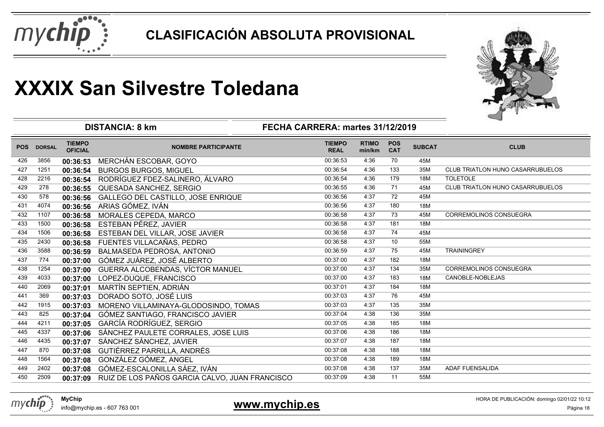



|            |               | <b>DISTANCIA: 8 km</b>          |                                                |                              |                        |                          |               |                                         |
|------------|---------------|---------------------------------|------------------------------------------------|------------------------------|------------------------|--------------------------|---------------|-----------------------------------------|
| <b>POS</b> | <b>DORSAL</b> | <b>TIEMPO</b><br><b>OFICIAL</b> | <b>NOMBRE PARTICIPANTE</b>                     | <b>TIEMPO</b><br><b>REAL</b> | <b>RTIMO</b><br>min/km | <b>POS</b><br><b>CAT</b> | <b>SUBCAT</b> | <b>CLUB</b>                             |
| 426        | 3856          | 00:36:53                        | MERCHÁN ESCOBAR, GOYO                          | 00:36:53                     | 4:36                   | 70                       | 45M           |                                         |
| 427        | 1251          | 00:36:54                        | <b>BURGOS BURGOS, MIGUEL</b>                   | 00:36:54                     | 4:36                   | 133                      | 35M           | <b>CLUB TRIATLON HUNO CASARRUBUELOS</b> |
| 428        | 2216          | 00:36:54                        | RODRÍGUEZ FDEZ-SALINERO, ÁLVARO                | 00:36:54                     | 4:36                   | 179                      | 18M           | <b>TOLETOLE</b>                         |
| 429        | 278           | 00:36:55                        | QUESADA SANCHEZ, SERGIO                        | 00:36:55                     | 4:36                   | 71                       | 45M           | CLUB TRIATLON HUNO CASARRUBUELOS        |
| 430        | 578           | 00:36:56                        | GALLEGO DEL CASTILLO, JOSE ENRIQUE             | 00:36:56                     | 4:37                   | 72                       | 45M           |                                         |
| 431        | 4074          | 00:36:56                        | ARIAS GÓMEZ, IVÁN                              | 00:36:56                     | 4:37                   | 180                      | 18M           |                                         |
| 432        | 1107          | 00:36:58                        | MORALES CEPEDA, MARCO                          | 00:36:58                     | 4:37                   | 73                       | 45M           | <b>CORREMOLINOS CONSUEGRA</b>           |
| 433        | 1500          | 00:36:58                        | ESTEBAN PÉREZ, JAVIER                          | 00:36:58                     | 4:37                   | 181                      | 18M           |                                         |
| 434        | 1506          | 00:36:58                        | ESTEBAN DEL VILLAR, JOSE JAVIER                | 00:36:58                     | 4:37                   | 74                       | 45M           |                                         |
| 435        | 2430          | 00:36:58                        | FUENTES VILLACAÑAS, PEDRO                      | 00:36:58                     | 4:37                   | 10                       | 55M           |                                         |
| 436        | 3588          | 00:36:59                        | BALMASEDA PEDROSA, ANTONIO                     | 00:36:59                     | 4:37                   | 75                       | 45M           | <b>TRAININGREY</b>                      |
| 437        | 774           | 00:37:00                        | GÓMEZ JUÁREZ, JOSÉ ALBERTO                     | 00:37:00                     | 4:37                   | 182                      | 18M           |                                         |
| 438        | 1254          | 00:37:00                        | GUERRA ALCOBENDAS, VÍCTOR MANUEL               | 00:37:00                     | 4:37                   | 134                      | 35M           | <b>CORREMOLINOS CONSUEGRA</b>           |
| 439        | 4033          | 00:37:00                        | LOPEZ-DUQUE, FRANCISCO                         | 00:37:00                     | 4:37                   | 183                      | 18M           | CANOBLE-NOBLEJAS                        |
| 440        | 2069          | 00:37:01                        | MARTÍN SEPTIEN, ADRIÁN                         | 00:37:01                     | 4:37                   | 184                      | 18M           |                                         |
| 441        | 369           | 00:37:03                        | DORADO SOTO, JOSÉ LUIS                         | 00:37:03                     | 4:37                   | 76                       | 45M           |                                         |
| 442        | 1915          | 00:37:03                        | MORENO VILLAMINAYA-GLODOSINDO, TOMAS           | 00:37:03                     | 4:37                   | 135                      | 35M           |                                         |
| 443        | 825           | 00:37:04                        | GÓMEZ SANTIAGO, FRANCISCO JAVIER               | 00:37:04                     | 4:38                   | 136                      | 35M           |                                         |
| 444        | 4211          | 00:37:05                        | GARCÍA RODRÍGUEZ, SERGIO                       | 00:37:05                     | 4:38                   | 185                      | 18M           |                                         |
| 445        | 4337          | 00:37:06                        | SÁNCHEZ PAULETE CORRALES, JOSE LUIS            | 00:37:06                     | 4:38                   | 186                      | 18M           |                                         |
| 446        | 4435          | 00:37:07                        | SÁNCHEZ SÁNCHEZ, JAVIER                        | 00:37:07                     | 4:38                   | 187                      | 18M           |                                         |
| 447        | 870           | 00:37:08                        | GUTIÉRREZ PARRILLA, ANDRÉS                     | 00:37:08                     | 4:38                   | 188                      | 18M           |                                         |
| 448        | 1564          | 00:37:08                        | GONZÁLEZ GÓMEZ, ANGEL                          | 00:37:08                     | 4:38                   | 189                      | 18M           |                                         |
| 449        | 2402          | 00:37:08                        | GÓMEZ-ESCALONILLA SÁEZ, IVÁN                   | 00:37:08                     | 4:38                   | 137                      | 35M           | <b>ADAF FUENSALIDA</b>                  |
| 450        | 2509          | 00:37:09                        | RUIZ DE LOS PAÑOS GARCIA CALVO, JUAN FRANCISCO | 00:37:09                     | 4:38                   | 11                       | 55M           |                                         |



### **www.mychip.es**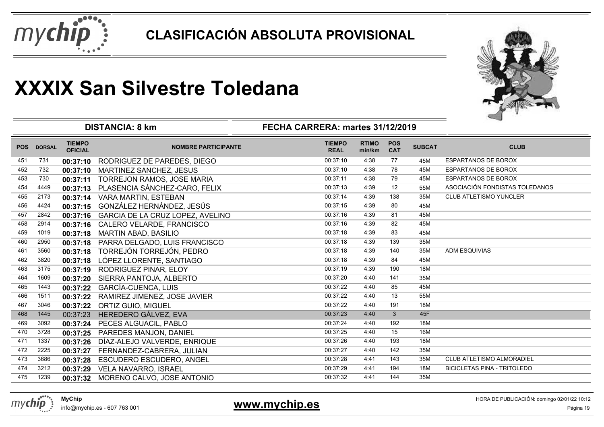



|            |               |                                 | <b>DISTANCIA: 8 km</b>           | FECHA CARRERA: martes 31/12/2019 | ⊸                      |                          |               |                                    |
|------------|---------------|---------------------------------|----------------------------------|----------------------------------|------------------------|--------------------------|---------------|------------------------------------|
| <b>POS</b> | <b>DORSAL</b> | <b>TIEMPO</b><br><b>OFICIAL</b> | <b>NOMBRE PARTICIPANTE</b>       | <b>TIEMPO</b><br><b>REAL</b>     | <b>RTIMO</b><br>min/km | <b>POS</b><br><b>CAT</b> | <b>SUBCAT</b> | <b>CLUB</b>                        |
| 451        | 731           | 00:37:10                        | RODRIGUEZ DE PAREDES, DIEGO      | 00:37:10                         | 4:38                   | 77                       | 45M           | <b>ESPARTANOS DE BOROX</b>         |
| 452        | 732           | 00:37:10                        | MARTINEZ SANCHEZ, JESUS          | 00:37:10                         | 4:38                   | 78                       | 45M           | <b>ESPARTANOS DE BOROX</b>         |
| 453        | 730           | 00:37:11                        | TORREJON RAMOS, JOSE MARIA       | 00:37:11                         | 4:38                   | 79                       | 45M           | <b>ESPARTANOS DE BOROX</b>         |
| 454        | 4449          | 00:37:13                        | PLASENCIA SÁNCHEZ-CARO, FELIX    | 00:37:13                         | 4:39                   | 12                       | 55M           | ASOCIACIÓN FONDISTAS TOLEDANOS     |
| 455        | 2173          | 00:37:14                        | <b>VARA MARTIN, ESTEBAN</b>      | 00:37:14                         | 4:39                   | 138                      | 35M           | <b>CLUB ATLETISMO YUNCLER</b>      |
| 456        | 4424          | 00:37:15                        | GONZÁLEZ HERNÁNDEZ, JESÚS        | 00:37:15                         | 4:39                   | 80                       | 45M           |                                    |
| 457        | 2842          | 00:37:16                        | GARCIA DE LA CRUZ LOPEZ, AVELINO | 00:37:16                         | 4:39                   | 81                       | 45M           |                                    |
| 458        | 2914          | 00:37:16                        | CALERO VELARDE, FRANCISCO        | 00:37:16                         | 4:39                   | 82                       | 45M           |                                    |
| 459        | 1019          | 00:37:18                        | <b>MARTIN ABAD, BASILIO</b>      | 00:37:18                         | 4:39                   | 83                       | 45M           |                                    |
| 460        | 2950          | 00:37:18                        | PARRA DELGADO, LUIS FRANCISCO    | 00:37:18                         | 4:39                   | 139                      | 35M           |                                    |
| 461        | 3560          | 00:37:18                        | TORREJÓN TORREJÓN, PEDRO         | 00:37:18                         | 4:39                   | 140                      | 35M           | <b>ADM ESQUIVIAS</b>               |
| 462        | 3820          | 00:37:18                        | LÓPEZ LLORENTE, SANTIAGO         | 00:37:18                         | 4:39                   | 84                       | 45M           |                                    |
| 463        | 3175          | 00:37:19                        | RODRIGUEZ PINAR, ELOY            | 00:37:19                         | 4:39                   | 190                      | 18M           |                                    |
| 464        | 1609          | 00:37:20                        | SIERRA PANTOJA, ALBERTO          | 00:37:20                         | 4:40                   | 141                      | 35M           |                                    |
| 465        | 1443          | 00:37:22                        | <b>GARCÍA-CUENCA, LUIS</b>       | 00:37:22                         | 4:40                   | 85                       | 45M           |                                    |
| 466        | 1511          | 00:37:22                        | RAMIREZ JIMENEZ, JOSE JAVIER     | 00:37:22                         | 4:40                   | 13                       | 55M           |                                    |
| 467        | 3046          | 00:37:22                        | ORTIZ GUIO, MIGUEL               | 00:37:22                         | 4:40                   | 191                      | 18M           |                                    |
| 468        | 1445          | 00:37:23                        | HEREDERO GÁLVEZ, EVA             | 00:37:23                         | 4:40                   | 3                        | 45F           |                                    |
| 469        | 3092          | 00:37:24                        | PECES ALGUACIL, PABLO            | 00:37:24                         | 4:40                   | 192                      | 18M           |                                    |
| 470        | 3728          | 00:37:25                        | PAREDES MANJON, DANIEL           | 00:37:25                         | 4:40                   | 15                       | 16M           |                                    |
| 471        | 1337          | 00:37:26                        | DÍAZ-ALEJO VALVERDE, ENRIQUE     | 00:37:26                         | 4:40                   | 193                      | 18M           |                                    |
| 472        | 2225          | 00:37:27                        | FERNANDEZ-CABRERA, JULIAN        | 00:37:27                         | 4:40                   | 142                      | 35M           |                                    |
| 473        | 3686          | 00:37:28                        | <b>ESCUDERO ESCUDERO, ANGEL</b>  | 00:37:28                         | 4:41                   | 143                      | 35M           | CLUB ATLETISMO ALMORADIEL          |
| 474        | 3212          | 00:37:29                        | VELA NAVARRO, ISRAEL             | 00:37:29                         | 4:41                   | 194                      | 18M           | <b>BICICLETAS PINA - TRITOLEDO</b> |
| 475        | 1239          | 00:37:32                        | MORENO CALVO, JOSE ANTONIO       | 00:37:32                         | 4:41                   | 144                      | 35M           |                                    |



info@mychip.es - 607 763 001

### **www.mychip.es**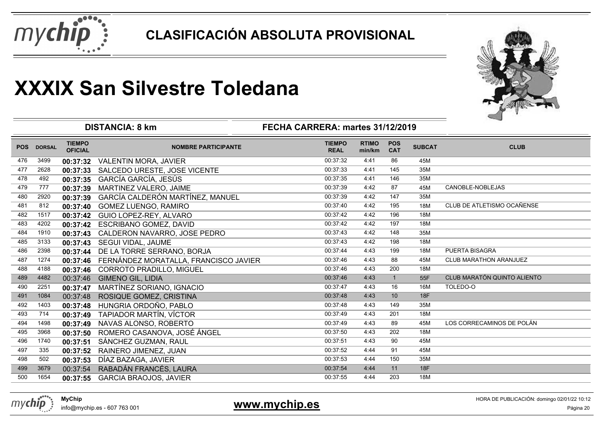



|            |               | <b>DISTANCIA: 8 km</b>          | ⊸                                     |                              |                        |                          |               |                             |
|------------|---------------|---------------------------------|---------------------------------------|------------------------------|------------------------|--------------------------|---------------|-----------------------------|
| <b>POS</b> | <b>DORSAL</b> | <b>TIEMPO</b><br><b>OFICIAL</b> | <b>NOMBRE PARTICIPANTE</b>            | <b>TIEMPO</b><br><b>REAL</b> | <b>RTIMO</b><br>min/km | <b>POS</b><br><b>CAT</b> | <b>SUBCAT</b> | <b>CLUB</b>                 |
| 476        | 3499          | 00:37:32                        | <b>VALENTIN MORA, JAVIER</b>          | 00:37:32                     | 4:41                   | 86                       | 45M           |                             |
| 477        | 2628          | 00:37:33                        | SALCEDO URESTE, JOSE VICENTE          | 00:37:33                     | 4:41                   | 145                      | 35M           |                             |
| 478        | 492           | 00:37:35                        | GARCÍA GARCÍA, JESÚS                  | 00:37:35                     | 4:41                   | 146                      | 35M           |                             |
| 479        | 777           | 00:37:39                        | MARTINEZ VALERO, JAIME                | 00:37:39                     | 4:42                   | 87                       | 45M           | CANOBLE-NOBLEJAS            |
| 480        | 2920          | 00:37:39                        | GARCÍA CALDERÓN MARTÍNEZ, MANUEL      | 00:37:39                     | 4:42                   | 147                      | 35M           |                             |
| 481        | 812           | 00:37:40                        | GOMEZ LUENGO, RAMIRO                  | 00:37:40                     | 4:42                   | 195                      | 18M           | CLUB DE ATLETISMO OCAÑENSE  |
| 482        | 1517          | 00:37:42                        | GUIO LOPEZ-REY, ALVARO                | 00:37:42                     | 4:42                   | 196                      | 18M           |                             |
| 483        | 4202          | 00:37:42                        | <b>ESCRIBANO GOMEZ, DAVID</b>         | 00:37:42                     | 4:42                   | 197                      | 18M           |                             |
| 484        | 1910          | 00:37:43                        | CALDERON NAVARRO, JOSE PEDRO          | 00:37:43                     | 4:42                   | 148                      | 35M           |                             |
| 485        | 3133          | 00:37:43                        | SEGUI VIDAL, JAUME                    | 00:37:43                     | 4:42                   | 198                      | 18M           |                             |
| 486        | 2398          | 00:37:44                        | DE LA TORRE SERRANO, BORJA            | 00:37:44                     | 4:43                   | 199                      | 18M           | PUERTA BISAGRA              |
| 487        | 1274          | 00:37:46                        | FERNÁNDEZ MORATALLA, FRANCISCO JAVIER | 00:37:46                     | 4:43                   | 88                       | 45M           | CLUB MARATHON ARANJUEZ      |
| 488        | 4188          | 00:37:46                        | CORROTO PRADILLO, MIGUEL              | 00:37:46                     | 4:43                   | 200                      | 18M           |                             |
| 489        | 4482          | 00:37:46                        | <b>GIMENO GIL, LIDIA</b>              | 00:37:46                     | 4:43                   | $\mathbf{1}$             | 55F           | CLUB MARATÓN QUINTO ALIENTO |
| 490        | 2251          | 00:37:47                        | MARTÍNEZ SORIANO, IGNACIO             | 00:37:47                     | 4:43                   | 16                       | 16M           | TOLEDO-O                    |
| 491        | 1084          | 00:37:48                        | ROSIQUE GOMEZ, CRISTINA               | 00:37:48                     | 4:43                   | 10                       | 18F           |                             |
| 492        | 1403          | 00:37:48                        | HUNGRIA ORDOÑO, PABLO                 | 00:37:48                     | 4:43                   | 149                      | 35M           |                             |
| 493        | 714           | 00:37:49                        | TAPIADOR MARTÍN, VÍCTOR               | 00:37:49                     | 4:43                   | 201                      | 18M           |                             |
| 494        | 1498          | 00:37:49                        | NAVAS ALONSO, ROBERTO                 | 00:37:49                     | 4:43                   | 89                       | 45M           | LOS CORRECAMINOS DE POLÁN   |
| 495        | 3968          | 00:37:50                        | ROMERO CASANOVA, JOSÉ ÁNGEL           | 00:37:50                     | 4:43                   | 202                      | 18M           |                             |
| 496        | 1740          | 00:37:51                        | SÁNCHEZ GUZMAN, RAUL                  | 00:37:51                     | 4:43                   | 90                       | 45M           |                             |
| 497        | 335           | 00:37:52                        | RAINERO JIMENEZ, JUAN                 | 00:37:52                     | 4:44                   | 91                       | 45M           |                             |
| 498        | 502           | 00:37:53                        | DÍAZ BAZAGA, JAVIER                   | 00:37:53                     | 4:44                   | 150                      | 35M           |                             |
| 499        | 3679          | 00:37:54                        | RABADÁN FRANCÉS, LAURA                | 00:37:54                     | 4:44                   | 11                       | <b>18F</b>    |                             |
| 500        | 1654          | 00:37:55                        | <b>GARCIA BRAOJOS, JAVIER</b>         | 00:37:55                     | 4:44                   | 203                      | 18M           |                             |

mychip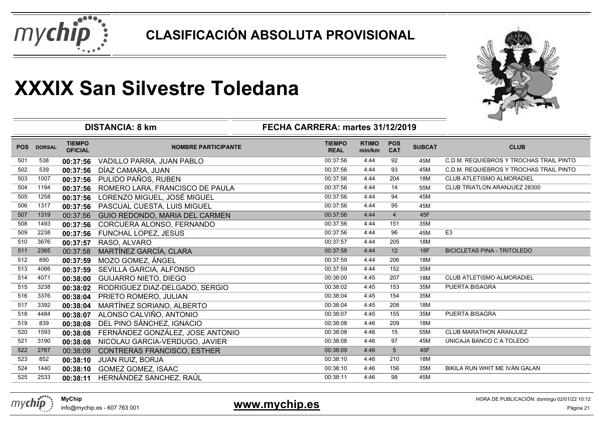



|            |               |                                 | <b>DISTANCIA: 8 km</b>           | FECHA CARRERA: martes 31/12/2019 |                        |                          |               |                                         |
|------------|---------------|---------------------------------|----------------------------------|----------------------------------|------------------------|--------------------------|---------------|-----------------------------------------|
| <b>POS</b> | <b>DORSAL</b> | <b>TIEMPO</b><br><b>OFICIAL</b> | <b>NOMBRE PARTICIPANTE</b>       | <b>TIEMPO</b><br><b>REAL</b>     | <b>RTIMO</b><br>min/km | <b>POS</b><br><b>CAT</b> | <b>SUBCAT</b> | <b>CLUB</b>                             |
| 501        | 538           | 00:37:56                        | VADILLO PARRA, JUAN PABLO        | 00:37:56                         | 4:44                   | 92                       | 45M           | C.D.M. REQUIEBROS Y TROCHAS TRAIL PINTO |
| 502        | 539           | 00:37:56                        | DÍAZ CAMARA, JUAN                | 00:37:56                         | 4:44                   | 93                       | 45M           | C.D.M. REQUIEBROS Y TROCHAS TRAIL PINTO |
| 503        | 1007          | 00:37:56                        | PULIDO PAÑOS, RUBEN              | 00:37:56                         | 4.44                   | 204                      | 18M           | CLUB ATLETISMO ALMORADIEL               |
| 504        | 1194          | 00:37:56                        | ROMERO LARA, FRANCISCO DE PAULA  | 00:37:56                         | 4:44                   | 14                       | 55M           | CLUB TRIATLON ARANJUEZ 28300            |
| 505        | 1258          | 00:37:56                        | LORENZO MIGUEL, JOSÉ MIGUEL      | 00:37:56                         | 4.44                   | 94                       | 45M           |                                         |
| 506        | 1317          | 00:37:56                        | PASCUAL CUESTA, LUIS MIGUEL      | 00:37:56                         | 4:44                   | 95                       | 45M           |                                         |
| 507        | 1319          | 00:37:56                        | GUIO REDONDO, MARIA DEL CARMEN   | 00:37:56                         | 4:44                   | $\overline{4}$           | 45F           |                                         |
| 508        | 1493          | 00:37:56                        | CORCUERA ALONSO, FERNANDO        | 00:37:56                         | 4:44                   | 151                      | 35M           |                                         |
| 509        | 2238          | 00:37:56                        | FUNCHAL LOPEZ, JESUS             | 00:37:56                         | 4:44                   | 96                       | 45M           | E <sub>3</sub>                          |
| 510        | 3676          | 00:37:57                        | RASO, ALVARO                     | 00:37:57                         | 4.44                   | 205                      | 18M           |                                         |
| 511        | 2365          | 00:37:58                        | MARTÍNEZ GARCÍA, CLARA           | 00:37:58                         | 4:44                   | 12                       | 18F           | <b>BICICLETAS PINA - TRITOLEDO</b>      |
| 512        | 890           | 00:37:59                        | MOZO GOMEZ, ÁNGEL                | 00:37:59                         | 4:44                   | 206                      | 18M           |                                         |
| 513        | 4066          | 00:37:59                        | SEVILLA GARCIA, ALFONSO          | 00:37:59                         | 4:44                   | 152                      | 35M           |                                         |
| 514        | 4071          | 00:38:00                        | <b>GUIJARRO NIETO, DIEGO</b>     | 00:38:00                         | 4:45                   | 207                      | 18M           | CLUB ATLETISMO ALMORADIEL               |
| 515        | 3238          | 00:38:02                        | RODRIGUEZ DIAZ-DELGADO, SERGIO   | 00:38:02                         | 4:45                   | 153                      | 35M           | PUERTA BISAGRA                          |
| 516        | 3376          | 00:38:04                        | PRIETO ROMERO, JULIAN            | 00:38:04                         | 4:45                   | 154                      | 35M           |                                         |
| 517        | 3392          | 00:38:04                        | MARTÍNEZ SORIANO, ALBERTO        | 00:38:04                         | 4:45                   | 208                      | 18M           |                                         |
| 518        | 4484          | 00:38:07                        | ALONSO CALVIÑO, ANTONIO          | 00:38:07                         | 4:45                   | 155                      | 35M           | PUERTA BISAGRA                          |
| 519        | 839           | 00:38:08                        | DEL PINO SÁNCHEZ, IGNACIO        | 00:38:08                         | 4:46                   | 209                      | 18M           |                                         |
| 520        | 1593          | 00:38:08                        | FERNÁNDEZ GONZÁLEZ, JOSE ANTONIO | 00:38:08                         | 4:46                   | 15                       | 55M           | <b>CLUB MARATHON ARANJUEZ</b>           |
| 521        | 3190          | 00:38:08                        | NICOLAU GARCIA-VERDUGO, JAVIER   | 00:38:08                         | 4:46                   | 97                       | 45M           | UNICAJA BANCO C A TOLEDO                |
| 522        | 2767          | 00:38:09                        | CONTRERAS FRANCISCO, ESTHER      | 00:38:09                         | 4:46                   | 5                        | 45F           |                                         |
| 523        | 852           | 00:38:10                        | <b>JUAN RUIZ, BORJA</b>          | 00:38:10                         | 4:46                   | 210                      | 18M           |                                         |
| 524        | 1440          | 00:38:10                        | GOMEZ GOMEZ, ISAAC               | 00:38:10                         | 4:46                   | 156                      | 35M           | BIKILA RUN WHIT ME IVÁN GALAN           |
| 525        | 2533          | 00:38:11                        | HERNÁNDEZ SANCHEZ, RAÚL          | 00:38:11                         | 4:46                   | 98                       | 45M           |                                         |
|            |               |                                 |                                  |                                  |                        |                          |               |                                         |

mychip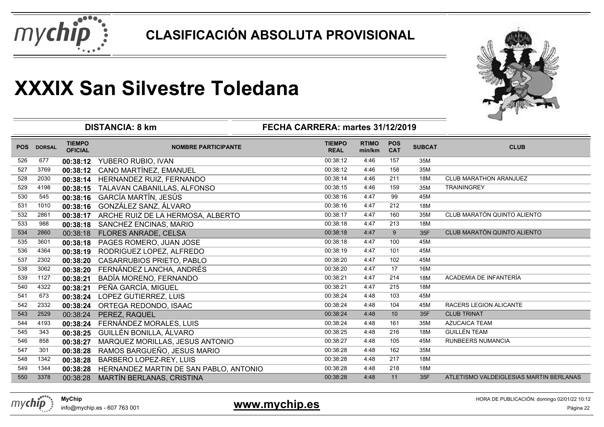



|            |               |                                 | <b>DISTANCIA: 8 km</b>                 | FECHA CARRERA: martes 31/12/2019 |                        |                          |               |                                         |
|------------|---------------|---------------------------------|----------------------------------------|----------------------------------|------------------------|--------------------------|---------------|-----------------------------------------|
| <b>POS</b> | <b>DORSAL</b> | <b>TIEMPO</b><br><b>OFICIAL</b> | <b>NOMBRE PARTICIPANTE</b>             | <b>TIEMPO</b><br><b>REAL</b>     | <b>RTIMO</b><br>min/km | <b>POS</b><br><b>CAT</b> | <b>SUBCAT</b> | <b>CLUB</b>                             |
| 526        | 677           | 00:38:12                        | YUBERO RUBIO, IVAN                     | 00:38:12                         | 4:46                   | 157                      | 35M           |                                         |
| 527        | 3769          |                                 | 00:38:12 CANO MARTÍNEZ, EMANUEL        | 00:38:12                         | 4:46                   | 158                      | 35M           |                                         |
| 528        | 2030          |                                 | 00:38:14 HERNANDEZ RUIZ, FERNANDO      | 00:38:14                         | 4:46                   | 211                      | 18M           | <b>CLUB MARATHON ARANJUEZ</b>           |
| 529        | 4198          | 00:38:15                        | TALAVAN CABANILLAS, ALFONSO            | 00:38:15                         | 4:46                   | 159                      | 35M           | <b>TRAININGREY</b>                      |
| 530        | 545           | 00:38:16                        | GARCÍA MARTÍN, JESÚS                   | 00:38:16                         | 4:47                   | 99                       | 45M           |                                         |
| 531        | 1010          | 00:38:16                        | GONZÁLEZ SANZ, ÁLVARO                  | 00:38:16                         | 4:47                   | 212                      | 18M           |                                         |
| 532        | 2861          | 00:38:17                        | ARCHE RUIZ DE LA HERMOSA, ALBERTO      | 00:38:17                         | 4:47                   | 160                      | 35M           | CLUB MARATÓN QUINTO ALIENTO             |
| 533        | 988           | 00:38:18                        | SANCHEZ ENCINAS, MARIO                 | 00:38:18                         | 4.47                   | 213                      | 18M           |                                         |
| 534        | 2860          | 00:38:18                        | <b>FLORES ANRADE, CELSA</b>            | 00:38:18                         | 4:47                   | 9                        | 35F           | CLUB MARATÓN QUINTO ALIENTO             |
| 535        | 3601          | 00:38:18                        | PAGES ROMERO, JUAN JOSE                | 00:38:18                         | 4.47                   | 100                      | 45M           |                                         |
| 536        | 4364          | 00:38:19                        | RODRIGUEZ LOPEZ, ALFREDO               | 00:38:19                         | 4:47                   | 101                      | 45M           |                                         |
| 537        | 2302          | 00:38:20                        | <b>CASARRUBIOS PRIETO, PABLO</b>       | 00:38:20                         | 4.47                   | 102                      | 45M           |                                         |
| 538        | 3062          | 00:38:20                        | FERNÁNDEZ LANCHA, ANDRÉS               | 00:38:20                         | 4:47                   | 17                       | 16M           |                                         |
| 539        | 1127          | 00:38:21                        | BADÍA MORENO, FERNANDO                 | 00:38:21                         | 4:47                   | 214                      | 18M           | ACADEMIA DE INFANTERÍA                  |
| 540        | 4322          | 00:38:21                        | PEÑA GARCÍA, MIGUEL                    | 00:38:21                         | 4:47                   | 215                      | 18M           |                                         |
| 541        | 673           |                                 | 00:38:24 LOPEZ GUTIERREZ, LUIS         | 00:38:24                         | 4:48                   | 103                      | 45M           |                                         |
| 542        | 2332          | 00:38:24                        | ORTEGA REDONDO, ISAAC                  | 00:38:24                         | 4:48                   | 104                      | 45M           | RACERS LEGION ALICANTE                  |
| 543        | 2529          | 00:38:24                        | PEREZ, RAQUEL                          | 00:38:24                         | 4:48                   | 10                       | 35F           | <b>CLUB TRINAT</b>                      |
| 544        | 4193          | 00:38:24                        | FERNÁNDEZ MORALES, LUIS                | 00:38:24                         | 4:48                   | 161                      | 35M           | <b>AZUCAICA TEAM</b>                    |
| 545        | 343           | 00:38:25                        | GUILLÉN BONILLA, ÁLVARO                | 00:38:25                         | 4:48                   | 216                      | 18M           | <b>GUILLÉN TEAM</b>                     |
| 546        | 858           | 00:38:27                        | MARQUEZ MORILLAS, JESUS ANTONIO        | 00:38:27                         | 4:48                   | 105                      | 45M           | <b>RUNBEERS NUMANCIA</b>                |
| 547        | 301           | 00:38:28                        | RAMOS BARGUEÑO, JESUS MARIO            | 00:38:28                         | 4:48                   | 162                      | 35M           |                                         |
| 548        | 1342          | 00:38:28                        | BARBERO LOPEZ-REY, LUIS                | 00:38:28                         | 4:48                   | 217                      | 18M           |                                         |
| 549        | 1344          | 00:38:28                        | HERNANDEZ MARTIN DE SAN PABLO, ANTONIO | 00:38:28                         | 4:48                   | 218                      | 18M           |                                         |
| 550        | 3378          | 00:38:28                        | MARTÍN BERLANAS, CRISTINA              | 00:38:28                         | 4:48                   | 11                       | 35F           | ATLETISMO VALDEIGLESIAS MARTIN BERLANAS |

### **www.mychip.es**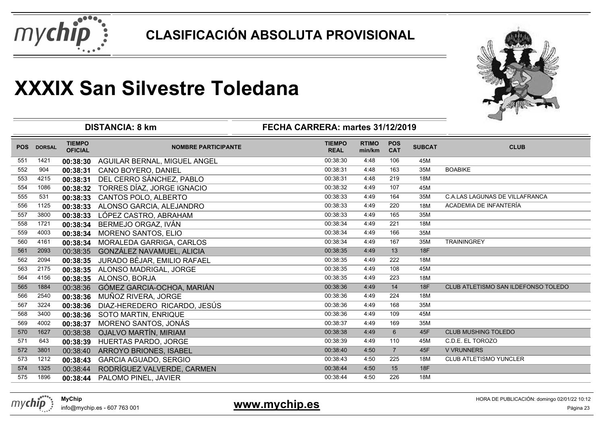



|            |               |                                 | <b>DISTANCIA: 8 km</b>        | FECHA CARRERA: martes 31/12/2019 |                        |                          |               |                                       |
|------------|---------------|---------------------------------|-------------------------------|----------------------------------|------------------------|--------------------------|---------------|---------------------------------------|
| <b>POS</b> | <b>DORSAL</b> | <b>TIEMPO</b><br><b>OFICIAL</b> | <b>NOMBRE PARTICIPANTE</b>    | <b>TIEMPO</b><br><b>REAL</b>     | <b>RTIMO</b><br>min/km | <b>POS</b><br><b>CAT</b> | <b>SUBCAT</b> | <b>CLUB</b>                           |
| 551        | 1421          | 00:38:30                        | AGUILAR BERNAL, MIGUEL ANGEL  | 00:38:30                         | 4:48                   | 106                      | 45M           |                                       |
| 552        | 904           | 00:38:31                        | CANO BOYERO, DANIEL           | 00:38:31                         | 4:48                   | 163                      | 35M           | <b>BOABIKE</b>                        |
| 553        | 4215          | 00:38:31                        | DEL CERRO SÁNCHEZ, PABLO      | 00:38:31                         | 4:48                   | 219                      | 18M           |                                       |
| 554        | 1086          | 00:38:32                        | TORRES DÍAZ, JORGE IGNACIO    | 00:38:32                         | 4:49                   | 107                      | 45M           |                                       |
| 555        | 531           | 00:38:33                        | CANTOS POLO, ALBERTO          | 00:38:33                         | 4:49                   | 164                      | 35M           | <b>C.A.LAS LAGUNAS DE VILLAFRANCA</b> |
| 556        | 1125          | 00:38:33                        | ALONSO GARCIA, ALEJANDRO      | 00:38:33                         | 4:49                   | 220                      | 18M           | ACADEMIA DE INFANTERÍA                |
| 557        | 3800          | 00:38:33                        | LÓPEZ CASTRO, ABRAHAM         | 00:38:33                         | 4:49                   | 165                      | 35M           |                                       |
| 558        | 1721          | 00:38:34                        | BERMEJO ORGAZ, IVÁN           | 00:38:34                         | 4:49                   | 221                      | 18M           |                                       |
| 559        | 4003          | 00:38:34                        | MORENO SANTOS, ELIO           | 00:38:34                         | 4:49                   | 166                      | 35M           |                                       |
| 560        | 4161          | 00:38:34                        | MORALEDA GARRIGA, CARLOS      | 00:38:34                         | 4:49                   | 167                      | 35M           | <b>TRAININGREY</b>                    |
| 561        | 2093          | 00:38:35                        | GONZÁLEZ NAVAMUEL, ALICIA     | 00:38:35                         | 4:49                   | 13                       | 18F           |                                       |
| 562        | 2094          | 00:38:35                        | JURADO BÉJAR, EMILIO RAFAEL   | 00:38:35                         | 4:49                   | 222                      | 18M           |                                       |
| 563        | 2175          | 00:38:35                        | ALONSO MADRIGAL, JORGE        | 00:38:35                         | 4:49                   | 108                      | 45M           |                                       |
| 564        | 4156          |                                 | 00:38:35 ALONSO, BORJA        | 00:38:35                         | 4:49                   | 223                      | 18M           |                                       |
| 565        | 1884          | 00:38:36                        | GÓMEZ GARCIA-OCHOA, MARIÁN    | 00:38:36                         | 4:49                   | 14                       | 18F           | CLUB ATLETISMO SAN ILDEFONSO TOLEDO   |
| 566        | 2540          | 00:38:36                        | MUÑOZ RIVERA, JORGE           | 00:38:36                         | 4:49                   | 224                      | 18M           |                                       |
| 567        | 3224          | 00:38:36                        | DIAZ-HEREDERO RICARDO, JESÚS  | 00:38:36                         | 4:49                   | 168                      | 35M           |                                       |
| 568        | 3400          | 00:38:36                        | SOTO MARTIN, ENRIQUE          | 00:38:36                         | 4:49                   | 109                      | 45M           |                                       |
| 569        | 4002          | 00:38:37                        | MORENO SANTOS, JONÁS          | 00:38:37                         | 4:49                   | 169                      | 35M           |                                       |
| 570        | 1627          | 00:38:38                        | <b>OJALVO MARTÍN, MIRIAM</b>  | 00:38:38                         | 4:49                   | $6\phantom{1}$           | 45F           | <b>CLUB MUSHING TOLEDO</b>            |
| 571        | 643           | 00:38:39                        | HUERTAS PARDO, JORGE          | 00:38:39                         | 4:49                   | 110                      | 45M           | C.D.E. EL TOROZO                      |
| 572        | 3801          | 00:38:40                        | <b>ARROYO BRIONES, ISABEL</b> | 00:38:40                         | 4:50                   | $\overline{7}$           | 45F           | <b>V VRUNNERS</b>                     |
| 573        | 1212          | 00:38:43                        | <b>GARCIA AGUADO, SERGIO</b>  | 00:38:43                         | 4:50                   | 225                      | 18M           | <b>CLUB ATLETISMO YUNCLER</b>         |
| 574        | 1325          | 00:38:44                        | RODRÍGUEZ VALVERDE, CARMEN    | 00:38:44                         | 4:50                   | 15                       | 18F           |                                       |
| 575        | 1896          |                                 | 00:38:44 PALOMO PINEL, JAVIER | 00:38:44                         | 4:50                   | 226                      | 18M           |                                       |



info@mychip.es - 607 763 001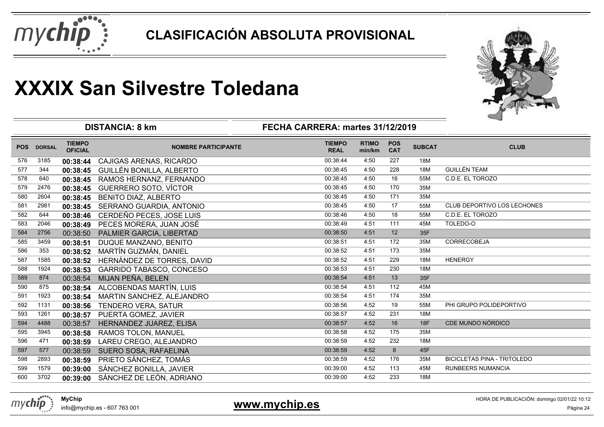



|            |               |                                 | <b>DISTANCIA: 8 km</b>         | FECHA CARRERA: martes 31/12/2019 |                        |                          |               | ⊸                                  |
|------------|---------------|---------------------------------|--------------------------------|----------------------------------|------------------------|--------------------------|---------------|------------------------------------|
| <b>POS</b> | <b>DORSAL</b> | <b>TIEMPO</b><br><b>OFICIAL</b> | <b>NOMBRE PARTICIPANTE</b>     | <b>TIEMPO</b><br><b>REAL</b>     | <b>RTIMO</b><br>min/km | <b>POS</b><br><b>CAT</b> | <b>SUBCAT</b> | <b>CLUB</b>                        |
| 576        | 3185          | 00:38:44                        | <b>CAJIGAS ARENAS, RICARDO</b> | 00:38:44                         | 4:50                   | 227                      | 18M           |                                    |
| 577        | 344           | 00:38:45                        | GUILLÉN BONILLA, ALBERTO       | 00:38:45                         | 4:50                   | 228                      | 18M           | <b>GUILLÉN TEAM</b>                |
| 578        | 640           | 00:38:45                        | RAMOS HERNANZ, FERNANDO        | 00:38:45                         | 4:50                   | 16                       | 55M           | C.D.E. EL TOROZO                   |
| 579        | 2476          | 00:38:45                        | <b>GUERRERO SOTO, VÍCTOR</b>   | 00:38:45                         | 4:50                   | 170                      | 35M           |                                    |
| 580        | 2604          | 00:38:45                        | <b>BENITO DIAZ, ALBERTO</b>    | 00:38:45                         | 4:50                   | 171                      | 35M           |                                    |
| 581        | 2981          | 00:38:45                        | SERRANO GUARDIA, ANTONIO       | 00:38:45                         | 4:50                   | 17                       | 55M           | CLUB DEPORTIVO LOS LECHONES        |
| 582        | 644           | 00:38:46                        | CERDEÑO PECES, JOSE LUIS       | 00:38:46                         | 4:50                   | 18                       | 55M           | C.D.E. EL TOROZO                   |
| 583        | 2046          | 00:38:49                        | PECES MORERA, JUAN JOSÉ        | 00:38:49                         | 4:51                   | 111                      | 45M           | TOLEDO-O                           |
| 584        | 2756          | 00:38:50                        | PALMIER GARCIA, LIBERTAD       | 00:38:50                         | 4:51                   | 12                       | 35F           |                                    |
| 585        | 3459          | 00:38:51                        | DUQUE MANZANO, BENITO          | 00:38:51                         | 4:51                   | 172                      | 35M           | <b>CORRECOBEJA</b>                 |
| 586        | 353           | 00:38:52                        | MARTÍN GUZMÁN, DANIEL          | 00:38:52                         | 4:51                   | 173                      | 35M           |                                    |
| 587        | 1585          | 00:38:52                        | HERNÁNDEZ DE TORRES, DAVID     | 00:38:52                         | 4:51                   | 229                      | 18M           | <b>HENERGY</b>                     |
| 588        | 1924          | 00:38:53                        | GARRIDO TABASCO, CONCESO       | 00:38:53                         | 4:51                   | 230                      | 18M           |                                    |
| 589        | 874           | 00:38:54                        | MIJAN PEÑA, BELEN              | 00:38:54                         | 4:51                   | 13                       | 35F           |                                    |
| 590        | 875           | 00:38:54                        | ALCOBENDAS MARTÍN, LUIS        | 00:38:54                         | 4:51                   | 112                      | 45M           |                                    |
| 591        | 1923          | 00:38:54                        | MARTIN SANCHEZ, ALEJANDRO      | 00:38:54                         | 4:51                   | 174                      | 35M           |                                    |
| 592        | 1131          | 00:38:56                        | <b>TENDERO VERA, SATUR</b>     | 00:38:56                         | 4:52                   | 19                       | 55M           | PHI GRUPO POLIDEPORTIVO            |
| 593        | 1261          | 00:38:57                        | PUERTA GOMEZ, JAVIER           | 00:38:57                         | 4:52                   | 231                      | 18M           |                                    |
| 594        | 4488          | 00:38:57                        | HERNANDEZ JUAREZ, ELISA        | 00:38:57                         | 4:52                   | 16                       | 18F           | CDE MUNDO NÓRDICO                  |
| 595        | 3945          | 00:38:58                        | <b>RAMOS TOLON, MANUEL</b>     | 00:38:58                         | 4:52                   | 175                      | 35M           |                                    |
| 596        | 471           | 00:38:59                        | LAREU CREGO, ALEJANDRO         | 00:38:59                         | 4:52                   | 232                      | 18M           |                                    |
| 597        | 577           | 00:38:59                        | SUERO SOSA, RAFAELINA          | 00:38:59                         | 4:52                   | 8                        | 45F           |                                    |
| 598        | 2893          | 00:38:59                        | PRIETO SÁNCHEZ, TOMÁS          | 00:38:59                         | 4:52                   | 176                      | 35M           | <b>BICICLETAS PINA - TRITOLEDO</b> |
| 599        | 1579          | 00:39:00                        | SÁNCHEZ BONILLA, JAVIER        | 00:39:00                         | 4:52                   | 113                      | 45M           | <b>RUNBEERS NUMANCIA</b>           |
| 600        | 3702          | 00:39:00                        | SÁNCHEZ DE LEÓN, ADRIANO       | 00:39:00                         | 4:52                   | 233                      | 18M           |                                    |



info@mychip.es - 607 763 001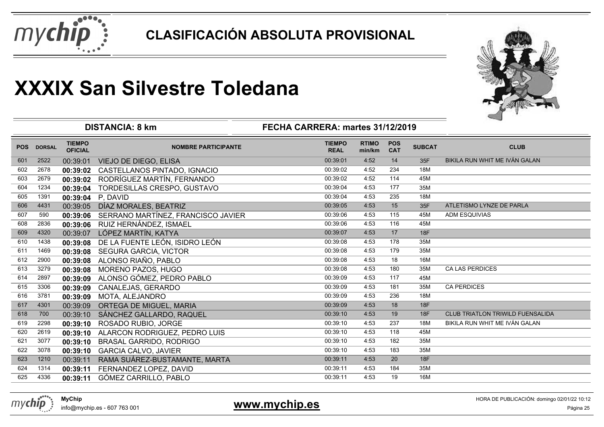



|            |               |                                 | <b>DISTANCIA: 8 km</b>             | FECHA CARRERA: martes 31/12/2019 |                        | ⊸                        |               |                                         |
|------------|---------------|---------------------------------|------------------------------------|----------------------------------|------------------------|--------------------------|---------------|-----------------------------------------|
| <b>POS</b> | <b>DORSAL</b> | <b>TIEMPO</b><br><b>OFICIAL</b> | <b>NOMBRE PARTICIPANTE</b>         | <b>TIEMPO</b><br><b>REAL</b>     | <b>RTIMO</b><br>min/km | <b>POS</b><br><b>CAT</b> | <b>SUBCAT</b> | <b>CLUB</b>                             |
| 601        | 2522          | 00:39:01                        | <b>VIEJO DE DIEGO, ELISA</b>       | 00:39:01                         | 4:52                   | 14                       | 35F           | BIKILA RUN WHIT ME IVÁN GALAN           |
| 602        | 2678          | 00:39:02                        | CASTELLANOS PINTADO, IGNACIO       | 00:39:02                         | 4:52                   | 234                      | 18M           |                                         |
| 603        | 2679          | 00:39:02                        | RODRÍGUEZ MARTÍN, FERNANDO         | 00:39:02                         | 4:52                   | 114                      | 45M           |                                         |
| 604        | 1234          | 00:39:04                        | TORDESILLAS CRESPO, GUSTAVO        | 00:39:04                         | 4:53                   | 177                      | 35M           |                                         |
| 605        | 1391          | 00:39:04                        | P. DAVID                           | 00:39:04                         | 4:53                   | 235                      | 18M           |                                         |
| 606        | 4431          | 00:39:05                        | DÍAZ MORALES, BEATRIZ              | 00:39:05                         | 4:53                   | 15                       | 35F           | ATLETISMO LYNZE DE PARLA                |
| 607        | 590           | 00:39:06                        | SERRANO MARTÍNEZ, FRANCISCO JAVIER | 00:39:06                         | 4:53                   | 115                      | 45M           | <b>ADM ESQUIVIAS</b>                    |
| 608        | 2836          | 00:39:06                        | RUIZ HERNÁNDEZ, ISMAEL             | 00:39:06                         | 4:53                   | 116                      | 45M           |                                         |
| 609        | 4320          | 00:39:07                        | LÓPEZ MARTÍN, KATYA                | 00:39:07                         | 4:53                   | 17                       | 18F           |                                         |
| 610        | 1438          | 00:39:08                        | DE LA FUENTE LEÓN, ISIDRO LEÓN     | 00:39:08                         | 4:53                   | 178                      | 35M           |                                         |
| 611        | 1469          | 00:39:08                        | SEGURA GARCIA, VICTOR              | 00:39:08                         | 4:53                   | 179                      | 35M           |                                         |
| 612        | 2900          | 00:39:08                        | ALONSO RIAÑO, PABLO                | 00:39:08                         | 4:53                   | 18                       | 16M           |                                         |
| 613        | 3279          | 00:39:08                        | MORENO PAZOS, HUGO                 | 00:39:08                         | 4:53                   | 180                      | 35M           | <b>CA LAS PERDICES</b>                  |
| 614        | 2897          | 00:39:09                        | ALONSO GÓMEZ, PEDRO PABLO          | 00:39:09                         | 4:53                   | 117                      | 45M           |                                         |
| 615        | 3306          | 00:39:09                        | CANALEJAS, GERARDO                 | 00:39:09                         | 4:53                   | 181                      | 35M           | <b>CA PERDICES</b>                      |
| 616        | 3781          | 00:39:09                        | MOTA, ALEJANDRO                    | 00:39:09                         | 4:53                   | 236                      | 18M           |                                         |
| 617        | 4301          | 00:39:09                        | ORTEGA DE MIGUEL, MARIA            | 00:39:09                         | 4:53                   | 18                       | <b>18F</b>    |                                         |
| 618        | 700           | 00:39:10                        | SÁNCHEZ GALLARDO, RAQUEL           | 00:39:10                         | 4:53                   | 19                       | <b>18F</b>    | <b>CLUB TRIATLON TRIWILD FUENSALIDA</b> |
| 619        | 2298          | 00:39:10                        | ROSADO RUBIO, JORGE                | 00:39:10                         | 4:53                   | 237                      | 18M           | BIKILA RUN WHIT ME IVÁN GALAN           |
| 620        | 2619          | 00:39:10                        | ALARCON RODRIGUEZ, PEDRO LUIS      | 00:39:10                         | 4:53                   | 118                      | 45M           |                                         |
| 621        | 3077          | 00:39:10                        | BRASAL GARRIDO, RODRIGO            | 00:39:10                         | 4:53                   | 182                      | 35M           |                                         |
| 622        | 3078          | 00:39:10                        | <b>GARCIA CALVO, JAVIER</b>        | 00:39:10                         | 4:53                   | 183                      | 35M           |                                         |
| 623        | 1210          | 00:39:11                        | RAMA SUÁREZ-BUSTAMANTE, MARTA      | 00:39:11                         | 4:53                   | 20                       | 18F           |                                         |
| 624        | 1314          | 00:39:11                        | FERNANDEZ LOPEZ, DAVID             | 00:39:11                         | 4:53                   | 184                      | 35M           |                                         |
| 625        | 4336          | 00:39:11                        | GÓMEZ CARRILLO, PABLO              | 00:39:11                         | 4:53                   | 19                       | 16M           |                                         |
|            |               |                                 |                                    |                                  |                        |                          |               |                                         |

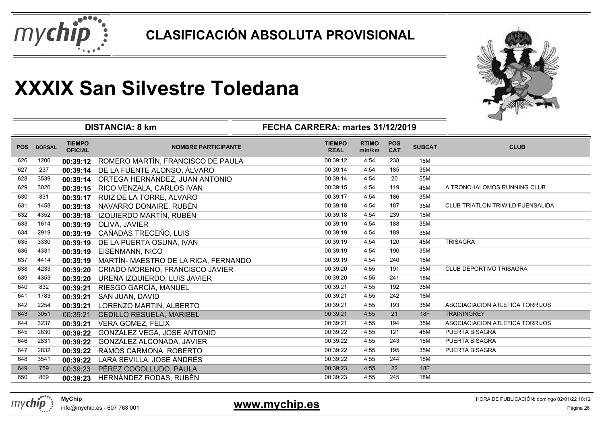



|            |               |                                 | <b>DISTANCIA: 8 km</b>               | FECHA CARRERA: martes 31/12/2019 |                        |                          |               |                                         |
|------------|---------------|---------------------------------|--------------------------------------|----------------------------------|------------------------|--------------------------|---------------|-----------------------------------------|
| <b>POS</b> | <b>DORSAL</b> | <b>TIEMPO</b><br><b>OFICIAL</b> | <b>NOMBRE PARTICIPANTE</b>           | <b>TIEMPO</b><br><b>REAL</b>     | <b>RTIMO</b><br>min/km | <b>POS</b><br><b>CAT</b> | <b>SUBCAT</b> | <b>CLUB</b>                             |
| 626        | 1200          | 00:39:12                        | ROMERO MARTÍN, FRANCISCO DE PAULA    | 00:39:12                         | 4:54                   | 238                      | 18M           |                                         |
| 627        | 237           | 00:39:14                        | DE LA FUENTE ALONSO, ÁLVARO          | 00:39:14                         | 4:54                   | 185                      | 35M           |                                         |
| 628        | 3539          | 00:39:14                        | ORTEGA HERNÁNDEZ, JUAN ANTONIO       | 00:39:14                         | 4:54                   | 20                       | 55M           |                                         |
| 629        | 3020          | 00:39:15                        | RICO VENZALA, CARLOS IVAN            | 00:39:15                         | 4:54                   | 119                      | 45M           | A TRONCHALOMOS RUNNING CLUB             |
| 630        | 831           | 00:39:17                        | RUIZ DE LA TORRE, ALVARO             | 00:39:17                         | 4:54                   | 186                      | 35M           |                                         |
| 631        | 1458          | 00:39:18                        | NAVARRO DONAIRE, RUBÉN               | 00:39:18                         | 4:54                   | 187                      | 35M           | <b>CLUB TRIATLON TRIWILD FUENSALIDA</b> |
| 632        | 4352          | 00:39:18                        | IZQUIERDO MARTÍN, RUBÉN              | 00:39:18                         | 4:54                   | 239                      | 18M           |                                         |
| 633        | 1614          | 00:39:19                        | OLIVA, JAVIER                        | 00:39:19                         | 4:54                   | 188                      | 35M           |                                         |
| 634        | 2919          | 00:39:19                        | CAÑADAS TRECEÑO, LUIS                | 00:39:19                         | 4:54                   | 189                      | 35M           |                                         |
| 635        | 3330          | 00:39:19                        | DE LA PUERTA OSUNA, IVAN             | 00:39:19                         | 4:54                   | 120                      | 45M           | <b>TRISAGRA</b>                         |
| 636        | 4331          | 00:39:19                        | <b>EISENMANN, NICO</b>               | 00:39:19                         | 4:54                   | 190                      | 35M           |                                         |
| 637        | 4414          | 00:39:19                        | MARTÍN- MAESTRO DE LA RICA, FERNANDO | 00:39:19                         | 4:54                   | 240                      | 18M           |                                         |
| 638        | 4233          | 00:39:20                        | CRIADO MORENO, FRANCISCO JAVIER      | 00:39:20                         | 4:55                   | 191                      | 35M           | CLUB DEPORTIVO TRISAGRA                 |
| 639        | 4353          | 00:39:20                        | UREÑA IZQUIERDO, LUIS JAVIER         | 00:39:20                         | 4:55                   | 241                      | 18M           |                                         |
| 640        | 832           | 00:39:21                        | RIESGO GARCÍA, MANUEL                | 00:39:21                         | 4:55                   | 192                      | 35M           |                                         |
| 641        | 1783          | 00:39:21                        | SAN JUAN, DAVID                      | 00:39:21                         | 4:55                   | 242                      | 18M           |                                         |
| 642        | 2254          | 00:39:21                        | LORENZO MARTIN, ALBERTO              | 00:39:21                         | 4:55                   | 193                      | 35M           | ASOCIACIACION ATLETICA TORRIJOS         |
| 643        | 3051          | 00:39:21                        | CEDILLO RESUELA, MARIBEL             | 00:39:21                         | 4:55                   | 21                       | 18F           | <b>TRAININGREY</b>                      |
| 644        | 3237          | 00:39:21                        | <b>VERA GOMEZ, FELIX</b>             | 00:39:21                         | 4:55                   | 194                      | 35M           | ASOCIACIACION ATLETICA TORRIJOS         |
| 645        | 2830          | 00:39:22                        | GONZÁLEZ VEGA, JOSE ANTONIO          | 00:39:22                         | 4:55                   | 121                      | 45M           | PUERTA BISAGRA                          |
| 646        | 2831          | 00:39:22                        | GONZÁLEZ ALCONADA, JAVIER            | 00:39:22                         | 4:55                   | 243                      | 18M           | PUERTA BISAGRA                          |
| 647        | 2832          | 00:39:22                        | RAMOS CARMONA, ROBERTO               | 00:39:22                         | 4:55                   | 195                      | 35M           | PUERTA BISAGRA                          |
| 648        | 3541          | 00:39:22                        | LARA SEVILLA, JOSÉ ANDRÉS            | 00:39:22                         | 4:55                   | 244                      | 18M           |                                         |
| 649        | 759           | 00:39:23                        | PÉREZ COGOLLUDO, PAULA               | 00:39:23                         | 4:55                   | 22                       | 18F           |                                         |
| 650        | 869           | 00:39:23                        | HERNÁNDEZ RODAS, RUBÉN               | 00:39:23                         | 4:55                   | 245                      | 18M           |                                         |



info@mychip.es - 607 763 001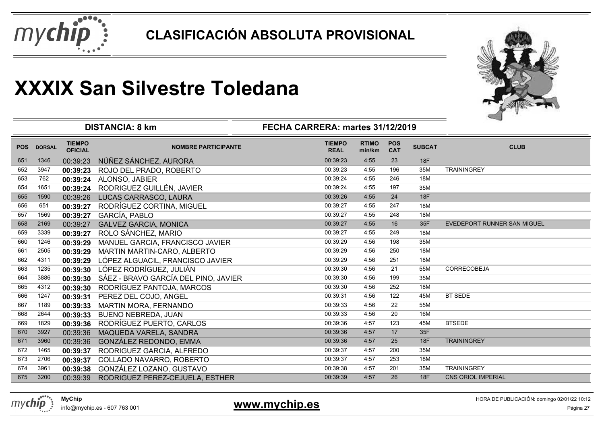



|            |               |                                 | <b>DISTANCIA: 8 km</b>               | FECHA CARRERA: martes 31/12/2019 |                        |                          |               |                             |
|------------|---------------|---------------------------------|--------------------------------------|----------------------------------|------------------------|--------------------------|---------------|-----------------------------|
| <b>POS</b> | <b>DORSAL</b> | <b>TIEMPO</b><br><b>OFICIAL</b> | <b>NOMBRE PARTICIPANTE</b>           | <b>TIEMPO</b><br><b>REAL</b>     | <b>RTIMO</b><br>min/km | <b>POS</b><br><b>CAT</b> | <b>SUBCAT</b> | <b>CLUB</b>                 |
| 651        | 1346          | 00:39:23                        | NÚÑEZ SÁNCHEZ, AURORA                | 00:39:23                         | 4:55                   | 23                       | <b>18F</b>    |                             |
| 652        | 3947          | 00:39:23                        | ROJO DEL PRADO, ROBERTO              | 00:39:23                         | 4:55                   | 196                      | 35M           | <b>TRAININGREY</b>          |
| 653        | 762           |                                 | 00:39:24 ALONSO, JABIER              | 00:39:24                         | 4:55                   | 246                      | 18M           |                             |
| 654        | 1651          | 00:39:24                        | RODRIGUEZ GUILLÉN, JAVIER            | 00:39:24                         | 4:55                   | 197                      | 35M           |                             |
| 655        | 1590          | 00:39:26                        | LUCAS CARRASCO, LAURA                | 00:39:26                         | 4:55                   | 24                       | <b>18F</b>    |                             |
| 656        | 651           | 00:39:27                        | RODRÍGUEZ CORTINA, MIGUEL            | 00:39:27                         | 4:55                   | 247                      | 18M           |                             |
| 657        | 1569          | 00:39:27                        | GARCÍA, PABLO                        | 00:39:27                         | 4:55                   | 248                      | 18M           |                             |
| 658        | 2169          | 00:39:27                        | <b>GALVEZ GARCIA, MONICA</b>         | 00:39:27                         | 4:55                   | 16                       | 35F           | EVEDEPORT RUNNER SAN MIGUEL |
| 659        | 3339          | 00:39:27                        | ROLO SÁNCHEZ, MARIO                  | 00:39:27                         | 4:55                   | 249                      | 18M           |                             |
| 660        | 1246          | 00:39:29                        | MANUEL GARCIA, FRANCISCO JAVIER      | 00:39:29                         | 4:56                   | 198                      | 35M           |                             |
| 661        | 2505          | 00:39:29                        | MARTIN MARTIN-CARO, ALBERTO          | 00:39:29                         | 4:56                   | 250                      | 18M           |                             |
| 662        | 4311          | 00:39:29                        | LÓPEZ ALGUACIL, FRANCISCO JAVIER     | 00:39:29                         | 4:56                   | 251                      | 18M           |                             |
| 663        | 1235          | 00:39:30                        | LÓPEZ RODRÍGUEZ, JULIÁN              | 00:39:30                         | 4:56                   | 21                       | 55M           | CORRECOBEJA                 |
| 664        | 3886          | 00:39:30                        | SÁEZ - BRAVO GARCÍA DEL PINO, JAVIER | 00:39:30                         | 4:56                   | 199                      | 35M           |                             |
| 665        | 4312          | 00:39:30                        | RODRÍGUEZ PANTOJA, MARCOS            | 00:39:30                         | 4:56                   | 252                      | 18M           |                             |
| 666        | 1247          | 00:39:31                        | PEREZ DEL COJO, ANGEL                | 00:39:31                         | 4:56                   | 122                      | 45M           | <b>BT SEDE</b>              |
| 667        | 1189          | 00:39:33                        | MARTIN MORA, FERNANDO                | 00:39:33                         | 4:56                   | 22                       | 55M           |                             |
| 668        | 2644          | 00:39:33                        | <b>BUENO NEBREDA, JUAN</b>           | 00:39:33                         | 4:56                   | 20                       | 16M           |                             |
| 669        | 1829          | 00:39:36                        | RODRÍGUEZ PUERTO, CARLOS             | 00:39:36                         | 4:57                   | 123                      | 45M           | <b>BTSEDE</b>               |
| 670        | 3927          | 00:39:36                        | MAQUEDA VARELA, SANDRA               | 00:39:36                         | 4:57                   | 17                       | 35F           |                             |
| 671        | 3960          | 00:39:36                        | GONZÁLEZ REDONDO, EMMA               | 00:39:36                         | 4:57                   | 25                       | <b>18F</b>    | <b>TRAININGREY</b>          |
| 672        | 1465          | 00:39:37                        | RODRIGUEZ GARCIA, ALFREDO            | 00:39:37                         | 4:57                   | 200                      | 35M           |                             |
| 673        | 2706          | 00:39:37                        | COLLADO NAVARRO, ROBERTO             | 00:39:37                         | 4:57                   | 253                      | 18M           |                             |
| 674        | 3961          | 00:39:38                        | GONZÁLEZ LOZANO, GUSTAVO             | 00:39:38                         | 4:57                   | 201                      | 35M           | <b>TRAININGREY</b>          |
| 675        | 3200          | 00:39:39                        | RODRIGUEZ PEREZ-CEJUELA, ESTHER      | 00:39:39                         | 4:57                   | 26                       | <b>18F</b>    | <b>CNS ORIOL IMPERIAL</b>   |

info@mychip.es - 607 763 001

### **www.mychip.es**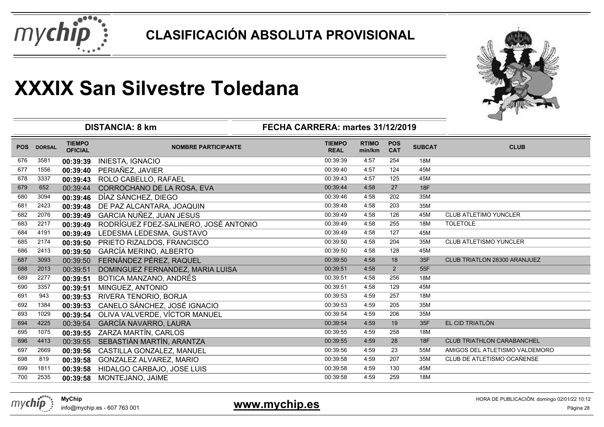



|            |               |                                 | <b>DISTANCIA: 8 km</b>                | FECHA CARRERA: martes 31/12/2019 |                        |                          |               |                                   |
|------------|---------------|---------------------------------|---------------------------------------|----------------------------------|------------------------|--------------------------|---------------|-----------------------------------|
| <b>POS</b> | <b>DORSAL</b> | <b>TIEMPO</b><br><b>OFICIAL</b> | <b>NOMBRE PARTICIPANTE</b>            | <b>TIEMPO</b><br><b>REAL</b>     | <b>RTIMO</b><br>min/km | <b>POS</b><br><b>CAT</b> | <b>SUBCAT</b> | <b>CLUB</b>                       |
| 676        | 3581          | 00:39:39                        | <b>INIESTA, IGNACIO</b>               | 00:39:39                         | 4:57                   | 254                      | 18M           |                                   |
| 677        | 1556          | 00:39:40                        | PERIAÑEZ, JAVIER                      | 00:39:40                         | 4:57                   | 124                      | 45M           |                                   |
| 678        | 3337          | 00:39:43                        | ROLO CABELLO, RAFAEL                  | 00:39:43                         | 4:57                   | 125                      | 45M           |                                   |
| 679        | 652           | 00:39:44                        | CORROCHANO DE LA ROSA, EVA            | 00:39:44                         | 4:58                   | 27                       | <b>18F</b>    |                                   |
| 680        | 3094          | 00:39:46                        | DÍAZ SÁNCHEZ, DIEGO                   | 00:39:46                         | 4:58                   | 202                      | 35M           |                                   |
| 681        | 2423          | 00:39:48                        | DE PAZ ALCANTARA, JOAQUIN             | 00:39:48                         | 4:58                   | 203                      | 35M           |                                   |
| 682        | 2076          | 00:39:49                        | <b>GARCIA NUÑEZ, JUAN JESUS</b>       | 00:39:49                         | 4:58                   | 126                      | 45M           | <b>CLUB ATLETIMO YUNCLER</b>      |
| 683        | 2217          | 00:39:49                        | RODRÍGUEZ FDEZ-SALINERO, JOSÉ ANTONIO | 00:39:49                         | 4:58                   | 255                      | 18M           | <b>TOLETOLE</b>                   |
| 684        | 4191          | 00:39:49                        | LEDESMA LEDESMA, GUSTAVO              | 00:39:49                         | 4:58                   | 127                      | 45M           |                                   |
| 685        | 2174          | 00:39:50                        | PRIETO RIZALDOS, FRANCISCO            | 00:39:50                         | 4:58                   | 204                      | 35M           | CLUB ATLETISMO YUNCLER            |
| 686        | 2413          | 00:39:50                        | <b>GARCÍA MERINO, ALBERTO</b>         | 00:39:50                         | 4:58                   | 128                      | 45M           |                                   |
| 687        | 3093          | 00:39:50                        | FERNÁNDEZ PÉREZ, RAQUEL               | 00:39:50                         | 4:58                   | 18                       | 35F           | CLUB TRIATLON 28300 ARANJUEZ      |
| 688        | 2013          | 00:39:51                        | DOMINGUEZ FERNANDEZ, MARIA LUISA      | 00:39:51                         | 4:58                   | 2                        | 55F           |                                   |
| 689        | 2277          | 00:39:51                        | BOTICA MANZANO, ANDRÉS                | 00:39:51                         | 4:58                   | 256                      | 18M           |                                   |
| 690        | 3357          | 00:39:51                        | MINGUEZ, ANTONIO                      | 00:39:51                         | 4:58                   | 129                      | 45M           |                                   |
| 691        | 943           | 00:39:53                        | RIVERA TENORIO, BORJA                 | 00:39:53                         | 4:59                   | 257                      | 18M           |                                   |
| 692        | 1384          | 00:39:53                        | CANELO SÁNCHEZ, JOSÉ IGNACIO          | 00:39:53                         | 4:59                   | 205                      | 35M           |                                   |
| 693        | 1029          | 00:39:54                        | OLIVA VALVERDE, VÍCTOR MANUEL         | 00:39:54                         | 4:59                   | 206                      | 35M           |                                   |
| 694        | 4225          | 00:39:54                        | GARCÍA NAVARRO, LAURA                 | 00:39:54                         | 4:59                   | 19                       | 35F           | EL CID TRIATLÓN                   |
| 695        | 1075          | 00:39:55                        | ZARZA MARTÍN, CARLOS                  | 00:39:55                         | 4:59                   | 258                      | 18M           |                                   |
| 696        | 4413          | 00:39:55                        | SEBASTIÁN MARTÍN, ARANTZA             | 00:39:55                         | 4:59                   | 28                       | <b>18F</b>    | <b>CLUB TRIATHLON CARABANCHEL</b> |
| 697        | 2669          | 00:39:56                        | CASTILLA GONZALEZ, MANUEL             | 00:39:56                         | 4:59                   | 23                       | 55M           | AMIGOS DEL ATLETISMO VALDEMORO    |
| 698        | 819           | 00:39:58                        | GONZALEZ ALVAREZ, MARIO               | 00:39:58                         | 4:59                   | 207                      | 35M           | CLUB DE ATLETISMO OCAÑENSE        |
| 699        | 1811          | 00:39:58                        | HIDALGO CARBAJO, JOSE LUIS            | 00:39:58                         | 4:59                   | 130                      | 45M           |                                   |
| 700        | 2535          | 00:39:58                        | MONTEJANO, JAIME                      | 00:39:58                         | 4:59                   | 259                      | 18M           |                                   |
|            |               |                                 |                                       |                                  |                        |                          |               |                                   |



**www.mychip.es**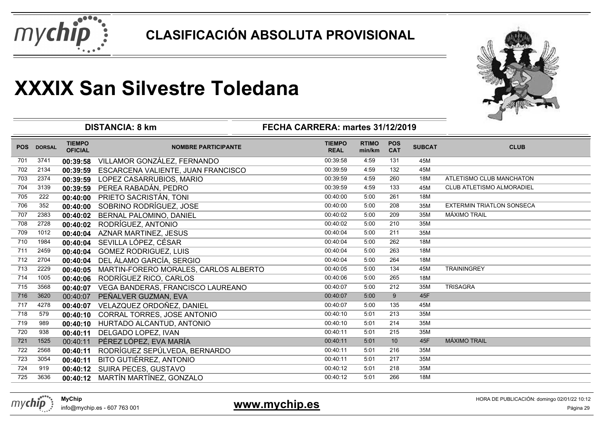



|            |               | <b>DISTANCIA: 8 km</b>          | ⊸                                     |                              |                        |                          |               |                                  |
|------------|---------------|---------------------------------|---------------------------------------|------------------------------|------------------------|--------------------------|---------------|----------------------------------|
| <b>POS</b> | <b>DORSAL</b> | <b>TIEMPO</b><br><b>OFICIAL</b> | <b>NOMBRE PARTICIPANTE</b>            | <b>TIEMPO</b><br><b>REAL</b> | <b>RTIMO</b><br>min/km | <b>POS</b><br><b>CAT</b> | <b>SUBCAT</b> | <b>CLUB</b>                      |
| 701        | 3741          | 00:39:58                        | VILLAMOR GONZÁLEZ, FERNANDO           | 00:39:58                     | 4:59                   | 131                      | 45M           |                                  |
| 702        | 2134          | 00:39:59                        | ESCARCENA VALIENTE, JUAN FRANCISCO    | 00:39:59                     | 4:59                   | 132                      | 45M           |                                  |
| 703        | 2374          | 00:39:59                        | LOPEZ CASARRUBIOS, MARIO              | 00:39:59                     | 4:59                   | 260                      | <b>18M</b>    | ATLETISMO CLUB MANCHATON         |
| 704        | 3139          | 00:39:59                        | PEREA RABADÁN, PEDRO                  | 00:39:59                     | 4:59                   | 133                      | 45M           | CLUB ATLETISMO ALMORADIEL        |
| 705        | 222           | 00:40:00                        | PRIETO SACRISTÁN, TONI                | 00:40:00                     | 5:00                   | 261                      | 18M           |                                  |
| 706        | 352           | 00:40:00                        | SOBRINO RODRÍGUEZ, JOSE               | 00:40:00                     | 5:00                   | 208                      | 35M           | <b>EXTERMIN TRIATLON SONSECA</b> |
| 707        | 2383          | 00:40:02                        | BERNAL PALOMINO, DANIEL               | 00:40:02                     | 5:00                   | 209                      | 35M           | <b>MÁXIMO TRAIL</b>              |
| 708        | 2728          | 00:40:02                        | RODRÍGUEZ, ANTONIO                    | 00:40:02                     | 5:00                   | 210                      | 35M           |                                  |
| 709        | 1012          | 00:40:04                        | <b>AZNAR MARTINEZ, JESUS</b>          | 00:40:04                     | 5:00                   | 211                      | 35M           |                                  |
| 710        | 1984          | 00:40:04                        | SEVILLA LÓPEZ, CÉSAR                  | 00:40:04                     | 5:00                   | 262                      | 18M           |                                  |
| 711        | 2459          | 00:40:04                        | <b>GOMEZ RODRIGUEZ, LUIS</b>          | 00:40:04                     | 5:00                   | 263                      | 18M           |                                  |
| 712        | 2704          | 00:40:04                        | DEL ÁLAMO GARCÍA, SERGIO              | 00:40:04                     | 5:00                   | 264                      | 18M           |                                  |
| 713        | 2229          | 00:40:05                        | MARTIN-FORERO MORALES, CARLOS ALBERTO | 00:40:05                     | 5:00                   | 134                      | 45M           | <b>TRAININGREY</b>               |
| 714        | 1005          | 00:40:06                        | RODRÍGUEZ RICO, CARLOS                | 00:40:06                     | 5:00                   | 265                      | 18M           |                                  |
| 715        | 3568          | 00:40:07                        | VEGA BANDERAS, FRANCISCO LAUREANO     | 00:40:07                     | 5:00                   | 212                      | 35M           | <b>TRISAGRA</b>                  |
| 716        | 3620          | 00:40:07                        | PEÑALVER GUZMAN, EVA                  | 00:40:07                     | 5:00                   | 9                        | 45F           |                                  |
| 717        | 4278          | 00:40:07                        | VELAZQUEZ ORDOÑEZ, DANIEL             | 00:40:07                     | 5:00                   | 135                      | 45M           |                                  |
| 718        | 579           | 00:40:10                        | CORRAL TORRES, JOSE ANTONIO           | 00:40:10                     | 5:01                   | 213                      | 35M           |                                  |
| 719        | 989           | 00:40:10                        | HURTADO ALCANTUD, ANTONIO             | 00:40:10                     | 5:01                   | 214                      | 35M           |                                  |
| 720        | 938           | 00:40:11                        | DELGADO LOPEZ, IVAN                   | 00:40:11                     | 5:01                   | 215                      | 35M           |                                  |
| 721        | 1525          | 00:40:11                        | PÉREZ LÓPEZ, EVA MARÍA                | 00:40:11                     | 5:01                   | 10                       | 45F           | <b>MÁXIMO TRAIL</b>              |
| 722        | 2568          | 00:40:11                        | RODRÍGUEZ SEPÚLVEDA, BERNARDO         | 00:40:11                     | 5:01                   | 216                      | 35M           |                                  |
| 723        | 3054          | 00:40:11                        | BITO GUTIÉRREZ, ANTONIO               | 00:40:11                     | 5:01                   | 217                      | 35M           |                                  |
| 724        | 919           | 00:40:12                        | SUIRA PECES, GUSTAVO                  | 00:40:12                     | 5:01                   | 218                      | 35M           |                                  |
| 725        | 3636          | 00:40:12                        | MARTÍN MARTÍNEZ, GONZALO              | 00:40:12                     | 5:01                   | 266                      | 18M           |                                  |



info@mychip.es - 607 763 001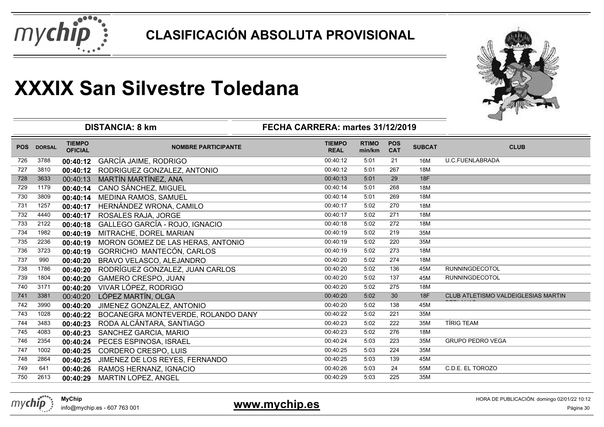



|            |               |                                 | <b>DISTANCIA: 8 km</b>             | FECHA CARRERA: martes 31/12/2019 |                        |                          |               |                                            |  |
|------------|---------------|---------------------------------|------------------------------------|----------------------------------|------------------------|--------------------------|---------------|--------------------------------------------|--|
| <b>POS</b> | <b>DORSAL</b> | <b>TIEMPO</b><br><b>OFICIAL</b> | <b>NOMBRE PARTICIPANTE</b>         | <b>TIEMPO</b><br><b>REAL</b>     | <b>RTIMO</b><br>min/km | <b>POS</b><br><b>CAT</b> | <b>SUBCAT</b> | <b>CLUB</b>                                |  |
| 726        | 3788          | 00:40:12                        | <b>GARCÍA JAIME, RODRIGO</b>       | 00:40:12                         | 5:01                   | 21                       | 16M           | <b>U.C.FUENLABRADA</b>                     |  |
| 727        | 3810          | 00:40:12                        | RODRIGUEZ GONZALEZ, ANTONIO        | 00:40:12                         | 5:01                   | 267                      | 18M           |                                            |  |
| 728        | 3633          | 00:40:13                        | MARTÍN MARTÍNEZ, ANA               | 00:40:13                         | 5:01                   | 29                       | <b>18F</b>    |                                            |  |
| 729        | 1179          | 00:40:14                        | CANO SÁNCHEZ, MIGUEL               | 00:40:14                         | 5:01                   | 268                      | 18M           |                                            |  |
| 730        | 3809          | 00:40:14                        | MEDINA RAMOS, SAMUEL               | 00:40:14                         | 5:01                   | 269                      | 18M           |                                            |  |
| 731        | 1257          | 00:40:17                        | HERNÁNDEZ WRONA, CAMILO            | 00:40:17                         | 5:02                   | 270                      | 18M           |                                            |  |
| 732        | 4440          | 00:40:17                        | ROSALES RAJA, JORGE                | 00:40:17                         | 5:02                   | 271                      | 18M           |                                            |  |
| 733        | 2122          | 00:40:18                        | GALLEGO GARCÍA - ROJO, IGNACIO     | 00:40:18                         | 5:02                   | 272                      | 18M           |                                            |  |
| 734        | 1982          | 00:40:19                        | MITRACHE, DOREL MARIAN             | 00:40:19                         | 5:02                   | 219                      | 35M           |                                            |  |
| 735        | 2236          | 00:40:19                        | MORON GOMEZ DE LAS HERAS, ANTONIO  | 00:40:19                         | 5:02                   | 220                      | 35M           |                                            |  |
| 736        | 3723          | 00:40:19                        | GORRICHO MANTECÓN, CARLOS          | 00:40:19                         | 5:02                   | 273                      | 18M           |                                            |  |
| 737        | 990           | 00:40:20                        | BRAVO VELASCO, ALEJANDRO           | 00:40:20                         | 5:02                   | 274                      | 18M           |                                            |  |
| 738        | 1786          | 00:40:20                        | RODRÍGUEZ GONZALEZ, JUAN CARLOS    | 00:40:20                         | 5:02                   | 136                      | 45M           | <b>RUNNINGDECOTOL</b>                      |  |
| 739        | 1804          | 00:40:20                        | <b>GAMERO CRESPO, JUAN</b>         | 00:40:20                         | 5:02                   | 137                      | 45M           | <b>RUNNINGDECOTOL</b>                      |  |
| 740        | 3171          | 00:40:20                        | VIVAR LÓPEZ, RODRIGO               | 00:40:20                         | 5:02                   | 275                      | 18M           |                                            |  |
| 741        | 3381          | 00:40:20                        | LÓPEZ MARTÍN, OLGA                 | 00:40:20                         | 5:02                   | 30                       | 18F           | <b>CLUB ATLETISMO VALDEIGLESIAS MARTIN</b> |  |
| 742        | 3990          | 00:40:20                        | JIMENEZ GONZALEZ, ANTONIO          | 00:40:20                         | 5:02                   | 138                      | 45M           |                                            |  |
| 743        | 1028          | 00:40:22                        | BOCANEGRA MONTEVERDE, ROLANDO DANY | 00:40:22                         | 5:02                   | 221                      | 35M           |                                            |  |
| 744        | 3483          | 00:40:23                        | RODA ALCÁNTARA, SANTIAGO           | 00:40:23                         | 5:02                   | 222                      | 35M           | <b>TÍRIG TEAM</b>                          |  |
| 745        | 4083          | 00:40:23                        | SANCHEZ GARCIA, MARIO              | 00:40:23                         | 5:02                   | 276                      | 18M           |                                            |  |
| 746        | 2354          | 00:40:24                        | PECES ESPINOSA, ISRAEL             | 00:40:24                         | 5:03                   | 223                      | 35M           | <b>GRUPO PEDRO VEGA</b>                    |  |
| 747        | 1002          | 00:40:25                        | CORDERO CRESPO, LUIS               | 00:40:25                         | 5:03                   | 224                      | 35M           |                                            |  |
| 748        | 2864          | 00:40:25                        | JIMENEZ DE LOS REYES, FERNANDO     | 00:40:25                         | 5:03                   | 139                      | 45M           |                                            |  |
| 749        | 641           | 00:40:26                        | RAMOS HERNANZ, IGNACIO             | 00:40:26                         | 5:03                   | 24                       | 55M           | C.D.E. EL TOROZO                           |  |
| 750        | 2613          | 00:40:29                        | MARTIN LOPEZ, ANGEL                | 00:40:29                         | 5:03                   | 225                      | 35M           |                                            |  |
|            |               |                                 |                                    |                                  |                        |                          |               |                                            |  |

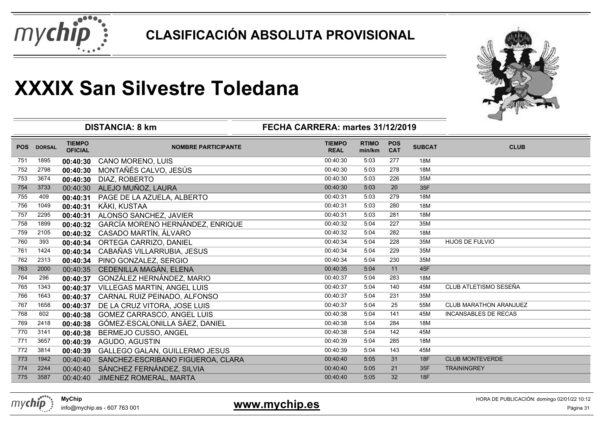



|            |               |                                 | <b>DISTANCIA: 8 km</b>                | FECHA CARRERA: martes 31/12/2019 |                        |                          |               |                               |
|------------|---------------|---------------------------------|---------------------------------------|----------------------------------|------------------------|--------------------------|---------------|-------------------------------|
| <b>POS</b> | <b>DORSAL</b> | <b>TIEMPO</b><br><b>OFICIAL</b> | <b>NOMBRE PARTICIPANTE</b>            | <b>TIEMPO</b><br><b>REAL</b>     | <b>RTIMO</b><br>min/km | <b>POS</b><br><b>CAT</b> | <b>SUBCAT</b> | <b>CLUB</b>                   |
| 751        | 1895          | 00:40:30                        | <b>CANO MORENO, LUIS</b>              | 00:40:30                         | 5:03                   | 277                      | 18M           |                               |
| 752        | 2798          | 00:40:30                        | MONTAÑÉS CALVO, JESÚS                 | 00:40:30                         | 5:03                   | 278                      | 18M           |                               |
| 753        | 3674          | 00:40:30                        | DIAZ, ROBERTO                         | 00:40:30                         | 5:03                   | 226                      | 35M           |                               |
| 754        | 3733          | 00:40:30                        | ALEJO MUÑOZ, LAURA                    | 00:40:30                         | 5:03                   | 20                       | 35F           |                               |
| 755        | 409           | 00:40:31                        | PAGE DE LA AZUELA, ALBERTO            | 00:40:31                         | 5:03                   | 279                      | 18M           |                               |
| 756        | 1049          | 00:40:31                        | KÄKI, KUSTAA                          | 00:40:31                         | 5:03                   | 280                      | 18M           |                               |
| 757        | 2295          | 00:40:31                        | ALONSO SANCHEZ, JAVIER                | 00:40:31                         | 5:03                   | 281                      | 18M           |                               |
| 758        | 1899          | 00:40:32                        | GARCÍA MORENO HERNÁNDEZ, ENRIQUE      | 00:40:32                         | 5:04                   | 227                      | 35M           |                               |
| 759        | 2105          | 00:40:32                        | CASADO MARTÍN, ÁLVARO                 | 00:40:32                         | 5:04                   | 282                      | 18M           |                               |
| 760        | 393           | 00:40:34                        | ORTEGA CARRIZO, DANIEL                | 00:40:34                         | 5:04                   | 228                      | 35M           | <b>HIJOS DE FULVIO</b>        |
| 761        | 1424          | 00:40:34                        | CABAÑAS VILLARRUBIA, JESUS            | 00:40:34                         | 5:04                   | 229                      | 35M           |                               |
| 762        | 2313          | 00:40:34                        | PINO GONZALEZ, SERGIO                 | 00:40:34                         | 5:04                   | 230                      | 35M           |                               |
| 763        | 2000          | 00:40:35                        | CEDENILLA MAGÁN, ELENA                | 00:40:35                         | 5:04                   | 11                       | 45F           |                               |
| 764        | 296           | 00:40:37                        | GONZÁLEZ HERNÁNDEZ, MARIO             | 00:40:37                         | 5:04                   | 283                      | 18M           |                               |
| 765        | 1343          | 00:40:37                        | VILLEGAS MARTIN, ANGEL LUIS           | 00:40:37                         | 5:04                   | 140                      | 45M           | CLUB ATLETISMO SESEÑA         |
| 766        | 1643          | 00:40:37                        | CARNAL RUIZ PEINADO, ALFONSO          | 00:40:37                         | 5:04                   | 231                      | 35M           |                               |
| 767        | 1658          | 00:40:37                        | DE LA CRUZ VITORA, JOSE LUIS          | 00:40:37                         | 5:04                   | 25                       | 55M           | <b>CLUB MARATHON ARANJUEZ</b> |
| 768        | 602           | 00:40:38                        | GOMEZ CARRASCO, ANGEL LUIS            | 00:40:38                         | 5:04                   | 141                      | 45M           | <b>INCANSABLES DE RECAS</b>   |
| 769        | 2418          | 00:40:38                        | GÓMEZ-ESCALONILLA SÁEZ, DANIEL        | 00:40:38                         | 5:04                   | 284                      | 18M           |                               |
| 770        | 3141          | 00:40:38                        | BERMEJO CUSSO, ANGEL                  | 00:40:38                         | 5:04                   | 142                      | 45M           |                               |
| 771        | 3657          | 00:40:39                        | AGUDO, AGUSTIN                        | 00:40:39                         | 5:04                   | 285                      | 18M           |                               |
| 772        | 3814          | 00:40:39                        | <b>GALLEGO GALAN, GUILLERMO JESUS</b> | 00:40:39                         | 5:04                   | 143                      | 45M           |                               |
| 773        | 1942          | 00:40:40                        | SANCHEZ-ESCRIBANO FIGUEROA, CLARA     | 00:40:40                         | 5:05                   | 31                       | 18F           | <b>CLUB MONTEVERDE</b>        |
| 774        | 2244          | 00:40:40                        | SÁNCHEZ FERNÁNDEZ, SILVIA             | 00:40:40                         | 5:05                   | 21                       | 35F           | <b>TRAININGREY</b>            |
| 775        | 3587          | 00:40:40                        | JIMENEZ ROMERAL, MARTA                | 00:40:40                         | 5:05                   | 32                       | 18F           |                               |

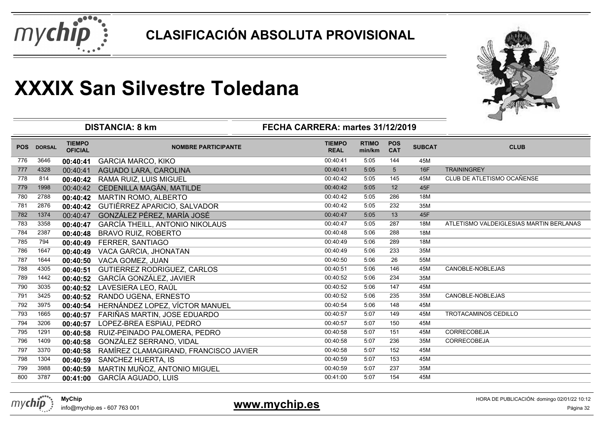



|            |               |                                 | <b>DISTANCIA: 8 km</b>                 | FECHA CARRERA: martes 31/12/2019 |                        |                          |               |                                         |
|------------|---------------|---------------------------------|----------------------------------------|----------------------------------|------------------------|--------------------------|---------------|-----------------------------------------|
| <b>POS</b> | <b>DORSAL</b> | <b>TIEMPO</b><br><b>OFICIAL</b> | <b>NOMBRE PARTICIPANTE</b>             | <b>TIEMPO</b><br><b>REAL</b>     | <b>RTIMO</b><br>min/km | <b>POS</b><br><b>CAT</b> | <b>SUBCAT</b> | <b>CLUB</b>                             |
| 776        | 3646          | 00:40:41                        | <b>GARCIA MARCO, KIKO</b>              | 00:40:41                         | 5:05                   | 144                      | 45M           |                                         |
| 777        | 4328          | 00:40:41                        | AGUADO LARA, CAROLINA                  | 00:40:41                         | 5:05                   | $5\phantom{.0}$          | <b>16F</b>    | <b>TRAININGREY</b>                      |
| 778        | 814           | 00:40:42                        | RAMA RUIZ, LUIS MIGUEL                 | 00:40:42                         | 5:05                   | 145                      | 45M           | CLUB DE ATLETISMO OCAÑENSE              |
| 779        | 1998          | 00:40:42                        | CEDENILLA MAGÁN, MATILDE               | 00:40:42                         | 5:05                   | 12                       | 45F           |                                         |
| 780        | 2788          | 00:40:42                        | MARTIN ROMO, ALBERTO                   | 00:40:42                         | 5:05                   | 286                      | 18M           |                                         |
| 781        | 2876          | 00:40:42                        | GUTIÉRREZ APARICIO, SALVADOR           | 00:40:42                         | 5:05                   | 232                      | 35M           |                                         |
| 782        | 1374          | 00:40:47                        | GONZÁLEZ PÉREZ, MARÍA JOSÉ             | 00:40:47                         | 5:05                   | 13                       | 45F           |                                         |
| 783        | 3358          | 00:40:47                        | <b>GARCÍA THEILL, ANTONIO NIKOLAUS</b> | 00:40:47                         | 5:05                   | 287                      | 18M           | ATLETISMO VALDEIGLESIAS MARTIN BERLANAS |
| 784        | 2387          | 00:40:48                        | <b>BRAVO RUIZ, ROBERTO</b>             | 00:40:48                         | 5:06                   | 288                      | 18M           |                                         |
| 785        | 794           | 00:40:49                        | FERRER, SANTIAGO                       | 00:40:49                         | 5:06                   | 289                      | 18M           |                                         |
| 786        | 1647          | 00:40:49                        | VACA GARCIA, JHONATAN                  | 00:40:49                         | 5:06                   | 233                      | 35M           |                                         |
| 787        | 1644          | 00:40:50                        | VACA GOMEZ, JUAN                       | 00:40:50                         | 5:06                   | 26                       | 55M           |                                         |
| 788        | 4305          | 00:40:51                        | GUTIERREZ RODRIGUEZ, CARLOS            | 00:40:51                         | 5:06                   | 146                      | 45M           | CANOBLE-NOBLEJAS                        |
| 789        | 1442          | 00:40:52                        | GARCÍA GONZÁLEZ, JAVIER                | 00:40:52                         | 5:06                   | 234                      | 35M           |                                         |
| 790        | 3035          | 00:40:52                        | LAVESIERA LEO, RAÚL                    | 00:40:52                         | 5:06                   | 147                      | 45M           |                                         |
| 791        | 3425          | 00:40:52                        | RANDO UGENA, ERNESTO                   | 00:40:52                         | 5:06                   | 235                      | 35M           | CANOBLE-NOBLEJAS                        |
| 792        | 3975          | 00:40:54                        | HERNÁNDEZ LOPEZ, VÍCTOR MANUEL         | 00:40:54                         | 5:06                   | 148                      | 45M           |                                         |
| 793        | 1665          | 00:40:57                        | FARIÑAS MARTIN, JOSE EDUARDO           | 00:40:57                         | 5:07                   | 149                      | 45M           | TROTACAMINOS CEDILLO                    |
| 794        | 3206          | 00:40:57                        | LOPEZ-BREA ESPIAU, PEDRO               | 00:40:57                         | 5:07                   | 150                      | 45M           |                                         |
| 795        | 1291          | 00:40:58                        | RUIZ-PEINADO PALOMERA, PEDRO           | 00:40:58                         | 5:07                   | 151                      | 45M           | <b>CORRECOBEJA</b>                      |
| 796        | 1409          | 00:40:58                        | GONZÁLEZ SERRANO, VIDAL                | 00:40:58                         | 5:07                   | 236                      | 35M           | CORRECOBEJA                             |
| 797        | 3370          | 00:40:58                        | RAMÍREZ CLAMAGIRAND, FRANCISCO JAVIER  | 00:40:58                         | 5:07                   | 152                      | 45M           |                                         |
| 798        | 1304          | 00:40:59                        | SANCHEZ HUERTA, IS                     | 00:40:59                         | 5:07                   | 153                      | 45M           |                                         |
| 799        | 3988          | 00:40:59                        | MARTIN MUÑOZ, ANTONIO MIGUEL           | 00:40:59                         | 5:07                   | 237                      | 35M           |                                         |
| 800        | 3787          | 00:41:00                        | <b>GARCÍA AGUADO, LUIS</b>             | 00:41:00                         | 5:07                   | 154                      | 45M           |                                         |
|            |               |                                 |                                        |                                  |                        |                          |               |                                         |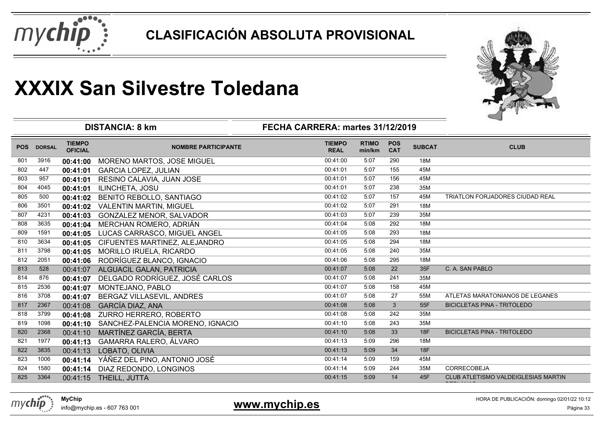



|            |               |                                 | <b>DISTANCIA: 8 km</b>           | FECHA CARRERA: martes 31/12/2019 |                        |                          |               |                                        |
|------------|---------------|---------------------------------|----------------------------------|----------------------------------|------------------------|--------------------------|---------------|----------------------------------------|
| <b>POS</b> | <b>DORSAL</b> | <b>TIEMPO</b><br><b>OFICIAL</b> | <b>NOMBRE PARTICIPANTE</b>       | <b>TIEMPO</b><br><b>REAL</b>     | <b>RTIMO</b><br>min/km | <b>POS</b><br><b>CAT</b> | <b>SUBCAT</b> | <b>CLUB</b>                            |
| 801        | 3916          | 00:41:00                        | MORENO MARTOS, JOSE MIGUEL       | 00:41:00                         | 5:07                   | 290                      | 18M           |                                        |
| 802        | 447           | 00:41:01                        | <b>GARCIA LOPEZ, JULIAN</b>      | 00:41:01                         | 5:07                   | 155                      | 45M           |                                        |
| 803        | 957           | 00:41:01                        | RESINO CALAVIA, JUAN JOSE        | 00:41:01                         | 5:07                   | 156                      | 45M           |                                        |
| 804        | 4045          | 00:41:01                        | ILINCHETA, JOSU                  | 00:41:01                         | 5:07                   | 238                      | 35M           |                                        |
| 805        | 500           | 00:41:02                        | <b>BENITO REBOLLO, SANTIAGO</b>  | 00:41:02                         | 5:07                   | 157                      | 45M           | <b>TRIATLON FORJADORES CIUDAD REAL</b> |
| 806        | 3501          | 00:41:02                        | <b>VALENTIN MARTIN, MIGUEL</b>   | 00:41:02                         | 5:07                   | 291                      | 18M           |                                        |
| 807        | 4231          | 00:41:03                        | <b>GONZALEZ MENOR, SALVADOR</b>  | 00:41:03                         | 5:07                   | 239                      | 35M           |                                        |
| 808        | 3635          | 00:41:04                        | MERCHAN ROMERO, ADRIÁN           | 00:41:04                         | 5:08                   | 292                      | 18M           |                                        |
| 809        | 1591          | 00:41:05                        | LUCAS CARRASCO, MIGUEL ANGEL     | 00:41:05                         | 5:08                   | 293                      | 18M           |                                        |
| 810        | 3634          | 00:41:05                        | CIFUENTES MARTINEZ, ALEJANDRO    | 00:41:05                         | 5:08                   | 294                      | 18M           |                                        |
| 811        | 3798          | 00:41:05                        | MORILLO IRUELA, RICARDO          | 00:41:05                         | 5:08                   | 240                      | 35M           |                                        |
| 812        | 2051          | 00:41:06                        | RODRÍGUEZ BLANCO, IGNACIO        | 00:41:06                         | 5:08                   | 295                      | 18M           |                                        |
| 813        | 528           | 00:41:07                        | ALGUACIL GALAN, PATRICIA         | 00:41:07                         | 5:08                   | 22                       | 35F           | C. A. SAN PABLO                        |
| 814        | 876           | 00:41:07                        | DELGADO RODRÍGUEZ, JOSÉ CARLOS   | 00:41:07                         | 5:08                   | 241                      | 35M           |                                        |
| 815        | 2536          | 00:41:07                        | MONTEJANO, PABLO                 | 00:41:07                         | 5:08                   | 158                      | 45M           |                                        |
| 816        | 3708          | 00:41:07                        | BERGAZ VILLASEVIL, ANDRES        | 00:41:07                         | 5:08                   | 27                       | 55M           | ATLETAS MARATONIANOS DE LEGANES        |
| 817        | 2367          | 00:41:08                        | <b>GARCÍA DIAZ, ANA</b>          | 00:41:08                         | 5:08                   | 3                        | 55F           | <b>BICICLETAS PINA - TRITOLEDO</b>     |
| 818        | 3799          | 00:41:08                        | ZURRO HERRERO, ROBERTO           | 00:41:08                         | 5:08                   | 242                      | 35M           |                                        |
| 819        | 1098          | 00:41:10                        | SANCHEZ-PALENCIA MORENO, IGNACIO | 00:41:10                         | 5:08                   | 243                      | 35M           |                                        |
| 820        | 2368          | 00:41:10                        | MARTÍNEZ GARCÍA, BERTA           | 00:41:10                         | 5:08                   | 33                       | 18F           | <b>BICICLETAS PINA - TRITOLEDO</b>     |
| 821        | 1977          | 00:41:13                        | GAMARRA RALERO, ÁLVARO           | 00:41:13                         | 5:09                   | 296                      | 18M           |                                        |
| 822        | 3835          | 00:41:13                        | LOBATO, OLIVIA                   | 00:41:13                         | 5:09                   | 34                       | 18F           |                                        |
| 823        | 1006          | 00:41:14                        | YÁÑEZ DEL PINO, ANTONIO JOSÉ     | 00:41:14                         | 5:09                   | 159                      | 45M           |                                        |
| 824        | 1580          | 00:41:14                        | DIAZ REDONDO, LONGINOS           | 00:41:14                         | 5:09                   | 244                      | 35M           | <b>CORRECOBEJA</b>                     |
| 825        | 3364          | 00:41:15                        | THEILL, JUTTA                    | 00:41:15                         | 5:09                   | 14                       | 45F           | CLUB ATLETISMO VALDEIGLESIAS MARTIN    |

**www.mychip.es** 

HORA DE PUBLICACIÓN: domingo 02/01/22 10:12

**BERLANAS**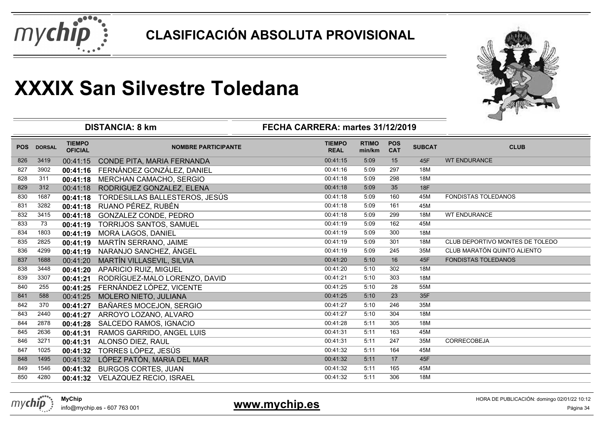



|            |               |                                 |                                |                                  |                        |                          |               | 一                               |
|------------|---------------|---------------------------------|--------------------------------|----------------------------------|------------------------|--------------------------|---------------|---------------------------------|
|            |               |                                 | <b>DISTANCIA: 8 km</b>         | FECHA CARRERA: martes 31/12/2019 |                        |                          |               |                                 |
| <b>POS</b> | <b>DORSAL</b> | <b>TIEMPO</b><br><b>OFICIAL</b> | <b>NOMBRE PARTICIPANTE</b>     | <b>TIEMPO</b><br><b>REAL</b>     | <b>RTIMO</b><br>min/km | <b>POS</b><br><b>CAT</b> | <b>SUBCAT</b> | <b>CLUB</b>                     |
| 826        | 3419          | 00:41:15                        | CONDE PITA, MARIA FERNANDA     | 00:41:15                         | 5:09                   | 15                       | 45F           | <b>WT ENDURANCE</b>             |
| 827        | 3902          | 00:41:16                        | FERNÁNDEZ GONZÁLEZ, DANIEL     | 00:41:16                         | 5:09                   | 297                      | 18M           |                                 |
| 828        | 311           | 00:41:18                        | MERCHAN CAMACHO, SERGIO        | 00:41:18                         | 5:09                   | 298                      | 18M           |                                 |
| 829        | 312           | 00:41:18                        | RODRIGUEZ GONZALEZ, ELENA      | 00:41:18                         | 5:09                   | 35                       | <b>18F</b>    |                                 |
| 830        | 1687          | 00:41:18                        | TORDESILLAS BALLESTEROS, JESÚS | 00:41:18                         | 5:09                   | 160                      | 45M           | <b>FONDISTAS TOLEDANOS</b>      |
| 831        | 3282          | 00:41:18                        | RUANO PÉREZ, RUBÉN             | 00:41:18                         | 5:09                   | 161                      | 45M           |                                 |
| 832        | 3415          | 00:41:18                        | GONZALEZ CONDE, PEDRO          | 00:41:18                         | 5:09                   | 299                      | 18M           | <b>WT ENDURANCE</b>             |
| 833        | 73            | 00:41:19                        | TORRIJOS SANTOS, SAMUEL        | 00:41:19                         | 5:09                   | 162                      | 45M           |                                 |
| 834        | 1803          | 00:41:19                        | MORA LAGOS, DANIEL             | 00:41:19                         | 5:09                   | 300                      | 18M           |                                 |
| 835        | 2825          | 00:41:19                        | MARTÍN SERRANO, JAIME          | 00:41:19                         | 5:09                   | 301                      | 18M           | CLUB DEPORTIVO MONTES DE TOLEDO |
| 836        | 4299          | 00:41:19                        | NARANJO SANCHEZ, ÁNGEL         | 00:41:19                         | 5:09                   | 245                      | 35M           | CLUB MARATÓN QUINTO ALIENTO     |
| 837        | 1688          | 00:41:20                        | MARTÍN VILLASEVIL, SILVIA      | 00:41:20                         | 5:10                   | 16                       | 45F           | FONDISTAS TOLEDANOS             |
| 838        | 3448          | 00:41:20                        | APARICIO RUIZ, MIGUEL          | 00:41:20                         | 5:10                   | 302                      | 18M           |                                 |
| 839        | 3307          | 00:41:21                        | RODRÍGUEZ-MALO LORENZO, DAVID  | 00:41:21                         | 5:10                   | 303                      | 18M           |                                 |
| 840        | 255           | 00:41:25                        | FERNÁNDEZ LÓPEZ, VICENTE       | 00:41:25                         | 5:10                   | 28                       | 55M           |                                 |
| 841        | 588           | 00:41:25                        | MOLERO NIETO, JULIANA          | 00:41:25                         | 5:10                   | 23                       | 35F           |                                 |
| 842        | 370           | 00:41:27                        | BAÑARES MOCEJON, SERGIO        | 00:41:27                         | 5:10                   | 246                      | 35M           |                                 |
| 843        | 2440          | 00:41:27                        | ARROYO LOZANO, ALVARO          | 00:41:27                         | 5:10                   | 304                      | 18M           |                                 |
| 844        | 2878          | 00:41:28                        | SALCEDO RAMOS, IGNACIO         | 00:41:28                         | 5:11                   | 305                      | 18M           |                                 |
| 845        | 2636          | 00:41:31                        | RAMOS GARRIDO, ANGEL LUIS      | 00:41:31                         | 5:11                   | 163                      | 45M           |                                 |
| 846        | 3271          | 00:41:31                        | ALONSO DIEZ, RAUL              | 00:41:31                         | 5:11                   | 247                      | 35M           | <b>CORRECOBEJA</b>              |
| 847        | 1025          | 00:41:32                        | TORRES LÓPEZ, JESÚS            | 00:41:32                         | 5:11                   | 164                      | 45M           |                                 |
| 848        | 1495          | 00:41:32                        | LÓPEZ PATÓN, MARIA DEL MAR     | 00:41:32                         | 5:11                   | 17                       | 45F           |                                 |
| 849        | 1546          | 00:41:32                        | <b>BURGOS CORTES, JUAN</b>     | 00:41:32                         | 5:11                   | 165                      | 45M           |                                 |
| 850        | 4280          | 00:41:32                        | VELAZQUEZ RECIO, ISRAEL        | 00:41:32                         | 5:11                   | 306                      | 18M           |                                 |
|            |               |                                 |                                |                                  |                        |                          |               |                                 |



info@mychip.es - 607 763 001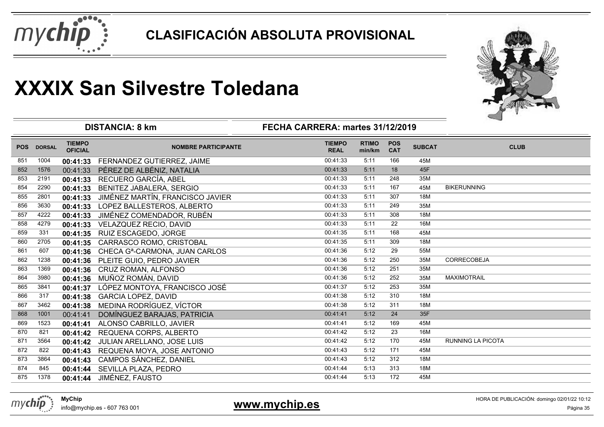



| <b>TIEMPO</b><br><b>TIEMPO</b><br><b>RTIMO</b><br><b>POS</b><br><b>SUBCAT</b><br><b>POS</b><br><b>DORSAL</b><br><b>NOMBRE PARTICIPANTE</b><br><b>OFICIAL</b><br><b>REAL</b><br>min/km<br><b>CAT</b> | <b>CLUB</b> |
|-----------------------------------------------------------------------------------------------------------------------------------------------------------------------------------------------------|-------------|
| 00:41:33<br>45M<br>1004<br>FERNANDEZ GUTIERREZ, JAIME<br>5:11<br>166<br>851<br>00:41:33                                                                                                             |             |
| 18<br>45F<br>PÉREZ DE ALBÉNIZ, NATALIA<br>00:41:33<br>5:11<br>852<br>1576<br>00:41:33                                                                                                               |             |
| RECUERO GARCÍA, ABEL<br>00:41:33<br>5:11<br>248<br>35M<br>853<br>2191<br>00:41:33                                                                                                                   |             |
| 167<br>45M<br><b>BIKERUNNING</b><br>00:41:33<br>5:11<br>854<br>2290<br>BENITEZ JABALERA, SERGIO<br>00:41:33                                                                                         |             |
| 00:41:33<br>JIMÉNEZ MARTÍN, FRANCISCO JAVIER<br>5:11<br>307<br>855<br>2801<br>00:41:33<br>18M                                                                                                       |             |
| 00:41:33<br>5:11<br>249<br>856<br>3630<br>LOPEZ BALLESTEROS, ALBERTO<br>35M<br>00:41:33                                                                                                             |             |
| 00:41:33<br>857<br>JIMÉNEZ COMENDADOR, RUBÉN<br>5:11<br>308<br>18M<br>4222<br>00:41:33                                                                                                              |             |
| 00:41:33<br>5:11<br>22<br>858<br>4279<br>16M<br>VELAZQUEZ RECIO, DAVID<br>00:41:33                                                                                                                  |             |
| 00:41:35<br>5:11<br>168<br>45M<br>859<br>331<br>RUIZ ESCAGEDO, JORGE<br>00:41:35                                                                                                                    |             |
| 5:11<br>2705<br>00:41:35<br>309<br>860<br>CARRASCO ROMO, CRISTOBAL<br>18M<br>00:41:35                                                                                                               |             |
| 00:41:36<br>29<br>55M<br>861<br>5:12<br>607<br>CHECA G <sup>a</sup> -CARMONA, JUAN CARLOS<br>00:41:36                                                                                               |             |
| CORRECOBEJA<br>00:41:36<br>5:12<br>862<br>1238<br>250<br>35M<br>00:41:36<br>PLEITE GUIO, PEDRO JAVIER                                                                                               |             |
| 00:41:36<br>5:12<br>251<br>35M<br>863<br>1369<br>CRUZ ROMAN, ALFONSO<br>00:41:36                                                                                                                    |             |
| MUÑOZ ROMÁN, DAVID<br>00:41:36<br>5:12<br>252<br>35M<br><b>MAXIMOTRAIL</b><br>864<br>3980<br>00:41:36                                                                                               |             |
| 00:41:37<br>5:12<br>253<br>35M<br>LÓPEZ MONTOYA, FRANCISCO JOSÉ<br>865<br>3841<br>00:41:37                                                                                                          |             |
| 00:41:38<br>5:12<br>310<br>18M<br>866<br>317<br>00:41:38<br><b>GARCIA LOPEZ, DAVID</b>                                                                                                              |             |
| MEDINA RODRÍGUEZ, VÍCTOR<br>00:41:38<br>5:12<br>311<br>18M<br>867<br>3462<br>00:41:38                                                                                                               |             |
| 00:41:41<br>5:12<br>24<br>35F<br>1001<br>DOMÍNGUEZ BARAJAS, PATRICIA<br>868<br>00:41:41                                                                                                             |             |
| 00:41:41<br>5:12<br>169<br>869<br>1523<br>45M<br>00:41:41<br>ALONSO CABRILLO, JAVIER                                                                                                                |             |
| 00:41:42<br>23<br>5:12<br>16M<br>870<br>821<br>REQUENA CORPS, ALBERTO<br>00:41:42                                                                                                                   |             |
| 00:41:42<br>5:12<br>871<br>3564<br>170<br>45M<br><b>RUNNING LA PICOTA</b><br>JULIAN ARELLANO, JOSE LUIS<br>00:41:42                                                                                 |             |
| 00:41:43<br>5:12<br>171<br>45M<br>872<br>822<br>REQUENA MOYA, JOSE ANTONIO<br>00:41:43                                                                                                              |             |
| 00:41:43<br>5:12<br>312<br>873<br>3864<br>CAMPOS SÁNCHEZ, DANIEL<br>18M<br>00:41:43                                                                                                                 |             |
| 00:41:44<br>313<br>18M<br>874<br>845<br>SEVILLA PLAZA, PEDRO<br>5:13<br>00:41:44                                                                                                                    |             |
| 1378<br>JIMÉNEZ, FAUSTO<br>00:41:44<br>5:13<br>172<br>45M<br>875<br>00:41:44                                                                                                                        |             |

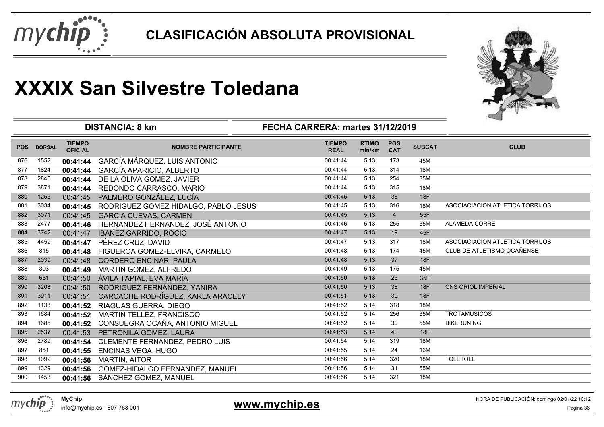



|            |               |                                 | <b>DISTANCIA: 8 km</b>               | FECHA CARRERA: martes 31/12/2019 |                        |                          |               |                                 |
|------------|---------------|---------------------------------|--------------------------------------|----------------------------------|------------------------|--------------------------|---------------|---------------------------------|
| <b>POS</b> | <b>DORSAL</b> | <b>TIEMPO</b><br><b>OFICIAL</b> | <b>NOMBRE PARTICIPANTE</b>           | <b>TIEMPO</b><br><b>REAL</b>     | <b>RTIMO</b><br>min/km | <b>POS</b><br><b>CAT</b> | <b>SUBCAT</b> | <b>CLUB</b>                     |
| 876        | 1552          | 00:41:44                        | GARCÍA MÁRQUEZ, LUIS ANTONIO         | 00:41:44                         | 5:13                   | 173                      | 45M           |                                 |
| 877        | 1824          | 00:41:44                        | GARCÍA APARICIO, ALBERTO             | 00:41:44                         | 5:13                   | 314                      | 18M           |                                 |
| 878        | 2845          | 00:41:44                        | DE LA OLIVA GOMEZ, JAVIER            | 00:41:44                         | 5:13                   | 254                      | 35M           |                                 |
| 879        | 3871          | 00:41:44                        | REDONDO CARRASCO, MARIO              | 00:41:44                         | 5:13                   | 315                      | 18M           |                                 |
| 880        | 1255          | 00:41:45                        | PALMERO GONZÁLEZ, LUCÍA              | 00:41:45                         | 5:13                   | 36                       | 18F           |                                 |
| 881        | 3034          | 00:41:45                        | RODRIGUEZ GOMEZ HIDALGO, PABLO JESUS | 00:41:45                         | 5:13                   | 316                      | 18M           | ASOCIACIACION ATLETICA TORRIJOS |
| 882        | 3071          | 00:41:45                        | <b>GARCIA CUEVAS, CARMEN</b>         | 00:41:45                         | 5:13                   | $\overline{4}$           | 55F           |                                 |
| 883        | 2477          | 00:41:46                        | HERNANDEZ HERNANDEZ, JOSÉ ANTONIO    | 00:41:46                         | 5:13                   | 255                      | 35M           | ALAMEDA CORRE                   |
| 884        | 3742          | 00:41:47                        | IBAÑEZ GARRIDO, ROCIO                | 00:41:47                         | 5:13                   | 19                       | 45F           |                                 |
| 885        | 4459          | 00:41:47                        | PÉREZ CRUZ, DAVID                    | 00:41:47                         | 5:13                   | 317                      | 18M           | ASOCIACIACION ATLETICA TORRIJOS |
| 886        | 815           | 00:41:48                        | FIGUEROA GOMEZ-ELVIRA, CARMELO       | 00:41:48                         | 5:13                   | 174                      | 45M           | CLUB DE ATLETISMO OCAÑENSE      |
| 887        | 2039          | 00:41:48                        | <b>CORDERO ENCINAR, PAULA</b>        | 00:41:48                         | 5:13                   | 37                       | 18F           |                                 |
| 888        | 303           | 00:41:49                        | MARTIN GOMEZ, ALFREDO                | 00:41:49                         | 5:13                   | 175                      | 45M           |                                 |
| 889        | 631           | 00:41:50                        | ÁVILA TAPIAL, EVA MARÍA              | 00:41:50                         | 5:13                   | 25                       | 35F           |                                 |
| 890        | 3208          | 00:41:50                        | RODRÍGUEZ FERNÁNDEZ, YANIRA          | 00:41:50                         | 5:13                   | 38                       | 18F           | <b>CNS ORIOL IMPERIAL</b>       |
| 891        | 3911          | 00:41:51                        | CARCACHE RODRÍGUEZ, KARLA ARACELY    | 00:41:51                         | 5:13                   | 39                       | 18F           |                                 |
| 892        | 1133          | 00:41:52                        | RIAGUAS GUERRA, DIEGO                | 00:41:52                         | 5:14                   | 318                      | 18M           |                                 |
| 893        | 1684          | 00:41:52                        | <b>MARTIN TELLEZ, FRANCISCO</b>      | 00:41:52                         | 5:14                   | 256                      | 35M           | <b>TROTAMUSICOS</b>             |
| 894        | 1685          | 00:41:52                        | CONSUEGRA OCAÑA, ANTONIO MIGUEL      | 00:41:52                         | 5:14                   | 30                       | 55M           | <b>BIKERUNING</b>               |
| 895        | 2537          | 00:41:53                        | PETRONILA GOMEZ, LAURA               | 00:41:53                         | 5:14                   | 40                       | <b>18F</b>    |                                 |
| 896        | 2789          | 00:41:54                        | CLEMENTE FERNANDEZ, PEDRO LUIS       | 00:41:54                         | 5:14                   | 319                      | 18M           |                                 |
| 897        | 851           | 00:41:55                        | <b>ENCINAS VEGA, HUGO</b>            | 00:41:55                         | 5:14                   | 24                       | 16M           |                                 |
| 898        | 1092          | 00:41:56                        | <b>MARTIN, AITOR</b>                 | 00:41:56                         | 5:14                   | 320                      | 18M           | <b>TOLETOLE</b>                 |
| 899        | 1329          | 00:41:56                        | GOMEZ-HIDALGO FERNANDEZ, MANUEL      | 00:41:56                         | 5:14                   | 31                       | 55M           |                                 |
| 900        | 1453          | 00:41:56                        | SÁNCHEZ GÓMEZ, MANUEL                | 00:41:56                         | 5:14                   | 321                      | 18M           |                                 |
|            |               |                                 |                                      |                                  |                        |                          |               |                                 |

**MyChip**info@mychip.es - 607 763 001

mychip

**www.mychip.es**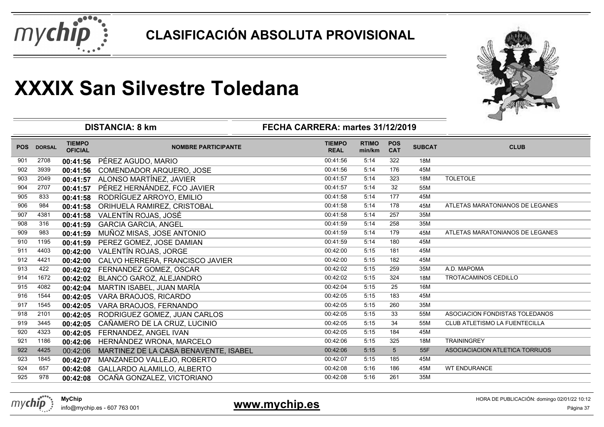



|            |               |                                 | <b>DISTANCIA: 8 km</b>                | FECHA CARRERA: martes 31/12/2019 |                        |                          |               | ⊸                               |
|------------|---------------|---------------------------------|---------------------------------------|----------------------------------|------------------------|--------------------------|---------------|---------------------------------|
| <b>POS</b> | <b>DORSAL</b> | <b>TIEMPO</b><br><b>OFICIAL</b> | <b>NOMBRE PARTICIPANTE</b>            | <b>TIEMPO</b><br><b>REAL</b>     | <b>RTIMO</b><br>min/km | <b>POS</b><br><b>CAT</b> | <b>SUBCAT</b> | <b>CLUB</b>                     |
| 901        | 2708          | 00:41:56                        | PÉREZ AGUDO, MARIO                    | 00:41:56                         | 5:14                   | 322                      | 18M           |                                 |
| 902        | 3939          | 00:41:56                        | COMENDADOR ARQUERO, JOSE              | 00:41:56                         | 5:14                   | 176                      | 45M           |                                 |
| 903        | 2049          | 00:41:57                        | ALONSO MARTÍNEZ, JAVIER               | 00:41:57                         | 5:14                   | 323                      | 18M           | <b>TOLETOLE</b>                 |
| 904        | 2707          | 00:41:57                        | PÉREZ HERNÁNDEZ, FCO JAVIER           | 00:41:57                         | 5:14                   | 32                       | 55M           |                                 |
| 905        | 833           | 00:41:58                        | RODRÍGUEZ ARROYO, EMILIO              | 00:41:58                         | 5:14                   | 177                      | 45M           |                                 |
| 906        | 984           | 00:41:58                        | ORIHUELA RAMIREZ, CRISTOBAL           | 00:41:58                         | 5:14                   | 178                      | 45M           | ATLETAS MARATONIANOS DE LEGANES |
| 907        | 4381          | 00:41:58                        | VALENTÍN ROJAS, JOSÉ                  | 00:41:58                         | 5:14                   | 257                      | 35M           |                                 |
| 908        | 316           | 00:41:59                        | <b>GARCIA GARCIA, ANGEL</b>           | 00:41:59                         | 5:14                   | 258                      | 35M           |                                 |
| 909        | 983           | 00:41:59                        | MUÑOZ MISAS, JOSE ANTONIO             | 00:41:59                         | 5:14                   | 179                      | 45M           | ATLETAS MARATONIANOS DE LEGANES |
| 910        | 1195          | 00:41:59                        | PEREZ GOMEZ, JOSE DAMIAN              | 00:41:59                         | 5:14                   | 180                      | 45M           |                                 |
| 911        | 4403          | 00:42:00                        | VALENTÍN ROJAS, JORGE                 | 00:42:00                         | 5:15                   | 181                      | 45M           |                                 |
| 912        | 4421          | 00:42:00                        | CALVO HERRERA, FRANCISCO JAVIER       | 00:42:00                         | 5:15                   | 182                      | 45M           |                                 |
| 913        | 422           | 00:42:02                        | FERNANDEZ GOMEZ, OSCAR                | 00:42:02                         | 5:15                   | 259                      | 35M           | A.D. MAPOMA                     |
| 914        | 1672          | 00:42:02                        | BLANCO GAROZ, ALEJANDRO               | 00:42:02                         | 5:15                   | 324                      | <b>18M</b>    | TROTACAMINOS CEDILLO            |
| 915        | 4082          | 00:42:04                        | MARTIN ISABEL, JUAN MARÍA             | 00:42:04                         | 5:15                   | 25                       | 16M           |                                 |
| 916        | 1544          | 00:42:05                        | VARA BRAOJOS, RICARDO                 | 00:42:05                         | 5:15                   | 183                      | 45M           |                                 |
| 917        | 1545          | 00:42:05                        | VARA BRAOJOS, FERNANDO                | 00:42:05                         | 5:15                   | 260                      | 35M           |                                 |
| 918        | 2101          | 00:42:05                        | RODRIGUEZ GOMEZ, JUAN CARLOS          | 00:42:05                         | 5:15                   | 33                       | 55M           | ASOCIACION FONDISTAS TOLEDANOS  |
| 919        | 3445          | 00:42:05                        | CAÑAMERO DE LA CRUZ, LUCINIO          | 00:42:05                         | 5:15                   | 34                       | 55M           | CLUB ATLETISMO LA FUENTECILLA   |
| 920        | 4323          | 00:42:05                        | FERNANDEZ, ANGEL IVAN                 | 00:42:05                         | 5:15                   | 184                      | 45M           |                                 |
| 921        | 1186          | 00:42:06                        | HERNÁNDEZ WRONA, MARCELO              | 00:42:06                         | 5:15                   | 325                      | 18M           | <b>TRAININGREY</b>              |
| 922        | 4425          | 00:42:06                        | MARTINEZ DE LA CASA BENAVENTE, ISABEL | 00:42:06                         | 5:15                   | 5                        | 55F           | ASOCIACIACION ATLETICA TORRIJOS |
| 923        | 1845          | 00:42:07                        | MANZANEDO VALLEJO, ROBERTO            | 00:42:07                         | 5:15                   | 185                      | 45M           |                                 |
| 924        | 657           | 00:42:08                        | <b>GALLARDO ALAMILLO, ALBERTO</b>     | 00:42:08                         | 5:16                   | 186                      | 45M           | <b>WT ENDURANCE</b>             |
| 925        | 978           | 00:42:08                        | OCAÑA GONZALEZ, VICTORIANO            | 00:42:08                         | 5:16                   | 261                      | 35M           |                                 |



### **www.mychip.es**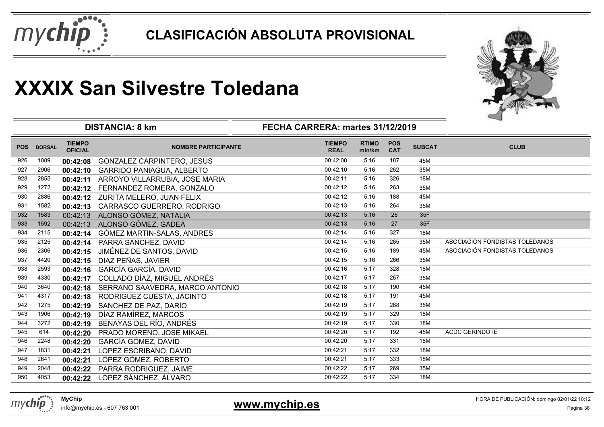



|            |               |                                 | <b>DISTANCIA: 8 km</b>             | FECHA CARRERA: martes 31/12/2019 |                        | ⊸                        |               |                                |
|------------|---------------|---------------------------------|------------------------------------|----------------------------------|------------------------|--------------------------|---------------|--------------------------------|
| <b>POS</b> | <b>DORSAL</b> | <b>TIEMPO</b><br><b>OFICIAL</b> | <b>NOMBRE PARTICIPANTE</b>         | <b>TIEMPO</b><br><b>REAL</b>     | <b>RTIMO</b><br>min/km | <b>POS</b><br><b>CAT</b> | <b>SUBCAT</b> | <b>CLUB</b>                    |
| 926        | 1089          | 00:42:08                        | <b>GONZALEZ CARPINTERO, JESUS</b>  | 00:42:08                         | 5:16                   | 187                      | 45M           |                                |
| 927        | 2906          | 00:42:10                        | <b>GARRIDO PANIAGUA, ALBERTO</b>   | 00:42:10                         | 5:16                   | 262                      | 35M           |                                |
| 928        | 2855          | 00:42:11                        | ARROYO VILLARRUBIA, JOSE MARIA     | 00:42:11                         | 5:16                   | 326                      | 18M           |                                |
| 929        | 1272          | 00:42:12                        | FERNANDEZ ROMERA, GONZALO          | 00:42:12                         | 5:16                   | 263                      | 35M           |                                |
| 930        | 2886          |                                 | 00:42:12 ZURITA MELERO, JUAN FELIX | 00:42:12                         | 5:16                   | 188                      | 45M           |                                |
| 931        | 1582          | 00:42:13                        | CARRASCO GUERRERO, RODRIGO         | 00:42:13                         | 5:16                   | 264                      | 35M           |                                |
| 932        | 1583          | 00:42:13                        | ALONSO GÓMEZ, NATALIA              | 00:42:13                         | 5:16                   | 26                       | 35F           |                                |
| 933        | 1592          | 00:42:13                        | ALONSO GÓMEZ, GADEA                | 00:42:13                         | 5:16                   | 27                       | 35F           |                                |
| 934        | 2115          | 00:42:14                        | GÓMEZ MARTIN-SALAS, ANDRES         | 00:42:14                         | 5:16                   | 327                      | 18M           |                                |
| 935        | 2125          | 00:42:14                        | PARRA SANCHEZ, DAVID               | 00:42:14                         | 5:16                   | 265                      | 35M           | ASOCIACION FONDISTAS TOLEDANOS |
| 936        | 2306          | 00:42:15                        | JIMÉNEZ DE SANTOS, DAVID           | 00:42:15                         | 5:16                   | 189                      | 45M           | ASOCIACIÓN FONDISTAS TOLEDANOS |
| 937        | 4420          | 00:42:15                        | DIAZ PEÑAS, JAVIER                 | 00:42:15                         | 5:16                   | 266                      | 35M           |                                |
| 938        | 2593          | 00:42:16                        | <b>GARCÍA GARCÍA, DAVID</b>        | 00:42:16                         | 5:17                   | 328                      | 18M           |                                |
| 939        | 4330          | 00:42:17                        | COLLADO DÍAZ, MIGUEL ANDRÉS        | 00:42:17                         | 5:17                   | 267                      | 35M           |                                |
| 940        | 3640          | 00:42:18                        | SERRANO SAAVEDRA, MARCO ANTONIO    | 00:42:18                         | 5:17                   | 190                      | 45M           |                                |
| 941        | 4317          | 00:42:18                        | RODRIGUEZ CUESTA, JACINTO          | 00:42:18                         | 5:17                   | 191                      | 45M           |                                |
| 942        | 1275          | 00:42:19                        | SANCHEZ DE PAZ, DARÍO              | 00:42:19                         | 5:17                   | 268                      | 35M           |                                |
| 943        | 1906          | 00:42:19                        | DÍAZ RAMÍREZ, MARCOS               | 00:42:19                         | 5:17                   | 329                      | 18M           |                                |
| 944        | 3272          | 00:42:19                        | BENAYAS DEL RÍO, ANDRÉS            | 00:42:19                         | 5:17                   | 330                      | 18M           |                                |
| 945        | 614           | 00:42:20                        | PRADO MORENO, JOSÉ MIKAEL          | 00:42:20                         | 5:17                   | 192                      | 45M           | <b>ACDC GERINDOTE</b>          |
| 946        | 2248          | 00:42:20                        | <b>GARCÍA GÓMEZ, DAVID</b>         | 00:42:20                         | 5:17                   | 331                      | 18M           |                                |
| 947        | 1831          | 00:42:21                        | LOPEZ ESCRIBANO, DAVID             | 00:42:21                         | 5:17                   | $\overline{332}$         | 18M           |                                |
| 948        | 2641          | 00:42:21                        | LÓPEZ GÓMEZ, ROBERTO               | 00:42:21                         | 5:17                   | 333                      | 18M           |                                |
| 949        | 2048          | 00:42:22                        | PARRA RODRIGUEZ, JAIME             | 00:42:22                         | 5:17                   | 269                      | 35M           |                                |
| 950        | 4053          | 00:42:22                        | LÓPEZ SÁNCHEZ, ÁLVARO              | 00:42:22                         | 5:17                   | 334                      | 18M           |                                |



info@mychip.es - 607 763 001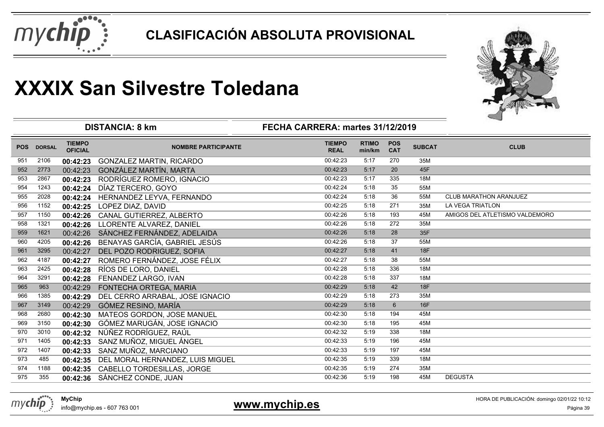



| <b>TIEMPO</b><br><b>RTIMO</b><br><b>TIEMPO</b><br><b>POS</b><br><b>SUBCAT</b><br><b>CLUB</b><br><b>POS</b><br><b>DORSAL</b><br><b>NOMBRE PARTICIPANTE</b><br><b>CAT</b><br><b>OFICIAL</b><br><b>REAL</b><br>min/km<br>00:42:23<br>35M<br>2106<br>5:17<br>270<br>951<br>GONZALEZ MARTIN, RICARDO<br>00:42:23<br>5:17<br>20<br>45F<br>952<br>GONZÁLEZ MARTÍN, MARTA<br>00:42:23<br>2773<br>00:42:23<br>00:42:23<br>953<br>RODRÍGUEZ ROMERO, IGNACIO<br>5:17<br>335<br>18M<br>2867<br>00:42:23<br>5:18<br>35<br>954<br>00:42:24<br>55M<br>1243<br>DÍAZ TERCERO, GOYO<br>00:42:24<br>36<br>955<br>00:42:24<br>5:18<br>55M<br><b>CLUB MARATHON ARANJUEZ</b><br>2028<br>HERNANDEZ LEYVA, FERNANDO<br>00:42:24<br><b>LA VEGA TRIATLON</b><br>956<br>00:42:25<br>5:18<br>271<br>1152<br>LOPEZ DIAZ, DAVID<br>35M<br>00:42:25<br>00:42:26<br>5:18<br>193<br>AMIGOS DEL ATLETISMO VALDEMORO<br>957<br>1150<br>45M<br>CANAL GUTIERREZ, ALBERTO<br>00:42:26<br>00:42:26<br>5:18<br>958<br>272<br>1321<br>LLORENTE ALVAREZ, DANIEL<br>35M<br>00:42:26<br>SÁNCHEZ FERNÁNDEZ, ADELAIDA<br>28<br>35F<br>00:42:26<br>5:18<br>959<br>00:42:26<br>1621<br>37<br>960<br>BENAYAS GARCÍA, GABRIEL JESÚS<br>00:42:26<br>5:18<br>4205<br>55M<br>00:42:26<br>18F<br>00:42:27<br>5:18<br>41<br>961<br>3295<br>DEL POZO RODRIGUEZ, SOFIA<br>00:42:27<br>ROMERO FERNÁNDEZ, JOSE FÉLIX<br>00:42:27<br>38<br>962<br>5:18<br>4187<br>55M<br>00:42:27<br>336<br>963<br>RÍOS DE LORO, DANIEL<br>5:18<br>18M<br>2425<br>00:42:28<br>00:42:28<br>00:42:28<br>5:18<br>337<br>18M<br>964<br>3291<br>FENANDEZ LARGO, IVAN<br>00:42:28<br>18F<br>965<br>5:18<br>42<br>963<br>00:42:29<br>00:42:29<br>FONTECHA ORTEGA, MARIA<br>00:42:29<br>273<br>966<br>5:18<br>35M<br>1385<br>DEL CERRO ARRABAL, JOSE IGNACIO<br>00:42:29<br>6<br>967<br>GÓMEZ RESINO, MARÍA<br>00:42:29<br>5:18<br>16F<br>3149<br>00:42:29<br>968<br>00:42:30<br>194<br>45M<br>2680<br>MATEOS GORDON, JOSE MANUEL<br>5:18<br>00:42:30 |  |
|-------------------------------------------------------------------------------------------------------------------------------------------------------------------------------------------------------------------------------------------------------------------------------------------------------------------------------------------------------------------------------------------------------------------------------------------------------------------------------------------------------------------------------------------------------------------------------------------------------------------------------------------------------------------------------------------------------------------------------------------------------------------------------------------------------------------------------------------------------------------------------------------------------------------------------------------------------------------------------------------------------------------------------------------------------------------------------------------------------------------------------------------------------------------------------------------------------------------------------------------------------------------------------------------------------------------------------------------------------------------------------------------------------------------------------------------------------------------------------------------------------------------------------------------------------------------------------------------------------------------------------------------------------------------------------------------------------------------------------------------------------------------------------------------------------------------------------------------------------------------------------------------------------------------------------------------------------------------|--|
|                                                                                                                                                                                                                                                                                                                                                                                                                                                                                                                                                                                                                                                                                                                                                                                                                                                                                                                                                                                                                                                                                                                                                                                                                                                                                                                                                                                                                                                                                                                                                                                                                                                                                                                                                                                                                                                                                                                                                                   |  |
|                                                                                                                                                                                                                                                                                                                                                                                                                                                                                                                                                                                                                                                                                                                                                                                                                                                                                                                                                                                                                                                                                                                                                                                                                                                                                                                                                                                                                                                                                                                                                                                                                                                                                                                                                                                                                                                                                                                                                                   |  |
|                                                                                                                                                                                                                                                                                                                                                                                                                                                                                                                                                                                                                                                                                                                                                                                                                                                                                                                                                                                                                                                                                                                                                                                                                                                                                                                                                                                                                                                                                                                                                                                                                                                                                                                                                                                                                                                                                                                                                                   |  |
|                                                                                                                                                                                                                                                                                                                                                                                                                                                                                                                                                                                                                                                                                                                                                                                                                                                                                                                                                                                                                                                                                                                                                                                                                                                                                                                                                                                                                                                                                                                                                                                                                                                                                                                                                                                                                                                                                                                                                                   |  |
|                                                                                                                                                                                                                                                                                                                                                                                                                                                                                                                                                                                                                                                                                                                                                                                                                                                                                                                                                                                                                                                                                                                                                                                                                                                                                                                                                                                                                                                                                                                                                                                                                                                                                                                                                                                                                                                                                                                                                                   |  |
|                                                                                                                                                                                                                                                                                                                                                                                                                                                                                                                                                                                                                                                                                                                                                                                                                                                                                                                                                                                                                                                                                                                                                                                                                                                                                                                                                                                                                                                                                                                                                                                                                                                                                                                                                                                                                                                                                                                                                                   |  |
|                                                                                                                                                                                                                                                                                                                                                                                                                                                                                                                                                                                                                                                                                                                                                                                                                                                                                                                                                                                                                                                                                                                                                                                                                                                                                                                                                                                                                                                                                                                                                                                                                                                                                                                                                                                                                                                                                                                                                                   |  |
|                                                                                                                                                                                                                                                                                                                                                                                                                                                                                                                                                                                                                                                                                                                                                                                                                                                                                                                                                                                                                                                                                                                                                                                                                                                                                                                                                                                                                                                                                                                                                                                                                                                                                                                                                                                                                                                                                                                                                                   |  |
|                                                                                                                                                                                                                                                                                                                                                                                                                                                                                                                                                                                                                                                                                                                                                                                                                                                                                                                                                                                                                                                                                                                                                                                                                                                                                                                                                                                                                                                                                                                                                                                                                                                                                                                                                                                                                                                                                                                                                                   |  |
|                                                                                                                                                                                                                                                                                                                                                                                                                                                                                                                                                                                                                                                                                                                                                                                                                                                                                                                                                                                                                                                                                                                                                                                                                                                                                                                                                                                                                                                                                                                                                                                                                                                                                                                                                                                                                                                                                                                                                                   |  |
|                                                                                                                                                                                                                                                                                                                                                                                                                                                                                                                                                                                                                                                                                                                                                                                                                                                                                                                                                                                                                                                                                                                                                                                                                                                                                                                                                                                                                                                                                                                                                                                                                                                                                                                                                                                                                                                                                                                                                                   |  |
|                                                                                                                                                                                                                                                                                                                                                                                                                                                                                                                                                                                                                                                                                                                                                                                                                                                                                                                                                                                                                                                                                                                                                                                                                                                                                                                                                                                                                                                                                                                                                                                                                                                                                                                                                                                                                                                                                                                                                                   |  |
|                                                                                                                                                                                                                                                                                                                                                                                                                                                                                                                                                                                                                                                                                                                                                                                                                                                                                                                                                                                                                                                                                                                                                                                                                                                                                                                                                                                                                                                                                                                                                                                                                                                                                                                                                                                                                                                                                                                                                                   |  |
|                                                                                                                                                                                                                                                                                                                                                                                                                                                                                                                                                                                                                                                                                                                                                                                                                                                                                                                                                                                                                                                                                                                                                                                                                                                                                                                                                                                                                                                                                                                                                                                                                                                                                                                                                                                                                                                                                                                                                                   |  |
|                                                                                                                                                                                                                                                                                                                                                                                                                                                                                                                                                                                                                                                                                                                                                                                                                                                                                                                                                                                                                                                                                                                                                                                                                                                                                                                                                                                                                                                                                                                                                                                                                                                                                                                                                                                                                                                                                                                                                                   |  |
|                                                                                                                                                                                                                                                                                                                                                                                                                                                                                                                                                                                                                                                                                                                                                                                                                                                                                                                                                                                                                                                                                                                                                                                                                                                                                                                                                                                                                                                                                                                                                                                                                                                                                                                                                                                                                                                                                                                                                                   |  |
|                                                                                                                                                                                                                                                                                                                                                                                                                                                                                                                                                                                                                                                                                                                                                                                                                                                                                                                                                                                                                                                                                                                                                                                                                                                                                                                                                                                                                                                                                                                                                                                                                                                                                                                                                                                                                                                                                                                                                                   |  |
|                                                                                                                                                                                                                                                                                                                                                                                                                                                                                                                                                                                                                                                                                                                                                                                                                                                                                                                                                                                                                                                                                                                                                                                                                                                                                                                                                                                                                                                                                                                                                                                                                                                                                                                                                                                                                                                                                                                                                                   |  |
|                                                                                                                                                                                                                                                                                                                                                                                                                                                                                                                                                                                                                                                                                                                                                                                                                                                                                                                                                                                                                                                                                                                                                                                                                                                                                                                                                                                                                                                                                                                                                                                                                                                                                                                                                                                                                                                                                                                                                                   |  |
| 969<br>GÓMEZ MARUGÁN, JOSE IGNACIO<br>00:42:30<br>5:18<br>195<br>3150<br>00:42:30<br>45M                                                                                                                                                                                                                                                                                                                                                                                                                                                                                                                                                                                                                                                                                                                                                                                                                                                                                                                                                                                                                                                                                                                                                                                                                                                                                                                                                                                                                                                                                                                                                                                                                                                                                                                                                                                                                                                                          |  |
| NÚÑEZ RODRÍGUEZ, RAÚL<br>00:42:32<br>5:19<br>338<br>18M<br>970<br>3010<br>00:42:32                                                                                                                                                                                                                                                                                                                                                                                                                                                                                                                                                                                                                                                                                                                                                                                                                                                                                                                                                                                                                                                                                                                                                                                                                                                                                                                                                                                                                                                                                                                                                                                                                                                                                                                                                                                                                                                                                |  |
| 00:42:33<br>5:19<br>196<br>45M<br>971<br>1405<br>SANZ MUÑOZ, MIGUEL ÁNGEL<br>00:42:33                                                                                                                                                                                                                                                                                                                                                                                                                                                                                                                                                                                                                                                                                                                                                                                                                                                                                                                                                                                                                                                                                                                                                                                                                                                                                                                                                                                                                                                                                                                                                                                                                                                                                                                                                                                                                                                                             |  |
| 00:42:33<br>197<br>972<br>SANZ MUÑOZ, MARCIANO<br>5:19<br>45M<br>1407<br>00:42:33                                                                                                                                                                                                                                                                                                                                                                                                                                                                                                                                                                                                                                                                                                                                                                                                                                                                                                                                                                                                                                                                                                                                                                                                                                                                                                                                                                                                                                                                                                                                                                                                                                                                                                                                                                                                                                                                                 |  |
| 00:42:35<br>5:19<br>339<br>973<br>18M<br>485<br>DEL MORAL HERNANDEZ, LUIS MIGUEL<br>00:42:35                                                                                                                                                                                                                                                                                                                                                                                                                                                                                                                                                                                                                                                                                                                                                                                                                                                                                                                                                                                                                                                                                                                                                                                                                                                                                                                                                                                                                                                                                                                                                                                                                                                                                                                                                                                                                                                                      |  |
| 00:42:35<br>274<br>35M<br>974<br>CABELLO TORDESILLAS, JORGE<br>5:19<br>1188<br>00:42:35                                                                                                                                                                                                                                                                                                                                                                                                                                                                                                                                                                                                                                                                                                                                                                                                                                                                                                                                                                                                                                                                                                                                                                                                                                                                                                                                                                                                                                                                                                                                                                                                                                                                                                                                                                                                                                                                           |  |
| SÁNCHEZ CONDE, JUAN<br><b>DEGUSTA</b><br>975<br>00:42:36<br>5:19<br>198<br>45M<br>355<br>00:42:36                                                                                                                                                                                                                                                                                                                                                                                                                                                                                                                                                                                                                                                                                                                                                                                                                                                                                                                                                                                                                                                                                                                                                                                                                                                                                                                                                                                                                                                                                                                                                                                                                                                                                                                                                                                                                                                                 |  |

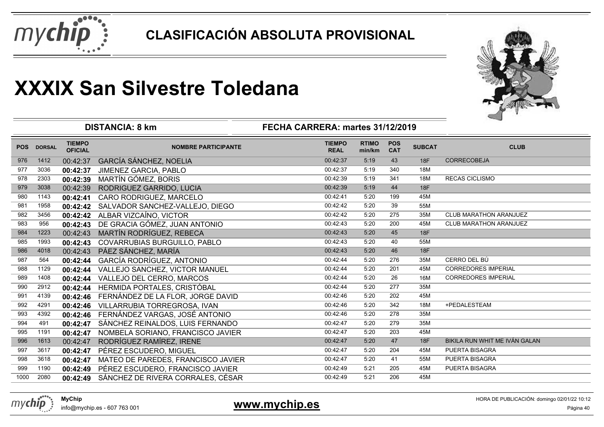



|            |               | <b>DISTANCIA: 8 km</b>          | 一                                  |                              |                        |                          |               |                               |
|------------|---------------|---------------------------------|------------------------------------|------------------------------|------------------------|--------------------------|---------------|-------------------------------|
| <b>POS</b> | <b>DORSAL</b> | <b>TIEMPO</b><br><b>OFICIAL</b> | <b>NOMBRE PARTICIPANTE</b>         | <b>TIEMPO</b><br><b>REAL</b> | <b>RTIMO</b><br>min/km | <b>POS</b><br><b>CAT</b> | <b>SUBCAT</b> | <b>CLUB</b>                   |
| 976        | 1412          | 00:42:37                        | <b>GARCÍA SÁNCHEZ, NOELIA</b>      | 00:42:37                     | 5:19                   | 43                       | 18F           | <b>CORRECOBEJA</b>            |
| 977        | 3036          | 00:42:37                        | JIMENEZ GARCIA, PABLO              | 00:42:37                     | 5:19                   | 340                      | 18M           |                               |
| 978        | 2303          | 00:42:39                        | MARTÍN GÓMEZ, BORIS                | 00:42:39                     | 5:19                   | 341                      | 18M           | <b>RECAS CICLISMO</b>         |
| 979        | 3038          | 00:42:39                        | RODRIGUEZ GARRIDO, LUCIA           | 00:42:39                     | 5:19                   | 44                       | <b>18F</b>    |                               |
| 980        | 1143          | 00:42:41                        | CARO RODRIGUEZ, MARCELO            | 00:42:41                     | 5:20                   | 199                      | 45M           |                               |
| 981        | 1958          | 00:42:42                        | SALVADOR SANCHEZ-VALLEJO, DIEGO    | 00:42:42                     | 5:20                   | 39                       | 55M           |                               |
| 982        | 3456          | 00:42:42                        | ALBAR VIZCAÍNO, VICTOR             | 00:42:42                     | 5:20                   | 275                      | 35M           | <b>CLUB MARATHON ARANJUEZ</b> |
| 983        | 956           | 00:42:43                        | DE GRACIA GÓMEZ, JUAN ANTONIO      | 00:42:43                     | 5:20                   | 200                      | 45M           | <b>CLUB MARATHON ARANJUEZ</b> |
| 984        | 1223          | 00:42:43                        | MARTÍN RODRÍGUEZ, REBECA           | 00:42:43                     | 5:20                   | 45                       | <b>18F</b>    |                               |
| 985        | 1993          | 00:42:43                        | COVARRUBIAS BURGUILLO, PABLO       | 00:42:43                     | 5:20                   | 40                       | 55M           |                               |
| 986        | 4018          | 00:42:43                        | PÁEZ SÁNCHEZ, MARÍA                | 00:42:43                     | 5:20                   | 46                       | 18F           |                               |
| 987        | 564           | 00:42:44                        | GARCÍA RODRÍGUEZ, ANTONIO          | 00:42:44                     | 5:20                   | 276                      | 35M           | CERRO DEL BÚ                  |
| 988        | 1129          | 00:42:44                        | VALLEJO SANCHEZ, VICTOR MANUEL     | 00:42:44                     | 5:20                   | 201                      | 45M           | <b>CORREDORES IMPERIAL</b>    |
| 989        | 1408          | 00:42:44                        | VALLEJO DEL CERRO, MARCOS          | 00:42:44                     | 5:20                   | 26                       | 16M           | <b>CORREDORES IMPERIAL</b>    |
| 990        | 2912          | 00:42:44                        | HERMIDA PORTALES, CRISTÓBAL        | 00:42:44                     | 5:20                   | 277                      | 35M           |                               |
| 991        | 4139          | 00:42:46                        | FERNÁNDEZ DE LA FLOR, JORGE DAVID  | 00:42:46                     | 5:20                   | 202                      | 45M           |                               |
| 992        | 4291          | 00:42:46                        | VILLARRUBIA TORREGROSA, IVAN       | 00:42:46                     | 5:20                   | 342                      | 18M           | +PEDALESTEAM                  |
| 993        | 4392          | 00:42:46                        | FERNÁNDEZ VARGAS, JOSÉ ANTONIO     | 00:42:46                     | 5:20                   | 278                      | 35M           |                               |
| 994        | 491           | 00:42:47                        | SÁNCHEZ REINALDOS, LUIS FERNANDO   | 00:42:47                     | 5:20                   | 279                      | 35M           |                               |
| 995        | 1191          | 00:42:47                        | NOMBELA SORIANO, FRANCISCO JAVIER  | 00:42:47                     | 5:20                   | 203                      | 45M           |                               |
| 996        | 1613          | 00:42:47                        | RODRÍGUEZ RAMÍREZ, IRENE           | 00:42:47                     | 5:20                   | 47                       | <b>18F</b>    | BIKILA RUN WHIT ME IVÁN GALAN |
| 997        | 3617          | 00:42:47                        | PÉREZ ESCUDERO, MIGUEL             | 00:42:47                     | 5:20                   | 204                      | 45M           | PUERTA BISAGRA                |
| 998        | 3618          | 00:42:47                        | MATEO DE PAREDES, FRANCISCO JAVIER | 00:42:47                     | 5:20                   | 41                       | 55M           | PUERTA BISAGRA                |
| 999        | 1190          | 00:42:49                        | PÉREZ ESCUDERO, FRANCISCO JAVIER   | 00:42:49                     | 5:21                   | 205                      | 45M           | PUERTA BISAGRA                |
| 1000       | 2080          | 00:42:49                        | SÁNCHEZ DE RIVERA CORRALES, CÉSAR  | 00:42:49                     | 5:21                   | 206                      | 45M           |                               |
|            |               |                                 |                                    |                              |                        |                          |               |                               |



### **www.mychip.es**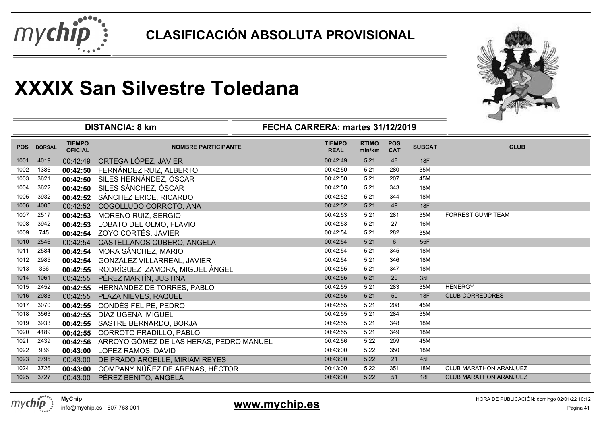



|            |               |                                 | <b>DISTANCIA: 8 km</b>                  | FECHA CARRERA: martes 31/12/2019 |                        |                          |               |                               |
|------------|---------------|---------------------------------|-----------------------------------------|----------------------------------|------------------------|--------------------------|---------------|-------------------------------|
| <b>POS</b> | <b>DORSAL</b> | <b>TIEMPO</b><br><b>OFICIAL</b> | <b>NOMBRE PARTICIPANTE</b>              | <b>TIEMPO</b><br><b>REAL</b>     | <b>RTIMO</b><br>min/km | <b>POS</b><br><b>CAT</b> | <b>SUBCAT</b> | <b>CLUB</b>                   |
| 1001       | 4019          | 00:42:49                        | ORTEGA LÓPEZ, JAVIER                    | 00:42:49                         | 5:21                   | 48                       | <b>18F</b>    |                               |
| 1002       | 1386          | 00:42:50                        | FERNÁNDEZ RUIZ, ALBERTO                 | 00:42:50                         | 5:21                   | 280                      | 35M           |                               |
| 1003       | 3621          | 00:42:50                        | SILES HERNÁNDEZ, ÓSCAR                  | 00:42:50                         | 5:21                   | 207                      | 45M           |                               |
| 1004       | 3622          | 00:42:50                        | SILES SÁNCHEZ, ÓSCAR                    | 00:42:50                         | 5:21                   | 343                      | 18M           |                               |
| 1005       | 3932          | 00:42:52                        | SÁNCHEZ ERICE, RICARDO                  | 00:42:52                         | 5:21                   | 344                      | 18M           |                               |
| 1006       | 4005          | 00:42:52                        | COGOLLUDO CORROTO, ANA                  | 00:42:52                         | 5:21                   | 49                       | 18F           |                               |
| 1007       | 2517          | 00:42:53                        | MORENO RUIZ, SERGIO                     | 00:42:53                         | 5:21                   | 281                      | 35M           | FORREST GUMP TEAM             |
| 1008       | 3942          | 00:42:53                        | LOBATO DEL OLMO, FLAVIO                 | 00:42:53                         | 5:21                   | 27                       | 16M           |                               |
| 1009       | 745           | 00:42:54                        | ZOYO CORTÉS, JAVIER                     | 00:42:54                         | 5:21                   | 282                      | 35M           |                               |
| 1010       | 2546          | 00:42:54                        | CASTELLANOS CUBERO, ANGELA              | 00:42:54                         | 5:21                   | $6\phantom{1}$           | 55F           |                               |
| 1011       | 2584          | 00:42:54                        | MORA SÁNCHEZ, MARIO                     | 00:42:54                         | 5:21                   | 345                      | 18M           |                               |
| 1012       | 2985          | 00:42:54                        | GONZÁLEZ VILLARREAL, JAVIER             | 00:42:54                         | 5:21                   | 346                      | 18M           |                               |
| 1013       | 356           | 00:42:55                        | RODRÍGUEZ ZAMORA, MIGUEL ÁNGEL          | 00:42:55                         | 5:21                   | 347                      | 18M           |                               |
| 1014       | 1061          | 00:42:55                        | PÉREZ MARTÍN, JUSTINA                   | 00:42:55                         | 5:21                   | 29                       | 35F           |                               |
| 1015       | 2452          | 00:42:55                        | HERNANDEZ DE TORRES, PABLO              | 00:42:55                         | 5:21                   | 283                      | 35M           | <b>HENERGY</b>                |
| 1016       | 2983          | 00:42:55                        | PLAZA NIEVES, RAQUEL                    | 00:42:55                         | 5:21                   | 50                       | <b>18F</b>    | <b>CLUB CORREDORES</b>        |
| 1017       | 3070          | 00:42:55                        | CONDÉS FELIPE, PEDRO                    | 00:42:55                         | 5:21                   | 208                      | 45M           |                               |
| 1018       | 3563          | 00:42:55                        | DÍAZ UGENA, MIGUEL                      | 00:42:55                         | 5:21                   | 284                      | 35M           |                               |
| 1019       | 3933          | 00:42:55                        | SASTRE BERNARDO, BORJA                  | 00:42:55                         | 5:21                   | 348                      | 18M           |                               |
| 1020       | 4189          | 00:42:55                        | CORROTO PRADILLO, PABLO                 | 00:42:55                         | 5:21                   | 349                      | 18M           |                               |
| 1021       | 2439          | 00:42:56                        | ARROYO GÓMEZ DE LAS HERAS, PEDRO MANUEL | 00:42:56                         | 5:22                   | 209                      | 45M           |                               |
| 1022       | 936           | 00:43:00                        | LÓPEZ RAMOS, DAVID                      | 00:43:00                         | 5:22                   | 350                      | 18M           |                               |
| 1023       | 2795          | 00:43:00                        | DE PRADO ARCELLE, MIRIAM REYES          | 00:43:00                         | 5:22                   | 21                       | 45F           |                               |
| 1024       | 3726          | 00:43:00                        | COMPANY NÚÑEZ DE ARENAS, HÉCTOR         | 00:43:00                         | 5:22                   | 351                      | 18M           | <b>CLUB MARATHON ARANJUEZ</b> |
| 1025       | 3727          | 00:43:00                        | PÉREZ BENITO, ÁNGELA                    | 00:43:00                         | 5:22                   | 51                       | <b>18F</b>    | <b>CLUB MARATHON ARANJUEZ</b> |

### **www.mychip.es**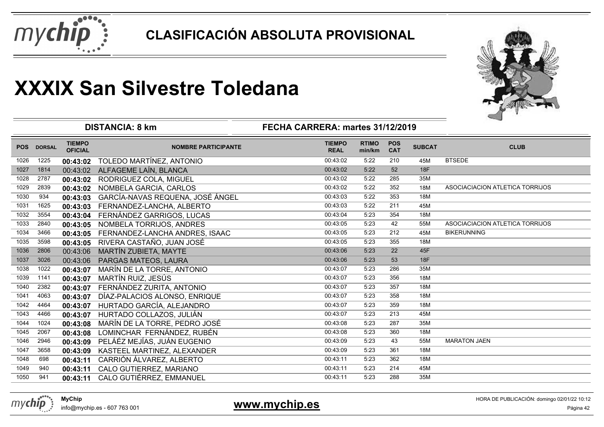



|            |               |                                 | <b>DISTANCIA: 8 km</b>           | FECHA CARRERA: martes 31/12/2019 |                        |                          |               | ⊸                               |
|------------|---------------|---------------------------------|----------------------------------|----------------------------------|------------------------|--------------------------|---------------|---------------------------------|
| <b>POS</b> | <b>DORSAL</b> | <b>TIEMPO</b><br><b>OFICIAL</b> | <b>NOMBRE PARTICIPANTE</b>       | <b>TIEMPO</b><br><b>REAL</b>     | <b>RTIMO</b><br>min/km | <b>POS</b><br><b>CAT</b> | <b>SUBCAT</b> | <b>CLUB</b>                     |
| 1026       | 1225          | 00:43:02                        | TOLEDO MARTÍNEZ, ANTONIO         | 00:43:02                         | 5:22                   | 210                      | 45M           | <b>BTSEDE</b>                   |
| 1027       | 1814          | 00:43:02                        | ALFAGEME LAÍN, BLANCA            | 00:43:02                         | 5:22                   | 52                       | <b>18F</b>    |                                 |
| 1028       | 2787          | 00:43:02                        | RODRIGUEZ COLA, MIGUEL           | 00:43:02                         | 5:22                   | 285                      | 35M           |                                 |
| 1029       | 2839          | 00:43:02                        | NOMBELA GARCIA, CARLOS           | 00:43:02                         | 5:22                   | 352                      | 18M           | ASOCIACIACION ATLETICA TORRIJOS |
| 1030       | 934           | 00:43:03                        | GARCÍA-NAVAS REQUENA, JOSÉ ÁNGEL | 00:43:03                         | 5:22                   | 353                      | 18M           |                                 |
| 1031       | 1625          | 00:43:03                        | FERNANDEZ-LANCHA, ALBERTO        | 00:43:03                         | 5:22                   | 211                      | 45M           |                                 |
| 1032       | 3554          | 00:43:04                        | FERNÁNDEZ GARRIGOS, LUCAS        | 00:43:04                         | 5:23                   | 354                      | 18M           |                                 |
| 1033       | 2840          | 00:43:05                        | NOMBELA TORRIJOS, ANDRES         | 00:43:05                         | 5:23                   | 42                       | 55M           | ASOCIACIACION ATLETICA TORRIJOS |
| 1034       | 3466          | 00:43:05                        | FERNANDEZ-LANCHA ANDRES, ISAAC   | 00:43:05                         | 5:23                   | 212                      | 45M           | <b>BIKERUNNING</b>              |
| 1035       | 3598          | 00:43:05                        | RIVERA CASTAÑO, JUAN JOSÉ        | 00:43:05                         | 5:23                   | 355                      | 18M           |                                 |
| 1036       | 2806          | 00:43:06                        | MARTÍN ZUBIETA, MAYTE            | 00:43:06                         | 5:23                   | 22                       | 45F           |                                 |
| 1037       | 3026          | 00:43:06                        | PARGAS MATEOS, LAURA             | 00:43:06                         | 5:23                   | 53                       | <b>18F</b>    |                                 |
| 1038       | 1022          | 00:43:07                        | MARÍN DE LA TORRE, ANTONIO       | 00:43:07                         | 5:23                   | 286                      | 35M           |                                 |
| 1039       | 1141          | 00:43:07                        | MARTÍN RUIZ, JESÚS               | 00:43:07                         | 5:23                   | 356                      | 18M           |                                 |
| 1040       | 2382          | 00:43:07                        | FERNÁNDEZ ZURITA, ANTONIO        | 00:43:07                         | 5:23                   | 357                      | 18M           |                                 |
| 1041       | 4063          | 00:43:07                        | DÍAZ-PALACIOS ALONSO, ENRIQUE    | 00:43:07                         | 5:23                   | 358                      | 18M           |                                 |
| 1042       | 4464          | 00:43:07                        | HURTADO GARCÍA, ALEJANDRO        | 00:43:07                         | 5:23                   | 359                      | 18M           |                                 |
| 1043       | 4466          | 00:43:07                        | HURTADO COLLAZOS, JULIÁN         | 00:43:07                         | 5:23                   | 213                      | 45M           |                                 |
| 1044       | 1024          | 00:43:08                        | MARÍN DE LA TORRE, PEDRO JOSÉ    | 00:43:08                         | 5:23                   | 287                      | 35M           |                                 |
| 1045       | 2067          | 00:43:08                        | LOMINCHAR FERNÁNDEZ, RUBÉN       | 00:43:08                         | 5:23                   | 360                      | 18M           |                                 |
| 1046       | 2946          | 00:43:09                        | PELÁÉZ MEJÍAS, JUÁN EUGENIO      | 00:43:09                         | 5:23                   | 43                       | 55M           | <b>MARATON JAEN</b>             |
| 1047       | 3658          | 00:43:09                        | KASTEEL MARTINEZ, ALEXANDER      | 00:43:09                         | 5:23                   | 361                      | 18M           |                                 |
| 1048       | 698           | 00:43:11                        | CARRIÓN ÁLVAREZ, ALBERTO         | 00:43:11                         | 5:23                   | 362                      | 18M           |                                 |
| 1049       | 940           | 00:43:11                        | CALO GUTIERREZ, MARIANO          | 00:43:11                         | 5:23                   | 214                      | 45M           |                                 |
| 1050       | 941           | 00:43:11                        | CALO GUTIÉRREZ, EMMANUEL         | 00:43:11                         | 5:23                   | 288                      | 35M           |                                 |
|            |               |                                 |                                  |                                  |                        |                          |               |                                 |



**www.mychip.es**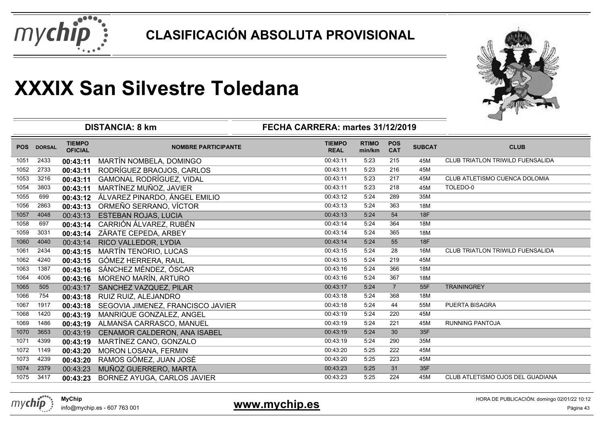



|            |               |                                 | <b>DISTANCIA: 8 km</b>            | FECHA CARRERA: martes 31/12/2019 |                        |                          |               |                                  |
|------------|---------------|---------------------------------|-----------------------------------|----------------------------------|------------------------|--------------------------|---------------|----------------------------------|
| <b>POS</b> | <b>DORSAL</b> | <b>TIEMPO</b><br><b>OFICIAL</b> | <b>NOMBRE PARTICIPANTE</b>        | <b>TIEMPO</b><br><b>REAL</b>     | <b>RTIMO</b><br>min/km | <b>POS</b><br><b>CAT</b> | <b>SUBCAT</b> | <b>CLUB</b>                      |
| 1051       | 2433          | 00:43:11                        | MARTÍN NOMBELA, DOMINGO           | 00:43:11                         | 5:23                   | 215                      | 45M           | CLUB TRIATLON TRIWILD FUENSALIDA |
| 1052       | 2733          | 00:43:11                        | RODRÍGUEZ BRAOJOS, CARLOS         | 00:43:11                         | 5:23                   | 216                      | 45M           |                                  |
| 1053       | 3216          | 00:43:11                        | <b>GAMONAL RODRÍGUEZ, VIDAL</b>   | 00:43:11                         | 5:23                   | 217                      | 45M           | CLUB ATLETISMO CUENCA DOLOMIA    |
| 1054       | 3803          | 00:43:11                        | MARTÍNEZ MUÑOZ, JAVIER            | 00:43:11                         | 5:23                   | 218                      | 45M           | TOLEDO-0                         |
| 1055       | 699           | 00:43:12                        | ÁLVAREZ PINARDO, ÁNGEL EMILIO     | 00:43:12                         | 5:24                   | 289                      | 35M           |                                  |
| 1056       | 2863          | 00:43:13                        | ORMEÑO SERRANO, VÍCTOR            | 00:43:13                         | 5:24                   | 363                      | 18M           |                                  |
| 1057       | 4048          | 00:43:13                        | <b>ESTEBAN ROJAS, LUCIA</b>       | 00:43:13                         | 5:24                   | 54                       | 18F           |                                  |
| 1058       | 697           | 00:43:14                        | CARRIÓN ÁLVAREZ, RUBÉN            | 00:43:14                         | 5:24                   | 364                      | 18M           |                                  |
| 1059       | 3031          | 00:43:14                        | ZÁRATE CEPEDA, ARBEY              | 00:43:14                         | 5:24                   | 365                      | <b>18M</b>    |                                  |
| 1060       | 4040          | 00:43:14                        | RICO VALLEDOR, LYDIA              | 00:43:14                         | 5:24                   | 55                       | <b>18F</b>    |                                  |
| 1061       | 2434          | 00:43:15                        | <b>MARTÍN TENORIO, LUCAS</b>      | 00:43:15                         | 5:24                   | 28                       | 16M           | CLUB TRIATLON TRIWILD FUENSALIDA |
| 1062       | 4240          | 00:43:15                        | <b>GÓMEZ HERRERA, RAUL</b>        | 00:43:15                         | 5:24                   | 219                      | 45M           |                                  |
| 1063       | 1387          | 00:43:16                        | SÁNCHEZ MÉNDEZ, ÓSCAR             | 00:43:16                         | 5:24                   | 366                      | 18M           |                                  |
| 1064       | 4006          | 00:43:16                        | MORENO MARÍN, ARTURO              | 00:43:16                         | 5:24                   | 367                      | 18M           |                                  |
| 1065       | 505           | 00:43:17                        | SANCHEZ VAZQUEZ, PILAR            | 00:43:17                         | 5:24                   | $\overline{7}$           | 55F           | <b>TRAININGREY</b>               |
| 1066       | 754           | 00:43:18                        | RUIZ RUIZ, ALEJANDRO              | 00:43:18                         | 5:24                   | 368                      | 18M           |                                  |
| 1067       | 1917          | 00:43:18                        | SEGOVIA JIMENEZ, FRANCISCO JAVIER | 00:43:18                         | 5:24                   | 44                       | 55M           | <b>PUERTA BISAGRA</b>            |
| 1068       | 1420          | 00:43:19                        | MANRIQUE GONZALEZ, ANGEL          | 00:43:19                         | 5:24                   | 220                      | 45M           |                                  |
| 1069       | 1486          | 00:43:19                        | ALMANSA CARRASCO, MANUEL          | 00:43:19                         | 5:24                   | 221                      | 45M           | <b>RUNNING PANTOJA</b>           |
| 1070       | 3653          | 00:43:19                        | CENAMOR CALDERON, ANA ISABEL      | 00:43:19                         | 5:24                   | 30                       | 35F           |                                  |
| 1071       | 4399          | 00:43:19                        | MARTÍNEZ CANO, GONZALO            | 00:43:19                         | 5:24                   | 290                      | 35M           |                                  |
| 1072       | 1149          | 00:43:20                        | MORON LOSANA, FERMIN              | 00:43:20                         | 5:25                   | 222                      | 45M           |                                  |
| 1073       | 4239          | 00:43:20                        | RAMOS GÓMEZ, JUAN JOSÉ            | 00:43:20                         | 5:25                   | 223                      | 45M           |                                  |
| 1074       | 2379          | 00:43:23                        | MUÑOZ GUERRERO, MARTA             | 00:43:23                         | 5:25                   | 31                       | 35F           |                                  |
| 1075       | 3417          | 00:43:23                        | BORNEZ AYUGA, CARLOS JAVIER       | 00:43:23                         | 5:25                   | 224                      | 45M           | CLUB ATLETISMO OJOS DEL GUADIANA |
|            |               |                                 |                                   |                                  |                        |                          |               |                                  |



info@mychip.es - 607 763 001

**www.mychip.es**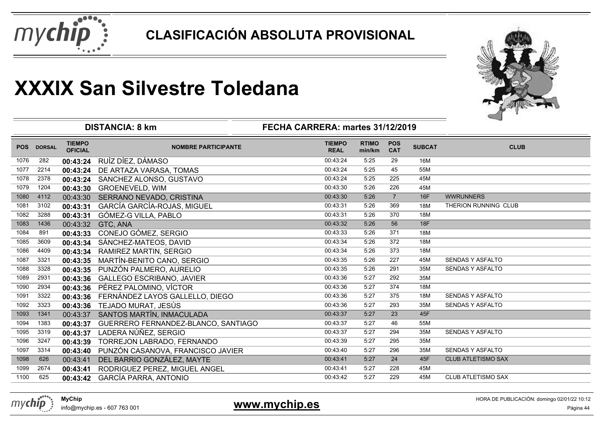



|            |               |                                 | <b>DISTANCIA: 8 km</b>              | FECHA CARRERA: martes 31/12/2019 |                        |                          |               |                           |
|------------|---------------|---------------------------------|-------------------------------------|----------------------------------|------------------------|--------------------------|---------------|---------------------------|
| <b>POS</b> | <b>DORSAL</b> | <b>TIEMPO</b><br><b>OFICIAL</b> | <b>NOMBRE PARTICIPANTE</b>          | <b>TIEMPO</b><br><b>REAL</b>     | <b>RTIMO</b><br>min/km | <b>POS</b><br><b>CAT</b> | <b>SUBCAT</b> | <b>CLUB</b>               |
| 1076       | 282           | 00:43:24                        | RUÍZ DÍEZ, DÁMASO                   | 00:43:24                         | 5:25                   | 29                       | 16M           |                           |
| 1077       | 2214          | 00:43:24                        | DE ARTAZA VARASA, TOMAS             | 00:43:24                         | 5:25                   | 45                       | 55M           |                           |
| 1078       | 2378          | 00:43:24                        | SANCHEZ ALONSO, GUSTAVO             | 00:43:24                         | 5:25                   | 225                      | 45M           |                           |
| 1079       | 1204          | 00:43:30                        | <b>GROENEVELD, WIM</b>              | 00:43:30                         | 5:26                   | 226                      | 45M           |                           |
| 1080       | 4112          | 00:43:30                        | SERRANO NEVADO, CRISTINA            | 00:43:30                         | 5:26                   | $\overline{7}$           | 16F           | <b>WWRUNNERS</b>          |
| 1081       | 3102          | 00:43:31                        | GARCÍA GARCÍA-ROJAS, MIGUEL         | 00:43:31                         | 5:26                   | 369                      | 18M           | THERION RUNNING CLUB      |
| 1082       | 3288          | 00:43:31                        | GÓMEZ-G VILLA, PABLO                | 00:43:31                         | 5:26                   | 370                      | 18M           |                           |
| 1083       | 1436          | 00:43:32                        | GTC, ANA                            | 00:43:32                         | 5:26                   | 56                       | <b>18F</b>    |                           |
| 1084       | 891           | 00:43:33                        | CONEJO GÓMEZ, SERGIO                | 00:43:33                         | 5:26                   | 371                      | 18M           |                           |
| 1085       | 3609          | 00:43:34                        | SÁNCHEZ-MATEOS, DAVID               | 00:43:34                         | 5:26                   | 372                      | 18M           |                           |
| 1086       | 4409          | 00:43:34                        | RAMIREZ MARTIN, SERGIO              | 00:43:34                         | 5:26                   | 373                      | 18M           |                           |
| 1087       | 3321          | 00:43:35                        | MARTÍN-BENITO CANO, SERGIO          | 00:43:35                         | 5:26                   | 227                      | 45M           | <b>SENDAS Y ASFALTO</b>   |
| 1088       | 3328          | 00:43:35                        | PUNZÓN PALMERO, AURELIO             | 00:43:35                         | 5:26                   | 291                      | 35M           | <b>SENDAS Y ASFALTO</b>   |
| 1089       | 2931          | 00:43:36                        | <b>GALLEGO ESCRIBANO, JAVIER</b>    | 00:43:36                         | 5:27                   | 292                      | 35M           |                           |
| 1090       | 2934          | 00:43:36                        | PÉREZ PALOMINO, VÍCTOR              | 00:43:36                         | 5:27                   | 374                      | 18M           |                           |
| 1091       | 3322          | 00:43:36                        | FERNÁNDEZ LAYOS GALLELLO, DIEGO     | 00:43:36                         | 5:27                   | 375                      | 18M           | <b>SENDAS Y ASFALTO</b>   |
| 1092       | 3323          | 00:43:36                        | TEJADO MURAT, JESÚS                 | 00:43:36                         | 5:27                   | 293                      | 35M           | <b>SENDAS Y ASFALTO</b>   |
| 1093       | 1341          | 00:43:37                        | SANTOS MARTÍN, INMACULADA           | 00:43:37                         | 5:27                   | 23                       | 45F           |                           |
| 1094       | 1383          | 00:43:37                        | GUERRERO FERNANDEZ-BLANCO, SANTIAGO | 00:43:37                         | 5:27                   | 46                       | 55M           |                           |
| 1095       | 3319          | 00:43:37                        | LADERA NÚÑEZ, SERGIO                | 00:43:37                         | 5:27                   | 294                      | 35M           | <b>SENDAS Y ASFALTO</b>   |
| 1096       | 3247          | 00:43:39                        | TORREJON LABRADO, FERNANDO          | 00:43:39                         | 5:27                   | 295                      | 35M           |                           |
| 1097       | 3314          | 00:43:40                        | PUNZÓN CASANOVA, FRANCISCO JAVIER   | 00:43:40                         | 5:27                   | 296                      | 35M           | <b>SENDAS Y ASFALTO</b>   |
| 1098       | 626           | 00:43:41                        | DEL BARRIO GONZÁLEZ, MAYTE          | 00:43:41                         | 5:27                   | 24                       | 45F           | <b>CLUB ATLETISMO SAX</b> |
| 1099       | 2674          | 00:43:41                        | RODRIGUEZ PEREZ, MIGUEL ANGEL       | 00:43:41                         | 5:27                   | 228                      | 45M           |                           |
| 1100       | 625           | 00:43:42                        | <b>GARCÍA PARRA, ANTONIO</b>        | 00:43:42                         | 5:27                   | 229                      | 45M           | <b>CLUB ATLETISMO SAX</b> |



info@mychip.es - 607 763 001

### **www.mychip.es**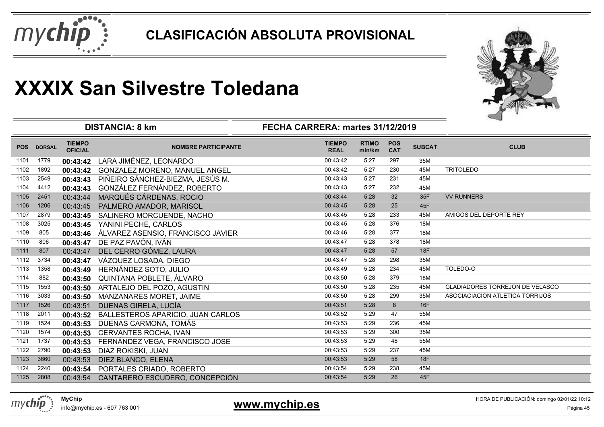



|            |               |                                 | <b>DISTANCIA: 8 km</b>            | FECHA CARRERA: martes 31/12/2019 |                        |                          |               |                                        |
|------------|---------------|---------------------------------|-----------------------------------|----------------------------------|------------------------|--------------------------|---------------|----------------------------------------|
| <b>POS</b> | <b>DORSAL</b> | <b>TIEMPO</b><br><b>OFICIAL</b> | <b>NOMBRE PARTICIPANTE</b>        | <b>TIEMPO</b><br><b>REAL</b>     | <b>RTIMO</b><br>min/km | <b>POS</b><br><b>CAT</b> | <b>SUBCAT</b> | <b>CLUB</b>                            |
| 1101       | 1779          | 00:43:42                        | LARA JIMÉNEZ, LEONARDO            | 00:43:42                         | 5:27                   | 297                      | 35M           |                                        |
| 1102       | 1892          | 00:43:42                        | GONZALEZ MORENO, MANUEL ANGEL     | 00:43:42                         | 5:27                   | 230                      | 45M           | <b>TRITOLEDO</b>                       |
| 1103       | 2549          | 00:43:43                        | PIÑEIRO SÁNCHEZ-BIEZMA, JESÚS M.  | 00:43:43                         | 5:27                   | 231                      | 45M           |                                        |
| 1104       | 4412          | 00:43:43                        | GONZÁLEZ FERNÁNDEZ, ROBERTO       | 00:43:43                         | 5:27                   | 232                      | 45M           |                                        |
| 1105       | 2451          | 00:43:44                        | MARQUÉS CÁRDENAS, ROCIO           | 00:43:44                         | 5:28                   | 32                       | 35F           | <b>VV RUNNERS</b>                      |
| 1106       | 1206          | 00:43:45                        | PALMERO AMADOR, MARISOL           | 00:43:45                         | 5:28                   | 25                       | 45F           |                                        |
| 1107       | 2879          | 00:43:45                        | SALINERO MORCUENDE, NACHO         | 00:43:45                         | 5:28                   | 233                      | 45M           | AMIGOS DEL DEPORTE REY                 |
| 1108       | 3025          | 00:43:45                        | YANINI PECHE, CARLOS              | 00:43:45                         | 5:28                   | 376                      | 18M           |                                        |
| 1109       | 805           | 00:43:46                        | ÁLVAREZ ASENSIO, FRANCISCO JAVIER | 00:43:46                         | 5:28                   | 377                      | 18M           |                                        |
| 1110       | 806           | 00:43:47                        | DE PAZ PAVÓN, IVÁN                | 00:43:47                         | 5:28                   | 378                      | 18M           |                                        |
| 1111       | 807           | 00:43:47                        | DEL CERRO GÓMEZ, LAURA            | 00:43:47                         | 5:28                   | 57                       | 18F           |                                        |
| 1112       | 3734          | 00:43:47                        | VÁZQUEZ LOSADA, DIEGO             | 00:43:47                         | 5:28                   | 298                      | 35M           |                                        |
| 1113       | 1358          | 00:43:49                        | HERNÁNDEZ SOTO, JULIO             | 00:43:49                         | 5:28                   | 234                      | 45M           | TOLEDO-O                               |
| 1114       | 882           | 00:43:50                        | QUINTANA POBLETE, ÁLVARO          | 00:43:50                         | 5:28                   | 379                      | 18M           |                                        |
| 1115       | 1553          | 00:43:50                        | ARTALEJO DEL POZO, AGUSTIN        | 00:43:50                         | 5:28                   | 235                      | 45M           | <b>GLADIADORES TORREJON DE VELASCO</b> |
| 1116       | 3033          | 00:43:50                        | MANZANARES MORET, JAIME           | 00:43:50                         | 5:28                   | 299                      | 35M           | ASOCIACIACION ATLETICA TORRIJOS        |
| 1117       | 1526          | 00:43:51                        | DUENAS GIRELA, LUCÍA              | 00:43:51                         | 5:28                   | 8                        | 16F           |                                        |
| 1118       | 2011          | 00:43:52                        | BALLESTEROS APARICIO, JUAN CARLOS | 00:43:52                         | 5:29                   | 47                       | 55M           |                                        |
| 1119       | 1524          | 00:43:53                        | DUENAS CARMONA, TOMÁS             | 00:43:53                         | 5:29                   | 236                      | 45M           |                                        |
| 1120       | 1574          | 00:43:53                        | CERVANTES ROCHA, IVAN             | 00:43:53                         | 5:29                   | 300                      | 35M           |                                        |
| 1121       | 1737          | 00:43:53                        | FERNÁNDEZ VEGA, FRANCISCO JOSE    | 00:43:53                         | 5:29                   | 48                       | 55M           |                                        |
| 1122       | 2790          | 00:43:53                        | DIAZ ROKISKI, JUAN                | 00:43:53                         | 5:29                   | 237                      | 45M           |                                        |
| 1123       | 3660          | 00:43:53                        | DIEZ BLANCO, ELENA                | 00:43:53                         | 5:29                   | 58                       | 18F           |                                        |
| 1124       | 2240          | 00:43:54                        | PORTALES CRIADO, ROBERTO          | 00:43:54                         | 5:29                   | 238                      | 45M           |                                        |
| 1125       | 2808          | 00:43:54                        | CANTARERO ESCUDERO, CONCEPCIÓN    | 00:43:54                         | 5:29                   | 26                       | 45F           |                                        |



info@mychip.es - 607 763 001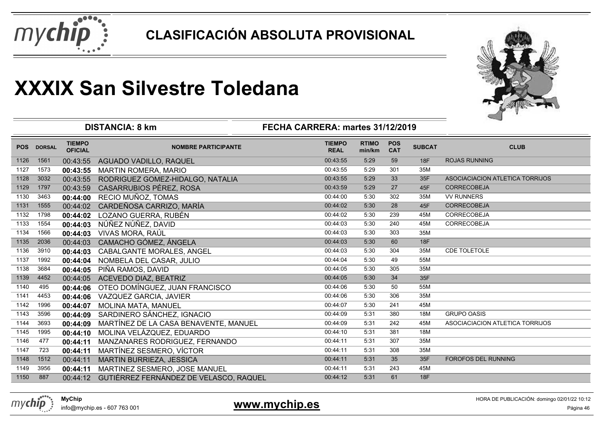



|            |               |                                 | <b>DISTANCIA: 8 km</b>                 | FECHA CARRERA: martes 31/12/2019 |                        |                          |               |                                 |
|------------|---------------|---------------------------------|----------------------------------------|----------------------------------|------------------------|--------------------------|---------------|---------------------------------|
| <b>POS</b> | <b>DORSAL</b> | <b>TIEMPO</b><br><b>OFICIAL</b> | <b>NOMBRE PARTICIPANTE</b>             | <b>TIEMPO</b><br><b>REAL</b>     | <b>RTIMO</b><br>min/km | <b>POS</b><br><b>CAT</b> | <b>SUBCAT</b> | <b>CLUB</b>                     |
| 1126       | 1561          | 00:43:55                        | AGUADO VADILLO, RAQUEL                 | 00:43:55                         | 5:29                   | 59                       | 18F           | <b>ROJAS RUNNING</b>            |
| 1127       | 1573          | 00:43:55                        | <b>MARTIN ROMERA, MARIO</b>            | 00:43:55                         | 5:29                   | 301                      | 35M           |                                 |
| 1128       | 3032          | 00:43:55                        | RODRIGUEZ GOMEZ-HIDALGO, NATALIA       | 00:43:55                         | 5:29                   | 33                       | 35F           | ASOCIACIACION ATLETICA TORRIJOS |
| 1129       | 1797          | 00:43:59                        | CASARRUBIOS PÉREZ, ROSA                | 00:43:59                         | 5:29                   | 27                       | 45F           | <b>CORRECOBEJA</b>              |
| 1130       | 3463          | 00:44:00                        | RECIO MUÑOZ, TOMAS                     | 00:44:00                         | 5:30                   | 302                      | 35M           | <b>VV RUNNERS</b>               |
| 1131       | 1555          | 00:44:02                        | CARDEÑOSA CARRIZO, MARÍA               | 00:44:02                         | 5:30                   | 28                       | 45F           | CORRECOBEJA                     |
| 1132       | 1798          | 00:44:02                        | LOZANO GUERRA, RUBÉN                   | 00:44:02                         | 5:30                   | 239                      | 45M           | <b>CORRECOBEJA</b>              |
| 1133       | 1554          | 00:44:03                        | NÚÑEZ NÚÑEZ, DAVID                     | 00:44:03                         | 5:30                   | 240                      | 45M           | <b>CORRECOBEJA</b>              |
| 1134       | 1566          | 00:44:03                        | VIVAS MORA, RAÚL                       | 00:44:03                         | 5:30                   | 303                      | 35M           |                                 |
| 1135       | 2036          | 00:44:03                        | CAMACHO GÓMEZ, ÁNGELA                  | 00:44:03                         | 5:30                   | 60                       | 18F           |                                 |
| 1136       | 3910          | 00:44:03                        | CABALGANTE MORALES, ANGEL              | 00:44:03                         | 5:30                   | 304                      | 35M           | <b>CDE TOLETOLE</b>             |
| 1137       | 1992          | 00:44:04                        | NOMBELA DEL CASAR, JULIO               | 00:44:04                         | 5:30                   | 49                       | 55M           |                                 |
| 1138       | 3684          | 00:44:05                        | PIÑA RAMOS, DAVID                      | 00:44:05                         | 5:30                   | 305                      | 35M           |                                 |
| 1139       | 4452          | 00:44:05                        | <b>ACEVEDO DIAZ, BEATRIZ</b>           | 00:44:05                         | 5:30                   | 34                       | 35F           |                                 |
| 1140       | 495           | 00:44:06                        | OTEO DOMÍNGUEZ, JUAN FRANCISCO         | 00:44:06                         | 5:30                   | 50                       | 55M           |                                 |
| 1141       | 4453          | 00:44:06                        | VAZQUEZ GARCIA, JAVIER                 | 00:44:06                         | 5:30                   | 306                      | 35M           |                                 |
| 1142       | 1996          | 00:44:07                        | MOLINA MATA, MANUEL                    | 00:44:07                         | 5:30                   | 241                      | 45M           |                                 |
| 1143       | 3596          | 00:44:09                        | SARDINERO SÁNCHEZ, IGNACIO             | 00:44:09                         | 5:31                   | 380                      | 18M           | <b>GRUPO OASIS</b>              |
| 1144       | 3693          | 00:44:09                        | MARTÍNEZ DE LA CASA BENAVENTE, MANUEL  | 00:44:09                         | 5:31                   | 242                      | 45M           | ASOCIACIACION ATLETICA TORRIJOS |
| 1145       | 1995          | 00:44:10                        | MOLINA VELÁZQUEZ, EDUARDO              | 00:44:10                         | 5:31                   | 381                      | 18M           |                                 |
| 1146       | 477           | 00:44:11                        | MANZANARES RODRIGUEZ, FERNANDO         | 00:44:11                         | 5:31                   | 307                      | 35M           |                                 |
| 1147       | 723           | 00:44:11                        | MARTÍNEZ SESMERO, VÍCTOR               | 00:44:11                         | 5:31                   | 308                      | 35M           |                                 |
| 1148       | 1512          | 00:44:11                        | MARTIN BURRIEZA, JESSICA               | 00:44:11                         | 5:31                   | 35                       | 35F           | FOROFOS DEL RUNNING             |
| 1149       | 3956          | 00:44:11                        | MARTINEZ SESMERO, JOSE MANUEL          | 00:44:11                         | 5:31                   | 243                      | 45M           |                                 |
| 1150       | 887           | 00:44:12                        | GUTIÉRREZ FERNÁNDEZ DE VELASCO, RAQUEL | 00:44:12                         | 5:31                   | 61                       | 18F           |                                 |
|            |               |                                 |                                        |                                  |                        |                          |               |                                 |



info@mychip.es - 607 763 001

### **www.mychip.es**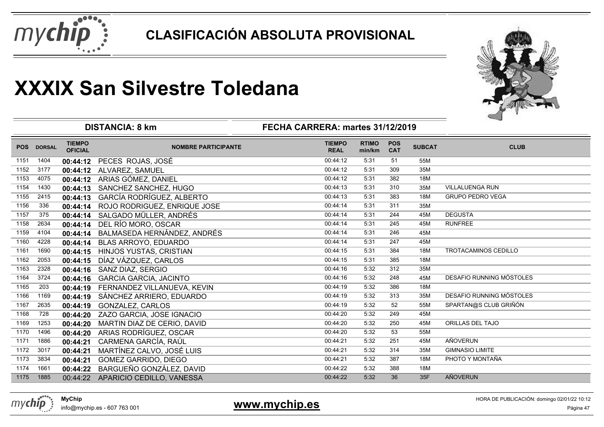



|            |               |                                 | <b>DISTANCIA: 8 km</b>             | FECHA CARRERA: martes 31/12/2019 |                        |                          |               |                                 |
|------------|---------------|---------------------------------|------------------------------------|----------------------------------|------------------------|--------------------------|---------------|---------------------------------|
| <b>POS</b> | <b>DORSAL</b> | <b>TIEMPO</b><br><b>OFICIAL</b> | <b>NOMBRE PARTICIPANTE</b>         | <b>TIEMPO</b><br><b>REAL</b>     | <b>RTIMO</b><br>min/km | <b>POS</b><br><b>CAT</b> | <b>SUBCAT</b> | <b>CLUB</b>                     |
| 1151       | 1404          |                                 | 00:44:12 PECES ROJAS, JOSÉ         | 00:44:12                         | 5:31                   | 51                       | 55M           |                                 |
| 1152       | 3177          | 00:44:12                        | ALVAREZ, SAMUEL                    | 00:44:12                         | 5:31                   | 309                      | 35M           |                                 |
| 1153       | 4075          |                                 | 00:44:12 ARIAS GÓMEZ, DANIEL       | 00:44:12                         | 5:31                   | 382                      | 18M           |                                 |
| 1154       | 1430          | 00:44:13                        | SANCHEZ SANCHEZ, HUGO              | 00:44:13                         | 5:31                   | 310                      | 35M           | VILLALUENGA RUN                 |
| 1155       | 2415          | 00:44:13                        | GARCÍA RODRÍGUEZ, ALBERTO          | 00:44:13                         | 5:31                   | 383                      | 18M           | <b>GRUPO PEDRO VEGA</b>         |
| 1156       | 336           | 00:44:14                        | ROJO RODRIGUEZ, ENRIQUE JOSE       | 00:44:14                         | 5:31                   | 311                      | 35M           |                                 |
| 1157       | 375           | 00:44:14                        | SALGADO MÜLLER, ANDRÉS             | 00:44:14                         | 5:31                   | 244                      | 45M           | <b>DEGUSTA</b>                  |
| 1158       | 2634          | 00:44:14                        | DEL RÍO MORO, OSCAR                | 00:44:14                         | 5:31                   | 245                      | 45M           | <b>RUNFREE</b>                  |
| 1159       | 4104          | 00:44:14                        | BALMASEDA HERNÁNDEZ, ANDRÉS        | 00:44:14                         | 5:31                   | 246                      | 45M           |                                 |
| 1160       | 4228          | 00:44:14                        | BLAS ARROYO, EDUARDO               | 00:44:14                         | 5:31                   | 247                      | 45M           |                                 |
| 1161       | 1690          | 00:44:15                        | HINJOS YUSTAS, CRISTIAN            | 00:44:15                         | 5:31                   | 384                      | 18M           | TROTACAMINOS CEDILLO            |
| 1162       | 2053          | 00:44:15                        | DÍAZ VÁZQUEZ, CARLOS               | 00:44:15                         | 5:31                   | 385                      | 18M           |                                 |
| 1163       | 2328          | 00:44:16                        | SANZ DIAZ, SERGIO                  | 00:44:16                         | 5:32                   | 312                      | 35M           |                                 |
| 1164       | 3724          | 00:44:16                        | <b>GARCIA GARCIA, JACINTO</b>      | 00:44:16                         | 5:32                   | 248                      | 45M           | DESAFIO RUNNING MÓSTOLES        |
| 1165       | 203           | 00:44:19                        | FERNANDEZ VILLANUEVA, KEVIN        | 00:44:19                         | 5:32                   | 386                      | 18M           |                                 |
| 1166       | 1169          | 00:44:19                        | SÁNCHEZ ARRIERO, EDUARDO           | 00:44:19                         | 5:32                   | 313                      | 35M           | <b>DESAFIO RUNNING MÓSTOLES</b> |
| 1167       | 2635          | 00:44:19                        | GONZALEZ, CARLOS                   | 00:44:19                         | 5:32                   | 52                       | 55M           | SPARTAN@S CLUB GRIÑÓN           |
| 1168       | 728           | 00:44:20                        | ZAZO GARCIA, JOSE IGNACIO          | 00:44:20                         | 5:32                   | 249                      | 45M           |                                 |
| 1169       | 1253          | 00:44:20                        | MARTIN DIAZ DE CERIO, DAVID        | 00:44:20                         | 5:32                   | 250                      | 45M           | ORILLAS DEL TAJO                |
| 1170       | 1496          | 00:44:20                        | ARIAS RODRÍGUEZ, OSCAR             | 00:44:20                         | 5:32                   | 53                       | 55M           |                                 |
| 1171       | 1886          | 00:44:21                        | CARMENA GARCÍA, RAÚL               | 00:44:21                         | 5:32                   | 251                      | 45M           | AÑOVERUN                        |
| 1172       | 3017          | 00:44:21                        | MARTÍNEZ CALVO, JOSÉ LUIS          | 00:44:21                         | 5:32                   | 314                      | 35M           | <b>GIMNASIO LIMITE</b>          |
| 1173       | 3834          | 00:44:21                        | GOMEZ GARRIDO, DIEGO               | 00:44:21                         | 5:32                   | 387                      | 18M           | PHOTO Y MONTAÑA                 |
| 1174       | 1661          | 00:44:22                        | BARGUEÑO GONZÁLEZ, DAVID           | 00:44:22                         | 5:32                   | 388                      | 18M           |                                 |
| 1175       | 1885          |                                 | 00:44:22 APARICIO CEDILLO, VANESSA | 00:44:22                         | 5:32                   | 36                       | 35F           | AÑOVERUN                        |

info@mychip.es - 607 763 001

**www.mychip.es**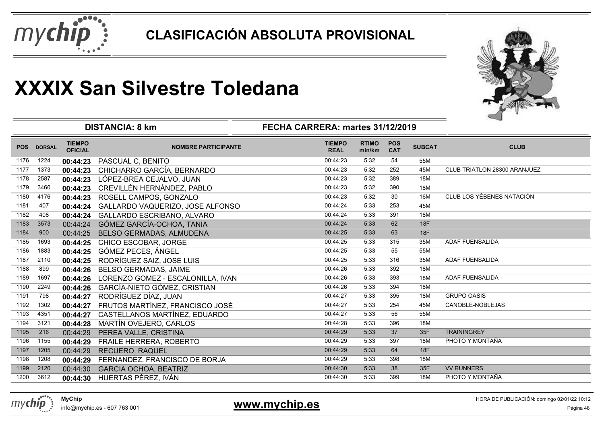



|            |               |                                 | <b>DISTANCIA: 8 km</b>            | FECHA CARRERA: martes 31/12/2019 |                        |                          |               |                                  |
|------------|---------------|---------------------------------|-----------------------------------|----------------------------------|------------------------|--------------------------|---------------|----------------------------------|
| <b>POS</b> | <b>DORSAL</b> | <b>TIEMPO</b><br><b>OFICIAL</b> | <b>NOMBRE PARTICIPANTE</b>        | <b>TIEMPO</b><br><b>REAL</b>     | <b>RTIMO</b><br>min/km | <b>POS</b><br><b>CAT</b> | <b>SUBCAT</b> | <b>CLUB</b>                      |
| 1176       | 1224          | 00:44:23                        | PASCUAL C, BENITO                 | 00:44:23                         | 5:32                   | 54                       | 55M           |                                  |
| 1177       | 1373          | 00:44:23                        | CHICHARRO GARCÍA, BERNARDO        | 00:44:23                         | 5:32                   | 252                      | 45M           | CLUB TRIATLON 28300 ARANJUEZ     |
| 1178       | 2587          | 00:44:23                        | LÓPEZ-BREA CEJALVO, JUAN          | 00:44:23                         | 5:32                   | 389                      | 18M           |                                  |
| 1179       | 3460          | 00:44:23                        | CREVILLÉN HERNÁNDEZ, PABLO        | 00:44:23                         | 5:32                   | 390                      | 18M           |                                  |
| 1180       | 4176          | 00:44:23                        | ROSELL CAMPOS, GONZALO            | 00:44:23                         | 5:32                   | 30                       | 16M           | <b>CLUB LOS YÉBENES NATACIÓN</b> |
| 1181       | 407           | 00:44:24                        | GALLARDO VAQUERIZO, JOSE ALFONSO  | 00:44:24                         | 5:33                   | 253                      | 45M           |                                  |
| 1182       | 408           | 00:44:24                        | GALLARDO ESCRIBANO, ALVARO        | 00:44:24                         | 5:33                   | 391                      | 18M           |                                  |
| 1183       | 3573          | 00:44:24                        | GÓMEZ GARCÍA-OCHOA, TANIA         | 00:44:24                         | 5:33                   | 62                       | <b>18F</b>    |                                  |
| 1184       | 900           | 00:44:25                        | BELSO GERMADAS, ALMUDENA          | 00:44:25                         | 5:33                   | 63                       | <b>18F</b>    |                                  |
| 1185       | 1693          | 00:44:25                        | CHICO ESCOBAR, JORGE              | 00:44:25                         | 5:33                   | 315                      | 35M           | <b>ADAF FUENSALIDA</b>           |
| 1186       | 1883          | 00:44:25                        | GÓMEZ PECES, ÁNGEL                | 00:44:25                         | 5:33                   | 55                       | 55M           |                                  |
| 1187       | 2110          | 00:44:25                        | RODRÍGUEZ SAIZ, JOSE LUIS         | 00:44:25                         | 5:33                   | 316                      | 35M           | ADAF FUENSALIDA                  |
| 1188       | 899           | 00:44:26                        | <b>BELSO GERMADAS, JAIME</b>      | 00:44:26                         | 5:33                   | 392                      | 18M           |                                  |
| 1189       | 1697          | 00:44:26                        | LORENZO GOMEZ - ESCALONILLA, IVAN | 00:44:26                         | 5:33                   | 393                      | 18M           | <b>ADAF FUENSALIDA</b>           |
| 1190       | 2249          | 00:44:26                        | GARCÍA-NIETO GÓMEZ, CRISTIAN      | 00:44:26                         | 5:33                   | 394                      | 18M           |                                  |
| 1191       | 798           | 00:44:27                        | RODRÍGUEZ DÍAZ, JUAN              | 00:44:27                         | 5:33                   | 395                      | 18M           | <b>GRUPO OASIS</b>               |
| 1192       | 1302          | 00:44:27                        | FRUTOS MARTÍNEZ, FRANCISCO JOSÉ   | 00:44:27                         | 5:33                   | 254                      | 45M           | CANOBLE-NOBLEJAS                 |
| 1193       | 4351          | 00:44:27                        | CASTELLANOS MARTÍNEZ, EDUARDO     | 00:44:27                         | 5:33                   | 56                       | 55M           |                                  |
| 1194       | 3121          | 00:44:28                        | MARTÍN OVEJERO, CARLOS            | 00:44:28                         | 5:33                   | 396                      | 18M           |                                  |
| 1195       | 216           | 00:44:29                        | PEREA VALLE, CRISTINA             | 00:44:29                         | 5:33                   | 37                       | 35F           | <b>TRAININGREY</b>               |
| 1196       | 1155          | 00:44:29                        | FRAILE HERRERA, ROBERTO           | 00:44:29                         | 5:33                   | 397                      | 18M           | PHOTO Y MONTAÑA                  |
| 1197       | 1205          | 00:44:29                        | <b>RECUERO, RAQUEL</b>            | 00:44:29                         | 5:33                   | 64                       | <b>18F</b>    |                                  |
| 1198       | 1208          | 00:44:29                        | FERNANDEZ, FRANCISCO DE BORJA     | 00:44:29                         | 5:33                   | 398                      | 18M           |                                  |
| 1199       | 2120          | 00:44:30                        | <b>GARCIA OCHOA, BEATRIZ</b>      | 00:44:30                         | 5:33                   | 38                       | 35F           | <b>VV RUNNERS</b>                |
| 1200       | 3612          | 00:44:30                        | HUERTAS PÉREZ, IVÁN               | 00:44:30                         | 5:33                   | 399                      | 18M           | PHOTO Y MONTAÑA                  |



info@mychip.es - 607 763 001

**www.mychip.es**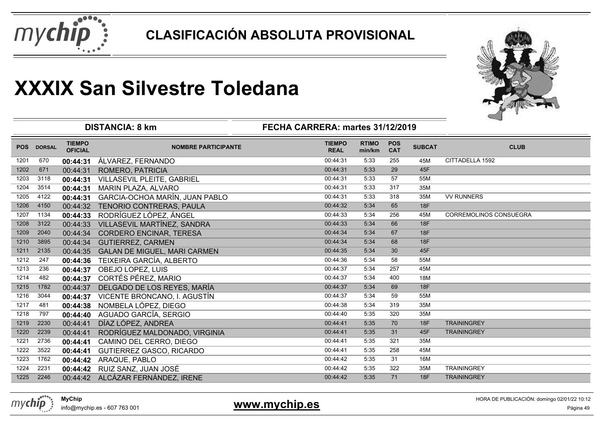



|            |               |                                 | <b>DISTANCIA: 8 km</b>              | FECHA CARRERA: martes 31/12/2019 |                        |                          |               |                               |
|------------|---------------|---------------------------------|-------------------------------------|----------------------------------|------------------------|--------------------------|---------------|-------------------------------|
| <b>POS</b> | <b>DORSAL</b> | <b>TIEMPO</b><br><b>OFICIAL</b> | <b>NOMBRE PARTICIPANTE</b>          | <b>TIEMPO</b><br><b>REAL</b>     | <b>RTIMO</b><br>min/km | <b>POS</b><br><b>CAT</b> | <b>SUBCAT</b> | <b>CLUB</b>                   |
| 1201       | 670           | 00:44:31                        | ÁLVAREZ, FERNANDO                   | 00:44:31                         | 5:33                   | 255                      | 45M           | CITTADELLA 1592               |
| 1202       | 671           | 00:44:31                        | ROMERO, PATRICIA                    | 00:44:31                         | 5:33                   | 29                       | 45F           |                               |
| 1203       | 3118          | 00:44:31                        | <b>VILLASEVIL PLEITE, GABRIEL</b>   | 00:44:31                         | 5:33                   | 57                       | 55M           |                               |
| 1204       | 3514          | 00:44:31                        | <b>MARIN PLAZA, ALVARO</b>          | 00:44:31                         | 5:33                   | 317                      | 35M           |                               |
| 1205       | 4122          | 00:44:31                        | GARCIA-OCHOA MARÍN, JUAN PABLO      | 00:44:31                         | 5:33                   | 318                      | 35M           | <b>VV RUNNERS</b>             |
| 1206       | 4150          | 00:44:32                        | TENORIO CONTRERAS, PAULA            | 00:44:32                         | 5:34                   | 65                       | 18F           |                               |
| 1207       | 1134          | 00:44:33                        | RODRÍGUEZ LÓPEZ, ÁNGEL              | 00:44:33                         | 5:34                   | 256                      | 45M           | <b>CORREMOLINOS CONSUEGRA</b> |
| 1208       | 3122          | 00:44:33                        | VILLASEVIL MARTÍNEZ, SANDRA         | 00:44:33                         | 5:34                   | 66                       | 18F           |                               |
| 1209       | 2040          | 00:44:34                        | <b>CORDERO ENCINAR, TERESA</b>      | 00:44:34                         | 5:34                   | 67                       | 18F           |                               |
| 1210       | 3895          | 00:44:34                        | <b>GUTIERREZ, CARMEN</b>            | 00:44:34                         | 5:34                   | 68                       | <b>18F</b>    |                               |
| 1211       | 2135          | 00:44:35                        | <b>GALAN DE MIGUEL, MARI CARMEN</b> | 00:44:35                         | 5:34                   | 30                       | 45F           |                               |
| 1212       | 247           | 00:44:36                        | TEIXEIRA GARCÍA, ALBERTO            | 00:44:36                         | 5:34                   | 58                       | 55M           |                               |
| 1213       | 236           | 00:44:37                        | OBEJO LOPEZ, LUIS                   | 00:44:37                         | 5:34                   | 257                      | 45M           |                               |
| 1214       | 482           | 00:44:37                        | <b>CORTÉS PÉREZ, MARIO</b>          | 00:44:37                         | 5:34                   | 400                      | <b>18M</b>    |                               |
| 1215       | 1782          | 00:44:37                        | DELGADO DE LOS REYES, MARÍA         | 00:44:37                         | 5:34                   | 69                       | 18F           |                               |
| 1216       | 3044          | 00:44:37                        | VICENTE BRONCANO, I. AGUSTÍN        | 00:44:37                         | 5:34                   | 59                       | 55M           |                               |
| 1217       | 481           | 00:44:38                        | NOMBELA LÓPEZ, DIEGO                | 00:44:38                         | 5:34                   | 319                      | 35M           |                               |
| 1218       | 797           | 00:44:40                        | AGUADO GARCÍA, SERGIO               | 00:44:40                         | 5:35                   | 320                      | 35M           |                               |
| 1219       | 2230          | 00:44:41                        | DÍAZ LÓPEZ, ANDREA                  | 00:44:41                         | 5:35                   | 70                       | 18F           | <b>TRAININGREY</b>            |
| 1220       | 2239          | 00:44:41                        | RODRÍGUEZ MALDONADO, VIRGINIA       | 00:44:41                         | 5:35                   | 31                       | 45F           | <b>TRAININGREY</b>            |
| 1221       | 2736          | 00:44:41                        | CAMINO DEL CERRO, DIEGO             | 00:44:41                         | 5:35                   | 321                      | 35M           |                               |
| 1222       | 3522          | 00:44:41                        | GUTIERREZ GASCO, RICARDO            | 00:44:41                         | 5:35                   | 258                      | 45M           |                               |
| 1223       | 1762          | 00:44:42                        | ARAQUE, PABLO                       | 00:44:42                         | 5:35                   | 31                       | 16M           |                               |
| 1224       | 2231          | 00:44:42                        | RUIZ SANZ, JUAN JOSÉ                | 00:44:42                         | 5:35                   | 322                      | 35M           | <b>TRAININGREY</b>            |
| 1225       | 2246          | 00:44:42                        | ALCÁZAR FERNÁNDEZ, IRENE            | 00:44:42                         | 5:35                   | 71                       | 18F           | <b>TRAININGREY</b>            |
|            |               |                                 |                                     |                                  |                        |                          |               |                               |

**www.mychip.es**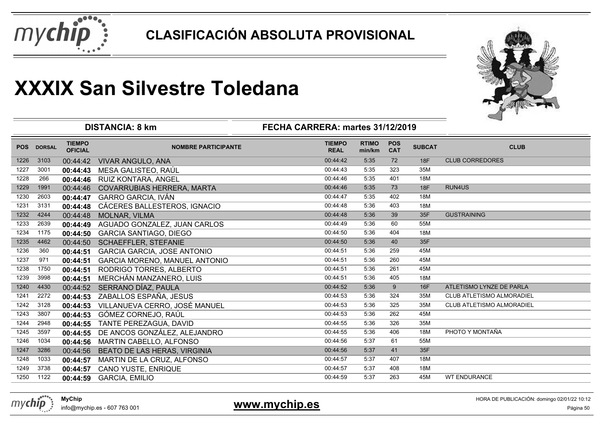



|            |               | <b>DISTANCIA: 8 km</b>          | ⊸                                    |                              |                        |                          |               |                           |
|------------|---------------|---------------------------------|--------------------------------------|------------------------------|------------------------|--------------------------|---------------|---------------------------|
| <b>POS</b> | <b>DORSAL</b> | <b>TIEMPO</b><br><b>OFICIAL</b> | <b>NOMBRE PARTICIPANTE</b>           | <b>TIEMPO</b><br><b>REAL</b> | <b>RTIMO</b><br>min/km | <b>POS</b><br><b>CAT</b> | <b>SUBCAT</b> | <b>CLUB</b>               |
| 1226       | 3103          | 00:44:42                        | <b>VIVAR ANGULO, ANA</b>             | 00:44:42                     | 5:35                   | 72                       | <b>18F</b>    | <b>CLUB CORREDORES</b>    |
| 1227       | 3001          | 00:44:43                        | MESA GALISTEO, RAÚL                  | 00:44:43                     | 5:35                   | 323                      | 35M           |                           |
| 1228       | 266           | 00:44:46                        | RUIZ KONTARA, ANGEL                  | 00:44:46                     | 5:35                   | 401                      | 18M           |                           |
| 1229       | 1991          | 00:44:46                        | COVARRUBIAS HERRERA, MARTA           | 00:44:46                     | 5:35                   | 73                       | 18F           | RUN4US                    |
| 1230       | 2603          | 00:44:47                        | <b>GARRO GARCIA, IVÁN</b>            | 00:44:47                     | 5:35                   | 402                      | 18M           |                           |
| 1231       | 3131          | 00:44:48                        | CÁCERES BALLESTEROS, IGNACIO         | 00:44:48                     | 5:36                   | 403                      | 18M           |                           |
| 1232       | 4244          | 00:44:48                        | <b>MOLNAR, VILMA</b>                 | 00:44:48                     | 5:36                   | 39                       | 35F           | <b>GUSTRAINING</b>        |
| 1233       | 2639          | 00:44:49                        | AGUADO GONZALEZ, JUAN CARLOS         | 00:44:49                     | 5:36                   | 60                       | 55M           |                           |
| 1234       | 1175          | 00:44:50                        | <b>GARCIA SANTIAGO, DIEGO</b>        | 00:44:50                     | 5:36                   | 404                      | 18M           |                           |
| 1235       | 4462          | 00:44:50                        | <b>SCHAEFFLER, STEFANIE</b>          | 00:44:50                     | 5:36                   | 40                       | 35F           |                           |
| 1236       | 360           | 00:44:51                        | <b>GARCIA GARCIA, JOSE ANTONIO</b>   | 00:44:51                     | 5:36                   | 259                      | 45M           |                           |
| 1237       | 971           | 00:44:51                        | <b>GARCIA MORENO, MANUEL ANTONIO</b> | 00:44:51                     | 5:36                   | 260                      | 45M           |                           |
| 1238       | 1750          | 00:44:51                        | RODRIGO TORRES, ALBERTO              | 00:44:51                     | 5:36                   | 261                      | 45M           |                           |
| 1239       | 3998          | 00:44:51                        | MERCHÁN MANZANERO, LUIS              | 00:44:51                     | 5:36                   | 405                      | 18M           |                           |
| 1240       | 4430          | 00:44:52                        | SERRANO DÍAZ, PAULA                  | 00:44:52                     | 5:36                   | 9                        | 16F           | ATLETISMO LYNZE DE PARLA  |
| 1241       | 2272          | 00:44:53                        | ZABALLOS ESPAÑA, JESUS               | 00:44:53                     | 5:36                   | 324                      | 35M           | CLUB ATLETISMO ALMORADIEL |
| 1242       | 3128          | 00:44:53                        | VILLANUEVA CERRO, JOSÉ MANUEL        | 00:44:53                     | 5:36                   | 325                      | 35M           | CLUB ATLETISMO ALMORADIEL |
| 1243       | 3807          | 00:44:53                        | GÓMEZ CORNEJO, RAÚL                  | 00:44:53                     | 5:36                   | 262                      | 45M           |                           |
| 1244       | 2948          | 00:44:55                        | TANTE PEREZAGUA, DAVID               | 00:44:55                     | 5:36                   | 326                      | 35M           |                           |
| 1245       | 3597          | 00:44:55                        | DE ANCOS GONZÁLEZ, ALEJANDRO         | 00:44:55                     | 5:36                   | 406                      | 18M           | PHOTO Y MONTAÑA           |
| 1246       | 1034          | 00:44:56                        | MARTIN CABELLO, ALFONSO              | 00:44:56                     | 5:37                   | 61                       | 55M           |                           |
| 1247       | 3286          | 00:44:56                        | BEATO DE LAS HERAS, VIRGINIA         | 00:44:56                     | 5:37                   | 41                       | 35F           |                           |
| 1248       | 1033          | 00:44:57                        | MARTIN DE LA CRUZ, ALFONSO           | 00:44:57                     | 5:37                   | 407                      | 18M           |                           |
| 1249       | 3738          | 00:44:57                        | CANO YUSTE, ENRIQUE                  | 00:44:57                     | 5:37                   | 408                      | 18M           |                           |
| 1250       | 1122          | 00:44:59                        | <b>GARCIA, EMILIO</b>                | 00:44:59                     | 5:37                   | 263                      | 45M           | <b>WT ENDURANCE</b>       |



info@mychip.es - 607 763 001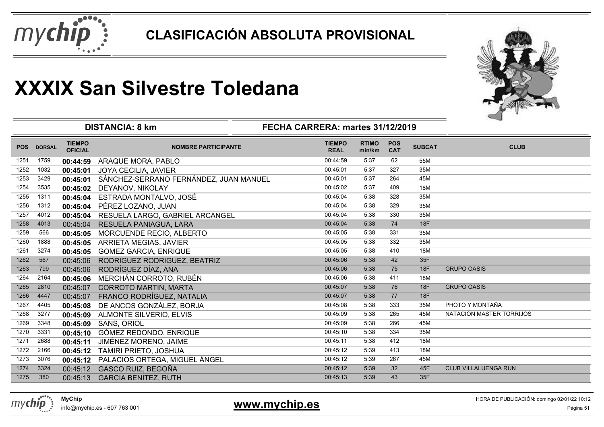



| <b>TIEMPO</b><br><b>RTIMO</b><br><b>POS</b><br><b>TIEMPO</b><br><b>SUBCAT</b><br><b>CLUB</b><br><b>POS</b><br><b>DORSAL</b><br><b>NOMBRE PARTICIPANTE</b><br><b>OFICIAL</b><br><b>CAT</b><br><b>REAL</b><br>min/km<br>55M<br>1759<br>00:44:59<br>5:37<br>62<br>1251<br>00:44:59<br>ARAQUE MORA, PABLO<br>5:37<br>327<br>35M<br>1252<br>1032<br>00:45:01<br>JOYA CECILIA, JAVIER<br>00:45:01<br>1253<br>3429<br>SÁNCHEZ-SERRANO FERNÁNDEZ, JUAN MANUEL<br>00:45:01<br>5:37<br>264<br>45M<br>00:45:01<br>1254<br>00:45:02<br>5:37<br>409<br>18M<br>3535<br>00:45:02<br>DEYANOV, NIKOLAY<br>00:45:04<br>5:38<br>328<br>35M<br>1255<br>1311<br>ESTRADA MONTALVO, JOSÉ<br>00:45:04<br>1256<br>1312<br>PÉREZ LOZANO, JUAN<br>00:45:04<br>5:38<br>329<br>35M<br>00:45:04<br>1257<br>00:45:04<br>5:38<br>330<br>35M<br>4012<br>RESUELA LARGO, GABRIEL ARCANGEL<br>00:45:04<br>1258<br>00:45:04<br>5:38<br>74<br>18F<br>4013<br>00:45:04<br>RESUELA PANIAGUA, LARA<br>00:45:05<br>331<br>35M<br>1259<br>566<br>5:38<br>MORCUENDE RECIO, ALBERTO<br>00:45:05<br>1260<br>00:45:05<br>5:38<br>332<br>1888<br>35M<br><b>ARRIETA MEGIAS, JAVIER</b><br>00:45:05<br>00:45:05<br>5:38<br>410<br>1261<br>3274<br>18M<br>00:45:05<br><b>GOMEZ GARCIA, ENRIQUE</b><br>1262<br>00:45:06<br>5:38<br>42<br>567<br>35F<br>00:45:06<br>RODRIGUEZ RODRIGUEZ, BEATRIZ<br>RODRÍGUEZ DÍAZ, ANA<br>75<br><b>18F</b><br>799<br>00:45:06<br>00:45:06<br>5:38<br><b>GRUPO OASIS</b><br>1263<br>MERCHÁN CORROTO, RUBÉN<br>00:45:06<br>5:38<br>411<br>1264<br>2164<br>00:45:06<br>18M<br>1265<br>2810<br>00:45:07<br>5:38<br>76<br>18F<br><b>GRUPO OASIS</b><br><b>CORROTO MARTIN, MARTA</b><br>00:45:07<br>FRANCO RODRÍGUEZ, NATALIA<br>1266<br>77<br><b>18F</b><br>4447<br>00:45:07<br>5:38<br>00:45:07<br>PHOTO Y MONTAÑA<br>00:45:08<br>5:38<br>333<br>35M<br>1267<br>4405<br>DE ANCOS GONZÁLEZ, BORJA<br>00:45:08<br>NATACIÓN MASTER TORRIJOS<br>1268<br>00:45:09<br>5:38<br>265<br>3277<br>45M<br><b>ALMONTE SILVERIO, ELVIS</b><br>00:45:09 |
|------------------------------------------------------------------------------------------------------------------------------------------------------------------------------------------------------------------------------------------------------------------------------------------------------------------------------------------------------------------------------------------------------------------------------------------------------------------------------------------------------------------------------------------------------------------------------------------------------------------------------------------------------------------------------------------------------------------------------------------------------------------------------------------------------------------------------------------------------------------------------------------------------------------------------------------------------------------------------------------------------------------------------------------------------------------------------------------------------------------------------------------------------------------------------------------------------------------------------------------------------------------------------------------------------------------------------------------------------------------------------------------------------------------------------------------------------------------------------------------------------------------------------------------------------------------------------------------------------------------------------------------------------------------------------------------------------------------------------------------------------------------------------------------------------------------------------------------------------------------------------------------------------------------------------------------------------------------------------------------------------------------|
|                                                                                                                                                                                                                                                                                                                                                                                                                                                                                                                                                                                                                                                                                                                                                                                                                                                                                                                                                                                                                                                                                                                                                                                                                                                                                                                                                                                                                                                                                                                                                                                                                                                                                                                                                                                                                                                                                                                                                                                                                  |
|                                                                                                                                                                                                                                                                                                                                                                                                                                                                                                                                                                                                                                                                                                                                                                                                                                                                                                                                                                                                                                                                                                                                                                                                                                                                                                                                                                                                                                                                                                                                                                                                                                                                                                                                                                                                                                                                                                                                                                                                                  |
|                                                                                                                                                                                                                                                                                                                                                                                                                                                                                                                                                                                                                                                                                                                                                                                                                                                                                                                                                                                                                                                                                                                                                                                                                                                                                                                                                                                                                                                                                                                                                                                                                                                                                                                                                                                                                                                                                                                                                                                                                  |
|                                                                                                                                                                                                                                                                                                                                                                                                                                                                                                                                                                                                                                                                                                                                                                                                                                                                                                                                                                                                                                                                                                                                                                                                                                                                                                                                                                                                                                                                                                                                                                                                                                                                                                                                                                                                                                                                                                                                                                                                                  |
|                                                                                                                                                                                                                                                                                                                                                                                                                                                                                                                                                                                                                                                                                                                                                                                                                                                                                                                                                                                                                                                                                                                                                                                                                                                                                                                                                                                                                                                                                                                                                                                                                                                                                                                                                                                                                                                                                                                                                                                                                  |
|                                                                                                                                                                                                                                                                                                                                                                                                                                                                                                                                                                                                                                                                                                                                                                                                                                                                                                                                                                                                                                                                                                                                                                                                                                                                                                                                                                                                                                                                                                                                                                                                                                                                                                                                                                                                                                                                                                                                                                                                                  |
|                                                                                                                                                                                                                                                                                                                                                                                                                                                                                                                                                                                                                                                                                                                                                                                                                                                                                                                                                                                                                                                                                                                                                                                                                                                                                                                                                                                                                                                                                                                                                                                                                                                                                                                                                                                                                                                                                                                                                                                                                  |
|                                                                                                                                                                                                                                                                                                                                                                                                                                                                                                                                                                                                                                                                                                                                                                                                                                                                                                                                                                                                                                                                                                                                                                                                                                                                                                                                                                                                                                                                                                                                                                                                                                                                                                                                                                                                                                                                                                                                                                                                                  |
|                                                                                                                                                                                                                                                                                                                                                                                                                                                                                                                                                                                                                                                                                                                                                                                                                                                                                                                                                                                                                                                                                                                                                                                                                                                                                                                                                                                                                                                                                                                                                                                                                                                                                                                                                                                                                                                                                                                                                                                                                  |
|                                                                                                                                                                                                                                                                                                                                                                                                                                                                                                                                                                                                                                                                                                                                                                                                                                                                                                                                                                                                                                                                                                                                                                                                                                                                                                                                                                                                                                                                                                                                                                                                                                                                                                                                                                                                                                                                                                                                                                                                                  |
|                                                                                                                                                                                                                                                                                                                                                                                                                                                                                                                                                                                                                                                                                                                                                                                                                                                                                                                                                                                                                                                                                                                                                                                                                                                                                                                                                                                                                                                                                                                                                                                                                                                                                                                                                                                                                                                                                                                                                                                                                  |
|                                                                                                                                                                                                                                                                                                                                                                                                                                                                                                                                                                                                                                                                                                                                                                                                                                                                                                                                                                                                                                                                                                                                                                                                                                                                                                                                                                                                                                                                                                                                                                                                                                                                                                                                                                                                                                                                                                                                                                                                                  |
|                                                                                                                                                                                                                                                                                                                                                                                                                                                                                                                                                                                                                                                                                                                                                                                                                                                                                                                                                                                                                                                                                                                                                                                                                                                                                                                                                                                                                                                                                                                                                                                                                                                                                                                                                                                                                                                                                                                                                                                                                  |
|                                                                                                                                                                                                                                                                                                                                                                                                                                                                                                                                                                                                                                                                                                                                                                                                                                                                                                                                                                                                                                                                                                                                                                                                                                                                                                                                                                                                                                                                                                                                                                                                                                                                                                                                                                                                                                                                                                                                                                                                                  |
|                                                                                                                                                                                                                                                                                                                                                                                                                                                                                                                                                                                                                                                                                                                                                                                                                                                                                                                                                                                                                                                                                                                                                                                                                                                                                                                                                                                                                                                                                                                                                                                                                                                                                                                                                                                                                                                                                                                                                                                                                  |
|                                                                                                                                                                                                                                                                                                                                                                                                                                                                                                                                                                                                                                                                                                                                                                                                                                                                                                                                                                                                                                                                                                                                                                                                                                                                                                                                                                                                                                                                                                                                                                                                                                                                                                                                                                                                                                                                                                                                                                                                                  |
|                                                                                                                                                                                                                                                                                                                                                                                                                                                                                                                                                                                                                                                                                                                                                                                                                                                                                                                                                                                                                                                                                                                                                                                                                                                                                                                                                                                                                                                                                                                                                                                                                                                                                                                                                                                                                                                                                                                                                                                                                  |
|                                                                                                                                                                                                                                                                                                                                                                                                                                                                                                                                                                                                                                                                                                                                                                                                                                                                                                                                                                                                                                                                                                                                                                                                                                                                                                                                                                                                                                                                                                                                                                                                                                                                                                                                                                                                                                                                                                                                                                                                                  |
|                                                                                                                                                                                                                                                                                                                                                                                                                                                                                                                                                                                                                                                                                                                                                                                                                                                                                                                                                                                                                                                                                                                                                                                                                                                                                                                                                                                                                                                                                                                                                                                                                                                                                                                                                                                                                                                                                                                                                                                                                  |
| 5:38<br>1269<br>3348<br>00:45:09<br>266<br>45M<br><b>SANS, ORIOL</b><br>00:45:09                                                                                                                                                                                                                                                                                                                                                                                                                                                                                                                                                                                                                                                                                                                                                                                                                                                                                                                                                                                                                                                                                                                                                                                                                                                                                                                                                                                                                                                                                                                                                                                                                                                                                                                                                                                                                                                                                                                                 |
| 1270<br>00:45:10<br>3331<br>GÓMEZ REDONDO, ENRIQUE<br>5:38<br>334<br>35M<br>00:45:10                                                                                                                                                                                                                                                                                                                                                                                                                                                                                                                                                                                                                                                                                                                                                                                                                                                                                                                                                                                                                                                                                                                                                                                                                                                                                                                                                                                                                                                                                                                                                                                                                                                                                                                                                                                                                                                                                                                             |
| 1271<br>2688<br>00:45:11<br>5:38<br>412<br>18M<br>JIMÉNEZ MORENO, JAIME<br>00:45:11                                                                                                                                                                                                                                                                                                                                                                                                                                                                                                                                                                                                                                                                                                                                                                                                                                                                                                                                                                                                                                                                                                                                                                                                                                                                                                                                                                                                                                                                                                                                                                                                                                                                                                                                                                                                                                                                                                                              |
| 00:45:12<br>413<br>1272<br>2166<br>5:39<br>18M<br>TAMIRI PRIETO, JOSHUA<br>00:45:12                                                                                                                                                                                                                                                                                                                                                                                                                                                                                                                                                                                                                                                                                                                                                                                                                                                                                                                                                                                                                                                                                                                                                                                                                                                                                                                                                                                                                                                                                                                                                                                                                                                                                                                                                                                                                                                                                                                              |
| 1273<br>00:45:12<br>5:39<br>267<br>3076<br>PALACIOS ORTEGA, MIGUEL ÁNGEL<br>45M<br>00:45:12                                                                                                                                                                                                                                                                                                                                                                                                                                                                                                                                                                                                                                                                                                                                                                                                                                                                                                                                                                                                                                                                                                                                                                                                                                                                                                                                                                                                                                                                                                                                                                                                                                                                                                                                                                                                                                                                                                                      |
| <b>GASCO RUIZ, BEGOÑA</b><br>00:45:12<br>32<br>45F<br>1274<br>3324<br>00:45:12<br>5:39<br><b>CLUB VILLALUENGA RUN</b>                                                                                                                                                                                                                                                                                                                                                                                                                                                                                                                                                                                                                                                                                                                                                                                                                                                                                                                                                                                                                                                                                                                                                                                                                                                                                                                                                                                                                                                                                                                                                                                                                                                                                                                                                                                                                                                                                            |
| 380<br><b>GARCIA BENITEZ, RUTH</b><br>5:39<br>43<br>1275<br>00:45:13<br>00:45:13<br>35F                                                                                                                                                                                                                                                                                                                                                                                                                                                                                                                                                                                                                                                                                                                                                                                                                                                                                                                                                                                                                                                                                                                                                                                                                                                                                                                                                                                                                                                                                                                                                                                                                                                                                                                                                                                                                                                                                                                          |



info@mychip.es - 607 763 001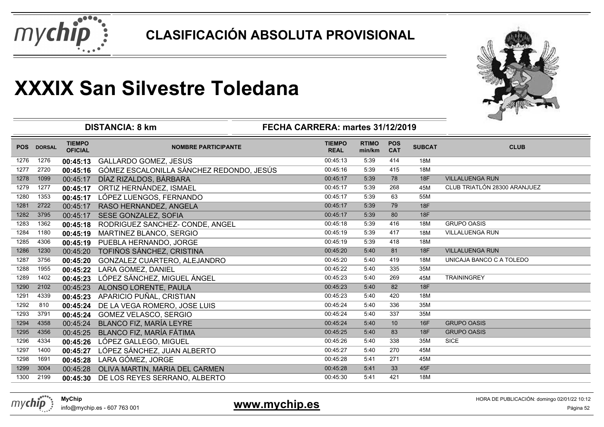



|            |               |                                 | <b>DISTANCIA: 8 km</b>                   | FECHA CARRERA: martes 31/12/2019 |                        |                          |               |                              |
|------------|---------------|---------------------------------|------------------------------------------|----------------------------------|------------------------|--------------------------|---------------|------------------------------|
| <b>POS</b> | <b>DORSAL</b> | <b>TIEMPO</b><br><b>OFICIAL</b> | <b>NOMBRE PARTICIPANTE</b>               | <b>TIEMPO</b><br><b>REAL</b>     | <b>RTIMO</b><br>min/km | <b>POS</b><br><b>CAT</b> | <b>SUBCAT</b> | <b>CLUB</b>                  |
| 1276       | 1276          | 00:45:13                        | <b>GALLARDO GOMEZ, JESUS</b>             | 00:45:13                         | 5:39                   | 414                      | 18M           |                              |
| 1277       | 2720          | 00:45:16                        | GÓMEZ ESCALONILLA SÁNCHEZ REDONDO, JESÚS | 00:45:16                         | 5:39                   | 415                      | 18M           |                              |
| 1278       | 1099          | 00:45:17                        | DÍAZ RIZALDOS, BÁRBARA                   | 00:45:17                         | 5:39                   | 78                       | 18F           | <b>VILLALUENGA RUN</b>       |
| 1279       | 1277          | 00:45:17                        | ORTIZ HERNÁNDEZ, ISMAEL                  | 00:45:17                         | 5:39                   | 268                      | 45M           | CLUB TRIATLÓN 28300 ARANJUEZ |
| 1280       | 1353          | 00:45:17                        | LÓPEZ LUENGOS, FERNANDO                  | 00:45:17                         | 5:39                   | 63                       | 55M           |                              |
| 1281       | 2722          | 00:45:17                        | RASO HERNANDEZ, ANGELA                   | 00:45:17                         | 5:39                   | 79                       | 18F           |                              |
| 1282       | 3795          | 00:45:17                        | SESE GONZALEZ, SOFIA                     | 00:45:17                         | 5:39                   | 80                       | <b>18F</b>    |                              |
| 1283       | 1362          | 00:45:18                        | RODRIGUEZ SANCHEZ- CONDE, ANGEL          | 00:45:18                         | 5:39                   | 416                      | 18M           | <b>GRUPO OASIS</b>           |
| 1284       | 1180          | 00:45:19                        | MARTINEZ BLANCO, SERGIO                  | 00:45:19                         | 5:39                   | 417                      | 18M           | VILLALUENGA RUN              |
| 1285       | 4306          | 00:45:19                        | PUEBLA HERNANDO, JORGE                   | 00:45:19                         | 5:39                   | 418                      | 18M           |                              |
| 1286       | 1230          | 00:45:20                        | TOFIÑOS SÁNCHEZ, CRISTINA                | 00:45:20                         | 5:40                   | 81                       | 18F           | <b>VILLALUENGA RUN</b>       |
| 1287       | 3756          | 00:45:20                        | GONZALEZ CUARTERO, ALEJANDRO             | 00:45:20                         | 5:40                   | 419                      | 18M           | UNICAJA BANCO C A TOLEDO     |
| 1288       | 1955          | 00:45:22                        | LARA GOMEZ, DANIEL                       | 00:45:22                         | 5:40                   | 335                      | 35M           |                              |
| 1289       | 1402          | 00:45:23                        | LÓPEZ SÁNCHEZ, MIGUEL ÁNGEL              | 00:45:23                         | 5:40                   | 269                      | 45M           | <b>TRAININGREY</b>           |
| 1290       | 2102          | 00:45:23                        | ALONSO LORENTE, PAULA                    | 00:45:23                         | 5:40                   | 82                       | 18F           |                              |
| 1291       | 4339          | 00:45:23                        | APARICIO PUÑAL, CRISTIAN                 | 00:45:23                         | 5:40                   | 420                      | 18M           |                              |
| 1292       | 810           | 00:45:24                        | DE LA VEGA ROMERO, JOSE LUIS             | 00:45:24                         | 5:40                   | 336                      | 35M           |                              |
| 1293       | 3791          | 00:45:24                        | <b>GOMEZ VELASCO, SERGIO</b>             | 00:45:24                         | 5:40                   | 337                      | 35M           |                              |
| 1294       | 4358          | 00:45:24                        | BLANCO FIZ, MARÍA LEYRE                  | 00:45:24                         | 5:40                   | 10                       | 16F           | <b>GRUPO OASIS</b>           |
| 1295       | 4356          | 00:45:25                        | BLANCO FIZ, MARÍA FÁTIMA                 | 00:45:25                         | 5:40                   | 83                       | 18F           | <b>GRUPO OASIS</b>           |
| 1296       | 4334          | 00:45:26                        | LÓPEZ GALLEGO, MIGUEL                    | 00:45:26                         | 5:40                   | 338                      | 35M           | <b>SICE</b>                  |
| 1297       | 1400          | 00:45:27                        | LÓPEZ SÁNCHEZ, JUAN ALBERTO              | 00:45:27                         | 5:40                   | 270                      | 45M           |                              |
| 1298       | 1691          | 00:45:28                        | LARA GÓMEZ, JORGE                        | 00:45:28                         | 5:41                   | 271                      | 45M           |                              |
| 1299       | 3004          | 00:45:28                        | OLIVA MARTIN, MARIA DEL CARMEN           | 00:45:28                         | 5:41                   | 33                       | 45F           |                              |
| 1300       | 2199          | 00:45:30                        | DE LOS REYES SERRANO, ALBERTO            | 00:45:30                         | 5:41                   | 421                      | 18M           |                              |



info@mychip.es - 607 763 001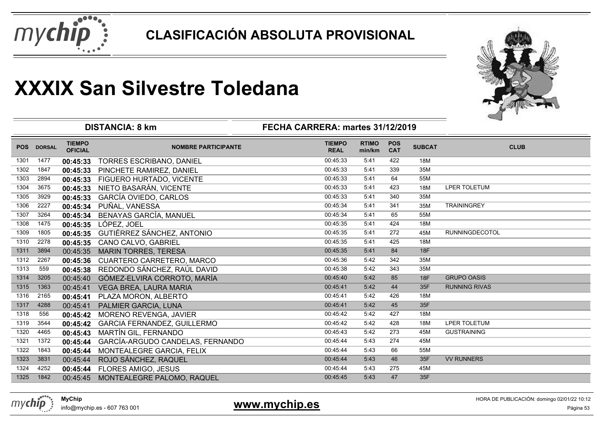



|            |               |                                 | <b>DISTANCIA: 8 km</b>              | FECHA CARRERA: martes 31/12/2019 |                        |                          |               |                      |
|------------|---------------|---------------------------------|-------------------------------------|----------------------------------|------------------------|--------------------------|---------------|----------------------|
| <b>POS</b> | <b>DORSAL</b> | <b>TIEMPO</b><br><b>OFICIAL</b> | <b>NOMBRE PARTICIPANTE</b>          | <b>TIEMPO</b><br><b>REAL</b>     | <b>RTIMO</b><br>min/km | <b>POS</b><br><b>CAT</b> | <b>SUBCAT</b> | <b>CLUB</b>          |
| 1301       | 1477          | 00:45:33                        | <b>TORRES ESCRIBANO, DANIEL</b>     | 00:45:33                         | 5:41                   | 422                      | 18M           |                      |
| 1302       | 1847          | 00:45:33                        | PINCHETE RAMIREZ, DANIEL            | 00:45:33                         | 5:41                   | 339                      | 35M           |                      |
| 1303       | 2894          | 00:45:33                        | FIGUERO HURTADO, VICENTE            | 00:45:33                         | 5:41                   | 64                       | 55M           |                      |
| 1304       | 3675          | 00:45:33                        | NIETO BASARÁN, VICENTE              | 00:45:33                         | 5:41                   | 423                      | 18M           | LPER TOLETUM         |
| 1305       | 3929          | 00:45:33                        | GARCÍA OVIEDO, CARLOS               | 00:45:33                         | 5:41                   | 340                      | 35M           |                      |
| 1306       | 2227          | 00:45:34                        | PUÑAL, VANESSA                      | 00:45:34                         | 5:41                   | 341                      | 35M           | <b>TRAININGREY</b>   |
| 1307       | 3264          | 00:45:34                        | BENAYAS GARCÍA, MANUEL              | 00:45:34                         | 5:41                   | 65                       | 55M           |                      |
| 1308       | 1475          | 00:45:35                        | LÓPEZ, JOEL                         | 00:45:35                         | 5:41                   | 424                      | 18M           |                      |
| 1309       | 1805          | 00:45:35                        | GUTIÉRREZ SÁNCHEZ, ANTONIO          | 00:45:35                         | 5:41                   | 272                      | 45M           | RUNNINGDECOTOL       |
| 1310       | 2278          | 00:45:35                        | CANO CALVO, GABRIEL                 | 00:45:35                         | 5:41                   | 425                      | 18M           |                      |
| 1311       | 3894          | 00:45:35                        | <b>MARIN TORRES, TERESA</b>         | 00:45:35                         | 5:41                   | 84                       | 18F           |                      |
| 1312       | 2267          | 00:45:36                        | CUARTERO CARRETERO, MARCO           | 00:45:36                         | 5:42                   | 342                      | 35M           |                      |
| 1313       | 559           | 00:45:38                        | REDONDO SÁNCHEZ, RAÚL DAVID         | 00:45:38                         | 5:42                   | 343                      | 35M           |                      |
| 1314       | 3205          | 00:45:40                        | GÓMEZ-ELVIRA CORROTO, MARÍA         | 00:45:40                         | 5:42                   | 85                       | <b>18F</b>    | <b>GRUPO OASIS</b>   |
| 1315       | 1363          | 00:45:41                        | VEGA BREA, LAURA MARIA              | 00:45:41                         | 5:42                   | 44                       | 35F           | <b>RUNNING RIVAS</b> |
| 1316       | 2165          | 00:45:41                        | PLAZA MORON, ALBERTO                | 00:45:41                         | 5:42                   | 426                      | 18M           |                      |
| 1317       | 4288          | 00:45:41                        | PALMIER GARCIA, LUNA                | 00:45:41                         | 5:42                   | 45                       | 35F           |                      |
| 1318       | 556           | 00:45:42                        | MORENO REVENGA, JAVIER              | 00:45:42                         | 5:42                   | 427                      | 18M           |                      |
| 1319       | 3544          | 00:45:42                        | GARCIA FERNANDEZ, GUILLERMO         | 00:45:42                         | 5:42                   | 428                      | 18M           | <b>LPER TOLETUM</b>  |
| 1320       | 4465          | 00:45:43                        | MARTÍN GIL, FERNANDO                | 00:45:43                         | 5:42                   | 273                      | 45M           | <b>GUSTRAINING</b>   |
| 1321       | 1372          | 00:45:44                        | GARCÍA-ARGUDO CANDELAS, FERNANDO    | 00:45:44                         | 5:43                   | 274                      | 45M           |                      |
| 1322       | 1843          | 00:45:44                        | MONTEALEGRE GARCIA, FELIX           | 00:45:44                         | 5:43                   | 66                       | 55M           |                      |
| 1323       | 3831          | 00:45:44                        | ROJO SÁNCHEZ, RAQUEL                | 00:45:44                         | 5:43                   | 46                       | 35F           | <b>VV RUNNERS</b>    |
| 1324       | 4252          | 00:45:44                        | FLORES AMIGO, JESUS                 | 00:45:44                         | 5:43                   | 275                      | 45M           |                      |
| 1325       | 1842          |                                 | 00:45:45 MONTEALEGRE PALOMO, RAQUEL | 00:45:45                         | 5:43                   | 47                       | 35F           |                      |
|            |               |                                 |                                     |                                  |                        |                          |               |                      |



info@mychip.es - 607 763 001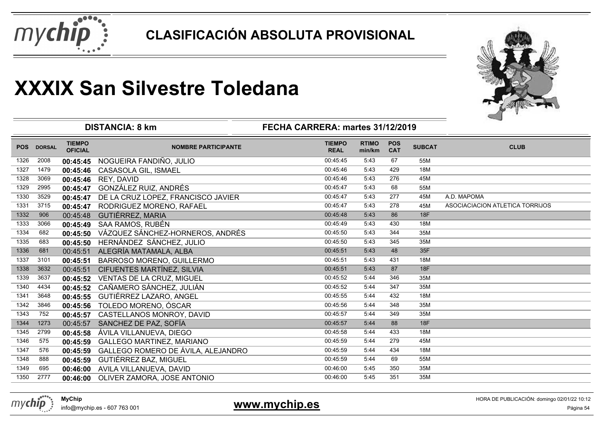



|            |               |                                 | <b>DISTANCIA: 8 km</b>             | FECHA CARRERA: martes 31/12/2019 |                        | ⊸                        |               |                                 |
|------------|---------------|---------------------------------|------------------------------------|----------------------------------|------------------------|--------------------------|---------------|---------------------------------|
| <b>POS</b> | <b>DORSAL</b> | <b>TIEMPO</b><br><b>OFICIAL</b> | <b>NOMBRE PARTICIPANTE</b>         | <b>TIEMPO</b><br><b>REAL</b>     | <b>RTIMO</b><br>min/km | <b>POS</b><br><b>CAT</b> | <b>SUBCAT</b> | <b>CLUB</b>                     |
| 1326       | 2008          | 00:45:45                        | NOGUEIRA FANDIÑO, JULIO            | 00:45:45                         | 5:43                   | 67                       | 55M           |                                 |
| 1327       | 1479          | 00:45:46                        | CASASOLA GIL, ISMAEL               | 00:45:46                         | 5:43                   | 429                      | <b>18M</b>    |                                 |
| 1328       | 3069          | 00:45:46                        | REY, DAVID                         | 00:45:46                         | 5:43                   | 276                      | 45M           |                                 |
| 1329       | 2995          | 00:45:47                        | GONZÁLEZ RUIZ, ANDRÉS              | 00:45:47                         | 5:43                   | 68                       | 55M           |                                 |
| 1330       | 3529          | 00:45:47                        | DE LA CRUZ LOPEZ, FRANCISCO JAVIER | 00:45:47                         | 5:43                   | 277                      | 45M           | A.D. MAPOMA                     |
| 1331       | 3715          | 00:45:47                        | RODRIGUEZ MORENO, RAFAEL           | 00:45:47                         | 5:43                   | 278                      | 45M           | ASOCIACIACION ATLETICA TORRIJOS |
| 1332       | 906           | 00:45:48                        | <b>GUTIÉRREZ, MARIA</b>            | 00:45:48                         | 5:43                   | 86                       | 18F           |                                 |
| 1333       | 3066          | 00:45:49                        | SAA RAMOS, RUBÉN                   | 00:45:49                         | 5:43                   | 430                      | 18M           |                                 |
| 1334       | 682           | 00:45:50                        | VÁZQUEZ SÁNCHEZ-HORNEROS, ANDRÉS   | 00:45:50                         | 5:43                   | 344                      | 35M           |                                 |
| 1335       | 683           | 00:45:50                        | HERNÁNDEZ SÁNCHEZ, JULIO           | 00:45:50                         | 5:43                   | 345                      | 35M           |                                 |
| 1336       | 681           | 00:45:51                        | ALEGRÍA MATAMALA, ALBA             | 00:45:51                         | 5:43                   | 48                       | 35F           |                                 |
| 1337       | 3101          | 00:45:51                        | <b>BARROSO MORENO, GUILLERMO</b>   | 00:45:51                         | 5:43                   | 431                      | 18M           |                                 |
| 1338       | 3632          | 00:45:51                        | CIFUENTES MARTÍNEZ, SILVIA         | 00:45:51                         | 5:43                   | 87                       | 18F           |                                 |
| 1339       | 3637          | 00:45:52                        | VENTAS DE LA CRUZ, MIGUEL          | 00:45:52                         | 5:44                   | 346                      | 35M           |                                 |
| 1340       | 4434          | 00:45:52                        | CAÑAMERO SÁNCHEZ, JULIÁN           | 00:45:52                         | 5:44                   | 347                      | 35M           |                                 |
| 1341       | 3648          | 00:45:55                        | GUTIÉRREZ LAZARO, ANGEL            | 00:45:55                         | 5:44                   | 432                      | 18M           |                                 |
| 1342       | 3846          | 00:45:56                        | TOLEDO MORENO, ÓSCAR               | 00:45:56                         | 5:44                   | 348                      | 35M           |                                 |
| 1343       | 752           | 00:45:57                        | CASTELLANOS MONROY, DAVID          | 00:45:57                         | 5:44                   | 349                      | 35M           |                                 |
| 1344       | 1273          | 00:45:57                        | SANCHEZ DE PAZ, SOFÍA              | 00:45:57                         | 5:44                   | 88                       | 18F           |                                 |
| 1345       | 2799          | 00:45:58                        | ÁVILA VILLANUEVA, DIEGO            | 00:45:58                         | 5:44                   | 433                      | <b>18M</b>    |                                 |
| 1346       | 575           | 00:45:59                        | GALLEGO MARTINEZ, MARIANO          | 00:45:59                         | 5:44                   | 279                      | 45M           |                                 |
| 1347       | 576           | 00:45:59                        | GALLEGO ROMERO DE ÁVILA, ALEJANDRO | 00:45:59                         | 5:44                   | 434                      | 18M           |                                 |
| 1348       | 888           | 00:45:59                        | GUTIÉRREZ BAZ, MIGUEL              | 00:45:59                         | 5:44                   | 69                       | 55M           |                                 |
| 1349       | 695           | 00:46:00                        | AVILA VILLANUEVA, DAVID            | 00:46:00                         | 5:45                   | 350                      | 35M           |                                 |
| 1350       | 2777          | 00:46:00                        | OLIVER ZAMORA, JOSE ANTONIO        | 00:46:00                         | 5:45                   | 351                      | 35M           |                                 |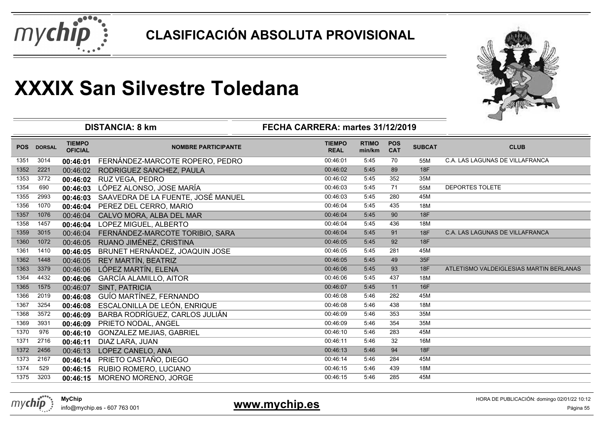



|            |               | <b>DISTANCIA: 8 km</b>          | 一                                  |                              |                        |                          |               |                                         |
|------------|---------------|---------------------------------|------------------------------------|------------------------------|------------------------|--------------------------|---------------|-----------------------------------------|
| <b>POS</b> | <b>DORSAL</b> | <b>TIEMPO</b><br><b>OFICIAL</b> | <b>NOMBRE PARTICIPANTE</b>         | <b>TIEMPO</b><br><b>REAL</b> | <b>RTIMO</b><br>min/km | <b>POS</b><br><b>CAT</b> | <b>SUBCAT</b> | <b>CLUB</b>                             |
| 1351       | 3014          | 00:46:01                        | FERNÁNDEZ-MARCOTE ROPERO, PEDRO    | 00:46:01                     | 5:45                   | 70                       | 55M           | C.A. LAS LAGUNAS DE VILLAFRANCA         |
| 1352       | 2221          | 00:46:02                        | RODRIGUEZ SANCHEZ, PAULA           | 00:46:02                     | 5:45                   | 89                       | 18F           |                                         |
| 1353       | 3772          | 00:46:02                        | RUZ VEGA, PEDRO                    | 00:46:02                     | 5:45                   | 352                      | 35M           |                                         |
| 1354       | 690           | 00:46:03                        | LÓPEZ ALONSO, JOSE MARÍA           | 00:46:03                     | 5:45                   | 71                       | 55M           | <b>DEPORTES TOLETE</b>                  |
| 1355       | 2993          | 00:46:03                        | SAAVEDRA DE LA FUENTE, JOSÉ MANUEL | 00:46:03                     | 5:45                   | 280                      | 45M           |                                         |
| 1356       | 1070          | 00:46:04                        | PEREZ DEL CERRO, MARIO             | 00:46:04                     | 5:45                   | 435                      | <b>18M</b>    |                                         |
| 1357       | 1076          | 00:46:04                        | CALVO MORA, ALBA DEL MAR           | 00:46:04                     | 5:45                   | 90                       | <b>18F</b>    |                                         |
| 1358       | 1457          | 00:46:04                        | LOPEZ MIGUEL, ALBERTO              | 00:46:04                     | 5:45                   | 436                      | <b>18M</b>    |                                         |
| 1359       | 3015          | 00:46:04                        | FERNÁNDEZ-MARCOTE TORIBIO, SARA    | 00:46:04                     | 5:45                   | 91                       | <b>18F</b>    | C.A. LAS LAGUNAS DE VILLAFRANCA         |
| 1360       | 1072          | 00:46:05                        | RUANO JIMÉNEZ, CRISTINA            | 00:46:05                     | 5:45                   | 92                       | 18F           |                                         |
| 1361       | 1410          | 00:46:05                        | BRUNET HERNÁNDEZ, JOAQUIN JOSE     | 00:46:05                     | 5:45                   | 281                      | 45M           |                                         |
| 1362       | 1448          | 00:46:05                        | REY MARTÍN, BEATRIZ                | 00:46:05                     | 5:45                   | 49                       | 35F           |                                         |
| 1363       | 3379          | 00:46:06                        | LÓPEZ MARTÍN, ELENA                | 00:46:06                     | 5:45                   | 93                       | 18F           | ATLETISMO VALDEIGLESIAS MARTIN BERLANAS |
| 1364       | 4432          | 00:46:06                        | <b>GARCÍA ALAMILLO, AITOR</b>      | 00:46:06                     | 5:45                   | 437                      | 18M           |                                         |
| 1365       | 1575          | 00:46:07                        | <b>SINT, PATRICIA</b>              | 00:46:07                     | 5:45                   | 11                       | 16F           |                                         |
| 1366       | 2019          | 00:46:08                        | GUÍO MARTÍNEZ, FERNANDO            | 00:46:08                     | 5:46                   | 282                      | 45M           |                                         |
| 1367       | 3254          | 00:46:08                        | ESCALONILLA DE LEÓN, ENRIQUE       | 00:46:08                     | 5:46                   | 438                      | 18M           |                                         |
| 1368       | 3572          | 00:46:09                        | BARBA RODRÍGUEZ, CARLOS JULIÁN     | 00:46:09                     | 5:46                   | 353                      | 35M           |                                         |
| 1369       | 3931          | 00:46:09                        | PRIETO NODAL, ANGEL                | 00:46:09                     | 5:46                   | 354                      | 35M           |                                         |
| 1370       | 976           | 00:46:10                        | <b>GONZALEZ MEJIAS, GABRIEL</b>    | 00:46:10                     | 5:46                   | 283                      | 45M           |                                         |
| 1371       | 2716          | 00:46:11                        | DIAZ LARA, JUAN                    | 00:46:11                     | 5:46                   | 32                       | 16M           |                                         |
| 1372       | 2456          | 00:46:13                        | LOPEZ CANELO, ANA                  | 00:46:13                     | 5:46                   | 94                       | 18F           |                                         |
| 1373       | 2167          | 00:46:14                        | PRIETO CASTAÑO, DIEGO              | 00:46:14                     | 5:46                   | 284                      | 45M           |                                         |
| 1374       | 529           | 00:46:15                        | RUBIO ROMERO, LUCIANO              | 00:46:15                     | 5:46                   | 439                      | 18M           |                                         |
| 1375       | 3203          | 00:46:15                        | MORENO MORENO, JORGE               | 00:46:15                     | 5:46                   | 285                      | 45M           |                                         |
|            |               |                                 |                                    |                              |                        |                          |               |                                         |

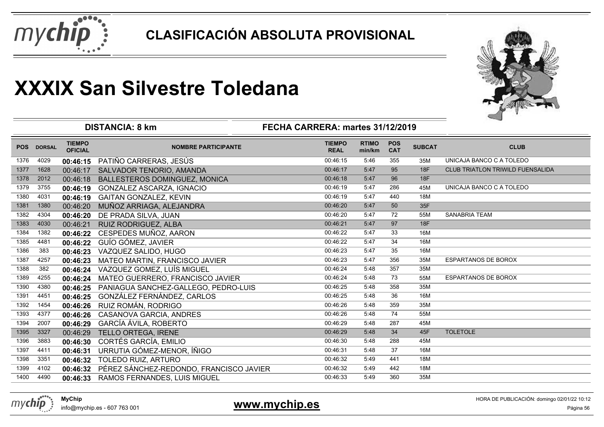



|            |               |                                 | <b>DISTANCIA: 8 km</b>                  | FECHA CARRERA: martes 31/12/2019 |                        |                          |               |                                         |
|------------|---------------|---------------------------------|-----------------------------------------|----------------------------------|------------------------|--------------------------|---------------|-----------------------------------------|
| <b>POS</b> | <b>DORSAL</b> | <b>TIEMPO</b><br><b>OFICIAL</b> | <b>NOMBRE PARTICIPANTE</b>              | <b>TIEMPO</b><br><b>REAL</b>     | <b>RTIMO</b><br>min/km | <b>POS</b><br><b>CAT</b> | <b>SUBCAT</b> | <b>CLUB</b>                             |
| 1376       | 4029          | 00:46:15                        | PATIÑO CARRERAS, JESÚS                  | 00:46:15                         | 5:46                   | 355                      | 35M           | UNICAJA BANCO C A TOLEDO                |
| 1377       | 1628          | 00:46:17                        | SALVADOR TENORIO, AMANDA                | 00:46:17                         | 5:47                   | 95                       | 18F           | <b>CLUB TRIATLON TRIWILD FUENSALIDA</b> |
| 1378       | 2012          | 00:46:18                        | BALLESTEROS DOMINGUEZ, MONICA           | 00:46:18                         | 5:47                   | 96                       | 18F           |                                         |
| 1379       | 3755          | 00:46:19                        | GONZALEZ ASCARZA, IGNACIO               | 00:46:19                         | 5:47                   | 286                      | 45M           | UNICAJA BANCO C A TOLEDO                |
| 1380       | 4031          | 00:46:19                        | <b>GAITAN GONZALEZ, KEVIN</b>           | 00:46:19                         | 5:47                   | 440                      | 18M           |                                         |
| 1381       | 1380          | 00:46:20                        | MUÑOZ ARRIAGA, ALEJANDRA                | 00:46:20                         | 5:47                   | 50                       | 35F           |                                         |
| 1382       | 4304          | 00:46:20                        | DE PRADA SILVA, JUAN                    | 00:46:20                         | 5:47                   | 72                       | 55M           | <b>SANABRIA TEAM</b>                    |
| 1383       | 4030          | 00:46:21                        | <b>RUIZ RODRIGUEZ, ALBA</b>             | 00:46:21                         | 5:47                   | 97                       | 18F           |                                         |
| 1384       | 1382          | 00:46:22                        | CESPEDES MUÑOZ, AARON                   | 00:46:22                         | 5:47                   | 33                       | 16M           |                                         |
| 1385       | 4481          | 00:46:22                        | GUÍO GÓMEZ, JAVIER                      | 00:46:22                         | 5:47                   | 34                       | 16M           |                                         |
| 1386       | 383           | 00:46:23                        | VAZQUEZ SALIDO, HUGO                    | 00:46:23                         | 5:47                   | 35                       | 16M           |                                         |
| 1387       | 4257          | 00:46:23                        | MATEO MARTIN, FRANCISCO JAVIER          | 00:46:23                         | 5:47                   | 356                      | 35M           | <b>ESPARTANOS DE BOROX</b>              |
| 1388       | 382           | 00:46:24                        | VAZQUEZ GOMEZ, LUÍS MIGUEL              | 00:46:24                         | 5:48                   | 357                      | 35M           |                                         |
| 1389       | 4255          | 00:46:24                        | MATEO GUERRERO, FRANCISCO JAVIER        | 00:46:24                         | 5:48                   | 73                       | 55M           | <b>ESPARTANOS DE BOROX</b>              |
| 1390       | 4380          | 00:46:25                        | PANIAGUA SANCHEZ-GALLEGO, PEDRO-LUIS    | 00:46:25                         | 5:48                   | 358                      | 35M           |                                         |
| 1391       | 4451          | 00:46:25                        | GONZÁLEZ FERNÁNDEZ, CARLOS              | 00:46:25                         | 5:48                   | 36                       | 16M           |                                         |
| 1392       | 1454          | 00:46:26                        | RUIZ ROMÁN, RODRIGO                     | 00:46:26                         | 5:48                   | 359                      | 35M           |                                         |
| 1393       | 4377          | 00:46:26                        | CASANOVA GARCIA, ANDRES                 | 00:46:26                         | 5:48                   | 74                       | 55M           |                                         |
| 1394       | 2007          | 00:46:29                        | <b>GARCÍA ÁVILA, ROBERTO</b>            | 00:46:29                         | 5:48                   | 287                      | 45M           |                                         |
| 1395       | 3327          | 00:46:29                        | TELLO ORTEGA, IRENE                     | 00:46:29                         | 5:48                   | 34                       | 45F           | <b>TOLETOLE</b>                         |
| 1396       | 3883          | 00:46:30                        | <b>CORTÉS GARCÍA, EMILIO</b>            | 00:46:30                         | 5:48                   | 288                      | 45M           |                                         |
| 1397       | 4411          | 00:46:31                        | URRUTIA GÓMEZ-MENOR, ÍÑIGO              | 00:46:31                         | 5:48                   | 37                       | 16M           |                                         |
| 1398       | 3351          | 00:46:32                        | TOLEDO RUIZ, ARTURO                     | 00:46:32                         | 5:49                   | 441                      | 18M           |                                         |
| 1399       | 4102          | 00:46:32                        | PÉREZ SÁNCHEZ-REDONDO, FRANCISCO JAVIER | 00:46:32                         | 5:49                   | 442                      | 18M           |                                         |
| 1400       | 4490          | 00:46:33                        | RAMOS FERNANDES, LUIS MIGUEL            | 00:46:33                         | 5:49                   | 360                      | 35M           |                                         |
|            |               |                                 |                                         |                                  |                        |                          |               |                                         |



info@mychip.es - 607 763 001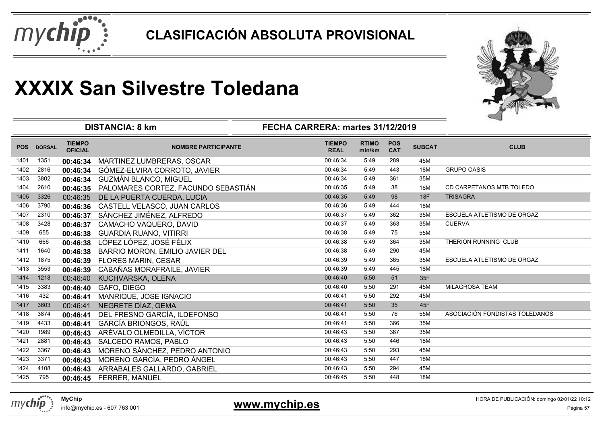



|            |               | <b>DISTANCIA: 8 km</b>          |                                     |                              |                        |                          |               |                                |
|------------|---------------|---------------------------------|-------------------------------------|------------------------------|------------------------|--------------------------|---------------|--------------------------------|
| <b>POS</b> | <b>DORSAL</b> | <b>TIEMPO</b><br><b>OFICIAL</b> | <b>NOMBRE PARTICIPANTE</b>          | <b>TIEMPO</b><br><b>REAL</b> | <b>RTIMO</b><br>min/km | <b>POS</b><br><b>CAT</b> | <b>SUBCAT</b> | <b>CLUB</b>                    |
| 1401       | 1351          | 00:46:34                        | MARTINEZ LUMBRERAS, OSCAR           | 00:46:34                     | 5:49                   | 289                      | 45M           |                                |
| 1402       | 2816          | 00:46:34                        | GÓMEZ-ELVIRA CORROTO, JAVIER        | 00:46:34                     | 5:49                   | 443                      | 18M           | <b>GRUPO OASIS</b>             |
| 1403       | 3802          | 00:46:34                        | GUZMÁN BLANCO, MIGUEL               | 00:46:34                     | 5:49                   | 361                      | 35M           |                                |
| 1404       | 2610          | 00:46:35                        | PALOMARES CORTEZ, FACUNDO SEBASTIÁN | 00:46:35                     | 5:49                   | 38                       | 16M           | CD CARPETANOS MTB TOLEDO       |
| 1405       | 3326          | 00:46:35                        | DE LA PUERTA CUERDA, LUCIA          | 00:46:35                     | 5:49                   | 98                       | 18F           | <b>TRISAGRA</b>                |
| 1406       | 3790          | 00:46:36                        | CASTELL VELASCO, JUAN CARLOS        | 00:46:36                     | 5:49                   | 444                      | 18M           |                                |
| 1407       | 2310          | 00:46:37                        | SÁNCHEZ JIMÉNEZ, ALFREDO            | 00:46:37                     | 5:49                   | 362                      | 35M           | ESCUELA ATLETISMO DE ORGAZ     |
| 1408       | 3428          | 00:46:37                        | CAMACHO VAQUERO, DAVID              | 00:46:37                     | 5:49                   | 363                      | 35M           | <b>CUERVA</b>                  |
| 1409       | 655           | 00:46:38                        | <b>GUARDIA RUANO, VITIRRI</b>       | 00:46:38                     | 5:49                   | 75                       | 55M           |                                |
| 1410       | 666           | 00:46:38                        | LÓPEZ LÓPEZ, JOSÉ FÉLIX             | 00:46:38                     | 5:49                   | 364                      | 35M           | THERION RUNNING CLUB           |
| 1411       | 1640          | 00:46:38                        | BARRIO MORON, EMILIO JAVIER DEL     | 00:46:38                     | 5:49                   | 290                      | 45M           |                                |
| 1412       | 1875          | 00:46:39                        | <b>FLORES MARIN, CESAR</b>          | 00:46:39                     | 5:49                   | 365                      | 35M           | ESCUELA ATLETISMO DE ORGAZ     |
| 1413       | 3553          | 00:46:39                        | CABAÑAS MORAFRAILE, JAVIER          | 00:46:39                     | 5:49                   | 445                      | 18M           |                                |
| 1414       | 1218          | 00:46:40                        | KUCHVARSKA, OLENA                   | 00:46:40                     | 5:50                   | 51                       | 35F           |                                |
| 1415       | 3383          | 00:46:40                        | GAFO, DIEGO                         | 00:46:40                     | 5:50                   | 291                      | 45M           | <b>MILAGROSA TEAM</b>          |
| 1416       | 432           | 00:46:41                        | MANRIQUE, JOSE IGNACIO              | 00:46:41                     | 5:50                   | 292                      | 45M           |                                |
| 1417       | 3603          | 00:46:41                        | NEGRETE DÍAZ, GEMA                  | 00:46:41                     | 5:50                   | 35                       | 45F           |                                |
| 1418       | 3874          | 00:46:41                        | DEL FRESNO GARCÍA, ILDEFONSO        | 00:46:41                     | 5:50                   | 76                       | 55M           | ASOCIACIÓN FONDISTAS TOLEDANOS |
| 1419       | 4433          | 00:46:41                        | GARCÍA BRIONGOS, RAÚL               | 00:46:41                     | 5:50                   | 366                      | 35M           |                                |
| 1420       | 1989          | 00:46:43                        | ARÉVALO OLMEDILLA, VÍCTOR           | 00:46:43                     | 5:50                   | 367                      | 35M           |                                |
| 1421       | 2881          | 00:46:43                        | SALCEDO RAMOS, PABLO                | 00:46:43                     | 5:50                   | 446                      | 18M           |                                |
| 1422       | 3367          | 00:46:43                        | MORENO SÁNCHEZ, PEDRO ANTONIO       | 00:46:43                     | 5:50                   | 293                      | 45M           |                                |
| 1423       | 3371          | 00:46:43                        | MORENO GARCÍA, PEDRO ÁNGEL          | 00:46:43                     | 5:50                   | 447                      | 18M           |                                |
| 1424       | 4108          | 00:46:43                        | ARRABALES GALLARDO, GABRIEL         | 00:46:43                     | 5:50                   | 294                      | 45M           |                                |
| 1425       | 795           |                                 | 00:46:45 FERRER, MANUEL             | 00:46:45                     | 5:50                   | 448                      | 18M           |                                |
|            |               |                                 |                                     |                              |                        |                          |               |                                |



info@mychip.es - 607 763 001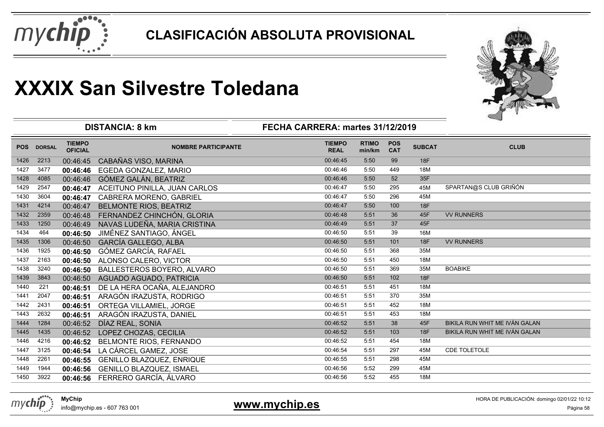



|            |               |                                 | <b>DISTANCIA: 8 km</b>          | FECHA CARRERA: martes 31/12/2019 |                        |                          |               |                               |
|------------|---------------|---------------------------------|---------------------------------|----------------------------------|------------------------|--------------------------|---------------|-------------------------------|
| <b>POS</b> | <b>DORSAL</b> | <b>TIEMPO</b><br><b>OFICIAL</b> | <b>NOMBRE PARTICIPANTE</b>      | <b>TIEMPO</b><br><b>REAL</b>     | <b>RTIMO</b><br>min/km | <b>POS</b><br><b>CAT</b> | <b>SUBCAT</b> | <b>CLUB</b>                   |
| 1426       | 2213          | 00:46:45                        | CABAÑAS VISO, MARINA            | 00:46:45                         | 5:50                   | 99                       | 18F           |                               |
| 1427       | 3477          | 00:46:46                        | EGEDA GONZALEZ, MARIO           | 00:46:46                         | 5:50                   | 449                      | 18M           |                               |
| 1428       | 4085          | 00:46:46                        | GÓMEZ GALÁN, BEATRIZ            | 00:46:46                         | 5:50                   | 52                       | 35F           |                               |
| 1429       | 2547          | 00:46:47                        | ACEITUNO PINILLA, JUAN CARLOS   | 00:46:47                         | 5:50                   | 295                      | 45M           | SPARTAN@S CLUB GRIÑÓN         |
| 1430       | 3604          | 00:46:47                        | CABRERA MORENO, GABRIEL         | 00:46:47                         | 5:50                   | 296                      | 45M           |                               |
| 1431       | 4214          | 00:46:47                        | <b>BELMONTE RIOS, BEATRIZ</b>   | 00:46:47                         | 5:50                   | 100                      | <b>18F</b>    |                               |
| 1432       | 2359          | 00:46:48                        | FERNANDEZ CHINCHÓN, GLORIA      | 00:46:48                         | 5:51                   | 36                       | 45F           | <b>VV RUNNERS</b>             |
| 1433       | 1250          | 00:46:49                        | NAVAS LUDEÑA, MARIA CRISTINA    | 00:46:49                         | 5:51                   | 37                       | 45F           |                               |
| 1434       | 464           | 00:46:50                        | JIMÉNEZ SANTIAGO, ÁNGEL         | 00:46:50                         | 5:51                   | 39                       | 16M           |                               |
| 1435       | 1306          | 00:46:50                        | <b>GARCÍA GALLEGO, ALBA</b>     | 00:46:50                         | 5:51                   | 101                      | 18F           | <b>VV RUNNERS</b>             |
| 1436       | 1925          | 00:46:50                        | GÓMEZ GARCÍA, RAFAEL            | 00:46:50                         | 5:51                   | 368                      | 35M           |                               |
| 1437       | 2163          | 00:46:50                        | ALONSO CALERO, VICTOR           | 00:46:50                         | 5:51                   | 450                      | 18M           |                               |
| 1438       | 3240          | 00:46:50                        | BALLESTEROS BOYERO, ALVARO      | 00:46:50                         | 5:51                   | 369                      | 35M           | <b>BOABIKE</b>                |
| 1439       | 3843          | 00:46:50                        | AGUADO AGUADO, PATRICIA         | 00:46:50                         | 5:51                   | 102                      | 18F           |                               |
| 1440       | 221           | 00:46:51                        | DE LA HERA OCAÑA, ALEJANDRO     | 00:46:51                         | 5:51                   | 451                      | 18M           |                               |
| 1441       | 2047          | 00:46:51                        | ARAGÓN IRAZUSTA, RODRIGO        | 00:46:51                         | 5:51                   | 370                      | 35M           |                               |
| 1442       | 2431          | 00:46:51                        | ORTEGA VILLAMIEL, JORGE         | 00:46:51                         | 5:51                   | 452                      | 18M           |                               |
| 1443       | 2632          | 00:46:51                        | ARAGÓN IRAZUSTA, DANIEL         | 00:46:51                         | 5:51                   | 453                      | <b>18M</b>    |                               |
| 1444       | 1284          | 00:46:52                        | DÍAZ REAL, SONIA                | 00:46:52                         | 5:51                   | 38                       | 45F           | BIKILA RUN WHIT ME IVÁN GALAN |
| 1445       | 1435          | 00:46:52                        | LOPEZ CHOZAS, CECILIA           | 00:46:52                         | 5:51                   | 103                      | 18F           | BIKILA RUN WHIT ME IVÁN GALAN |
| 1446       | 4216          | 00:46:52                        | BELMONTE RIOS, FERNANDO         | 00:46:52                         | 5:51                   | 454                      | 18M           |                               |
| 1447       | 3125          | 00:46:54                        | LA CÁRCEL GAMEZ, JOSE           | 00:46:54                         | 5:51                   | 297                      | 45M           | CDE TOLETOLE                  |
| 1448       | 2261          | 00:46:55                        | GENILLO BLAZQUEZ, ENRIQUE       | 00:46:55                         | 5:51                   | 298                      | 45M           |                               |
| 1449       | 1944          | 00:46:56                        | <b>GENILLO BLAZQUEZ, ISMAEL</b> | 00:46:56                         | 5:52                   | 299                      | 45M           |                               |
| 1450       | 3922          | 00:46:56                        | FERRERO GARCÍA, ÁLVARO          | 00:46:56                         | 5:52                   | 455                      | 18M           |                               |

info@mychip.es - 607 763 001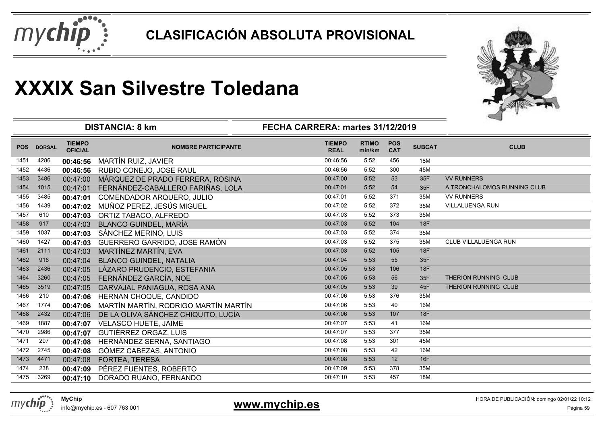



|            |               |                                 | <b>DISTANCIA: 8 km</b>               | FECHA CARRERA: martes 31/12/2019 |                        |                          |               |                             |
|------------|---------------|---------------------------------|--------------------------------------|----------------------------------|------------------------|--------------------------|---------------|-----------------------------|
| <b>POS</b> | <b>DORSAL</b> | <b>TIEMPO</b><br><b>OFICIAL</b> | <b>NOMBRE PARTICIPANTE</b>           | <b>TIEMPO</b><br><b>REAL</b>     | <b>RTIMO</b><br>min/km | <b>POS</b><br><b>CAT</b> | <b>SUBCAT</b> | <b>CLUB</b>                 |
| 1451       | 4286          | 00:46:56                        | MARTÍN RUIZ, JAVIER                  | 00:46:56                         | 5:52                   | 456                      | 18M           |                             |
| 1452       | 4436          | 00:46:56                        | RUBIO CONEJO, JOSE RAUL              | 00:46:56                         | 5:52                   | 300                      | 45M           |                             |
| 1453       | 3486          | 00:47:00                        | MÁRQUEZ DE PRADO FERRERA, ROSINA     | 00:47:00                         | 5:52                   | 53                       | 35F           | <b>VV RUNNERS</b>           |
| 1454       | 1015          | 00:47:01                        | FERNÁNDEZ-CABALLERO FARIÑAS, LOLA    | 00:47:01                         | 5:52                   | 54                       | 35F           | A TRONCHALOMOS RUNNING CLUB |
| 1455       | 3485          | 00:47:01                        | <b>COMENDADOR ARQUERO, JULIO</b>     | 00:47:01                         | 5:52                   | 371                      | 35M           | <b>VV RUNNERS</b>           |
| 1456       | 1439          | 00:47:02                        | MUÑOZ PEREZ, JESÚS MIGUEL            | 00:47:02                         | 5:52                   | 372                      | 35M           | <b>VILLALUENGA RUN</b>      |
| 1457       | 610           | 00:47:03                        | ORTIZ TABACO, ALFREDO                | 00:47:03                         | 5:52                   | 373                      | 35M           |                             |
| 1458       | 917           | 00:47:03                        | <b>BLANCO GUINDEL, MARÍA</b>         | 00:47:03                         | 5:52                   | 104                      | 18F           |                             |
| 1459       | 1037          | 00:47:03                        | SÁNCHEZ MERINO, LUIS                 | 00:47:03                         | 5:52                   | 374                      | 35M           |                             |
| 1460       | 1427          | 00:47:03                        | GUERRERO GARRIDO, JOSE RAMÓN         | 00:47:03                         | 5:52                   | 375                      | 35M           | <b>CLUB VILLALUENGA RUN</b> |
| 1461       | 2111          | 00:47:03                        | MARTÍNEZ MARTÍN, EVA                 | 00:47:03                         | 5:52                   | 105                      | 18F           |                             |
| 1462       | 916           | 00:47:04                        | <b>BLANCO GUINDEL, NATALIA</b>       | 00:47:04                         | 5:53                   | 55                       | 35F           |                             |
| 1463       | 2436          | 00:47:05                        | LÁZARO PRUDENCIO, ESTEFANIA          | 00:47:05                         | 5:53                   | 106                      | 18F           |                             |
| 1464       | 3260          | 00:47:05                        | FERNÁNDEZ GARCÍA, NOE                | 00:47:05                         | 5:53                   | 56                       | 35F           | THERION RUNNING CLUB        |
| 1465       | 3519          | 00:47:05                        | CARVAJAL PANIAGUA, ROSA ANA          | 00:47:05                         | 5:53                   | 39                       | 45F           | THERION RUNNING CLUB        |
| 1466       | 210           | 00:47:06                        | HERNAN CHOQUE, CANDIDO               | 00:47:06                         | 5:53                   | 376                      | 35M           |                             |
| 1467       | 1774          | 00:47:06                        | MARTÍN MARTÍN, RODRIGO MARTÍN MARTÍN | 00:47:06                         | 5:53                   | 40                       | 16M           |                             |
| 1468       | 2432          | 00:47:06                        | DE LA OLIVA SÁNCHEZ CHIQUITO, LUCÍA  | 00:47:06                         | 5:53                   | 107                      | <b>18F</b>    |                             |
| 1469       | 1887          | 00:47:07                        | <b>VELASCO HUETE, JAIME</b>          | 00:47:07                         | 5:53                   | 41                       | 16M           |                             |
| 1470       | 2986          | 00:47:07                        | <b>GUTIÉRREZ ORGAZ, LUIS</b>         | 00:47:07                         | 5:53                   | 377                      | 35M           |                             |
| 1471       | 297           | 00:47:08                        | HERNÁNDEZ SERNA, SANTIAGO            | 00:47:08                         | 5:53                   | 301                      | 45M           |                             |
| 1472       | 2745          | 00:47:08                        | GÓMEZ CABEZAS, ANTONIO               | 00:47:08                         | 5:53                   | 42                       | 16M           |                             |
| 1473       | 4471          | 00:47:08                        | FORTEA, TERESA                       | 00:47:08                         | 5:53                   | 12                       | 16F           |                             |
| 1474       | 238           | 00:47:09                        | PÉREZ FUENTES, ROBERTO               | 00:47:09                         | 5:53                   | 378                      | 35M           |                             |
| 1475       | 3269          | 00:47:10                        | DORADO RUANO, FERNANDO               | 00:47:10                         | 5:53                   | 457                      | 18M           |                             |

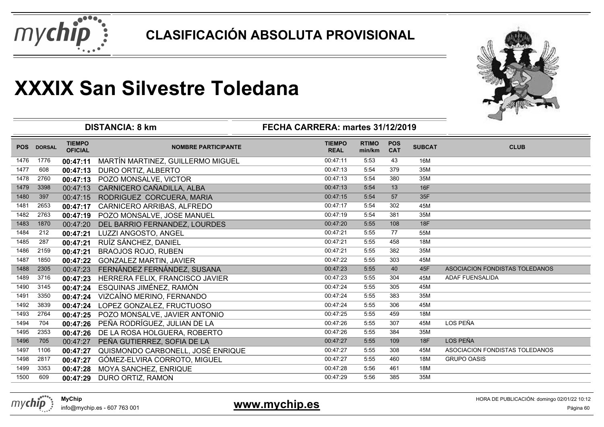



|            |               |                                 | <b>DISTANCIA: 8 km</b>            | FECHA CARRERA: martes 31/12/2019 |                        |                          |               |                                |
|------------|---------------|---------------------------------|-----------------------------------|----------------------------------|------------------------|--------------------------|---------------|--------------------------------|
| <b>POS</b> | <b>DORSAL</b> | <b>TIEMPO</b><br><b>OFICIAL</b> | <b>NOMBRE PARTICIPANTE</b>        | <b>TIEMPO</b><br><b>REAL</b>     | <b>RTIMO</b><br>min/km | <b>POS</b><br><b>CAT</b> | <b>SUBCAT</b> | <b>CLUB</b>                    |
| 1476       | 1776          | 00:47:11                        | MARTÍN MARTINEZ, GUILLERMO MIGUEL | 00:47:11                         | 5:53                   | 43                       | 16M           |                                |
| 1477       | 608           | 00:47:13                        | DURO ORTIZ, ALBERTO               | 00:47:13                         | 5:54                   | 379                      | 35M           |                                |
| 1478       | 2760          | 00:47:13                        | POZO MONSALVE, VICTOR             | 00:47:13                         | 5:54                   | 380                      | 35M           |                                |
| 1479       | 3398          | 00:47:13                        | CARNICERO CAÑADILLA, ALBA         | 00:47:13                         | 5:54                   | 13                       | 16F           |                                |
| 1480       | 397           | 00:47:15                        | RODRIGUEZ CORCUERA, MARIA         | 00:47:15                         | 5:54                   | 57                       | 35F           |                                |
| 1481       | 2653          | 00:47:17                        | CARNICERO ARRIBAS, ALFREDO        | 00:47:17                         | 5:54                   | 302                      | 45M           |                                |
| 1482       | 2763          | 00:47:19                        | POZO MONSALVE, JOSE MANUEL        | 00:47:19                         | 5:54                   | 381                      | 35M           |                                |
| 1483       | 1870          | 00:47:20                        | DEL BARRIO FERNANDEZ, LOURDES     | 00:47:20                         | 5:55                   | 108                      | 18F           |                                |
| 1484       | 212           | 00:47:21                        | LUZZI ANGOSTO, ANGEL              | 00:47:21                         | 5:55                   | 77                       | 55M           |                                |
| 1485       | 287           | 00:47:21                        | RUÍZ SÁNCHEZ, DANIEL              | 00:47:21                         | 5:55                   | 458                      | 18M           |                                |
| 1486       | 2159          | 00:47:21                        | <b>BRAOJOS ROJO, RUBEN</b>        | 00:47:21                         | 5:55                   | 382                      | 35M           |                                |
| 1487       | 1850          | 00:47:22                        | <b>GONZALEZ MARTIN, JAVIER</b>    | 00:47:22                         | 5:55                   | 303                      | 45M           |                                |
| 1488       | 2305          | 00:47:23                        | FERNÁNDEZ FERNÁNDEZ, SUSANA       | 00:47:23                         | 5:55                   | 40                       | 45F           | ASOCIACION FONDISTAS TOLEDANOS |
| 1489       | 3716          | 00:47:23                        | HERRERA FELIX, FRANCISCO JAVIER   | 00:47:23                         | 5:55                   | 304                      | 45M           | <b>ADAF FUENSALIDA</b>         |
| 1490       | 3145          | 00:47:24                        | ESQUINAS JIMÉNEZ, RAMÓN           | 00:47:24                         | 5:55                   | 305                      | 45M           |                                |
| 1491       | 3350          | 00:47:24                        | VIZCAÍNO MERINO, FERNANDO         | 00:47:24                         | 5:55                   | 383                      | 35M           |                                |
| 1492       | 3839          | 00:47:24                        | LOPEZ GONZALEZ, FRUCTUOSO         | 00:47:24                         | 5:55                   | 306                      | 45M           |                                |
| 1493       | 2764          | 00:47:25                        | POZO MONSALVE, JAVIER ANTONIO     | 00:47:25                         | 5:55                   | 459                      | 18M           |                                |
| 1494       | 704           | 00:47:26                        | PEÑA RODRÍGUEZ, JULIAN DE LA      | 00:47:26                         | 5:55                   | 307                      | 45M           | LOS PEÑA                       |
| 1495       | 2353          | 00:47:26                        | DE LA ROSA HOLGUERA, ROBERTO      | 00:47:26                         | 5:55                   | 384                      | 35M           |                                |
| 1496       | 705           | 00:47:27                        | PEÑA GUTIERREZ, SOFIA DE LA       | 00:47:27                         | 5:55                   | 109                      | 18F           | LOS PEÑA                       |
| 1497       | 1106          | 00:47:27                        | QUISMONDO CARBONELL, JOSÉ ENRIQUE | 00:47:27                         | 5:55                   | 308                      | 45M           | ASOCIACION FONDISTAS TOLEDANOS |
| 1498       | 2817          | 00:47:27                        | GÓMEZ-ELVIRA CORROTO, MIGUEL      | 00:47:27                         | 5:55                   | 460                      | 18M           | <b>GRUPO OASIS</b>             |
| 1499       | 3353          | 00:47:28                        | MOYA SANCHEZ, ENRIQUE             | 00:47:28                         | 5:56                   | 461                      | 18M           |                                |
| 1500       | 609           | 00:47:29                        | DURO ORTIZ, RAMON                 | 00:47:29                         | 5:56                   | 385                      | 35M           |                                |



info@mychip.es - 607 763 001

### **www.mychip.es**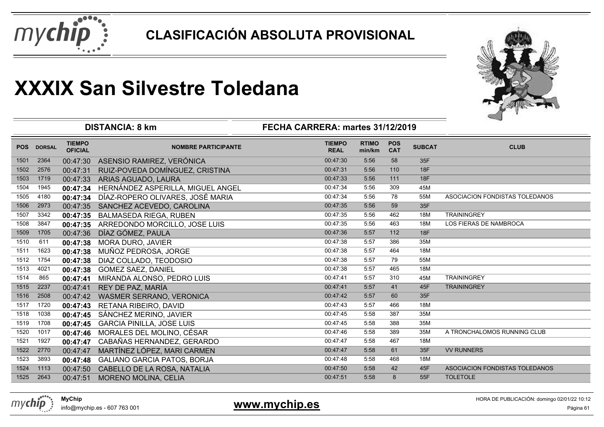



| <b>RTIMO</b><br><b>POS</b><br><b>TIEMPO</b><br><b>TIEMPO</b><br><b>SUBCAT</b><br><b>CLUB</b><br><b>POS</b><br><b>DORSAL</b><br><b>NOMBRE PARTICIPANTE</b><br><b>OFICIAL</b><br><b>CAT</b><br><b>REAL</b><br>min/km<br>35F<br>2364<br>ASENSIO RAMIREZ, VERÓNICA<br>00:47:30<br>5:56<br>58<br>1501<br>00:47:30<br>18F<br>5:56<br>110<br>1502<br>2576<br>RUIZ-POVEDA DOMÍNGUEZ, CRISTINA<br>00:47:31<br>00:47:31<br><b>18F</b><br>1719<br>00:47:33<br>5:56<br>111<br>1503<br>ARIAS AGUADO, LAURA<br>00:47:33<br>00:47:34<br>1504<br>1945<br>HERNÁNDEZ ASPERILLA, MIGUEL ANGEL<br>5:56<br>309<br>45M<br>00:47:34<br>1505<br>4180<br>DÍAZ-ROPERO OLIVARES, JOSÉ MARIA<br>00:47:34<br>78<br>55M<br>ASOCIACION FONDISTAS TOLEDANOS<br>5:56<br>00:47:34<br>00:47:35<br>5:56<br>59<br>1506<br>2973<br>35F<br>00:47:35<br>SANCHEZ ACEVEDO, CAROLINA<br>00:47:35<br><b>TRAININGREY</b><br>1507<br>3342<br><b>BALMASEDA RIEGA, RUBEN</b><br>5:56<br>462<br>18M<br>00:47:35<br>3847<br>00:47:35<br>5:56<br>463<br>LOS FIERAS DE NAMBROCA<br>1508<br>ARREDONDO MORCILLO, JOSE LUIS<br>18M<br>00:47:35<br>DÍAZ GÓMEZ, PAULA<br>00:47:36<br>5:57<br>112<br>18F<br>1509<br>1705<br>00:47:36<br>00:47:38<br>386<br>1510<br>611<br>5:57<br>35M<br>MORA DURO, JAVIER<br>00:47:38<br>464<br>1511<br>1623<br>MUÑOZ PEDROSA, JORGE<br>00:47:38<br>5:57<br>18M<br>00:47:38<br>1754<br>00:47:38<br>5:57<br>79<br>1512<br>55M<br>DIAZ COLLADO, TEODOSIO<br>00:47:38<br>5:57<br>465<br>1513<br>4021<br><b>GOMEZ SAEZ, DANIEL</b><br>00:47:38<br>18M<br>00:47:38<br><b>TRAININGREY</b><br>865<br>00:47:41<br>5:57<br>1514<br>MIRANDA ALONSO, PEDRO LUIS<br>310<br>45M<br>00:47:41<br><b>TRAININGREY</b><br>1515<br>2237<br>REY DE PAZ, MARÍA<br>00:47:41<br>5:57<br>41<br>45F<br>00:47:41<br>00:47:42<br>5:57<br>60<br>35F<br>1516<br>2508<br><b>WASMER SERRANO, VERONICA</b><br>00:47:42<br>466<br>18M<br>1517<br>1720<br>00:47:43<br>5:57<br>RETANA RIBEIRO, DAVID<br>00:47:43<br>1038<br>00:47:45<br>387<br>35M<br>1518<br>SÁNCHEZ MERINO, JAVIER<br>5:58<br>00:47:45<br>1708<br>00:47:45<br>5:58<br>388<br>1519<br>35M<br>00:47:45<br><b>GARCIA PINILLA, JOSE LUIS</b><br>00:47:46<br>1520<br>1017<br>MORALES DEL MOLINO, CÉSAR<br>5:58<br>389<br>35M<br>A TRONCHALOMOS RUNNING CLUB<br>00:47:46 |      |      |          | <b>DISTANCIA: 8 km</b>     | FECHA CARRERA: martes 31/12/2019 |      |     |     |  |
|--------------------------------------------------------------------------------------------------------------------------------------------------------------------------------------------------------------------------------------------------------------------------------------------------------------------------------------------------------------------------------------------------------------------------------------------------------------------------------------------------------------------------------------------------------------------------------------------------------------------------------------------------------------------------------------------------------------------------------------------------------------------------------------------------------------------------------------------------------------------------------------------------------------------------------------------------------------------------------------------------------------------------------------------------------------------------------------------------------------------------------------------------------------------------------------------------------------------------------------------------------------------------------------------------------------------------------------------------------------------------------------------------------------------------------------------------------------------------------------------------------------------------------------------------------------------------------------------------------------------------------------------------------------------------------------------------------------------------------------------------------------------------------------------------------------------------------------------------------------------------------------------------------------------------------------------------------------------------------------------------------------------------------------------------------------------------------------------------------------------------------------------------------------------------------------------------------------------------------------------------------------------------|------|------|----------|----------------------------|----------------------------------|------|-----|-----|--|
|                                                                                                                                                                                                                                                                                                                                                                                                                                                                                                                                                                                                                                                                                                                                                                                                                                                                                                                                                                                                                                                                                                                                                                                                                                                                                                                                                                                                                                                                                                                                                                                                                                                                                                                                                                                                                                                                                                                                                                                                                                                                                                                                                                                                                                                                          |      |      |          |                            |                                  |      |     |     |  |
|                                                                                                                                                                                                                                                                                                                                                                                                                                                                                                                                                                                                                                                                                                                                                                                                                                                                                                                                                                                                                                                                                                                                                                                                                                                                                                                                                                                                                                                                                                                                                                                                                                                                                                                                                                                                                                                                                                                                                                                                                                                                                                                                                                                                                                                                          |      |      |          |                            |                                  |      |     |     |  |
|                                                                                                                                                                                                                                                                                                                                                                                                                                                                                                                                                                                                                                                                                                                                                                                                                                                                                                                                                                                                                                                                                                                                                                                                                                                                                                                                                                                                                                                                                                                                                                                                                                                                                                                                                                                                                                                                                                                                                                                                                                                                                                                                                                                                                                                                          |      |      |          |                            |                                  |      |     |     |  |
|                                                                                                                                                                                                                                                                                                                                                                                                                                                                                                                                                                                                                                                                                                                                                                                                                                                                                                                                                                                                                                                                                                                                                                                                                                                                                                                                                                                                                                                                                                                                                                                                                                                                                                                                                                                                                                                                                                                                                                                                                                                                                                                                                                                                                                                                          |      |      |          |                            |                                  |      |     |     |  |
|                                                                                                                                                                                                                                                                                                                                                                                                                                                                                                                                                                                                                                                                                                                                                                                                                                                                                                                                                                                                                                                                                                                                                                                                                                                                                                                                                                                                                                                                                                                                                                                                                                                                                                                                                                                                                                                                                                                                                                                                                                                                                                                                                                                                                                                                          |      |      |          |                            |                                  |      |     |     |  |
|                                                                                                                                                                                                                                                                                                                                                                                                                                                                                                                                                                                                                                                                                                                                                                                                                                                                                                                                                                                                                                                                                                                                                                                                                                                                                                                                                                                                                                                                                                                                                                                                                                                                                                                                                                                                                                                                                                                                                                                                                                                                                                                                                                                                                                                                          |      |      |          |                            |                                  |      |     |     |  |
|                                                                                                                                                                                                                                                                                                                                                                                                                                                                                                                                                                                                                                                                                                                                                                                                                                                                                                                                                                                                                                                                                                                                                                                                                                                                                                                                                                                                                                                                                                                                                                                                                                                                                                                                                                                                                                                                                                                                                                                                                                                                                                                                                                                                                                                                          |      |      |          |                            |                                  |      |     |     |  |
|                                                                                                                                                                                                                                                                                                                                                                                                                                                                                                                                                                                                                                                                                                                                                                                                                                                                                                                                                                                                                                                                                                                                                                                                                                                                                                                                                                                                                                                                                                                                                                                                                                                                                                                                                                                                                                                                                                                                                                                                                                                                                                                                                                                                                                                                          |      |      |          |                            |                                  |      |     |     |  |
|                                                                                                                                                                                                                                                                                                                                                                                                                                                                                                                                                                                                                                                                                                                                                                                                                                                                                                                                                                                                                                                                                                                                                                                                                                                                                                                                                                                                                                                                                                                                                                                                                                                                                                                                                                                                                                                                                                                                                                                                                                                                                                                                                                                                                                                                          |      |      |          |                            |                                  |      |     |     |  |
|                                                                                                                                                                                                                                                                                                                                                                                                                                                                                                                                                                                                                                                                                                                                                                                                                                                                                                                                                                                                                                                                                                                                                                                                                                                                                                                                                                                                                                                                                                                                                                                                                                                                                                                                                                                                                                                                                                                                                                                                                                                                                                                                                                                                                                                                          |      |      |          |                            |                                  |      |     |     |  |
|                                                                                                                                                                                                                                                                                                                                                                                                                                                                                                                                                                                                                                                                                                                                                                                                                                                                                                                                                                                                                                                                                                                                                                                                                                                                                                                                                                                                                                                                                                                                                                                                                                                                                                                                                                                                                                                                                                                                                                                                                                                                                                                                                                                                                                                                          |      |      |          |                            |                                  |      |     |     |  |
|                                                                                                                                                                                                                                                                                                                                                                                                                                                                                                                                                                                                                                                                                                                                                                                                                                                                                                                                                                                                                                                                                                                                                                                                                                                                                                                                                                                                                                                                                                                                                                                                                                                                                                                                                                                                                                                                                                                                                                                                                                                                                                                                                                                                                                                                          |      |      |          |                            |                                  |      |     |     |  |
|                                                                                                                                                                                                                                                                                                                                                                                                                                                                                                                                                                                                                                                                                                                                                                                                                                                                                                                                                                                                                                                                                                                                                                                                                                                                                                                                                                                                                                                                                                                                                                                                                                                                                                                                                                                                                                                                                                                                                                                                                                                                                                                                                                                                                                                                          |      |      |          |                            |                                  |      |     |     |  |
|                                                                                                                                                                                                                                                                                                                                                                                                                                                                                                                                                                                                                                                                                                                                                                                                                                                                                                                                                                                                                                                                                                                                                                                                                                                                                                                                                                                                                                                                                                                                                                                                                                                                                                                                                                                                                                                                                                                                                                                                                                                                                                                                                                                                                                                                          |      |      |          |                            |                                  |      |     |     |  |
|                                                                                                                                                                                                                                                                                                                                                                                                                                                                                                                                                                                                                                                                                                                                                                                                                                                                                                                                                                                                                                                                                                                                                                                                                                                                                                                                                                                                                                                                                                                                                                                                                                                                                                                                                                                                                                                                                                                                                                                                                                                                                                                                                                                                                                                                          |      |      |          |                            |                                  |      |     |     |  |
|                                                                                                                                                                                                                                                                                                                                                                                                                                                                                                                                                                                                                                                                                                                                                                                                                                                                                                                                                                                                                                                                                                                                                                                                                                                                                                                                                                                                                                                                                                                                                                                                                                                                                                                                                                                                                                                                                                                                                                                                                                                                                                                                                                                                                                                                          |      |      |          |                            |                                  |      |     |     |  |
|                                                                                                                                                                                                                                                                                                                                                                                                                                                                                                                                                                                                                                                                                                                                                                                                                                                                                                                                                                                                                                                                                                                                                                                                                                                                                                                                                                                                                                                                                                                                                                                                                                                                                                                                                                                                                                                                                                                                                                                                                                                                                                                                                                                                                                                                          |      |      |          |                            |                                  |      |     |     |  |
|                                                                                                                                                                                                                                                                                                                                                                                                                                                                                                                                                                                                                                                                                                                                                                                                                                                                                                                                                                                                                                                                                                                                                                                                                                                                                                                                                                                                                                                                                                                                                                                                                                                                                                                                                                                                                                                                                                                                                                                                                                                                                                                                                                                                                                                                          |      |      |          |                            |                                  |      |     |     |  |
|                                                                                                                                                                                                                                                                                                                                                                                                                                                                                                                                                                                                                                                                                                                                                                                                                                                                                                                                                                                                                                                                                                                                                                                                                                                                                                                                                                                                                                                                                                                                                                                                                                                                                                                                                                                                                                                                                                                                                                                                                                                                                                                                                                                                                                                                          |      |      |          |                            |                                  |      |     |     |  |
|                                                                                                                                                                                                                                                                                                                                                                                                                                                                                                                                                                                                                                                                                                                                                                                                                                                                                                                                                                                                                                                                                                                                                                                                                                                                                                                                                                                                                                                                                                                                                                                                                                                                                                                                                                                                                                                                                                                                                                                                                                                                                                                                                                                                                                                                          |      |      |          |                            |                                  |      |     |     |  |
|                                                                                                                                                                                                                                                                                                                                                                                                                                                                                                                                                                                                                                                                                                                                                                                                                                                                                                                                                                                                                                                                                                                                                                                                                                                                                                                                                                                                                                                                                                                                                                                                                                                                                                                                                                                                                                                                                                                                                                                                                                                                                                                                                                                                                                                                          |      |      |          |                            |                                  |      |     |     |  |
|                                                                                                                                                                                                                                                                                                                                                                                                                                                                                                                                                                                                                                                                                                                                                                                                                                                                                                                                                                                                                                                                                                                                                                                                                                                                                                                                                                                                                                                                                                                                                                                                                                                                                                                                                                                                                                                                                                                                                                                                                                                                                                                                                                                                                                                                          | 1521 | 1927 | 00:47:47 | CABAÑAS HERNANDEZ, GERARDO | 00:47:47                         | 5:58 | 467 | 18M |  |
| MARTÍNEZ LÓPEZ, MARI CARMEN<br>00:47:47<br>61<br>35F<br>2770<br>00:47:47<br>5:58<br><b>VV RUNNERS</b><br>1522                                                                                                                                                                                                                                                                                                                                                                                                                                                                                                                                                                                                                                                                                                                                                                                                                                                                                                                                                                                                                                                                                                                                                                                                                                                                                                                                                                                                                                                                                                                                                                                                                                                                                                                                                                                                                                                                                                                                                                                                                                                                                                                                                            |      |      |          |                            |                                  |      |     |     |  |
| 00:47:48<br>1523<br>3893<br>5:58<br>468<br><b>GALIANO GARCIA PATOS, BORJA</b><br>00:47:48<br>18M                                                                                                                                                                                                                                                                                                                                                                                                                                                                                                                                                                                                                                                                                                                                                                                                                                                                                                                                                                                                                                                                                                                                                                                                                                                                                                                                                                                                                                                                                                                                                                                                                                                                                                                                                                                                                                                                                                                                                                                                                                                                                                                                                                         |      |      |          |                            |                                  |      |     |     |  |
| 42<br>45F<br>1113<br>CABELLO DE LA ROSA, NATALIA<br>00:47:50<br>5:58<br>ASOCIACION FONDISTAS TOLEDANOS<br>1524<br>00:47:50                                                                                                                                                                                                                                                                                                                                                                                                                                                                                                                                                                                                                                                                                                                                                                                                                                                                                                                                                                                                                                                                                                                                                                                                                                                                                                                                                                                                                                                                                                                                                                                                                                                                                                                                                                                                                                                                                                                                                                                                                                                                                                                                               |      |      |          |                            |                                  |      |     |     |  |
| 00:47:51<br>5:58<br>8<br><b>TOLETOLE</b><br>1525<br>2643<br>00:47:51<br><b>MORENO MOLINA, CELIA</b><br>55F                                                                                                                                                                                                                                                                                                                                                                                                                                                                                                                                                                                                                                                                                                                                                                                                                                                                                                                                                                                                                                                                                                                                                                                                                                                                                                                                                                                                                                                                                                                                                                                                                                                                                                                                                                                                                                                                                                                                                                                                                                                                                                                                                               |      |      |          |                            |                                  |      |     |     |  |



info@mychip.es - 607 763 001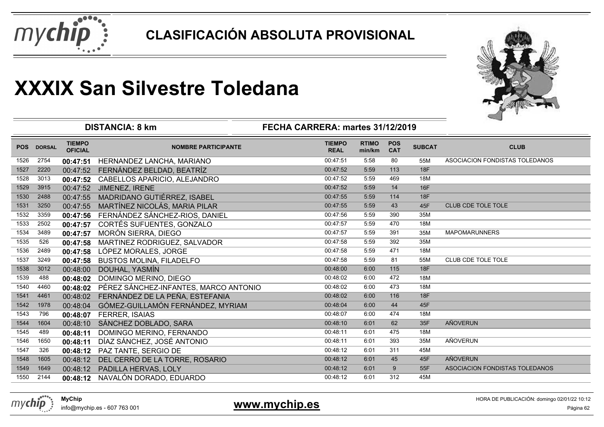



|            |               | <b>DISTANCIA: 8 km</b>          |                                       |                              |                        |                          |               |                                |
|------------|---------------|---------------------------------|---------------------------------------|------------------------------|------------------------|--------------------------|---------------|--------------------------------|
| <b>POS</b> | <b>DORSAL</b> | <b>TIEMPO</b><br><b>OFICIAL</b> | <b>NOMBRE PARTICIPANTE</b>            | <b>TIEMPO</b><br><b>REAL</b> | <b>RTIMO</b><br>min/km | <b>POS</b><br><b>CAT</b> | <b>SUBCAT</b> | <b>CLUB</b>                    |
| 1526       | 2754          | 00:47:51                        | HERNANDEZ LANCHA, MARIANO             | 00:47:51                     | 5:58                   | 80                       | 55M           | ASOCIACION FONDISTAS TOLEDANOS |
| 1527       | 2220          | 00:47:52                        | FERNÁNDEZ BELDAD, BEATRÍZ             | 00:47:52                     | 5:59                   | 113                      | 18F           |                                |
| 1528       | 3013          | 00:47:52                        | CABELLOS APARICIO, ALEJANDRO          | 00:47:52                     | 5:59                   | 469                      | 18M           |                                |
| 1529       | 3915          | 00:47:52                        | JIMENEZ, IRENE                        | 00:47:52                     | 5:59                   | 14                       | 16F           |                                |
| 1530       | 2488          | 00:47:55                        | MADRIDANO GUTIÉRREZ, ISABEL           | 00:47:55                     | 5:59                   | 114                      | <b>18F</b>    |                                |
| 1531       | 3250          | 00:47:55                        | MARTÍNEZ NICOLÁS, MARIA PILAR         | 00:47:55                     | 5:59                   | 43                       | 45F           | <b>CLUB CDE TOLE TOLE</b>      |
| 1532       | 3359          | 00:47:56                        | FERNÁNDEZ SÁNCHEZ-RIOS, DANIEL        | 00:47:56                     | 5:59                   | 390                      | 35M           |                                |
| 1533       | 2502          | 00:47:57                        | CORTÉS SUFUENTES, GONZALO             | 00:47:57                     | 5:59                   | 470                      | 18M           |                                |
| 1534       | 3489          | 00:47:57                        | MORÓN SIERRA, DIEGO                   | 00:47:57                     | 5:59                   | 391                      | 35M           | <b>MAPOMARUNNERS</b>           |
| 1535       | 526           | 00:47:58                        | MARTINEZ RODRIGUEZ, SALVADOR          | 00:47:58                     | 5:59                   | 392                      | 35M           |                                |
| 1536       | 2489          | 00:47:58                        | LÓPEZ MORALES, JORGE                  | 00:47:58                     | 5:59                   | 471                      | 18M           |                                |
| 1537       | 3249          | 00:47:58                        | <b>BUSTOS MOLINA, FILADELFO</b>       | 00:47:58                     | 5:59                   | 81                       | 55M           | CLUB CDE TOLE TOLE             |
| 1538       | 3012          | 00:48:00                        | DOUHAL, YASMÍN                        | 00:48:00                     | 6:00                   | 115                      | 18F           |                                |
| 1539       | 488           | 00:48:02                        | DOMINGO MERINO, DIEGO                 | 00:48:02                     | 6:00                   | 472                      | 18M           |                                |
| 1540       | 4460          | 00:48:02                        | PÉREZ SÁNCHEZ-INFANTES, MARCO ANTONIO | 00:48:02                     | 6:00                   | 473                      | 18M           |                                |
| 1541       | 4461          | 00:48:02                        | FERNÁNDEZ DE LA PEÑA, ESTEFANIA       | 00:48:02                     | 6:00                   | 116                      | 18F           |                                |
| 1542       | 1978          | 00:48:04                        | GÓMEZ-GUILLAMÓN FERNÁNDEZ, MYRIAM     | 00:48:04                     | 6:00                   | 44                       | 45F           |                                |
| 1543       | 796           | 00:48:07                        | FERRER, ISAIAS                        | 00:48:07                     | 6:00                   | 474                      | 18M           |                                |
| 1544       | 1604          | 00:48:10                        | SÁNCHEZ DOBLADO, SARA                 | 00:48:10                     | 6:01                   | 62                       | 35F           | AÑOVERUN                       |
| 1545       | 489           | 00:48:11                        | DOMINGO MERINO, FERNANDO              | 00:48:11                     | 6:01                   | 475                      | 18M           |                                |
| 1546       | 1650          | 00:48:11                        | DÍAZ SÁNCHEZ, JOSÉ ANTONIO            | 00:48:11                     | 6:01                   | 393                      | 35M           | AÑOVERUN                       |
| 1547       | 326           | 00:48:12                        | PAZ TANTE, SERGIO DE                  | 00:48:12                     | 6:01                   | 311                      | 45M           |                                |
| 1548       | 1605          | 00:48:12                        | DEL CERRO DE LA TORRE, ROSARIO        | 00:48:12                     | 6:01                   | 45                       | 45F           | <b>AÑOVERUN</b>                |
| 1549       | 1649          | 00:48:12                        | PADILLA HERVAS, LOLY                  | 00:48:12                     | 6:01                   | 9                        | 55F           | ASOCIACION FONDISTAS TOLEDANOS |
| 1550       | 2144          | 00:48:12                        | NAVALÓN DORADO, EDUARDO               | 00:48:12                     | 6:01                   | 312                      | 45M           |                                |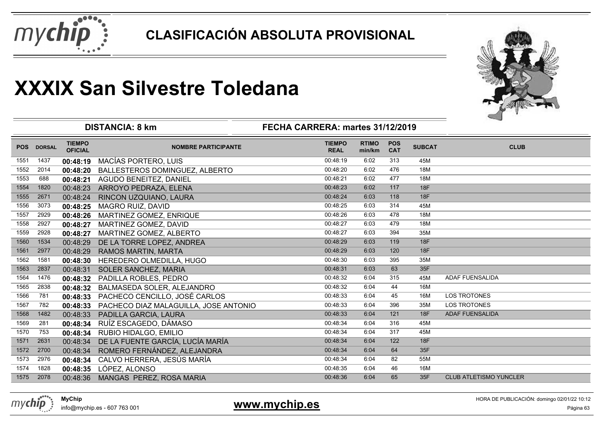



|            |               |                                 | <b>DISTANCIA: 8 km</b>                | FECHA CARRERA: martes 31/12/2019 |                        |                          |               |                               |
|------------|---------------|---------------------------------|---------------------------------------|----------------------------------|------------------------|--------------------------|---------------|-------------------------------|
| <b>POS</b> | <b>DORSAL</b> | <b>TIEMPO</b><br><b>OFICIAL</b> | <b>NOMBRE PARTICIPANTE</b>            | <b>TIEMPO</b><br><b>REAL</b>     | <b>RTIMO</b><br>min/km | <b>POS</b><br><b>CAT</b> | <b>SUBCAT</b> | <b>CLUB</b>                   |
| 1551       | 1437          | 00:48:19                        | MACÍAS PORTERO, LUIS                  | 00:48:19                         | 6:02                   | 313                      | 45M           |                               |
| 1552       | 2014          | 00:48:20                        | BALLESTEROS DOMINGUEZ, ALBERTO        | 00:48:20                         | 6:02                   | 476                      | 18M           |                               |
| 1553       | 688           | 00:48:21                        | AGUDO BENEITEZ, DANIEL                | 00:48:21                         | 6:02                   | 477                      | 18M           |                               |
| 1554       | 1820          | 00:48:23                        | ARROYO PEDRAZA, ELENA                 | 00:48:23                         | 6:02                   | 117                      | 18F           |                               |
| 1555       | 2671          | 00:48:24                        | RINCON UZQUIANO, LAURA                | 00:48:24                         | 6:03                   | 118                      | 18F           |                               |
| 1556       | 3073          | 00:48:25                        | <b>MAGRO RUIZ, DAVID</b>              | 00:48:25                         | 6:03                   | 314                      | 45M           |                               |
| 1557       | 2929          | 00:48:26                        | MARTINEZ GOMEZ, ENRIQUE               | 00:48:26                         | 6:03                   | 478                      | <b>18M</b>    |                               |
| 1558       | 2927          | 00:48:27                        | MARTINEZ GOMEZ, DAVID                 | 00:48:27                         | 6:03                   | 479                      | 18M           |                               |
| 1559       | 2928          | 00:48:27                        | MARTINEZ GOMEZ, ALBERTO               | 00:48:27                         | 6:03                   | 394                      | 35M           |                               |
| 1560       | 1534          | 00:48:29                        | DE LA TORRE LOPEZ, ANDREA             | 00:48:29                         | 6:03                   | 119                      | 18F           |                               |
| 1561       | 2977          | 00:48:29                        | <b>RAMOS MARTIN, MARTA</b>            | 00:48:29                         | 6:03                   | 120                      | <b>18F</b>    |                               |
| 1562       | 1581          | 00:48:30                        | HEREDERO OLMEDILLA, HUGO              | 00:48:30                         | 6:03                   | 395                      | 35M           |                               |
| 1563       | 2837          | 00:48:31                        | SOLER SANCHEZ, MARIA                  | 00:48:31                         | 6:03                   | 63                       | 35F           |                               |
| 1564       | 1476          | 00:48:32                        | PADILLA ROBLES, PEDRO                 | 00:48:32                         | 6:04                   | 315                      | 45M           | ADAF FUENSALIDA               |
| 1565       | 2838          | 00:48:32                        | BALMASEDA SOLER, ALEJANDRO            | 00:48:32                         | 6:04                   | 44                       | 16M           |                               |
| 1566       | 781           | 00:48:33                        | PACHECO CENCILLO, JOSÉ CARLOS         | 00:48:33                         | 6:04                   | 45                       | 16M           | <b>LOS TROTONES</b>           |
| 1567       | 782           | 00:48:33                        | PACHECO DIAZ MALAGUILLA, JOSE ANTONIO | 00:48:33                         | 6:04                   | 396                      | 35M           | <b>LOS TROTONES</b>           |
| 1568       | 1482          | 00:48:33                        | PADILLA GARCIA, LAURA                 | 00:48:33                         | 6:04                   | 121                      | 18F           | ADAF FUENSALIDA               |
| 1569       | 281           | 00:48:34                        | RUÍZ ESCAGEDO, DÁMASO                 | 00:48:34                         | 6:04                   | 316                      | 45M           |                               |
| 1570       | 753           | 00:48:34                        | RUBIO HIDALGO, EMILIO                 | 00:48:34                         | 6:04                   | 317                      | 45M           |                               |
| 1571       | 2631          | 00:48:34                        | DE LA FUENTE GARCÍA, LUCÍA MARÍA      | 00:48:34                         | 6:04                   | 122                      | <b>18F</b>    |                               |
| 1572       | 2700          | 00:48:34                        | ROMERO FERNÁNDEZ, ALEJANDRA           | 00:48:34                         | 6:04                   | 64                       | 35F           |                               |
| 1573       | 2976          | 00:48:34                        | CALVO HERRERA, JESÚS MARÍA            | 00:48:34                         | 6:04                   | 82                       | 55M           |                               |
| 1574       | 1828          | 00:48:35                        | LÓPEZ, ALONSO                         | 00:48:35                         | 6:04                   | 46                       | 16M           |                               |
| 1575       | 2078          | 00:48:36                        | MANGAS PEREZ, ROSA MARIA              | 00:48:36                         | 6:04                   | 65                       | 35F           | <b>CLUB ATLETISMO YUNCLER</b> |

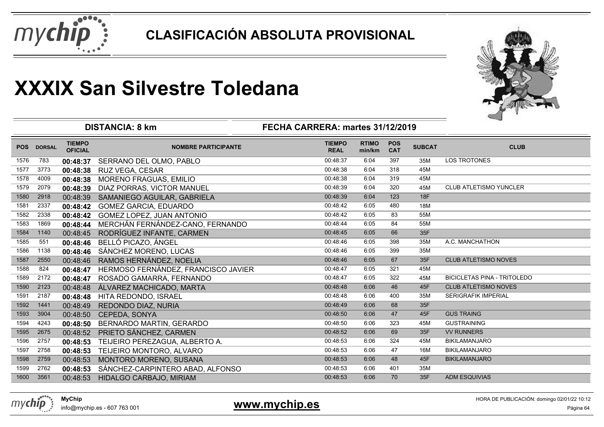



|      |            |                                 | <b>DISTANCIA: 8 km</b>              | ⊸                            |                        |                          |               |                                    |
|------|------------|---------------------------------|-------------------------------------|------------------------------|------------------------|--------------------------|---------------|------------------------------------|
|      | POS DORSAL | <b>TIEMPO</b><br><b>OFICIAL</b> | <b>NOMBRE PARTICIPANTE</b>          | <b>TIEMPO</b><br><b>REAL</b> | <b>RTIMO</b><br>min/km | <b>POS</b><br><b>CAT</b> | <b>SUBCAT</b> | <b>CLUB</b>                        |
| 1576 | 783        | 00:48:37                        | SERRANO DEL OLMO, PABLO             | 00:48:37                     | 6:04                   | 397                      | 35M           | <b>LOS TROTONES</b>                |
| 1577 | 3773       | 00:48:38                        | RUZ VEGA, CESAR                     | 00:48:38                     | 6:04                   | 318                      | 45M           |                                    |
| 1578 | 4009       | 00:48:38                        | <b>MORENO FRAGUAS, EMILIO</b>       | 00:48:38                     | 6:04                   | 319                      | 45M           |                                    |
| 1579 | 2079       | 00:48:39                        | DIAZ PORRAS, VICTOR MANUEL          | 00:48:39                     | 6:04                   | 320                      | 45M           | CLUB ATLETISMO YUNCLER             |
| 1580 | 2918       | 00:48:39                        | SAMANIEGO AGUILAR, GABRIELA         | 00:48:39                     | 6:04                   | 123                      | 18F           |                                    |
| 1581 | 2337       | 00:48:42                        | <b>GOMEZ GARCIA, EDUARDO</b>        | 00:48:42                     | 6:05                   | 480                      | 18M           |                                    |
| 1582 | 2338       | 00:48:42                        | GOMEZ LOPEZ, JUAN ANTONIO           | 00:48:42                     | 6:05                   | 83                       | 55M           |                                    |
| 1583 | 1869       | 00:48:44                        | MERCHÁN FERNÁNDEZ-CANO, FERNANDO    | 00:48:44                     | 6:05                   | 84                       | 55M           |                                    |
| 1584 | 1140       | 00:48:45                        | RODRÍGUEZ INFANTE, CARMEN           | 00:48:45                     | 6:05                   | 66                       | 35F           |                                    |
| 1585 | 551        | 00:48:46                        | BELLÓ PICAZO, ÁNGEL                 | 00:48:46                     | 6:05                   | 398                      | 35M           | A.C. MANCHATHON                    |
| 1586 | 1138       | 00:48:46                        | SÁNCHEZ MORENO, LUCAS               | 00:48:46                     | 6:05                   | 399                      | 35M           |                                    |
| 1587 | 2550       | 00:48:46                        | RAMOS HERNÁNDEZ, NOELIA             | 00:48:46                     | 6:05                   | 67                       | 35F           | <b>CLUB ATLETISMO NOVES</b>        |
| 1588 | 824        | 00:48:47                        | HERMOSO FERNÁNDEZ, FRANCISCO JAVIER | 00:48:47                     | 6:05                   | 321                      | 45M           |                                    |
| 1589 | 2172       | 00:48:47                        | ROSADO GAMARRA, FERNANDO            | 00:48:47                     | 6:05                   | 322                      | 45M           | <b>BICICLETAS PINA - TRITOLEDO</b> |
| 1590 | 2123       | 00:48:48                        | ÁLVAREZ MACHICADO, MARTA            | 00:48:48                     | 6:06                   | 46                       | 45F           | <b>CLUB ATLETISMO NOVES</b>        |
| 1591 | 2187       | 00:48:48                        | HITA REDONDO, ISRAEL                | 00:48:48                     | 6:06                   | 400                      | 35M           | <b>SERIGRAFIK IMPERIAL</b>         |
| 1592 | 1441       | 00:48:49                        | REDONDO DIAZ, NURIA                 | 00:48:49                     | 6:06                   | 68                       | 35F           |                                    |
| 1593 | 3904       | 00:48:50                        | CEPEDA, SONYA                       | 00:48:50                     | 6:06                   | 47                       | 45F           | <b>GUS TRAING</b>                  |
| 1594 | 4243       | 00:48:50                        | BERNARDO MARTIN, GERARDO            | 00:48:50                     | 6:06                   | 323                      | 45M           | <b>GUSTRAINING</b>                 |
| 1595 | 2675       | 00:48:52                        | PRIETO SÁNCHEZ, CARMEN              | 00:48:52                     | 6:06                   | 69                       | 35F           | <b>VV RUNNERS</b>                  |
| 1596 | 2757       | 00:48:53                        | TEIJEIRO PEREZAGUA, ALBERTO A.      | 00:48:53                     | 6:06                   | 324                      | 45M           | <b>BIKILAMANJARO</b>               |
| 1597 | 2758       | 00:48:53                        | TEIJEIRO MONTORO, ALVARO            | 00:48:53                     | 6:06                   | 47                       | 16M           | <b>BIKILAMANJARO</b>               |
| 1598 | 2759       | 00:48:53                        | MONTORO MORENO, SUSANA              | 00:48:53                     | 6:06                   | 48                       | 45F           | <b>BIKILAMANJARO</b>               |
| 1599 | 2762       | 00:48:53                        | SÁNCHEZ-CARPINTERO ABAD, ALFONSO    | 00:48:53                     | 6:06                   | 401                      | 35M           |                                    |
| 1600 | 3561       | 00:48:53                        | HIDALGO CARBAJO, MIRIAM             | 00:48:53                     | 6:06                   | 70                       | 35F           | <b>ADM ESQUIVIAS</b>               |



info@mychip.es - 607 763 001

### **www.mychip.es**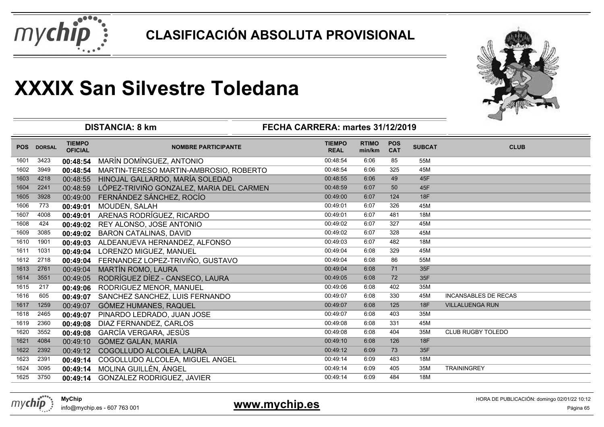



|            |               |                                 | <b>DISTANCIA: 8 km</b>                   | FECHA CARRERA: martes 31/12/2019 |                        |                          |               |                             |
|------------|---------------|---------------------------------|------------------------------------------|----------------------------------|------------------------|--------------------------|---------------|-----------------------------|
| <b>POS</b> | <b>DORSAL</b> | <b>TIEMPO</b><br><b>OFICIAL</b> | <b>NOMBRE PARTICIPANTE</b>               | <b>TIEMPO</b><br><b>REAL</b>     | <b>RTIMO</b><br>min/km | <b>POS</b><br><b>CAT</b> | <b>SUBCAT</b> | <b>CLUB</b>                 |
| 1601       | 3423          | 00:48:54                        | MARÍN DOMÍNGUEZ, ANTONIO                 | 00:48:54                         | 6:06                   | 85                       | 55M           |                             |
| 1602       | 3949          | 00:48:54                        | MARTIN-TERESO MARTIN-AMBROSIO, ROBERTO   | 00:48:54                         | 6:06                   | 325                      | 45M           |                             |
| 1603       | 4218          | 00:48:55                        | HINOJAL GALLARDO, MARÍA SOLEDAD          | 00:48:55                         | 6:06                   | 49                       | 45F           |                             |
| 1604       | 2241          | 00:48:59                        | LÓPEZ-TRIVIÑO GONZALEZ, MARIA DEL CARMEN | 00:48:59                         | 6:07                   | 50                       | 45F           |                             |
| 1605       | 3928          | 00:49:00                        | FERNÁNDEZ SÁNCHEZ, ROCÍO                 | 00:49:00                         | 6:07                   | 124                      | <b>18F</b>    |                             |
| 1606       | 773           | 00:49:01                        | MOUDEN, SALAH                            | 00:49:01                         | 6:07                   | 326                      | 45M           |                             |
| 1607       | 4008          | 00:49:01                        | ARENAS RODRÍGUEZ, RICARDO                | 00:49:01                         | 6:07                   | 481                      | <b>18M</b>    |                             |
| 1608       | 424           | 00:49:02                        | REY ALONSO, JOSE ANTONIO                 | 00:49:02                         | 6:07                   | 327                      | 45M           |                             |
| 1609       | 3085          | 00:49:02                        | <b>BARON CATALINAS, DAVID</b>            | 00:49:02                         | 6:07                   | 328                      | 45M           |                             |
| 1610       | 1901          | 00:49:03                        | ALDEANUEVA HERNANDEZ, ALFONSO            | 00:49:03                         | 6:07                   | 482                      | 18M           |                             |
| 1611       | 1031          | 00:49:04                        | LORENZO MIGUEZ, MANUEL                   | 00:49:04                         | 6:08                   | 329                      | 45M           |                             |
| 1612       | 2718          | 00:49:04                        | FERNANDEZ LOPEZ-TRIVIÑO, GUSTAVO         | 00:49:04                         | 6:08                   | 86                       | 55M           |                             |
| 1613       | 2761          | 00:49:04                        | <b>MARTÍN ROMO, LAURA</b>                | 00:49:04                         | 6:08                   | 71                       | 35F           |                             |
| 1614       | 3551          | 00:49:05                        | RODRÍGUEZ DÍEZ - CANSECO, LAURA          | 00:49:05                         | 6:08                   | 72                       | 35F           |                             |
| 1615       | 217           | 00:49:06                        | RODRIGUEZ MENOR, MANUEL                  | 00:49:06                         | 6:08                   | 402                      | 35M           |                             |
| 1616       | 605           | 00:49:07                        | SANCHEZ SANCHEZ, LUIS FERNANDO           | 00:49:07                         | 6:08                   | 330                      | 45M           | <b>INCANSABLES DE RECAS</b> |
| 1617       | 1259          | 00:49:07                        | GÓMEZ HUMANES, RAQUEL                    | 00:49:07                         | 6:08                   | 125                      | 18F           | <b>VILLALUENGA RUN</b>      |
| 1618       | 2465          | 00:49:07                        | PINARDO LEDRADO, JUAN JOSE               | 00:49:07                         | 6:08                   | 403                      | 35M           |                             |
| 1619       | 2360          | 00:49:08                        | DIAZ FERNANDEZ, CARLOS                   | 00:49:08                         | 6:08                   | 331                      | 45M           |                             |
| 1620       | 3552          | 00:49:08                        | GARCÍA VERGARA, JESÚS                    | 00:49:08                         | 6:08                   | 404                      | 35M           | <b>CLUB RUGBY TOLEDO</b>    |
| 1621       | 4084          | 00:49:10                        | GÓMEZ GALÁN, MARÍA                       | 00:49:10                         | 6:08                   | 126                      | 18F           |                             |
| 1622       | 2392          | 00:49:12                        | COGOLLUDO ALCOLEA, LAURA                 | 00:49:12                         | 6:09                   | 73                       | 35F           |                             |
| 1623       | 2391          | 00:49:14                        | COGOLLUDO ALCOLEA, MIGUEL ANGEL          | 00:49:14                         | 6:09                   | 483                      | 18M           |                             |
| 1624       | 3095          | 00:49:14                        | MOLINA GUILLÉN, ÁNGEL                    | 00:49:14                         | 6:09                   | 405                      | 35M           | <b>TRAININGREY</b>          |
| 1625       | 3750          | 00:49:14                        | <b>GONZALEZ RODRIGUEZ, JAVIER</b>        | 00:49:14                         | 6:09                   | 484                      | 18M           |                             |



**www.mychip.es**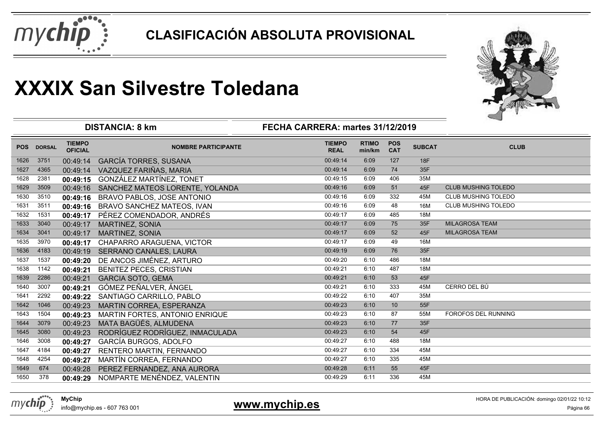



|            |               |                                 | <b>DISTANCIA: 8 km</b>            | FECHA CARRERA: martes 31/12/2019 |                        |                          |               | ⊸                          |
|------------|---------------|---------------------------------|-----------------------------------|----------------------------------|------------------------|--------------------------|---------------|----------------------------|
| <b>POS</b> | <b>DORSAL</b> | <b>TIEMPO</b><br><b>OFICIAL</b> | <b>NOMBRE PARTICIPANTE</b>        | <b>TIEMPO</b><br><b>REAL</b>     | <b>RTIMO</b><br>min/km | <b>POS</b><br><b>CAT</b> | <b>SUBCAT</b> | <b>CLUB</b>                |
| 1626       | 3751          | 00:49:14                        | <b>GARCÍA TORRES, SUSANA</b>      | 00:49:14                         | 6:09                   | 127                      | 18F           |                            |
| 1627       | 4365          | 00:49:14                        | VAZQUEZ FARIÑAS, MARIA            | 00:49:14                         | 6:09                   | 74                       | 35F           |                            |
| 1628       | 2381          | 00:49:15                        | GONZÁLEZ MARTÍNEZ, TONET          | 00:49:15                         | 6:09                   | 406                      | 35M           |                            |
| 1629       | 3509          | 00:49:16                        | SANCHEZ MATEOS LORENTE, YOLANDA   | 00:49:16                         | 6:09                   | 51                       | 45F           | CLUB MUSHING TOLEDO        |
| 1630       | 3510          | 00:49:16                        | <b>BRAVO PABLOS, JOSE ANTONIO</b> | 00:49:16                         | 6:09                   | 332                      | 45M           | <b>CLUB MUSHING TOLEDO</b> |
| 1631       | 3511          | 00:49:16                        | BRAVO SANCHEZ MATEOS, IVAN        | 00:49:16                         | 6:09                   | 48                       | 16M           | CLUB MUSHING TOLEDO        |
| 1632       | 1531          | 00:49:17                        | PÉREZ COMENDADOR, ANDRÉS          | 00:49:17                         | 6:09                   | 485                      | 18M           |                            |
| 1633       | 3040          | 00:49:17                        | <b>MARTINEZ, SONIA</b>            | 00:49:17                         | 6:09                   | 75                       | 35F           | <b>MILAGROSA TEAM</b>      |
| 1634       | 3041          | 00:49:17                        | <b>MARTINEZ, SONIA</b>            | 00:49:17                         | 6:09                   | 52                       | 45F           | <b>MILAGROSA TEAM</b>      |
| 1635       | 3970          | 00:49:17                        | CHAPARRO ARAGUENA, VICTOR         | 00:49:17                         | 6:09                   | 49                       | 16M           |                            |
| 1636       | 4183          | 00:49:19                        | SERRANO CANALES, LAURA            | 00:49:19                         | 6:09                   | 76                       | 35F           |                            |
| 1637       | 1537          | 00:49:20                        | DE ANCOS JIMÉNEZ, ARTURO          | 00:49:20                         | 6:10                   | 486                      | 18M           |                            |
| 1638       | 1142          | 00:49:21                        | <b>BENITEZ PECES, CRISTIAN</b>    | 00:49:21                         | 6:10                   | 487                      | 18M           |                            |
| 1639       | 2286          | 00:49:21                        | <b>GARCIA SOTO, GEMA</b>          | 00:49:21                         | 6:10                   | 53                       | 45F           |                            |
| 1640       | 3007          | 00:49:21                        | GÓMEZ PEÑALVER, ÁNGEL             | 00:49:21                         | 6:10                   | 333                      | 45M           | CERRO DEL BÚ               |
| 1641       | 2292          | 00:49:22                        | SANTIAGO CARRILLO, PABLO          | 00:49:22                         | 6:10                   | 407                      | 35M           |                            |
| 1642       | 1046          | 00:49:23                        | MARTIN CORREA, ESPERANZA          | 00:49:23                         | 6:10                   | 10                       | 55F           |                            |
| 1643       | 1504          | 00:49:23                        | MARTIN FORTES, ANTONIO ENRIQUE    | 00:49:23                         | 6:10                   | 87                       | 55M           | FOROFOS DEL RUNNING        |
| 1644       | 3079          | 00:49:23                        | MATA BAGÜÉS, ALMUDENA             | 00:49:23                         | 6:10                   | 77                       | 35F           |                            |
| 1645       | 3080          | 00:49:23                        | RODRÍGUEZ RODRÍGUEZ, INMACULADA   | 00:49:23                         | 6:10                   | 54                       | 45F           |                            |
| 1646       | 3008          | 00:49:27                        | GARCÍA BURGOS, ADOLFO             | 00:49:27                         | 6:10                   | 488                      | 18M           |                            |
| 1647       | 4184          | 00:49:27                        | RENTERO MARTIN, FERNANDO          | 00:49:27                         | 6:10                   | 334                      | 45M           |                            |
| 1648       | 4254          | 00:49:27                        | MARTÍN CORREA, FERNANDO           | 00:49:27                         | 6:10                   | 335                      | 45M           |                            |
| 1649       | 674           | 00:49:28                        | PEREZ FERNANDEZ, ANA AURORA       | 00:49:28                         | 6:11                   | 55                       | 45F           |                            |
| 1650       | 378           | 00:49:29                        | NOMPARTE MENÉNDEZ, VALENTIN       | 00:49:29                         | 6:11                   | 336                      | 45M           |                            |

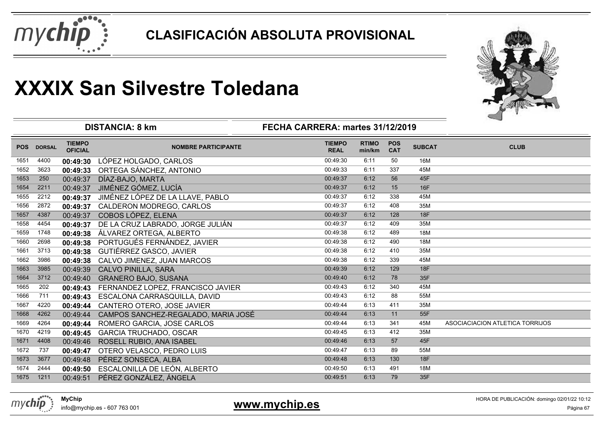



|            |               |                                 | <b>DISTANCIA: 8 km</b>              | FECHA CARRERA: martes 31/12/2019 |                        |                          |               |                                 |
|------------|---------------|---------------------------------|-------------------------------------|----------------------------------|------------------------|--------------------------|---------------|---------------------------------|
| <b>POS</b> | <b>DORSAL</b> | <b>TIEMPO</b><br><b>OFICIAL</b> | <b>NOMBRE PARTICIPANTE</b>          | <b>TIEMPO</b><br><b>REAL</b>     | <b>RTIMO</b><br>min/km | <b>POS</b><br><b>CAT</b> | <b>SUBCAT</b> | <b>CLUB</b>                     |
| 1651       | 4400          | 00:49:30                        | LÓPEZ HOLGADO, CARLOS               | 00:49:30                         | 6:11                   | 50                       | 16M           |                                 |
| 1652       | 3623          | 00:49:33                        | ORTEGA SÁNCHEZ, ANTONIO             | 00:49:33                         | 6:11                   | 337                      | 45M           |                                 |
| 1653       | 250           | 00:49:37                        | DÍAZ-BAJO, MARTA                    | 00:49:37                         | 6:12                   | 56                       | 45F           |                                 |
| 1654       | 2211          | 00:49:37                        | JIMÉNEZ GÓMEZ, LUCÍA                | 00:49:37                         | 6:12                   | 15                       | <b>16F</b>    |                                 |
| 1655       | 2212          | 00:49:37                        | JIMÉNEZ LÓPEZ DE LA LLAVE, PABLO    | 00:49:37                         | 6:12                   | 338                      | 45M           |                                 |
| 1656       | 2872          | 00:49:37                        | CALDERON MODREGO, CARLOS            | 00:49:37                         | 6:12                   | 408                      | 35M           |                                 |
| 1657       | 4387          | 00:49:37                        | COBOS LÓPEZ, ELENA                  | 00:49:37                         | 6:12                   | 128                      | 18F           |                                 |
| 1658       | 4454          | 00:49:37                        | DE LA CRUZ LABRADO, JORGE JULIÁN    | 00:49:37                         | 6:12                   | 409                      | 35M           |                                 |
| 1659       | 1748          | 00:49:38                        | ÁLVAREZ ORTEGA, ALBERTO             | 00:49:38                         | 6:12                   | 489                      | 18M           |                                 |
| 1660       | 2698          | 00:49:38                        | PORTUGUÉS FERNÁNDEZ, JAVIER         | 00:49:38                         | 6:12                   | 490                      | 18M           |                                 |
| 1661       | 3713          | 00:49:38                        | GUTIÉRREZ GASCO, JAVIER             | 00:49:38                         | 6:12                   | 410                      | 35M           |                                 |
| 1662       | 3986          | 00:49:38                        | CALVO JIMENEZ, JUAN MARCOS          | 00:49:38                         | 6:12                   | 339                      | 45M           |                                 |
| 1663       | 3985          | 00:49:39                        | CALVO PINILLA, SARA                 | 00:49:39                         | 6:12                   | 129                      | 18F           |                                 |
| 1664       | 3712          | 00:49:40                        | <b>GRANERO BAJO, SUSANA</b>         | 00:49:40                         | 6:12                   | 78                       | 35F           |                                 |
| 1665       | 202           | 00:49:43                        | FERNANDEZ LOPEZ, FRANCISCO JAVIER   | 00:49:43                         | 6:12                   | 340                      | 45M           |                                 |
| 1666       | 711           | 00:49:43                        | ESCALONA CARRASQUILLA, DAVID        | 00:49:43                         | 6:12                   | 88                       | 55M           |                                 |
| 1667       | 4220          | 00:49:44                        | CANTERO OTERO, JOSE JAVIER          | 00:49:44                         | 6:13                   | 411                      | 35M           |                                 |
| 1668       | 4262          | 00:49:44                        | CAMPOS SANCHEZ-REGALADO, MARIA JOSÉ | 00:49:44                         | 6:13                   | 11                       | 55F           |                                 |
| 1669       | 4264          | 00:49:44                        | ROMERO GARCIA, JOSE CARLOS          | 00:49:44                         | 6:13                   | 341                      | 45M           | ASOCIACIACION ATLETICA TORRIJOS |
| 1670       | 4219          | 00:49:45                        | <b>GARCIA TRUCHADO, OSCAR</b>       | 00:49:45                         | 6:13                   | 412                      | 35M           |                                 |
| 1671       | 4408          | 00:49:46                        | ROSELL RUBIO, ANA ISABEL            | 00:49:46                         | 6:13                   | 57                       | 45F           |                                 |
| 1672       | 737           | 00:49:47                        | OTERO VELASCO, PEDRO LUIS           | 00:49:47                         | 6:13                   | 89                       | 55M           |                                 |
| 1673       | 3677          | 00:49:48                        | PÉREZ SONSECA, ALBA                 | 00:49:48                         | 6:13                   | 130                      | 18F           |                                 |
| 1674       | 2444          | 00:49:50                        | ESCALONILLA DE LEÓN, ALBERTO        | 00:49:50                         | 6:13                   | 491                      | 18M           |                                 |
| 1675       | 1211          | 00:49:51                        | PÉREZ GONZÁLEZ, ÁNGELA              | 00:49:51                         | 6:13                   | 79                       | 35F           |                                 |



info@mychip.es - 607 763 001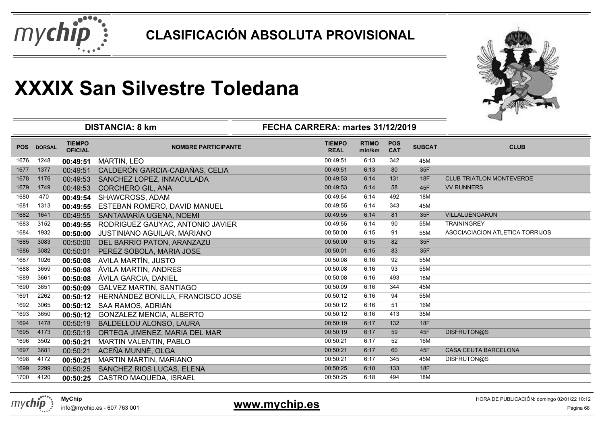



|            |               |                                 | <b>DISTANCIA: 8 km</b>            | FECHA CARRERA: martes 31/12/2019 |                        |                          |               |                                 |
|------------|---------------|---------------------------------|-----------------------------------|----------------------------------|------------------------|--------------------------|---------------|---------------------------------|
| <b>POS</b> | <b>DORSAL</b> | <b>TIEMPO</b><br><b>OFICIAL</b> | <b>NOMBRE PARTICIPANTE</b>        | <b>TIEMPO</b><br><b>REAL</b>     | <b>RTIMO</b><br>min/km | <b>POS</b><br><b>CAT</b> | <b>SUBCAT</b> | <b>CLUB</b>                     |
| 1676       | 1248          | 00:49:51                        | <b>MARTIN, LEO</b>                | 00:49:51                         | 6:13                   | 342                      | 45M           |                                 |
| 1677       | 1377          | 00:49:51                        | CALDERÓN GARCIA-CABAÑAS, CELIA    | 00:49:51                         | 6:13                   | 80                       | 35F           |                                 |
| 1678       | 1176          | 00:49:53                        | SANCHEZ LOPEZ, INMACULADA         | 00:49:53                         | 6:14                   | 131                      | <b>18F</b>    | <b>CLUB TRIATLON MONTEVERDE</b> |
| 1679       | 1749          | 00:49:53                        | <b>CORCHERO GIL, ANA</b>          | 00:49:53                         | 6:14                   | 58                       | 45F           | <b>VV RUNNERS</b>               |
| 1680       | 470           | 00:49:54                        | <b>SHAWCROSS, ADAM</b>            | 00:49:54                         | 6:14                   | 492                      | 18M           |                                 |
| 1681       | 1313          | 00:49:55                        | ESTEBAN ROMERO, DAVID MANUEL      | 00:49:55                         | 6:14                   | 343                      | 45M           |                                 |
| 1682       | 1641          | 00:49:55                        | SANTAMARÍA UGENA, NOEMI           | 00:49:55                         | 6:14                   | 81                       | 35F           | VILLALUENGARUN                  |
| 1683       | 3152          | 00:49:55                        | RODRIGUEZ GAUYAC, ANTONIO JAVIER  | 00:49:55                         | 6:14                   | 90                       | 55M           | <b>TRAININGREY</b>              |
| 1684       | 1932          | 00:50:00                        | JUSTINIANO AGUILAR, MARIANO       | 00:50:00                         | 6:15                   | 91                       | 55M           | ASOCIACIACION ATLETICA TORRIJOS |
| 1685       | 3083          | 00:50:00                        | DEL BARRIO PATON, ARANZAZU        | 00:50:00                         | 6:15                   | 82                       | 35F           |                                 |
| 1686       | 3082          | 00:50:01                        | PEREZ SOBOLA, MARIA JOSE          | 00:50:01                         | 6:15                   | 83                       | 35F           |                                 |
| 1687       | 1026          |                                 | 00:50:08 AVILA MARTÍN, JUSTO      | 00:50:08                         | 6:16                   | 92                       | 55M           |                                 |
| 1688       | 3659          | 00:50:08                        | ÁVILA MARTIN, ANDRES              | 00:50:08                         | 6:16                   | 93                       | 55M           |                                 |
| 1689       | 3661          | 00:50:08                        | ÁVILA GARCIA, DANIEL              | 00:50:08                         | 6:16                   | 493                      | <b>18M</b>    |                                 |
| 1690       | 3651          | 00:50:09                        | <b>GALVEZ MARTIN, SANTIAGO</b>    | 00:50:09                         | 6:16                   | 344                      | 45M           |                                 |
| 1691       | 2262          | 00:50:12                        | HERNÁNDEZ BONILLA, FRANCISCO JOSE | 00:50:12                         | 6:16                   | 94                       | 55M           |                                 |
| 1692       | 3065          | 00:50:12                        | SAA RAMOS, ADRIÁN                 | 00:50:12                         | 6:16                   | 51                       | 16M           |                                 |
| 1693       | 3650          | 00:50:12                        | <b>GONZALEZ MENCIA, ALBERTO</b>   | 00:50:12                         | 6:16                   | 413                      | 35M           |                                 |
| 1694       | 1478          | 00:50:19                        | BALDELLOU ALONSO, LAURA           | 00:50:19                         | 6:17                   | 132                      | 18F           |                                 |
| 1695       | 4173          | 00:50:19                        | ORTEGA JIMENEZ, MARIA DEL MAR     | 00:50:19                         | 6:17                   | 59                       | 45F           | DISFRUTON@S                     |
| 1696       | 3502          | 00:50:21                        | <b>MARTIN VALENTIN, PABLO</b>     | 00:50:21                         | 6:17                   | 52                       | 16M           |                                 |
| 1697       | 3681          | 00:50:21                        | ACEÑA MUNNÉ, OLGA                 | 00:50:21                         | 6:17                   | 60                       | 45F           | <b>CASA CEUTA BARCELONA</b>     |
| 1698       | 4172          | 00:50:21                        | <b>MARTIN MARTIN, MARIANO</b>     | 00:50:21                         | 6:17                   | 345                      | 45M           | DISFRUTON@S                     |
| 1699       | 2299          | 00:50:25                        | SANCHEZ RIOS LUCAS, ELENA         | 00:50:25                         | 6:18                   | 133                      | 18F           |                                 |
| 1700       | 4120          | 00:50:25                        | <b>CASTRO MAQUEDA, ISRAEL</b>     | 00:50:25                         | 6:18                   | 494                      | 18M           |                                 |
|            |               |                                 |                                   |                                  |                        |                          |               |                                 |



info@mychip.es - 607 763 001

### **www.mychip.es**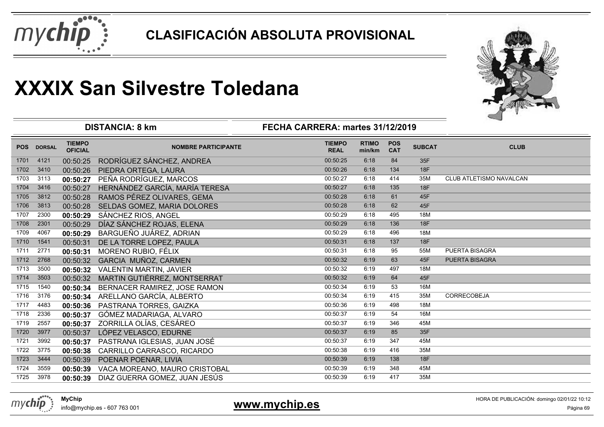



|            |               |                                 | <b>DISTANCIA: 8 km</b>         | FECHA CARRERA: martes 31/12/2019 |                        |                          |               | ⊸                       |
|------------|---------------|---------------------------------|--------------------------------|----------------------------------|------------------------|--------------------------|---------------|-------------------------|
| <b>POS</b> | <b>DORSAL</b> | <b>TIEMPO</b><br><b>OFICIAL</b> | <b>NOMBRE PARTICIPANTE</b>     | <b>TIEMPO</b><br><b>REAL</b>     | <b>RTIMO</b><br>min/km | <b>POS</b><br><b>CAT</b> | <b>SUBCAT</b> | <b>CLUB</b>             |
| 1701       | 4121          | 00:50:25                        | RODRÍGUEZ SÁNCHEZ, ANDREA      | 00:50:25                         | 6:18                   | 84                       | 35F           |                         |
| 1702       | 3410          | 00:50:26                        | PIEDRA ORTEGA, LAURA           | 00:50:26                         | 6:18                   | 134                      | <b>18F</b>    |                         |
| 1703       | 3113          | 00:50:27                        | PEÑA RODRÍGUEZ, MARCOS         | 00:50:27                         | 6:18                   | 414                      | 35M           | CLUB ATLETISMO NAVALCAN |
| 1704       | 3416          | 00:50:27                        | HERNÁNDEZ GARCÍA, MARÍA TERESA | 00:50:27                         | 6:18                   | 135                      | 18F           |                         |
| 1705       | 3812          | 00:50:28                        | RAMOS PÉREZ OLIVARES, GEMA     | 00:50:28                         | 6:18                   | 61                       | 45F           |                         |
| 1706       | 3813          | 00:50:28                        | SELDAS GOMEZ, MARIA DOLORES    | 00:50:28                         | 6:18                   | 62                       | 45F           |                         |
| 1707       | 2300          | 00:50:29                        | SÁNCHEZ RIOS, ANGEL            | 00:50:29                         | 6:18                   | 495                      | 18M           |                         |
| 1708       | 2301          | 00:50:29                        | DÍAZ SÁNCHEZ ROJAS, ELENA      | 00:50:29                         | 6:18                   | 136                      | <b>18F</b>    |                         |
| 1709       | 4067          | 00:50:29                        | BARGUEÑO JUÁREZ, ADRIAN        | 00:50:29                         | 6:18                   | 496                      | 18M           |                         |
| 1710       | 1541          | 00:50:31                        | DE LA TORRE LOPEZ, PAULA       | 00:50:31                         | 6:18                   | 137                      | <b>18F</b>    |                         |
| 1711       | 2771          | 00:50:31                        | MORENO RUBIO, FÉLIX            | 00:50:31                         | 6:18                   | 95                       | 55M           | <b>PUERTA BISAGRA</b>   |
| 1712       | 2768          | 00:50:32                        | GARCIA MUÑOZ, CARMEN           | 00:50:32                         | 6:19                   | 63                       | 45F           | PUERTA BISAGRA          |
| 1713       | 3500          | 00:50:32                        | VALENTIN MARTIN, JAVIER        | 00:50:32                         | 6:19                   | 497                      | 18M           |                         |
| 1714       | 3503          | 00:50:32                        | MARTIN GUTIÉRREZ, MONTSERRAT   | 00:50:32                         | 6:19                   | 64                       | 45F           |                         |
| 1715       | 1540          | 00:50:34                        | BERNACER RAMIREZ, JOSE RAMON   | 00:50:34                         | 6:19                   | 53                       | 16M           |                         |
| 1716       | 3176          | 00:50:34                        | ARELLANO GARCÍA, ALBERTO       | 00:50:34                         | 6:19                   | 415                      | 35M           | <b>CORRECOBEJA</b>      |
| 1717       | 4483          | 00:50:36                        | PASTRANA TORRES, GAIZKA        | 00:50:36                         | 6:19                   | 498                      | 18M           |                         |
| 1718       | 2336          | 00:50:37                        | GÓMEZ MADARIAGA, ALVARO        | 00:50:37                         | 6:19                   | 54                       | 16M           |                         |
| 1719       | 2557          | 00:50:37                        | ZORRILLA OLÍAS, CESÁREO        | 00:50:37                         | 6:19                   | 346                      | 45M           |                         |
| 1720       | 3977          | 00:50:37                        | LÓPEZ VELASCO, EDURNE          | 00:50:37                         | 6:19                   | 85                       | 35F           |                         |
| 1721       | 3992          | 00:50:37                        | PASTRANA IGLESIAS, JUAN JOSÉ   | 00:50:37                         | 6:19                   | 347                      | 45M           |                         |
| 1722       | 3775          | 00:50:38                        | CARRILLO CARRASCO, RICARDO     | 00:50:38                         | 6:19                   | 416                      | 35M           |                         |
| 1723       | 3444          | 00:50:39                        | POENAR POENAR, LIVIA           | 00:50:39                         | 6:19                   | 138                      | <b>18F</b>    |                         |
| 1724       | 3559          | 00:50:39                        | VACA MOREANO, MAURO CRISTOBAL  | 00:50:39                         | 6:19                   | 348                      | 45M           |                         |
| 1725       | 3978          | 00:50:39                        | DIAZ GUERRA GOMEZ, JUAN JESÚS  | 00:50:39                         | 6:19                   | 417                      | 35M           |                         |
|            |               |                                 |                                |                                  |                        |                          |               |                         |



info@mychip.es - 607 763 001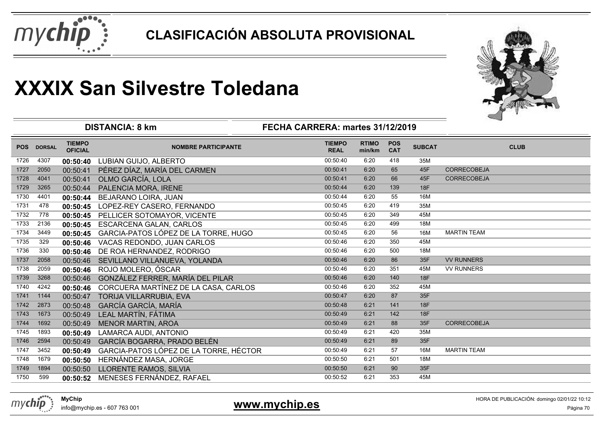



|            |               |                                 | <b>DISTANCIA: 8 km</b>                 | FECHA CARRERA: martes 31/12/2019 |                        |                          |               |                    |  |
|------------|---------------|---------------------------------|----------------------------------------|----------------------------------|------------------------|--------------------------|---------------|--------------------|--|
| <b>POS</b> | <b>DORSAL</b> | <b>TIEMPO</b><br><b>OFICIAL</b> | <b>NOMBRE PARTICIPANTE</b>             | <b>TIEMPO</b><br><b>REAL</b>     | <b>RTIMO</b><br>min/km | <b>POS</b><br><b>CAT</b> | <b>SUBCAT</b> | <b>CLUB</b>        |  |
| 1726       | 4307          | 00:50:40                        | LUBIAN GUIJO, ALBERTO                  | 00:50:40                         | 6:20                   | 418                      | 35M           |                    |  |
| 1727       | 2050          | 00:50:41                        | PÉREZ DÍAZ, MARÍA DEL CARMEN           | 00:50:41                         | 6:20                   | 65                       | 45F           | <b>CORRECOBEJA</b> |  |
| 1728       | 4041          | 00:50:41                        | OLMO GARCÍA, LOLA                      | 00:50:41                         | 6:20                   | 66                       | 45F           | <b>CORRECOBEJA</b> |  |
| 1729       | 3265          | 00:50:44                        | PALENCIA MORA, IRENE                   | 00:50:44                         | 6:20                   | 139                      | 18F           |                    |  |
| 1730       | 4401          | 00:50:44                        | <b>BEJARANO LOIRA, JUAN</b>            | 00:50:44                         | 6:20                   | 55                       | 16M           |                    |  |
| 1731       | 478           | 00:50:45                        | LOPEZ-REY CASERO, FERNANDO             | 00:50:45                         | 6:20                   | 419                      | 35M           |                    |  |
| 1732       | 778           | 00:50:45                        | PELLICER SOTOMAYOR, VICENTE            | 00:50:45                         | 6:20                   | 349                      | 45M           |                    |  |
| 1733       | 2136          | 00:50:45                        | <b>ESCARCENA GALAN, CARLOS</b>         | 00:50:45                         | 6:20                   | 499                      | 18M           |                    |  |
| 1734       | 3449          | 00:50:45                        | GARCIA-PATOS LÓPEZ DE LA TORRE, HUGO   | 00:50:45                         | 6:20                   | 56                       | 16M           | <b>MARTIN TEAM</b> |  |
| 1735       | 329           | 00:50:46                        | VACAS REDONDO, JUAN CARLOS             | 00:50:46                         | 6:20                   | 350                      | 45M           |                    |  |
| 1736       | 330           | 00:50:46                        | DE ROA HERNANDEZ, RODRIGO              | 00:50:46                         | 6:20                   | 500                      | 18M           |                    |  |
| 1737       | 2058          | 00:50:46                        | SEVILLANO VILLANUEVA, YOLANDA          | 00:50:46                         | 6:20                   | 86                       | 35F           | <b>VV RUNNERS</b>  |  |
| 1738       | 2059          | 00:50:46                        | ROJO MOLERO, ÓSCAR                     | 00:50:46                         | 6:20                   | 351                      | 45M           | <b>VV RUNNERS</b>  |  |
| 1739       | 3268          | 00:50:46                        | GONZÁLEZ FERRER, MARÍA DEL PILAR       | 00:50:46                         | 6:20                   | 140                      | 18F           |                    |  |
| 1740       | 4242          | 00:50:46                        | CORCUERA MARTÍNEZ DE LA CASA, CARLOS   | 00:50:46                         | 6:20                   | 352                      | 45M           |                    |  |
| 1741       | 1144          | 00:50:47                        | TORIJA VILLARRUBIA, EVA                | 00:50:47                         | 6:20                   | 87                       | 35F           |                    |  |
| 1742       | 2873          | 00:50:48                        | GARCÍA GARCÍA, MARÍA                   | 00:50:48                         | 6:21                   | 141                      | 18F           |                    |  |
| 1743       | 1673          | 00:50:49                        | LEAL MARTÍN, FÁTIMA                    | 00:50:49                         | 6:21                   | 142                      | <b>18F</b>    |                    |  |
| 1744       | 1692          | 00:50:49                        | <b>MENOR MARTIN, AROA</b>              | 00:50:49                         | 6:21                   | 88                       | 35F           | <b>CORRECOBEJA</b> |  |
| 1745       | 1893          | 00:50:49                        | LAMARCA AUDI, ANTONIO                  | 00:50:49                         | 6:21                   | 420                      | 35M           |                    |  |
| 1746       | 2594          | 00:50:49                        | GARCÍA BOGARRA, PRADO BELÉN            | 00:50:49                         | 6:21                   | 89                       | 35F           |                    |  |
| 1747       | 3452          | 00:50:49                        | GARCIA-PATOS LÓPEZ DE LA TORRE, HÉCTOR | 00:50:49                         | 6:21                   | 57                       | 16M           | <b>MARTIN TEAM</b> |  |
| 1748       | 1679          | 00:50:50                        | HERNÁNDEZ MASA, JORGE                  | 00:50:50                         | 6:21                   | 501                      | 18M           |                    |  |
| 1749       | 1894          | 00:50:50                        | LLORENTE RAMOS, SILVIA                 | 00:50:50                         | 6:21                   | 90                       | 35F           |                    |  |
| 1750       | 599           | 00:50:52                        | MENESES FERNÁNDEZ, RAFAEL              | 00:50:52                         | 6:21                   | 353                      | 45M           |                    |  |
|            |               |                                 |                                        |                                  |                        |                          |               |                    |  |



info@mychip.es - 607 763 001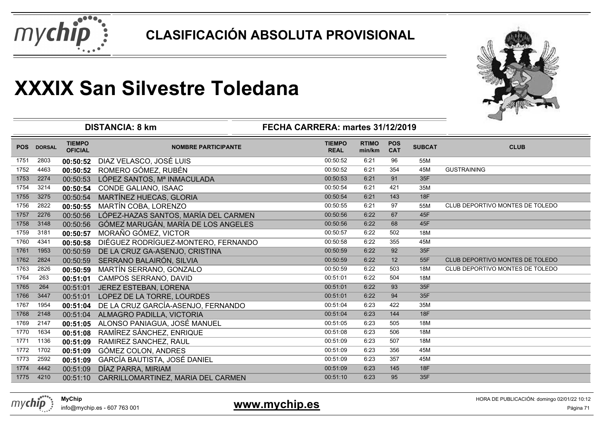



|            |               |                                 | <b>DISTANCIA: 8 km</b>               | FECHA CARRERA: martes 31/12/2019 |                        |                          |               |                                 |
|------------|---------------|---------------------------------|--------------------------------------|----------------------------------|------------------------|--------------------------|---------------|---------------------------------|
| <b>POS</b> | <b>DORSAL</b> | <b>TIEMPO</b><br><b>OFICIAL</b> | <b>NOMBRE PARTICIPANTE</b>           | <b>TIEMPO</b><br><b>REAL</b>     | <b>RTIMO</b><br>min/km | <b>POS</b><br><b>CAT</b> | <b>SUBCAT</b> | <b>CLUB</b>                     |
| 1751       | 2803          | 00:50:52                        | DIAZ VELASCO, JOSÉ LUIS              | 00:50:52                         | 6:21                   | 96                       | 55M           |                                 |
| 1752       | 4463          | 00:50:52                        | ROMERO GÓMEZ, RUBÉN                  | 00:50:52                         | 6:21                   | 354                      | 45M           | <b>GUSTRAINING</b>              |
| 1753       | 2274          | 00:50:53                        | LÓPEZ SANTOS, Mª INMACULADA          | 00:50:53                         | 6:21                   | 91                       | 35F           |                                 |
| 1754       | 3214          | 00:50:54                        | CONDE GALIANO, ISAAC                 | 00:50:54                         | 6:21                   | 421                      | 35M           |                                 |
| 1755       | 3275          | 00:50:54                        | <b>MARTÍNEZ HUECAS, GLORIA</b>       | 00:50:54                         | 6:21                   | 143                      | <b>18F</b>    |                                 |
| 1756       | 2822          | 00:50:55                        | <b>MARTÍN COBA, LORENZO</b>          | 00:50:55                         | 6:21                   | 97                       | 55M           | CLUB DEPORTIVO MONTES DE TOLEDO |
| 1757       | 2276          | 00:50:56                        | LÓPEZ-HAZAS SANTOS, MARÍA DEL CARMEN | 00:50:56                         | 6:22                   | 67                       | 45F           |                                 |
| 1758       | 3148          | 00:50:56                        | GÓMEZ MARUGÁN, MARÍA DE LOS ANGELES  | 00:50:56                         | 6:22                   | 68                       | 45F           |                                 |
| 1759       | 3181          | 00:50:57                        | MORAÑO GÓMEZ, VICTOR                 | 00:50:57                         | 6:22                   | 502                      | 18M           |                                 |
| 1760       | 4341          | 00:50:58                        | DIÉGUEZ RODRÍGUEZ-MONTERO, FERNANDO  | 00:50:58                         | 6:22                   | 355                      | 45M           |                                 |
| 1761       | 1953          | 00:50:59                        | DE LA CRUZ GA-ASENJO, CRISTINA       | 00:50:59                         | 6:22                   | 92                       | 35F           |                                 |
| 1762       | 2824          | 00:50:59                        | SERRANO BALAIRÓN, SILVIA             | 00:50:59                         | 6:22                   | 12                       | 55F           | CLUB DEPORTIVO MONTES DE TOLEDO |
| 1763       | 2826          | 00:50:59                        | MARTÍN SERRANO, GONZALO              | 00:50:59                         | 6:22                   | 503                      | 18M           | CLUB DEPORTIVO MONTES DE TOLEDO |
| 1764       | 263           | 00:51:01                        | CAMPOS SERRANO, DAVID                | 00:51:01                         | 6:22                   | 504                      | 18M           |                                 |
| 1765       | 264           | 00:51:01                        | JEREZ ESTEBAN, LORENA                | 00:51:01                         | 6:22                   | 93                       | 35F           |                                 |
| 1766       | 3447          | 00:51:01                        | LOPEZ DE LA TORRE, LOURDES           | 00:51:01                         | 6:22                   | 94                       | 35F           |                                 |
| 1767       | 1954          | 00:51:04                        | DE LA CRUZ GARCÍA-ASENJO, FERNANDO   | 00:51:04                         | 6:23                   | 422                      | 35M           |                                 |
| 1768       | 2148          | 00:51:04                        | ALMAGRO PADILLA, VICTORIA            | 00:51:04                         | 6:23                   | 144                      | <b>18F</b>    |                                 |
| 1769       | 2147          | 00:51:05                        | ALONSO PANIAGUA, JOSÉ MANUEL         | 00:51:05                         | 6:23                   | 505                      | 18M           |                                 |
| 1770       | 1634          | 00:51:08                        | RAMÍREZ SÁNCHEZ, ENRIQUE             | 00:51:08                         | 6:23                   | 506                      | 18M           |                                 |
| 1771       | 1136          | 00:51:09                        | RAMIREZ SANCHEZ, RAUL                | 00:51:09                         | 6:23                   | 507                      | 18M           |                                 |
| 1772       | 1702          | 00:51:09                        | GÓMEZ COLON, ANDRES                  | 00:51:09                         | 6:23                   | 356                      | 45M           |                                 |
| 1773       | 2592          | 00:51:09                        | <b>GARCÍA BAUTISTA, JOSÉ DANIEL</b>  | 00:51:09                         | 6:23                   | 357                      | 45M           |                                 |
| 1774       | 4442          | 00:51:09                        | DÍAZ PARRA, MIRIAM                   | 00:51:09                         | 6:23                   | 145                      | <b>18F</b>    |                                 |
| 1775       | 4210          | 00:51:10                        | CARRILLOMARTINEZ, MARIA DEL CARMEN   | 00:51:10                         | 6:23                   | 95                       | 35F           |                                 |



info@mychip.es - 607 763 001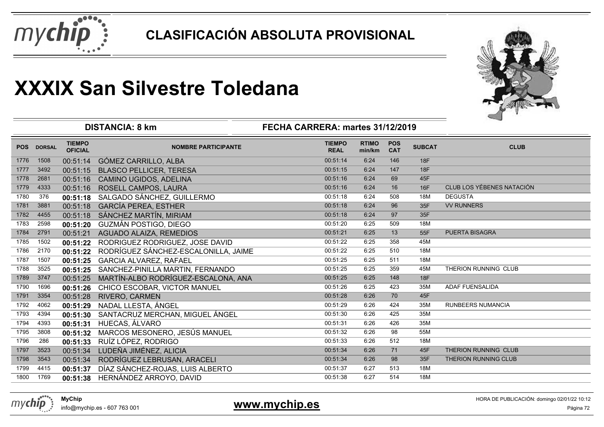



|            |               |                                 | <b>DISTANCIA: 8 km</b>               | FECHA CARRERA: martes 31/12/2019 |                        |                          |               |                           |
|------------|---------------|---------------------------------|--------------------------------------|----------------------------------|------------------------|--------------------------|---------------|---------------------------|
| <b>POS</b> | <b>DORSAL</b> | <b>TIEMPO</b><br><b>OFICIAL</b> | <b>NOMBRE PARTICIPANTE</b>           | <b>TIEMPO</b><br><b>REAL</b>     | <b>RTIMO</b><br>min/km | <b>POS</b><br><b>CAT</b> | <b>SUBCAT</b> | <b>CLUB</b>               |
| 1776       | 1508          | 00:51:14                        | GÓMEZ CARRILLO, ALBA                 | 00:51:14                         | 6:24                   | 146                      | 18F           |                           |
| 1777       | 3492          | 00:51:15                        | <b>BLASCO PELLICER, TERESA</b>       | 00:51:15                         | 6:24                   | 147                      | 18F           |                           |
| 1778       | 2681          | 00:51:16                        | CAMINO UGIDOS, ADELINA               | 00:51:16                         | 6:24                   | 69                       | 45F           |                           |
| 1779       | 4333          | 00:51:16                        | ROSELL CAMPOS, LAURA                 | 00:51:16                         | 6:24                   | 16                       | 16F           | CLUB LOS YÉBENES NATACIÓN |
| 1780       | 376           | 00:51:18                        | SALGADO SÁNCHEZ, GUILLERMO           | 00:51:18                         | 6:24                   | 508                      | 18M           | <b>DEGUSTA</b>            |
| 1781       | 3881          | 00:51:18                        | <b>GARCÍA PEREA, ESTHER</b>          | 00:51:18                         | 6:24                   | 96                       | 35F           | <b>VV RUNNERS</b>         |
| 1782       | 4455          | 00:51:18                        | SÁNCHEZ MARTÍN, MIRIAM               | 00:51:18                         | 6:24                   | 97                       | 35F           |                           |
| 1783       | 2598          | 00:51:20                        | <b>GUZMÁN POSTIGO, DIEGO</b>         | 00:51:20                         | 6:25                   | 509                      | 18M           |                           |
| 1784       | 2791          | 00:51:21                        | AGUADO ALAIZA, REMEDIOS              | 00:51:21                         | 6:25                   | 13                       | 55F           | <b>PUERTA BISAGRA</b>     |
| 1785       | 1502          | 00:51:22                        | RODRIGUEZ RODRIGUEZ, JOSE DAVID      | 00:51:22                         | 6:25                   | 358                      | 45M           |                           |
| 1786       | 2170          | 00:51:22                        | RODRÍGUEZ SÁNCHEZ-ESCALONILLA, JAIME | 00:51:22                         | 6:25                   | 510                      | 18M           |                           |
| 1787       | 1507          | 00:51:25                        | <b>GARCIA ALVAREZ, RAFAEL</b>        | 00:51:25                         | 6:25                   | 511                      | 18M           |                           |
| 1788       | 3525          | 00:51:25                        | SANCHEZ-PINILLA MARTIN, FERNANDO     | 00:51:25                         | 6:25                   | 359                      | 45M           | THERION RUNNING CLUB      |
| 1789       | 3747          | 00:51:25                        | MARTÍN-ALBO RODRÍGUEZ-ESCALONA, ANA  | 00:51:25                         | 6:25                   | 148                      | 18F           |                           |
| 1790       | 1696          | 00:51:26                        | CHICO ESCOBAR, VICTOR MANUEL         | 00:51:26                         | 6:25                   | 423                      | 35M           | ADAF FUENSALIDA           |
| 1791       | 3354          | 00:51:28                        | RIVERO, CARMEN                       | 00:51:28                         | 6:26                   | 70                       | 45F           |                           |
| 1792       | 4062          | 00:51:29                        | NADAL LLESTA, ÁNGEL                  | 00:51:29                         | 6:26                   | 424                      | 35M           | <b>RUNBEERS NUMANCIA</b>  |
| 1793       | 4394          | 00:51:30                        | SANTACRUZ MERCHAN, MIGUEL ÁNGEL      | 00:51:30                         | 6:26                   | 425                      | 35M           |                           |
| 1794       | 4393          | 00:51:31                        | HUECAS, ÁLVARO                       | 00:51:31                         | 6:26                   | 426                      | 35M           |                           |
| 1795       | 3808          | 00:51:32                        | MARCOS MESONERO, JESÚS MANUEL        | 00:51:32                         | 6:26                   | 98                       | 55M           |                           |
| 1796       | 286           | 00:51:33                        | RUÍZ LÓPEZ, RODRIGO                  | 00:51:33                         | 6:26                   | 512                      | 18M           |                           |
| 1797       | 3523          | 00:51:34                        | LUDEÑA JIMÉNEZ, ALICIA               | 00:51:34                         | 6:26                   | 71                       | 45F           | THERION RUNNING CLUB      |
| 1798       | 3543          | 00:51:34                        | RODRÍGUEZ LEBRUSAN, ARACELI          | 00:51:34                         | 6:26                   | 98                       | 35F           | THERION RUNNING CLUB      |
| 1799       | 4415          | 00:51:37                        | DÍAZ SÁNCHEZ-ROJAS, LUIS ALBERTO     | 00:51:37                         | 6:27                   | 513                      | 18M           |                           |
| 1800       | 1769          | 00:51:38                        | HERNÁNDEZ ARROYO, DAVID              | 00:51:38                         | 6:27                   | 514                      | 18M           |                           |
|            |               |                                 |                                      |                                  |                        |                          |               |                           |



### 1 **Extra 1997 - External Structure 1 August 2016** - Página 72 **Página 72**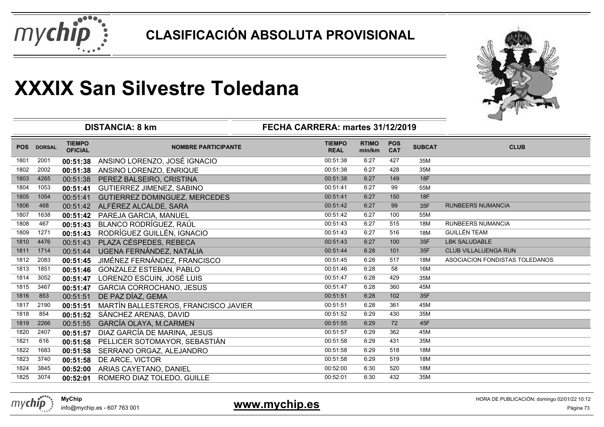



|            |               |                                 | <b>DISTANCIA: 8 km</b>               | FECHA CARRERA: martes 31/12/2019 |                        |                          |               |                                |
|------------|---------------|---------------------------------|--------------------------------------|----------------------------------|------------------------|--------------------------|---------------|--------------------------------|
| <b>POS</b> | <b>DORSAL</b> | <b>TIEMPO</b><br><b>OFICIAL</b> | <b>NOMBRE PARTICIPANTE</b>           | <b>TIEMPO</b><br><b>REAL</b>     | <b>RTIMO</b><br>min/km | <b>POS</b><br><b>CAT</b> | <b>SUBCAT</b> | <b>CLUB</b>                    |
| 1801       | 2001          | 00:51:38                        | ANSINO LORENZO, JOSÉ IGNACIO         | 00:51:38                         | 6:27                   | 427                      | 35M           |                                |
| 1802       | 2002          | 00:51:38                        | ANSINO LORENZO, ENRIQUE              | 00:51:38                         | 6:27                   | 428                      | 35M           |                                |
| 1803       | 4265          | 00:51:38                        | PEREZ BALSEIRO, CRISTINA             | 00:51:38                         | 6:27                   | 149                      | <b>18F</b>    |                                |
| 1804       | 1053          | 00:51:41                        | <b>GUTIERREZ JIMENEZ, SABINO</b>     | 00:51:41                         | 6:27                   | 99                       | 55M           |                                |
| 1805       | 1054          | 00:51:41                        | <b>GUTIERREZ DOMINGUEZ, MERCEDES</b> | 00:51:41                         | 6:27                   | 150                      | <b>18F</b>    |                                |
| 1806       | 468           | 00:51:42                        | ALFÉREZ ALCALDE, SARA                | 00:51:42                         | 6:27                   | 99                       | 35F           | <b>RUNBEERS NUMANCIA</b>       |
| 1807       | 1638          | 00:51:42                        | PAREJA GARCIA, MANUEL                | 00:51:42                         | 6:27                   | 100                      | 55M           |                                |
| 1808       | 467           | 00:51:43                        | BLANCO RODRÍGUEZ, RAÚL               | 00:51:43                         | 6:27                   | 515                      | 18M           | <b>RUNBEERS NUMANCIA</b>       |
| 1809       | 1271          | 00:51:43                        | RODRÍGUEZ GUILLÉN, IGNACIO           | 00:51:43                         | 6:27                   | 516                      | 18M           | <b>GUILLÉN TEAM</b>            |
| 1810       | 4476          | 00:51:43                        | PLAZA CÉSPEDES, REBECA               | 00:51:43                         | 6:27                   | 100                      | 35F           | <b>LBK SALUDABLE</b>           |
| 1811       | 1714          | 00:51:44                        | UGENA FERNÁNDEZ, NATALIA             | 00:51:44                         | 6:28                   | 101                      | 35F           | <b>CLUB VILLALUENGA RUN</b>    |
| 1812       | 2083          | 00:51:45                        | JIMÉNEZ FERNÁNDEZ, FRANCISCO         | 00:51:45                         | 6:28                   | 517                      | 18M           | ASOCIACION FONDISTAS TOLEDANOS |
| 1813       | 1851          | 00:51:46                        | GONZALEZ ESTEBAN, PABLO              | 00:51:46                         | 6:28                   | 58                       | 16M           |                                |
| 1814       | 3052          | 00:51:47                        | LORENZO ESCUIN, JOSÉ LUIS            | 00:51:47                         | 6:28                   | 429                      | 35M           |                                |
| 1815       | 3467          | 00:51:47                        | <b>GARCIA CORROCHANO, JESUS</b>      | 00:51:47                         | 6:28                   | 360                      | 45M           |                                |
| 1816       | 853           | 00:51:51                        | DE PAZ DÍAZ, GEMA                    | 00:51:51                         | 6:28                   | 102                      | 35F           |                                |
| 1817       | 2190          | 00:51:51                        | MARTÍN BALLESTEROS, FRANCISCO JAVIER | 00:51:51                         | 6:28                   | 361                      | 45M           |                                |
| 1818       | 854           | 00:51:52                        | SÁNCHEZ ARENAS, DAVID                | 00:51:52                         | 6:29                   | 430                      | 35M           |                                |
| 1819       | 2266          | 00:51:55                        | GARCÍA OLAYA, M.CARMEN               | 00:51:55                         | 6:29                   | 72                       | 45F           |                                |
| 1820       | 2407          | 00:51:57                        | DIAZ GARCÍA DE MARINA, JESUS         | 00:51:57                         | 6:29                   | 362                      | 45M           |                                |
| 1821       | 616           | 00:51:58                        | PELLICER SOTOMAYOR, SEBASTIÁN        | 00:51:58                         | 6:29                   | 431                      | 35M           |                                |
| 1822       | 1683          | 00:51:58                        | SERRANO ORGAZ, ALEJANDRO             | 00:51:58                         | 6:29                   | 518                      | 18M           |                                |
| 1823       | 3740          | 00:51:58                        | DE ARCE, VICTOR                      | 00:51:58                         | 6:29                   | 519                      | 18M           |                                |
| 1824       | 3845          | 00:52:00                        | ARIAS CAYETANO, DANIEL               | 00:52:00                         | 6:30                   | 520                      | 18M           |                                |
| 1825       | 3074          | 00:52:01                        | ROMERO DIAZ TOLEDO, GUILLE           | 00:52:01                         | 6:30                   | 432                      | 35M           |                                |
|            |               |                                 |                                      |                                  |                        |                          |               |                                |

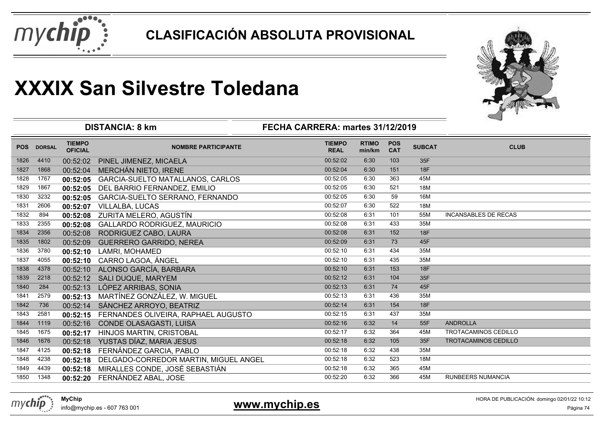



|            |               |                                 | <b>DISTANCIA: 8 km</b>                  | FECHA CARRERA: martes 31/12/2019 |                        |                          |               |                             |
|------------|---------------|---------------------------------|-----------------------------------------|----------------------------------|------------------------|--------------------------|---------------|-----------------------------|
| <b>POS</b> | <b>DORSAL</b> | <b>TIEMPO</b><br><b>OFICIAL</b> | <b>NOMBRE PARTICIPANTE</b>              | <b>TIEMPO</b><br><b>REAL</b>     | <b>RTIMO</b><br>min/km | <b>POS</b><br><b>CAT</b> | <b>SUBCAT</b> | <b>CLUB</b>                 |
| 1826       | 4410          | 00:52:02                        | PINEL JIMENEZ, MICAELA                  | 00:52:02                         | 6:30                   | 103                      | 35F           |                             |
| 1827       | 1868          | 00:52:04                        | MERCHÁN NIETO, IRENE                    | 00:52:04                         | 6:30                   | 151                      | <b>18F</b>    |                             |
| 1828       | 1767          | 00:52:05                        | <b>GARCIA-SUELTO MATALLANOS, CARLOS</b> | 00:52:05                         | 6:30                   | 363                      | 45M           |                             |
| 1829       | 1867          | 00:52:05                        | DEL BARRIO FERNANDEZ, EMILIO            | 00:52:05                         | 6:30                   | 521                      | 18M           |                             |
| 1830       | 3232          | 00:52:05                        | GARCIA-SUELTO SERRANO, FERNANDO         | 00:52:05                         | 6:30                   | 59                       | 16M           |                             |
| 1831       | 2606          | 00:52:07                        | <b>VILLALBA, LUCAS</b>                  | 00:52:07                         | 6:30                   | 522                      | 18M           |                             |
| 1832       | 894           | 00:52:08                        | ZURITA MELERO, AGUSTÍN                  | 00:52:08                         | 6:31                   | 101                      | 55M           | <b>INCANSABLES DE RECAS</b> |
| 1833       | 2355          | 00:52:08                        | GALLARDO RODRIGUEZ, MAURICIO            | 00:52:08                         | 6:31                   | 433                      | 35M           |                             |
| 1834       | 2356          | 00:52:08                        | RODRIGUEZ CABO, LAURA                   | 00:52:08                         | 6:31                   | 152                      | 18F           |                             |
| 1835       | 1802          | 00:52:09                        | <b>GUERRERO GARRIDO, NEREA</b>          | 00:52:09                         | 6:31                   | 73                       | 45F           |                             |
| 1836       | 3780          | 00:52:10                        | LAMRI, MOHAMED                          | 00:52:10                         | 6:31                   | 434                      | 35M           |                             |
| 1837       | 4055          | 00:52:10                        | CARRO LAGOA, ÁNGEL                      | 00:52:10                         | 6:31                   | 435                      | 35M           |                             |
| 1838       | 4378          | 00:52:10                        | ALONSO GARCÍA, BARBARA                  | 00:52:10                         | 6:31                   | 153                      | 18F           |                             |
| 1839       | 2218          | 00:52:12                        | SALI DUQUE, MARYEM                      | 00:52:12                         | 6:31                   | 104                      | 35F           |                             |
| 1840       | 284           | 00:52:13                        | LÓPEZ ARRIBAS, SONIA                    | 00:52:13                         | 6:31                   | 74                       | 45F           |                             |
| 1841       | 2579          | 00:52:13                        | MARTÍNEZ GONZÁLEZ, W. MIGUEL            | 00:52:13                         | 6:31                   | 436                      | 35M           |                             |
| 1842       | 736           | 00:52:14                        | SÁNCHEZ ARROYO, BEATRIZ                 | 00:52:14                         | 6:31                   | 154                      | 18F           |                             |
| 1843       | 2581          | 00:52:15                        | FERNANDES OLIVEIRA, RAPHAEL AUGUSTO     | 00:52:15                         | 6:31                   | 437                      | 35M           |                             |
| 1844       | 1119          | 00:52:16                        | CONDE OLASAGASTI, LUISA                 | 00:52:16                         | 6:32                   | 14                       | 55F           | <b>ANDROLLA</b>             |
| 1845       | 1675          | 00:52:17                        | <b>HINJOS MARTIN, CRISTOBAL</b>         | 00:52:17                         | 6:32                   | 364                      | 45M           | <b>TROTACAMINOS CEDILLO</b> |
| 1846       | 1676          | 00:52:18                        | YUSTAS DÍAZ, MARIA JESUS                | 00:52:18                         | 6:32                   | 105                      | 35F           | TROTACAMINOS CEDILLO        |
| 1847       | 4125          | 00:52:18                        | FERNÁNDEZ GARCIA, PABLO                 | 00:52:18                         | 6:32                   | 438                      | 35M           |                             |
| 1848       | 4238          | 00:52:18                        | DELGADO-CORREDOR MARTIN, MIGUEL ANGEL   | 00:52:18                         | 6:32                   | 523                      | 18M           |                             |
| 1849       | 4439          | 00:52:18                        | MIRALLES CONDE, JOSÉ SEBASTIÁN          | 00:52:18                         | 6:32                   | 365                      | 45M           |                             |
| 1850       | 1348          | 00:52:20                        | FERNÁNDEZ ABAL, JOSE                    | 00:52:20                         | 6:32                   | 366                      | 45M           | <b>RUNBEERS NUMANCIA</b>    |
|            |               |                                 |                                         |                                  |                        |                          |               |                             |



#### info@mychip.es - 607 763 001

#### **www.mychip.es**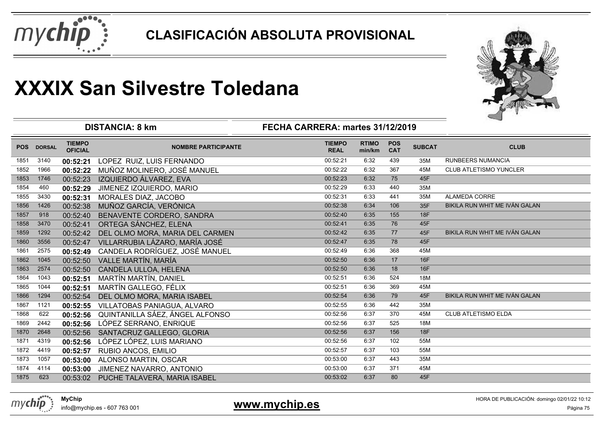



|            |               |                                 | <b>DISTANCIA: 8 km</b>                | FECHA CARRERA: martes 31/12/2019 |                        |                          |               |                               |
|------------|---------------|---------------------------------|---------------------------------------|----------------------------------|------------------------|--------------------------|---------------|-------------------------------|
| <b>POS</b> | <b>DORSAL</b> | <b>TIEMPO</b><br><b>OFICIAL</b> | <b>NOMBRE PARTICIPANTE</b>            | <b>TIEMPO</b><br><b>REAL</b>     | <b>RTIMO</b><br>min/km | <b>POS</b><br><b>CAT</b> | <b>SUBCAT</b> | <b>CLUB</b>                   |
| 1851       | 3140          | 00:52:21                        | LOPEZ RUIZ, LUIS FERNANDO             | 00:52:21                         | 6:32                   | 439                      | 35M           | <b>RUNBEERS NUMANCIA</b>      |
| 1852       | 1966          | 00:52:22                        | MUÑOZ MOLINERO, JOSÉ MANUEL           | 00:52:22                         | 6:32                   | 367                      | 45M           | <b>CLUB ATLETISMO YUNCLER</b> |
| 1853       | 1746          | 00:52:23                        | IZQUIERDO ÁLVAREZ, EVA                | 00:52:23                         | 6:32                   | 75                       | 45F           |                               |
| 1854       | 460           | 00:52:29                        | JIMENEZ IZQUIERDO, MARIO              | 00:52:29                         | 6:33                   | 440                      | 35M           |                               |
| 1855       | 3430          | 00:52:31                        | MORALES DIAZ, JACOBO                  | 00:52:31                         | 6:33                   | 441                      | 35M           | ALAMEDA CORRE                 |
| 1856       | 1426          | 00:52:38                        | MUÑOZ GARCÍA, VERÓNICA                | 00:52:38                         | 6:34                   | 106                      | 35F           | BIKILA RUN WHIT ME IVÁN GALAN |
| 1857       | 918           | 00:52:40                        | BENAVENTE CORDERO, SANDRA             | 00:52:40                         | 6:35                   | 155                      | 18F           |                               |
| 1858       | 3470          | 00:52:41                        | ORTEGA SÁNCHEZ, ELENA                 | 00:52:41                         | 6:35                   | 76                       | 45F           |                               |
| 1859       | 1292          | 00:52:42                        | DEL OLMO MORA, MARIA DEL CARMEN       | 00:52:42                         | 6:35                   | 77                       | 45F           | BIKILA RUN WHIT ME IVÁN GALAN |
| 1860       | 3556          | 00:52:47                        | VILLARRUBIA LÁZARO, MARÍA JOSÉ        | 00:52:47                         | 6:35                   | 78                       | 45F           |                               |
| 1861       | 2575          | 00:52:49                        | CANDELA RODRÍGUEZ, JOSÉ MANUEL        | 00:52:49                         | 6:36                   | 368                      | 45M           |                               |
| 1862       | 1045          | 00:52:50                        | VALLE MARTÍN, MARÍA                   | 00:52:50                         | 6:36                   | 17                       | <b>16F</b>    |                               |
| 1863       | 2574          | 00:52:50                        | CANDELA ULLOA, HELENA                 | 00:52:50                         | 6:36                   | 18                       | 16F           |                               |
| 1864       | 1043          | 00:52:51                        | MARTÍN MARTÍN, DANIEL                 | 00:52:51                         | 6:36                   | 524                      | 18M           |                               |
| 1865       | 1044          | 00:52:51                        | MARTÍN GALLEGO, FÉLIX                 | 00:52:51                         | 6:36                   | 369                      | 45M           |                               |
| 1866       | 1294          | 00:52:54                        | DEL OLMO MORA, MARIA ISABEL           | 00:52:54                         | 6:36                   | 79                       | 45F           | BIKILA RUN WHIT ME IVÁN GALAN |
| 1867       | 1121          | 00:52:55                        | VILLATOBAS PANIAGUA, ALVARO           | 00:52:55                         | 6:36                   | 442                      | 35M           |                               |
| 1868       | 622           | 00:52:56                        | QUINTANILLA SÁEZ, ÁNGEL ALFONSO       | 00:52:56                         | 6:37                   | 370                      | 45M           | <b>CLUB ATLETISMO ELDA</b>    |
| 1869       | 2442          | 00:52:56                        | LÓPEZ SERRANO, ENRIQUE                | 00:52:56                         | 6:37                   | 525                      | 18M           |                               |
| 1870       | 2648          | 00:52:56                        | SANTACRUZ GALLEGO, GLORIA             | 00:52:56                         | 6:37                   | 156                      | 18F           |                               |
| 1871       | 4319          | 00:52:56                        | LÓPEZ LÓPEZ, LUIS MARIANO             | 00:52:56                         | 6:37                   | 102                      | 55M           |                               |
| 1872       | 4419          | 00:52:57                        | RUBIO ANCOS, EMILIO                   | 00:52:57                         | 6:37                   | 103                      | 55M           |                               |
| 1873       | 1057          | 00:53:00                        | ALONSO MARTIN, OSCAR                  | 00:53:00                         | 6:37                   | 443                      | 35M           |                               |
| 1874       | 4114          | 00:53:00                        | JIMENEZ NAVARRO, ANTONIO              | 00:53:00                         | 6:37                   | 371                      | 45M           |                               |
| 1875       | 623           |                                 | 00:53:02 PUCHE TALAVERA, MARIA ISABEL | 00:53:02                         | 6:37                   | 80                       | 45F           |                               |
|            |               |                                 |                                       |                                  |                        |                          |               |                               |



info@mychip.es - 607 763 001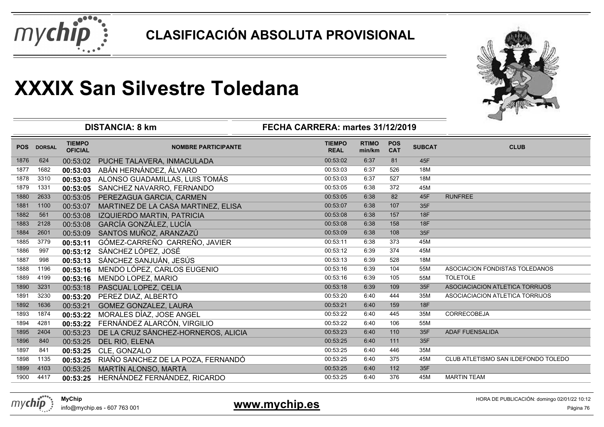



|            |               |                                 | <b>DISTANCIA: 8 km</b>              | FECHA CARRERA: martes 31/12/2019 |                        |                          |               |                                     |
|------------|---------------|---------------------------------|-------------------------------------|----------------------------------|------------------------|--------------------------|---------------|-------------------------------------|
| <b>POS</b> | <b>DORSAL</b> | <b>TIEMPO</b><br><b>OFICIAL</b> | <b>NOMBRE PARTICIPANTE</b>          | <b>TIEMPO</b><br><b>REAL</b>     | <b>RTIMO</b><br>min/km | <b>POS</b><br><b>CAT</b> | <b>SUBCAT</b> | <b>CLUB</b>                         |
| 1876       | 624           | 00:53:02                        | PUCHE TALAVERA, INMACULADA          | 00:53:02                         | 6:37                   | 81                       | 45F           |                                     |
| 1877       | 1682          | 00:53:03                        | ABÁN HERNÁNDEZ, ÁLVARO              | 00:53:03                         | 6:37                   | 526                      | 18M           |                                     |
| 1878       | 3310          | 00:53:03                        | ALONSO GUADAMILLAS, LUIS TOMÁS      | 00:53:03                         | 6:37                   | 527                      | 18M           |                                     |
| 1879       | 1331          | 00:53:05                        | SANCHEZ NAVARRO, FERNANDO           | 00:53:05                         | 6:38                   | 372                      | 45M           |                                     |
| 1880       | 2633          | 00:53:05                        | PEREZAGUA GARCIA, CARMEN            | 00:53:05                         | 6:38                   | 82                       | 45F           | <b>RUNFREE</b>                      |
| 1881       | 1100          | 00:53:07                        | MARTINEZ DE LA CASA MARTINEZ, ELISA | 00:53:07                         | 6:38                   | 107                      | 35F           |                                     |
| 1882       | 561           | 00:53:08                        | IZQUIERDO MARTIN, PATRICIA          | 00:53:08                         | 6:38                   | 157                      | 18F           |                                     |
| 1883       | 2128          | 00:53:08                        | GARCÍA GONZÁLEZ, LUCÍA              | 00:53:08                         | 6:38                   | 158                      | 18F           |                                     |
| 1884       | 2601          | 00:53:09                        | SANTOS MUÑOZ, ARANZAZÚ              | 00:53:09                         | 6:38                   | 108                      | 35F           |                                     |
| 1885       | 3779          | 00:53:11                        | GÓMEZ-CARREÑO CARREÑO, JAVIER       | 00:53:11                         | 6:38                   | 373                      | 45M           |                                     |
| 1886       | 997           | 00:53:12                        | SÁNCHEZ LÓPEZ, JOSÉ                 | 00:53:12                         | 6:39                   | 374                      | 45M           |                                     |
| 1887       | 998           | 00:53:13                        | SÁNCHEZ SANJUÁN, JESÚS              | 00:53:13                         | 6:39                   | 528                      | 18M           |                                     |
| 1888       | 1196          | 00:53:16                        | MENDO LÓPEZ, CARLOS EUGENIO         | 00:53:16                         | 6:39                   | 104                      | 55M           | ASOCIACION FONDISTAS TOLEDANOS      |
| 1889       | 4199          | 00:53:16                        | MENDO LOPEZ, MARIO                  | 00:53:16                         | 6:39                   | 105                      | 55M           | <b>TOLETOLE</b>                     |
| 1890       | 3231          | 00:53:18                        | PASCUAL LOPEZ, CELIA                | 00:53:18                         | 6:39                   | 109                      | 35F           | ASOCIACIACION ATLETICA TORRIJOS     |
| 1891       | 3230          | 00:53:20                        | PEREZ DIAZ, ALBERTO                 | 00:53:20                         | 6:40                   | 444                      | 35M           | ASOCIACIACION ATLETICA TORRIJOS     |
| 1892       | 1636          | 00:53:21                        | <b>GOMEZ GONZALEZ, LAURA</b>        | 00:53:21                         | 6:40                   | 159                      | 18F           |                                     |
| 1893       | 1874          | 00:53:22                        | MORALES DÍAZ, JOSE ANGEL            | 00:53:22                         | 6:40                   | 445                      | 35M           | CORRECOBEJA                         |
| 1894       | 4281          | 00:53:22                        | FERNÁNDEZ ALARCÓN, VIRGILIO         | 00:53:22                         | 6:40                   | 106                      | 55M           |                                     |
| 1895       | 2404          | 00:53:23                        | DE LA CRUZ SÁNCHEZ-HORNEROS, ALICIA | 00:53:23                         | 6:40                   | 110                      | 35F           | ADAF FUENSALIDA                     |
| 1896       | 840           | 00:53:25                        | DEL RIO, ELENA                      | 00:53:25                         | 6:40                   | 111                      | 35F           |                                     |
| 1897       | 841           | 00:53:25                        | CLE, GONZALO                        | 00:53:25                         | 6:40                   | 446                      | 35M           |                                     |
| 1898       | 1135          | 00:53:25                        | RIAÑO SANCHEZ DE LA POZA, FERNANDÓ  | 00:53:25                         | 6:40                   | 375                      | 45M           | CLUB ATLETISMO SAN ILDEFONDO TOLEDO |
| 1899       | 4103          | 00:53:25                        | MARTÍN ALONSO, MARTA                | 00:53:25                         | 6:40                   | 112                      | 35F           |                                     |
| 1900       | 4417          | 00:53:25                        | HERNÁNDEZ FERNÁNDEZ, RICARDO        | 00:53:25                         | 6:40                   | 376                      | 45M           | <b>MARTIN TEAM</b>                  |

**www.mychip.es**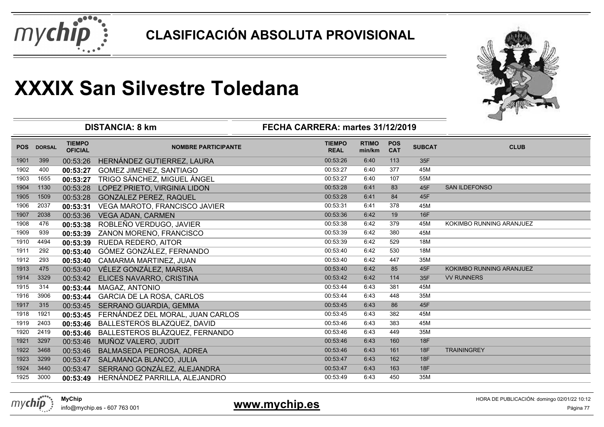



|            |               |                                 | <b>DISTANCIA: 8 km</b>           | FECHA CARRERA: martes 31/12/2019 |                        |                          |               |                          |
|------------|---------------|---------------------------------|----------------------------------|----------------------------------|------------------------|--------------------------|---------------|--------------------------|
| <b>POS</b> | <b>DORSAL</b> | <b>TIEMPO</b><br><b>OFICIAL</b> | <b>NOMBRE PARTICIPANTE</b>       | <b>TIEMPO</b><br><b>REAL</b>     | <b>RTIMO</b><br>min/km | <b>POS</b><br><b>CAT</b> | <b>SUBCAT</b> | <b>CLUB</b>              |
| 1901       | 399           | 00:53:26                        | HERNÁNDEZ GUTIERREZ, LAURA       | 00:53:26                         | 6:40                   | 113                      | 35F           |                          |
| 1902       | 400           | 00:53:27                        | <b>GOMEZ JIMENEZ, SANTIAGO</b>   | 00:53:27                         | 6:40                   | 377                      | 45M           |                          |
| 1903       | 1655          | 00:53:27                        | TRIGO SÁNCHEZ, MIGUEL ÁNGEL      | 00:53:27                         | 6:40                   | 107                      | 55M           |                          |
| 1904       | 1130          | 00:53:28                        | LOPEZ PRIETO, VIRGINIA LIDON     | 00:53:28                         | 6:41                   | 83                       | 45F           | <b>SAN ILDEFONSO</b>     |
| 1905       | 1509          | 00:53:28                        | <b>GONZALEZ PEREZ, RAQUEL</b>    | 00:53:28                         | 6:41                   | 84                       | 45F           |                          |
| 1906       | 2037          | 00:53:31                        | VEGA MAROTO, FRANCISCO JAVIER    | 00:53:31                         | 6:41                   | 378                      | 45M           |                          |
| 1907       | 2038          | 00:53:36                        | <b>VEGA ADAN, CARMEN</b>         | 00:53:36                         | 6:42                   | 19                       | <b>16F</b>    |                          |
| 1908       | 476           | 00:53:38                        | ROBLEÑO VERDUGO, JAVIER          | 00:53:38                         | 6:42                   | 379                      | 45M           | KOKIMBO RUNNING ARANJUEZ |
| 1909       | 939           | 00:53:39                        | ZANON MORENO, FRANCISCO          | 00:53:39                         | 6:42                   | 380                      | 45M           |                          |
| 1910       | 4494          | 00:53:39                        | RUEDA REDERO, AITOR              | 00:53:39                         | 6:42                   | 529                      | 18M           |                          |
| 1911       | 292           | 00:53:40                        | GÓMEZ GONZÁLEZ, FERNANDO         | 00:53:40                         | 6:42                   | 530                      | 18M           |                          |
| 1912       | 293           | 00:53:40                        | CAMARMA MARTINEZ, JUAN           | 00:53:40                         | 6:42                   | 447                      | 35M           |                          |
| 1913       | 475           | 00:53:40                        | VÉLEZ GONZÁLEZ, MARISA           | 00:53:40                         | 6:42                   | 85                       | 45F           | KOKIMBO RUNNING ARANJUEZ |
| 1914       | 3329          | 00:53:42                        | ELICES NAVARRO, CRISTINA         | 00:53:42                         | 6:42                   | 114                      | 35F           | <b>VV RUNNERS</b>        |
| 1915       | 314           | 00:53:44                        | MAGAZ, ANTONIO                   | 00:53:44                         | 6:43                   | 381                      | 45M           |                          |
| 1916       | 3906          | 00:53:44                        | <b>GARCIA DE LA ROSA, CARLOS</b> | 00:53:44                         | 6:43                   | 448                      | 35M           |                          |
| 1917       | 315           | 00:53:45                        | SERRANO GUARDIA, GEMMA           | 00:53:45                         | 6:43                   | 86                       | 45F           |                          |
| 1918       | 1921          | 00:53:45                        | FERNÁNDEZ DEL MORAL, JUAN CARLOS | 00:53:45                         | 6:43                   | 382                      | 45M           |                          |
| 1919       | 2403          | 00:53:46                        | BALLESTEROS BLAZQUEZ, DAVID      | 00:53:46                         | 6:43                   | 383                      | 45M           |                          |
| 1920       | 2419          | 00:53:46                        | BALLESTEROS BLÁZQUEZ, FERNANDO   | 00:53:46                         | 6:43                   | 449                      | 35M           |                          |
| 1921       | 3297          | 00:53:46                        | MUÑOZ VALERO, JUDIT              | 00:53:46                         | 6:43                   | 160                      | 18F           |                          |
| 1922       | 3468          | 00:53:46                        | BALMASEDA PEDROSA, ADREA         | 00:53:46                         | 6:43                   | 161                      | <b>18F</b>    | <b>TRAININGREY</b>       |
| 1923       | 3299          | 00:53:47                        | SALAMANCA BLANCO, JULIA          | 00:53:47                         | 6:43                   | 162                      | 18F           |                          |
| 1924       | 3440          | 00:53:47                        | SERRANO GONZÁLEZ, ALEJANDRA      | 00:53:47                         | 6:43                   | 163                      | 18F           |                          |
| 1925       | 3000          | 00:53:49                        | HERNÁNDEZ PARRILLA, ALEJANDRO    | 00:53:49                         | 6:43                   | 450                      | 35M           |                          |



info@mychip.es - 607 763 001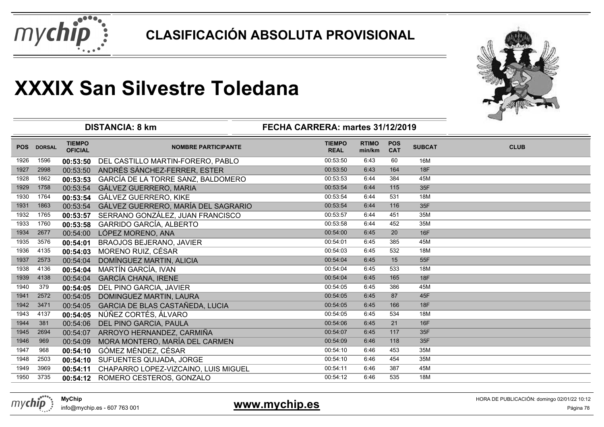



| <b>TIEMPO</b><br><b>TIEMPO</b><br><b>RTIMO</b><br><b>POS</b><br><b>SUBCAT</b><br><b>CLUB</b><br><b>POS</b><br><b>DORSAL</b><br><b>NOMBRE PARTICIPANTE</b><br><b>OFICIAL</b><br><b>CAT</b><br><b>REAL</b><br>min/km<br>16M<br>1926<br>1596<br>00:53:50<br>6:43<br>60<br>DEL CASTILLO MARTIN-FORERO, PABLO<br>00:53:50<br><b>18F</b><br>00:53:50<br>164<br>1927<br>2998<br>ANDRÉS SÁNCHEZ-FERRER, ESTER<br>6:43<br>00:53:50<br>GARCÍA DE LA TORRE SANZ, BALDOMERO<br>00:53:53<br>45M<br>1928<br>1862<br>00:53:53<br>6:44<br>384<br>35F<br>00:53:54<br>6:44<br>115<br>1929<br>1758<br>00:53:54<br>GÁLVEZ GUERRERO, MARIA<br>GÁLVEZ GUERRERO, KIKE<br>00:53:54<br>1930<br>00:53:54<br>6:44<br>531<br>18M<br>1764<br>GÁLVEZ GUERRERO, MARÍA DEL SAGRARIO<br>116<br>35F<br>00:53:54<br>6:44<br>1931<br>1863<br>00:53:54<br>SERRANO GONZÁLEZ, JUAN FRANCISCO<br>451<br>35M<br>1932<br>00:53:57<br>6:44<br>1765<br>00:53:57<br>452<br>1760<br>00:53:58<br>6:44<br>1933<br>GARRIDO GARCÍA, ALBERTO<br>35M<br>00:53:58<br>16F<br>00:54:00<br>6:45<br>20<br>1934<br>2677<br>LÓPEZ MORENO, ANA<br>00:54:00<br>00:54:01<br>6:45<br>385<br>1935<br>3576<br>45M<br><b>BRAOJOS BEJERANO, JAVIER</b><br>00:54:01<br>532<br>1936<br>4135<br>MORENO RUIZ, CÉSAR<br>00:54:03<br>6:45<br>18M<br>00:54:03<br>00:54:04<br>6:45<br>15<br>1937<br>2573<br>DOMÍNGUEZ MARTIN, ALICIA<br>55F<br>00:54:04<br>MARTÍN GARCÍA, IVAN<br>1938<br>4136<br>00:54:04<br>6:45<br>533<br>18M<br>00:54:04<br><b>GARCÍA CHANA, IRENE</b><br>165<br><b>18F</b><br>1939<br>4138<br>00:54:04<br>00:54:04<br>6:45<br>45M<br>00:54:05<br>6:45<br>386<br>1940<br>379<br>DEL PINO GARCIA, JAVIER<br>00:54:05<br>87<br>45F<br>2572<br>DOMINGUEZ MARTIN, LAURA<br>00:54:05<br>6:45<br>1941<br>00:54:05<br>166<br><b>18F</b><br>1942<br>3471<br>GARCIA DE BLAS CASTAÑEDA, LUCIA<br>00:54:05<br>6:45<br>00:54:05<br>NÚÑEZ CORTÉS, ÁLVARO<br>1943<br>4137<br>00:54:05<br>00:54:05<br>6:45<br>534<br><b>18M</b><br>1944<br>6:45<br>21<br>381<br>00:54:06<br>16F<br>00:54:06<br>DEL PINO GARCIA, PAULA<br>35F<br>1945<br>ARROYO HERNANDEZ, CARMIÑA<br>00:54:07<br>6:45<br>117<br>2694<br>00:54:07<br>35F<br>118<br>1946<br>969<br>MORA MONTERO, MARÍA DEL CARMEN<br>00:54:09<br>6:46<br>00:54:09<br>GÓMEZ MÉNDEZ, CÉSAR<br>00:54:10<br>453<br>35M<br>1947<br>968<br>6:46<br>00:54:10<br>1948<br>00:54:10<br>6:46<br>454<br>35M<br>2503<br>SUFUENTES QUIJADA, JORGE<br>00:54:10<br>45M<br>1949<br>CHAPARRO LOPEZ-VIZCAINO, LUIS MIGUEL<br>00:54:11<br>6:46<br>387<br>3969<br>00:54:11<br>3735<br>535<br>18M<br>1950<br>ROMERO CESTEROS, GONZALO<br>00:54:12<br>6:46<br>00:54:12 |  | <b>DISTANCIA: 8 km</b> | FECHA CARRERA: martes 31/12/2019 |  |  |  |
|-------------------------------------------------------------------------------------------------------------------------------------------------------------------------------------------------------------------------------------------------------------------------------------------------------------------------------------------------------------------------------------------------------------------------------------------------------------------------------------------------------------------------------------------------------------------------------------------------------------------------------------------------------------------------------------------------------------------------------------------------------------------------------------------------------------------------------------------------------------------------------------------------------------------------------------------------------------------------------------------------------------------------------------------------------------------------------------------------------------------------------------------------------------------------------------------------------------------------------------------------------------------------------------------------------------------------------------------------------------------------------------------------------------------------------------------------------------------------------------------------------------------------------------------------------------------------------------------------------------------------------------------------------------------------------------------------------------------------------------------------------------------------------------------------------------------------------------------------------------------------------------------------------------------------------------------------------------------------------------------------------------------------------------------------------------------------------------------------------------------------------------------------------------------------------------------------------------------------------------------------------------------------------------------------------------------------------------------------------------------------------------------------------------------------------------------------------------------------------------------------------------------------------------------------------------------------------------------------------------------------|--|------------------------|----------------------------------|--|--|--|
|                                                                                                                                                                                                                                                                                                                                                                                                                                                                                                                                                                                                                                                                                                                                                                                                                                                                                                                                                                                                                                                                                                                                                                                                                                                                                                                                                                                                                                                                                                                                                                                                                                                                                                                                                                                                                                                                                                                                                                                                                                                                                                                                                                                                                                                                                                                                                                                                                                                                                                                                                                                                                         |  |                        |                                  |  |  |  |
|                                                                                                                                                                                                                                                                                                                                                                                                                                                                                                                                                                                                                                                                                                                                                                                                                                                                                                                                                                                                                                                                                                                                                                                                                                                                                                                                                                                                                                                                                                                                                                                                                                                                                                                                                                                                                                                                                                                                                                                                                                                                                                                                                                                                                                                                                                                                                                                                                                                                                                                                                                                                                         |  |                        |                                  |  |  |  |
|                                                                                                                                                                                                                                                                                                                                                                                                                                                                                                                                                                                                                                                                                                                                                                                                                                                                                                                                                                                                                                                                                                                                                                                                                                                                                                                                                                                                                                                                                                                                                                                                                                                                                                                                                                                                                                                                                                                                                                                                                                                                                                                                                                                                                                                                                                                                                                                                                                                                                                                                                                                                                         |  |                        |                                  |  |  |  |
|                                                                                                                                                                                                                                                                                                                                                                                                                                                                                                                                                                                                                                                                                                                                                                                                                                                                                                                                                                                                                                                                                                                                                                                                                                                                                                                                                                                                                                                                                                                                                                                                                                                                                                                                                                                                                                                                                                                                                                                                                                                                                                                                                                                                                                                                                                                                                                                                                                                                                                                                                                                                                         |  |                        |                                  |  |  |  |
|                                                                                                                                                                                                                                                                                                                                                                                                                                                                                                                                                                                                                                                                                                                                                                                                                                                                                                                                                                                                                                                                                                                                                                                                                                                                                                                                                                                                                                                                                                                                                                                                                                                                                                                                                                                                                                                                                                                                                                                                                                                                                                                                                                                                                                                                                                                                                                                                                                                                                                                                                                                                                         |  |                        |                                  |  |  |  |
|                                                                                                                                                                                                                                                                                                                                                                                                                                                                                                                                                                                                                                                                                                                                                                                                                                                                                                                                                                                                                                                                                                                                                                                                                                                                                                                                                                                                                                                                                                                                                                                                                                                                                                                                                                                                                                                                                                                                                                                                                                                                                                                                                                                                                                                                                                                                                                                                                                                                                                                                                                                                                         |  |                        |                                  |  |  |  |
|                                                                                                                                                                                                                                                                                                                                                                                                                                                                                                                                                                                                                                                                                                                                                                                                                                                                                                                                                                                                                                                                                                                                                                                                                                                                                                                                                                                                                                                                                                                                                                                                                                                                                                                                                                                                                                                                                                                                                                                                                                                                                                                                                                                                                                                                                                                                                                                                                                                                                                                                                                                                                         |  |                        |                                  |  |  |  |
|                                                                                                                                                                                                                                                                                                                                                                                                                                                                                                                                                                                                                                                                                                                                                                                                                                                                                                                                                                                                                                                                                                                                                                                                                                                                                                                                                                                                                                                                                                                                                                                                                                                                                                                                                                                                                                                                                                                                                                                                                                                                                                                                                                                                                                                                                                                                                                                                                                                                                                                                                                                                                         |  |                        |                                  |  |  |  |
|                                                                                                                                                                                                                                                                                                                                                                                                                                                                                                                                                                                                                                                                                                                                                                                                                                                                                                                                                                                                                                                                                                                                                                                                                                                                                                                                                                                                                                                                                                                                                                                                                                                                                                                                                                                                                                                                                                                                                                                                                                                                                                                                                                                                                                                                                                                                                                                                                                                                                                                                                                                                                         |  |                        |                                  |  |  |  |
|                                                                                                                                                                                                                                                                                                                                                                                                                                                                                                                                                                                                                                                                                                                                                                                                                                                                                                                                                                                                                                                                                                                                                                                                                                                                                                                                                                                                                                                                                                                                                                                                                                                                                                                                                                                                                                                                                                                                                                                                                                                                                                                                                                                                                                                                                                                                                                                                                                                                                                                                                                                                                         |  |                        |                                  |  |  |  |
|                                                                                                                                                                                                                                                                                                                                                                                                                                                                                                                                                                                                                                                                                                                                                                                                                                                                                                                                                                                                                                                                                                                                                                                                                                                                                                                                                                                                                                                                                                                                                                                                                                                                                                                                                                                                                                                                                                                                                                                                                                                                                                                                                                                                                                                                                                                                                                                                                                                                                                                                                                                                                         |  |                        |                                  |  |  |  |
|                                                                                                                                                                                                                                                                                                                                                                                                                                                                                                                                                                                                                                                                                                                                                                                                                                                                                                                                                                                                                                                                                                                                                                                                                                                                                                                                                                                                                                                                                                                                                                                                                                                                                                                                                                                                                                                                                                                                                                                                                                                                                                                                                                                                                                                                                                                                                                                                                                                                                                                                                                                                                         |  |                        |                                  |  |  |  |
|                                                                                                                                                                                                                                                                                                                                                                                                                                                                                                                                                                                                                                                                                                                                                                                                                                                                                                                                                                                                                                                                                                                                                                                                                                                                                                                                                                                                                                                                                                                                                                                                                                                                                                                                                                                                                                                                                                                                                                                                                                                                                                                                                                                                                                                                                                                                                                                                                                                                                                                                                                                                                         |  |                        |                                  |  |  |  |
|                                                                                                                                                                                                                                                                                                                                                                                                                                                                                                                                                                                                                                                                                                                                                                                                                                                                                                                                                                                                                                                                                                                                                                                                                                                                                                                                                                                                                                                                                                                                                                                                                                                                                                                                                                                                                                                                                                                                                                                                                                                                                                                                                                                                                                                                                                                                                                                                                                                                                                                                                                                                                         |  |                        |                                  |  |  |  |
|                                                                                                                                                                                                                                                                                                                                                                                                                                                                                                                                                                                                                                                                                                                                                                                                                                                                                                                                                                                                                                                                                                                                                                                                                                                                                                                                                                                                                                                                                                                                                                                                                                                                                                                                                                                                                                                                                                                                                                                                                                                                                                                                                                                                                                                                                                                                                                                                                                                                                                                                                                                                                         |  |                        |                                  |  |  |  |
|                                                                                                                                                                                                                                                                                                                                                                                                                                                                                                                                                                                                                                                                                                                                                                                                                                                                                                                                                                                                                                                                                                                                                                                                                                                                                                                                                                                                                                                                                                                                                                                                                                                                                                                                                                                                                                                                                                                                                                                                                                                                                                                                                                                                                                                                                                                                                                                                                                                                                                                                                                                                                         |  |                        |                                  |  |  |  |
|                                                                                                                                                                                                                                                                                                                                                                                                                                                                                                                                                                                                                                                                                                                                                                                                                                                                                                                                                                                                                                                                                                                                                                                                                                                                                                                                                                                                                                                                                                                                                                                                                                                                                                                                                                                                                                                                                                                                                                                                                                                                                                                                                                                                                                                                                                                                                                                                                                                                                                                                                                                                                         |  |                        |                                  |  |  |  |
|                                                                                                                                                                                                                                                                                                                                                                                                                                                                                                                                                                                                                                                                                                                                                                                                                                                                                                                                                                                                                                                                                                                                                                                                                                                                                                                                                                                                                                                                                                                                                                                                                                                                                                                                                                                                                                                                                                                                                                                                                                                                                                                                                                                                                                                                                                                                                                                                                                                                                                                                                                                                                         |  |                        |                                  |  |  |  |
|                                                                                                                                                                                                                                                                                                                                                                                                                                                                                                                                                                                                                                                                                                                                                                                                                                                                                                                                                                                                                                                                                                                                                                                                                                                                                                                                                                                                                                                                                                                                                                                                                                                                                                                                                                                                                                                                                                                                                                                                                                                                                                                                                                                                                                                                                                                                                                                                                                                                                                                                                                                                                         |  |                        |                                  |  |  |  |
|                                                                                                                                                                                                                                                                                                                                                                                                                                                                                                                                                                                                                                                                                                                                                                                                                                                                                                                                                                                                                                                                                                                                                                                                                                                                                                                                                                                                                                                                                                                                                                                                                                                                                                                                                                                                                                                                                                                                                                                                                                                                                                                                                                                                                                                                                                                                                                                                                                                                                                                                                                                                                         |  |                        |                                  |  |  |  |
|                                                                                                                                                                                                                                                                                                                                                                                                                                                                                                                                                                                                                                                                                                                                                                                                                                                                                                                                                                                                                                                                                                                                                                                                                                                                                                                                                                                                                                                                                                                                                                                                                                                                                                                                                                                                                                                                                                                                                                                                                                                                                                                                                                                                                                                                                                                                                                                                                                                                                                                                                                                                                         |  |                        |                                  |  |  |  |
|                                                                                                                                                                                                                                                                                                                                                                                                                                                                                                                                                                                                                                                                                                                                                                                                                                                                                                                                                                                                                                                                                                                                                                                                                                                                                                                                                                                                                                                                                                                                                                                                                                                                                                                                                                                                                                                                                                                                                                                                                                                                                                                                                                                                                                                                                                                                                                                                                                                                                                                                                                                                                         |  |                        |                                  |  |  |  |
|                                                                                                                                                                                                                                                                                                                                                                                                                                                                                                                                                                                                                                                                                                                                                                                                                                                                                                                                                                                                                                                                                                                                                                                                                                                                                                                                                                                                                                                                                                                                                                                                                                                                                                                                                                                                                                                                                                                                                                                                                                                                                                                                                                                                                                                                                                                                                                                                                                                                                                                                                                                                                         |  |                        |                                  |  |  |  |
|                                                                                                                                                                                                                                                                                                                                                                                                                                                                                                                                                                                                                                                                                                                                                                                                                                                                                                                                                                                                                                                                                                                                                                                                                                                                                                                                                                                                                                                                                                                                                                                                                                                                                                                                                                                                                                                                                                                                                                                                                                                                                                                                                                                                                                                                                                                                                                                                                                                                                                                                                                                                                         |  |                        |                                  |  |  |  |
|                                                                                                                                                                                                                                                                                                                                                                                                                                                                                                                                                                                                                                                                                                                                                                                                                                                                                                                                                                                                                                                                                                                                                                                                                                                                                                                                                                                                                                                                                                                                                                                                                                                                                                                                                                                                                                                                                                                                                                                                                                                                                                                                                                                                                                                                                                                                                                                                                                                                                                                                                                                                                         |  |                        |                                  |  |  |  |
|                                                                                                                                                                                                                                                                                                                                                                                                                                                                                                                                                                                                                                                                                                                                                                                                                                                                                                                                                                                                                                                                                                                                                                                                                                                                                                                                                                                                                                                                                                                                                                                                                                                                                                                                                                                                                                                                                                                                                                                                                                                                                                                                                                                                                                                                                                                                                                                                                                                                                                                                                                                                                         |  |                        |                                  |  |  |  |

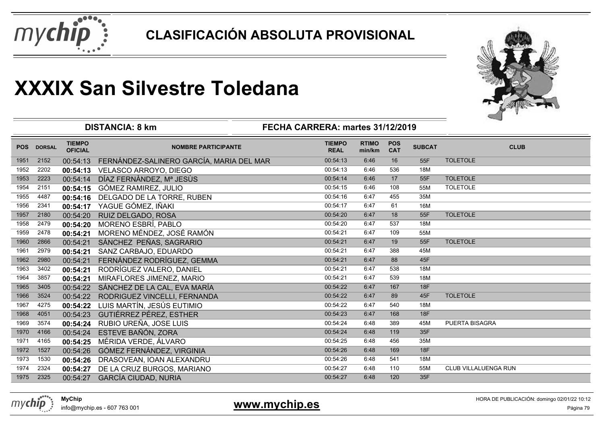



|            |               |                                 | <b>DISTANCIA: 8 km</b><br>FECHA CARRERA: martes 31/12/2019 |                              |                        |                          |               | ⊸                     |
|------------|---------------|---------------------------------|------------------------------------------------------------|------------------------------|------------------------|--------------------------|---------------|-----------------------|
| <b>POS</b> | <b>DORSAL</b> | <b>TIEMPO</b><br><b>OFICIAL</b> | <b>NOMBRE PARTICIPANTE</b>                                 | <b>TIEMPO</b><br><b>REAL</b> | <b>RTIMO</b><br>min/km | <b>POS</b><br><b>CAT</b> | <b>SUBCAT</b> | <b>CLUB</b>           |
| 1951       | 2152          | 00:54:13                        | FERNÁNDEZ-SALINERO GARCÍA, MARIA DEL MAR                   | 00:54:13                     | 6:46                   | 16                       | 55F           | <b>TOLETOLE</b>       |
| 1952       | 2202          | 00:54:13                        | VELASCO ARROYO, DIEGO                                      | 00:54:13                     | 6:46                   | 536                      | 18M           |                       |
| 1953       | 2223          | 00:54:14                        | DÍAZ FERNÀNDEZ, Mª JESÙS                                   | 00:54:14                     | 6:46                   | 17                       | 55F           | <b>TOLETOLE</b>       |
| 1954       | 2151          | 00:54:15                        | GÓMEZ RAMIREZ, JULIO                                       | 00:54:15                     | 6:46                   | 108                      | 55M           | <b>TOLETOLE</b>       |
| 1955       | 4487          | 00:54:16                        | DELGADO DE LA TORRE, RUBEN                                 | 00:54:16                     | 6:47                   | 455                      | 35M           |                       |
| 1956       | 2341          | 00:54:17                        | YAGUE GÓMEZ, IÑAKI                                         | 00:54:17                     | 6:47                   | 61                       | 16M           |                       |
| 1957       | 2180          | 00:54:20                        | RUIZ DELGADO, ROSA                                         | 00:54:20                     | 6:47                   | 18                       | 55F           | <b>TOLETOLE</b>       |
| 1958       | 2479          | 00:54:20                        | MORENO ESBRÍ, PABLO                                        | 00:54:20                     | 6:47                   | 537                      | 18M           |                       |
| 1959       | 2478          | 00:54:21                        | MORENO MÉNDEZ, JOSÉ RAMÓN                                  | 00:54:21                     | 6:47                   | 109                      | 55M           |                       |
| 1960       | 2866          | 00:54:21                        | SÁNCHEZ PEÑAS, SAGRARIO                                    | 00:54:21                     | 6:47                   | 19                       | 55F           | <b>TOLETOLE</b>       |
| 1961       | 2979          | 00:54:21                        | SANZ CARBAJO, EDUARDO                                      | 00:54:21                     | 6:47                   | 388                      | 45M           |                       |
| 1962       | 2980          | 00:54:21                        | FERNÁNDEZ RODRÍGUEZ, GEMMA                                 | 00:54:21                     | 6:47                   | 88                       | 45F           |                       |
| 1963       | 3402          | 00:54:21                        | RODRÍGUEZ VALERO, DANIEL                                   | 00:54:21                     | 6:47                   | 538                      | 18M           |                       |
| 1964       | 3857          | 00:54:21                        | MIRAFLORES JIMENEZ, MARIO                                  | 00:54:21                     | 6:47                   | 539                      | 18M           |                       |
| 1965       | 3405          | 00:54:22                        | SÁNCHEZ DE LA CAL, EVA MARÍA                               | 00:54:22                     | 6:47                   | 167                      | <b>18F</b>    |                       |
| 1966       | 3524          | 00:54:22                        | RODRIGUEZ VINCELLI, FERNANDA                               | 00:54:22                     | 6:47                   | 89                       | 45F           | <b>TOLETOLE</b>       |
| 1967       | 4275          | 00:54:22                        | LUIS MARTÍN, JESÚS EUTIMIO                                 | 00:54:22                     | 6:47                   | 540                      | 18M           |                       |
| 1968       | 4051          | 00:54:23                        | <b>GUTIÉRREZ PÉREZ, ESTHER</b>                             | 00:54:23                     | 6:47                   | 168                      | <b>18F</b>    |                       |
| 1969       | 3574          | 00:54:24                        | RUBIO UREÑA, JOSE LUIS                                     | 00:54:24                     | 6:48                   | 389                      | 45M           | <b>PUERTA BISAGRA</b> |
| 1970       | 4166          | 00:54:24                        | ESTEVE BAÑÓN, ZORA                                         | 00:54:24                     | 6:48                   | 119                      | 35F           |                       |
| 1971       | 4165          | 00:54:25                        | MÉRIDA VERDE, ÁLVARO                                       | 00:54:25                     | 6:48                   | 456                      | 35M           |                       |
| 1972       | 1527          | 00:54:26                        | GÓMEZ FERNÁNDEZ, VIRGINIA                                  | 00:54:26                     | 6:48                   | 169                      | 18F           |                       |
| 1973       | 1530          | 00:54:26                        | DRASOVEAN, IOAN ALEXANDRU                                  | 00:54:26                     | 6:48                   | 541                      | 18M           |                       |
| 1974       | 2324          | 00:54:27                        | DE LA CRUZ BURGOS, MARIANO                                 | 00:54:27                     | 6:48                   | 110                      | 55M           | CLUB VILLALUENGA RUN  |
| 1975       | 2325          | 00:54:27                        | <b>GARCÍA CIUDAD, NURIA</b>                                | 00:54:27                     | 6:48                   | 120                      | 35F           |                       |



info@mychip.es - 607 763 001

#### **www.mychip.es**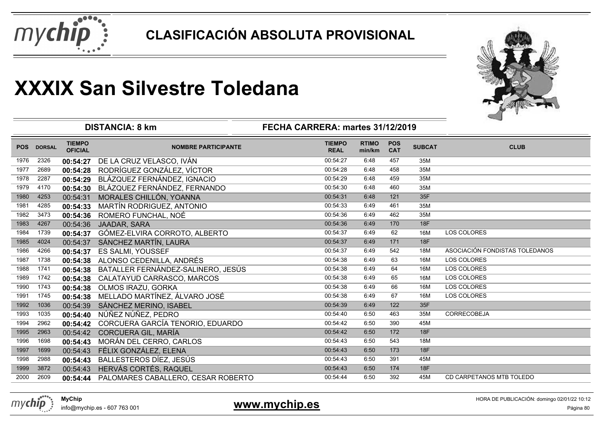



|            |               |                                 | <b>DISTANCIA: 8 km</b>             | FECHA CARRERA: martes 31/12/2019 |                        |                          |               |                                |
|------------|---------------|---------------------------------|------------------------------------|----------------------------------|------------------------|--------------------------|---------------|--------------------------------|
| <b>POS</b> | <b>DORSAL</b> | <b>TIEMPO</b><br><b>OFICIAL</b> | <b>NOMBRE PARTICIPANTE</b>         | <b>TIEMPO</b><br><b>REAL</b>     | <b>RTIMO</b><br>min/km | <b>POS</b><br><b>CAT</b> | <b>SUBCAT</b> | <b>CLUB</b>                    |
| 1976       | 2326          | 00:54:27                        | DE LA CRUZ VELASCO, IVÁN           | 00:54:27                         | 6:48                   | 457                      | 35M           |                                |
| 1977       | 2689          | 00:54:28                        | RODRÍGUEZ GONZÁLEZ, VÍCTOR         | 00:54:28                         | 6:48                   | 458                      | 35M           |                                |
| 1978       | 2287          | 00:54:29                        | BLÁZQUEZ FERNÁNDEZ, IGNACIO        | 00:54:29                         | 6:48                   | 459                      | 35M           |                                |
| 1979       | 4170          | 00:54:30                        | BLÁZQUEZ FERNÁNDEZ, FERNANDO       | 00:54:30                         | 6:48                   | 460                      | 35M           |                                |
| 1980       | 4253          | 00:54:31                        | MORALES CHILLÓN, YOANNA            | 00:54:31                         | 6:48                   | 121                      | 35F           |                                |
| 1981       | 4285          | 00:54:33                        | MARTÍN RODRIGUEZ, ANTONIO          | 00:54:33                         | 6:49                   | 461                      | 35M           |                                |
| 1982       | 3473          | 00:54:36                        | ROMERO FUNCHAL, NOÉ                | 00:54:36                         | 6:49                   | 462                      | 35M           |                                |
| 1983       | 4267          | 00:54:36                        | JAADAR, SARA                       | 00:54:36                         | 6:49                   | 170                      | 18F           |                                |
| 1984       | 1739          | 00:54:37                        | GÓMEZ-ELVIRA CORROTO, ALBERTO      | 00:54:37                         | 6:49                   | 62                       | 16M           | <b>LOS COLORES</b>             |
| 1985       | 4024          | 00:54:37                        | SÁNCHEZ MARTÍN, LAURA              | 00:54:37                         | 6:49                   | 171                      | 18F           |                                |
| 1986       | 4266          | 00:54:37                        | <b>ES SALMI, YOUSSEF</b>           | 00:54:37                         | 6:49                   | 542                      | 18M           | ASOCIACIÓN FONDISTAS TOLEDANOS |
| 1987       | 1738          | 00:54:38                        | ALONSO CEDENILLA, ANDRÉS           | 00:54:38                         | 6:49                   | 63                       | 16M           | LOS COLORES                    |
| 1988       | 1741          | 00:54:38                        | BATALLER FERNÁNDEZ-SALINERO, JESÚS | 00:54:38                         | 6:49                   | 64                       | 16M           | LOS COLORES                    |
| 1989       | 1742          | 00:54:38                        | CALATAYUD CARRASCO, MARCOS         | 00:54:38                         | 6:49                   | 65                       | 16M           | LOS COLORES                    |
| 1990       | 1743          | 00:54:38                        | OLMOS IRAZU, GORKA                 | 00:54:38                         | 6:49                   | 66                       | 16M           | LOS COLORES                    |
| 1991       | 1745          | 00:54:38                        | MELLADO MARTÍNEZ, ÁLVARO JOSÉ      | 00:54:38                         | 6:49                   | 67                       | 16M           | <b>LOS COLORES</b>             |
| 1992       | 1036          | 00:54:39                        | SÁNCHEZ MERINO, ISABEL             | 00:54:39                         | 6:49                   | 122                      | 35F           |                                |
| 1993       | 1035          | 00:54:40                        | NÚÑEZ NÚÑEZ, PEDRO                 | 00:54:40                         | 6:50                   | 463                      | 35M           | <b>CORRECOBEJA</b>             |
| 1994       | 2962          | 00:54:42                        | CORCUERA GARCÍA TENORIO, EDUARDO   | 00:54:42                         | 6:50                   | 390                      | 45M           |                                |
| 1995       | 2963          | 00:54:42                        | CORCUERA GIL, MARÍA                | 00:54:42                         | 6:50                   | 172                      | <b>18F</b>    |                                |
| 1996       | 1698          | 00:54:43                        | MORÁN DEL CERRO, CARLOS            | 00:54:43                         | 6:50                   | 543                      | <b>18M</b>    |                                |
| 1997       | 1699          | 00:54:43                        | FÉLIX GONZÁLEZ, ELENA              | 00:54:43                         | 6:50                   | 173                      | <b>18F</b>    |                                |
| 1998       | 2988          | 00:54:43                        | BALLESTEROS DÍEZ, JESÚS            | 00:54:43                         | 6:50                   | 391                      | 45M           |                                |
| 1999       | 3872          | 00:54:43                        | HERVÁS CORTÉS, RAQUEL              | 00:54:43                         | 6:50                   | 174                      | 18F           |                                |
| 2000       | 2609          | 00:54:44                        | PALOMARES CABALLERO, CESAR ROBERTO | 00:54:44                         | 6:50                   | 392                      | 45M           | CD CARPETANOS MTB TOLEDO       |



info@mychip.es - 607 763 001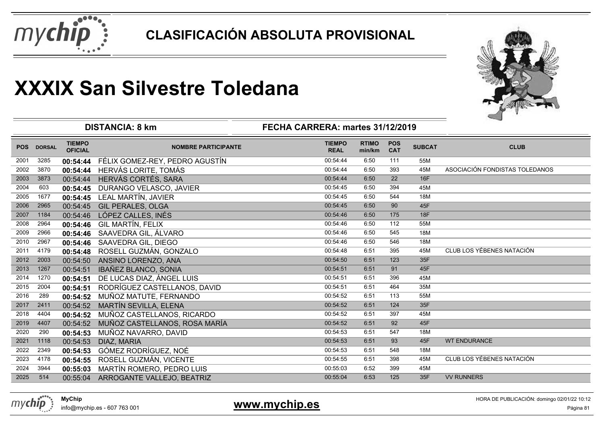



|            |               |                                 | <b>DISTANCIA: 8 km</b>         | FECHA CARRERA: martes 31/12/2019 |                        |                          |               |                                  |
|------------|---------------|---------------------------------|--------------------------------|----------------------------------|------------------------|--------------------------|---------------|----------------------------------|
| <b>POS</b> | <b>DORSAL</b> | <b>TIEMPO</b><br><b>OFICIAL</b> | <b>NOMBRE PARTICIPANTE</b>     | <b>TIEMPO</b><br><b>REAL</b>     | <b>RTIMO</b><br>min/km | <b>POS</b><br><b>CAT</b> | <b>SUBCAT</b> | <b>CLUB</b>                      |
| 2001       | 3285          | 00:54:44                        | FÉLIX GOMEZ-REY, PEDRO AGUSTÍN | 00:54:44                         | 6:50                   | 111                      | 55M           |                                  |
| 2002       | 3870          | 00:54:44                        | HERVÁS LORITE, TOMÁS           | 00:54:44                         | 6:50                   | 393                      | 45M           | ASOCIACIÓN FONDISTAS TOLEDANOS   |
| 2003       | 3873          | 00:54:44                        | HERVÁS CORTÉS, SARA            | 00:54:44                         | 6:50                   | 22                       | 16F           |                                  |
| 2004       | 603           | 00:54:45                        | DURANGO VELASCO, JAVIER        | 00:54:45                         | 6:50                   | 394                      | 45M           |                                  |
| 2005       | 1677          | 00:54:45                        | LEAL MARTÍN, JAVIER            | 00:54:45                         | 6:50                   | 544                      | 18M           |                                  |
| 2006       | 2965          | 00:54:45                        | <b>GIL PERALES, OLGA</b>       | 00:54:45                         | 6:50                   | 90                       | 45F           |                                  |
| 2007       | 1184          | 00:54:46                        | LÓPEZ CALLES, INÉS             | 00:54:46                         | 6:50                   | 175                      | <b>18F</b>    |                                  |
| 2008       | 2964          | 00:54:46                        | <b>GIL MARTÍN, FELIX</b>       | 00:54:46                         | 6:50                   | 112                      | 55M           |                                  |
| 2009       | 2966          | 00:54:46                        | SAAVEDRA GIL, ÁLVARO           | 00:54:46                         | 6:50                   | 545                      | 18M           |                                  |
| 2010       | 2967          | 00:54:46                        | SAAVEDRA GIL, DIEGO            | 00:54:46                         | 6:50                   | 546                      | 18M           |                                  |
| 2011       | 4179          | 00:54:48                        | ROSELL GUZMÁN, GONZALO         | 00:54:48                         | 6:51                   | 395                      | 45M           | <b>CLUB LOS YÉBENES NATACIÓN</b> |
| 2012       | 2003          | 00:54:50                        | ANSINO LORENZO, ANA            | 00:54:50                         | 6:51                   | 123                      | 35F           |                                  |
| 2013       | 1267          | 00:54:51                        | IBAÑEZ BLANCO, SONIA           | 00:54:51                         | 6:51                   | 91                       | 45F           |                                  |
| 2014       | 1270          | 00:54:51                        | DE LUCAS DIAZ, ÁNGEL LUIS      | 00:54:51                         | 6:51                   | 396                      | 45M           |                                  |
| 2015       | 2004          | 00:54:51                        | RODRÍGUEZ CASTELLANOS, DAVID   | 00:54:51                         | 6:51                   | 464                      | 35M           |                                  |
| 2016       | 289           | 00:54:52                        | MUÑOZ MATUTE, FERNANDO         | 00:54:52                         | 6:51                   | 113                      | 55M           |                                  |
| 2017       | 2411          | 00:54:52                        | MARTÍN SEVILLA, ELENA          | 00:54:52                         | 6:51                   | 124                      | 35F           |                                  |
| 2018       | 4404          | 00:54:52                        | MUÑOZ CASTELLANOS, RICARDO     | 00:54:52                         | 6:51                   | 397                      | 45M           |                                  |
| 2019       | 4407          | 00:54:52                        | MUÑOZ CASTELLANOS, ROSA MARÍA  | 00:54:52                         | 6:51                   | 92                       | 45F           |                                  |
| 2020       | 290           | 00:54:53                        | MUÑOZ NAVARRO, DAVID           | 00:54:53                         | 6:51                   | 547                      | 18M           |                                  |
| 2021       | 1118          | 00:54:53                        | DIAZ, MARIA                    | 00:54:53                         | 6:51                   | 93                       | 45F           | <b>WT ENDURANCE</b>              |
| 2022       | 2349          | 00:54:53                        | GÓMEZ RODRÍGUEZ, NOÉ           | 00:54:53                         | 6:51                   | 548                      | 18M           |                                  |
| 2023       | 4178          | 00:54:55                        | ROSELL GUZMÁN, VICENTE         | 00:54:55                         | 6:51                   | 398                      | 45M           | CLUB LOS YÉBENES NATACIÓN        |
| 2024       | 3944          | 00:55:03                        | MARTÍN ROMERO, PEDRO LUIS      | 00:55:03                         | 6:52                   | 399                      | 45M           |                                  |
| 2025       | 514           | 00:55:04                        | ARROGANTE VALLEJO, BEATRIZ     | 00:55:04                         | 6:53                   | 125                      | 35F           | <b>VV RUNNERS</b>                |
|            |               |                                 |                                |                                  |                        |                          |               |                                  |



info@mychip.es - 607 763 001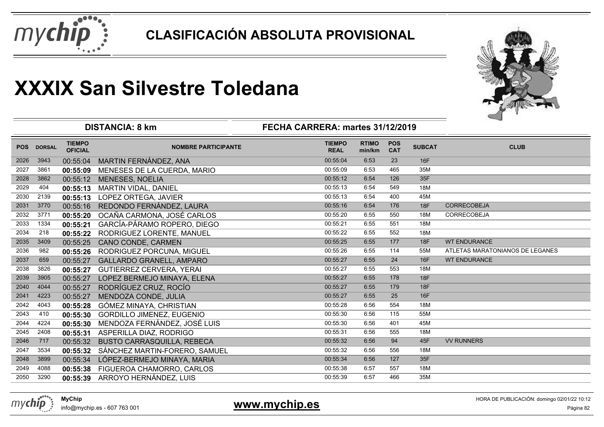



|            |               |                                 | <b>DISTANCIA: 8 km</b>            | FECHA CARRERA: martes 31/12/2019 |                        |                          |               |                                 |
|------------|---------------|---------------------------------|-----------------------------------|----------------------------------|------------------------|--------------------------|---------------|---------------------------------|
| <b>POS</b> | <b>DORSAL</b> | <b>TIEMPO</b><br><b>OFICIAL</b> | <b>NOMBRE PARTICIPANTE</b>        | <b>TIEMPO</b><br><b>REAL</b>     | <b>RTIMO</b><br>min/km | <b>POS</b><br><b>CAT</b> | <b>SUBCAT</b> | <b>CLUB</b>                     |
| 2026       | 3943          | 00:55:04                        | MARTIN FERNÁNDEZ, ANA             | 00:55:04                         | 6:53                   | 23                       | 16F           |                                 |
| 2027       | 3861          | 00:55:09                        | MENESES DE LA CUERDA, MARIO       | 00:55:09                         | 6:53                   | 465                      | 35M           |                                 |
| 2028       | 3862          | 00:55:12                        | <b>MENESES, NOELIA</b>            | 00:55:12                         | 6:54                   | 126                      | 35F           |                                 |
| 2029       | 404           | 00:55:13                        | MARTIN VIDAL, DANIEL              | 00:55:13                         | 6:54                   | 549                      | 18M           |                                 |
| 2030       | 2139          | 00:55:13                        | LOPEZ ORTEGA, JAVIER              | 00:55:13                         | 6:54                   | 400                      | 45M           |                                 |
| 2031       | 3770          | 00:55:16                        | REDONDO FERNÁNDEZ, LAURA          | 00:55:16                         | 6:54                   | 176                      | 18F           | <b>CORRECOBEJA</b>              |
| 2032       | 3771          | 00:55:20                        | OCAÑA CARMONA, JOSÉ CARLOS        | 00:55:20                         | 6:55                   | 550                      | 18M           | <b>CORRECOBEJA</b>              |
| 2033       | 1334          | 00:55:21                        | GARCÍA-PÁRAMO ROPERO, DIEGO       | 00:55:21                         | 6:55                   | 551                      | 18M           |                                 |
| 2034       | 218           | 00:55:22                        | RODRIGUEZ LORENTE, MANUEL         | 00:55:22                         | 6:55                   | 552                      | 18M           |                                 |
| 2035       | 3409          | 00:55:25                        | CANO CONDE, CARMEN                | 00:55:25                         | 6:55                   | 177                      | <b>18F</b>    | <b>WT ENDURANCE</b>             |
| 2036       | 982           | 00:55:26                        | RODRIGUEZ PORCUNA, MIGUEL         | 00:55:26                         | 6:55                   | 114                      | 55M           | ATLETAS MARATONIANOS DE LEGANES |
| 2037       | 659           | 00:55:27                        | <b>GALLARDO GRANELL, AMPARO</b>   | 00:55:27                         | 6:55                   | 24                       | <b>16F</b>    | <b>WT ENDURANCE</b>             |
| 2038       | 3826          | 00:55:27                        | <b>GUTIERREZ CERVERA, YERAI</b>   | 00:55:27                         | 6:55                   | 553                      | 18M           |                                 |
| 2039       | 3905          | 00:55:27                        | LOPEZ BERMEJO MINAYA, ELENA       | 00:55:27                         | 6:55                   | 178                      | <b>18F</b>    |                                 |
| 2040       | 4044          | 00:55:27                        | RODRÍGUEZ CRUZ, ROCÍO             | 00:55:27                         | 6:55                   | 179                      | 18F           |                                 |
| 2041       | 4223          | 00:55:27                        | MENDOZA CONDE, JULIA              | 00:55:27                         | 6:55                   | 25                       | <b>16F</b>    |                                 |
| 2042       | 4043          | 00:55:28                        | GÓMEZ MINAYA, CHRISTIAN           | 00:55:28                         | 6:56                   | 554                      | 18M           |                                 |
| 2043       | 410           | 00:55:30                        | GORDILLO JIMENEZ, EUGENIO         | 00:55:30                         | 6:56                   | 115                      | 55M           |                                 |
| 2044       | 4224          | 00:55:30                        | MENDOZA FERNÁNDEZ, JOSÉ LUIS      | 00:55:30                         | 6:56                   | 401                      | 45M           |                                 |
| 2045       | 2408          | 00:55:31                        | ASPERILLA DIAZ, RODRIGO           | 00:55:31                         | 6:56                   | 555                      | 18M           |                                 |
| 2046       | 717           | 00:55:32                        | <b>BUSTO CARRASQUILLA, REBECA</b> | 00:55:32                         | 6:56                   | 94                       | 45F           | <b>VV RUNNERS</b>               |
| 2047       | 3534          | 00:55:32                        | SÁNCHEZ MARTIN-FORERO, SAMUEL     | 00:55:32                         | 6:56                   | 556                      | 18M           |                                 |
| 2048       | 3899          | 00:55:34                        | LÓPEZ-BERMEJO MINAYA, MARIA       | 00:55:34                         | 6:56                   | 127                      | 35F           |                                 |
| 2049       | 4088          | 00:55:38                        | FIGUEROA CHAMORRO, CARLOS         | 00:55:38                         | 6:57                   | 557                      | 18M           |                                 |
| 2050       | 3290          | 00:55:39                        | ARROYO HERNÁNDEZ, LUIS            | 00:55:39                         | 6:57                   | 466                      | 35M           |                                 |

**www.mychip.es**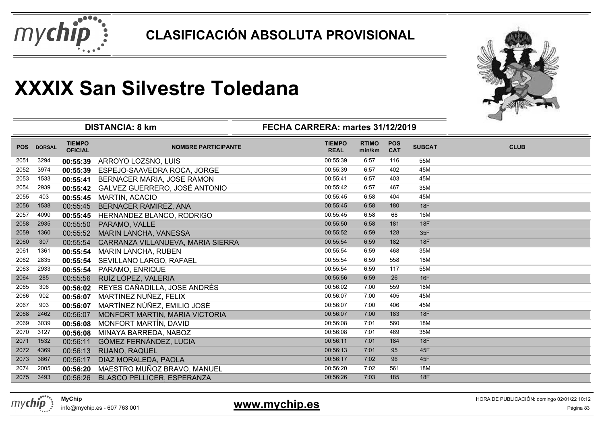



|            |               |                                 | <b>DISTANCIA: 8 km</b>            | FECHA CARRERA: martes 31/12/2019 |                        |                          |               |             |
|------------|---------------|---------------------------------|-----------------------------------|----------------------------------|------------------------|--------------------------|---------------|-------------|
| <b>POS</b> | <b>DORSAL</b> | <b>TIEMPO</b><br><b>OFICIAL</b> | <b>NOMBRE PARTICIPANTE</b>        | <b>TIEMPO</b><br><b>REAL</b>     | <b>RTIMO</b><br>min/km | <b>POS</b><br><b>CAT</b> | <b>SUBCAT</b> | <b>CLUB</b> |
| 2051       | 3294          | 00:55:39                        | ARROYO LOZSNO, LUIS               | 00:55:39                         | 6:57                   | 116                      | 55M           |             |
| 2052       | 3974          | 00:55:39                        | ESPEJO-SAAVEDRA ROCA, JORGE       | 00:55:39                         | 6:57                   | 402                      | 45M           |             |
| 2053       | 1533          | 00:55:41                        | BERNACER MARIA, JOSE RAMON        | 00:55:41                         | 6:57                   | 403                      | 45M           |             |
| 2054       | 2939          | 00:55:42                        | GALVEZ GUERRERO, JOSÉ ANTONIO     | 00:55:42                         | 6:57                   | 467                      | 35M           |             |
| 2055       | 403           | 00:55:45                        | <b>MARTIN, ACACIO</b>             | 00:55:45                         | 6:58                   | 404                      | 45M           |             |
| 2056       | 1538          | 00:55:45                        | BERNACER RAMIREZ, ANA             | 00:55:45                         | 6:58                   | 180                      | <b>18F</b>    |             |
| 2057       | 4090          | 00:55:45                        | HERNANDEZ BLANCO, RODRIGO         | 00:55:45                         | 6:58                   | 68                       | 16M           |             |
| 2058       | 2935          | 00:55:50                        | PARAMO, VALLE                     | 00:55:50                         | 6:58                   | 181                      | 18F           |             |
| 2059       | 1360          | 00:55:52                        | MARIN LANCHA, VANESSA             | 00:55:52                         | 6:59                   | 128                      | 35F           |             |
| 2060       | 307           | 00:55:54                        | CARRANZA VILLANUEVA, MARIA SIERRA | 00:55:54                         | 6:59                   | 182                      | <b>18F</b>    |             |
| 2061       | 1361          | 00:55:54                        | <b>MARIN LANCHA, RUBEN</b>        | 00:55:54                         | 6:59                   | 468                      | 35M           |             |
| 2062       | 2835          | 00:55:54                        | SEVILLANO LARGO, RAFAEL           | 00:55:54                         | 6:59                   | 558                      | 18M           |             |
| 2063       | 2933          | 00:55:54                        | PARAMO, ENRIQUE                   | 00:55:54                         | 6:59                   | 117                      | 55M           |             |
| 2064       | 285           | 00:55:56                        | RUÍZ LÓPEZ, VALERIA               | 00:55:56                         | 6:59                   | 26                       | <b>16F</b>    |             |
| 2065       | 306           | 00:56:02                        | REYES CAÑADILLA, JOSE ANDRÉS      | 00:56:02                         | 7:00                   | 559                      | 18M           |             |
| 2066       | 902           | 00:56:07                        | MARTINEZ NUÑEZ, FELIX             | 00:56:07                         | 7:00                   | 405                      | 45M           |             |
| 2067       | 903           | 00:56:07                        | MARTÍNEZ NÚÑEZ, EMILIO JOSÉ       | 00:56:07                         | 7:00                   | 406                      | 45M           |             |
| 2068       | 2462          | 00:56:07                        | MONFORT MARTIN, MARIA VICTORIA    | 00:56:07                         | 7:00                   | 183                      | <b>18F</b>    |             |
| 2069       | 3039          | 00:56:08                        | MONFORT MARTÍN, DAVID             | 00:56:08                         | 7:01                   | 560                      | 18M           |             |
| 2070       | 3127          | 00:56:08                        | MINAYA BARREDA, NABOZ             | 00:56:08                         | 7:01                   | 469                      | 35M           |             |
| 2071       | 1532          | 00:56:11                        | GÓMEZ FERNÁNDEZ, LUCIA            | 00:56:11                         | 7:01                   | 184                      | 18F           |             |
| 2072       | 4369          | 00:56:13                        | <b>RUANO, RAQUEL</b>              | 00:56:13                         | 7:01                   | 95                       | 45F           |             |
| 2073       | 3867          | 00:56:17                        | DIAZ MORALEDA, PAOLA              | 00:56:17                         | 7:02                   | 96                       | 45F           |             |
| 2074       | 2005          | 00:56:20                        | MAESTRO MUÑOZ BRAVO, MANUEL       | 00:56:20                         | 7:02                   | 561                      | 18M           |             |
| 2075       | 3493          | 00:56:26                        | BLASCO PELLICER, ESPERANZA        | 00:56:26                         | 7:03                   | 185                      | <b>18F</b>    |             |



info@mychip.es - 607 763 001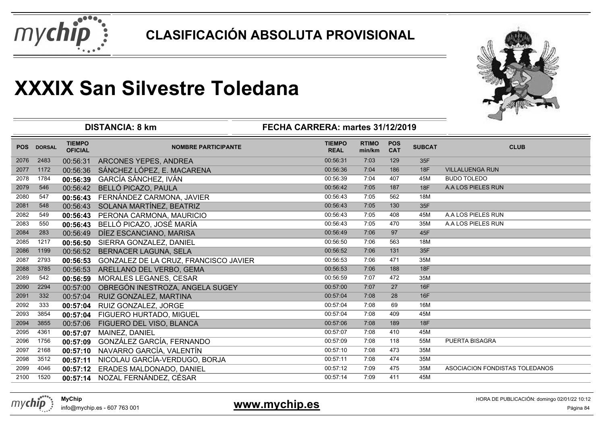



|            |               |                                 | <b>DISTANCIA: 8 km</b>                | FECHA CARRERA: martes 31/12/2019 |                        |                          |               |                                |
|------------|---------------|---------------------------------|---------------------------------------|----------------------------------|------------------------|--------------------------|---------------|--------------------------------|
| <b>POS</b> | <b>DORSAL</b> | <b>TIEMPO</b><br><b>OFICIAL</b> | <b>NOMBRE PARTICIPANTE</b>            | <b>TIEMPO</b><br><b>REAL</b>     | <b>RTIMO</b><br>min/km | <b>POS</b><br><b>CAT</b> | <b>SUBCAT</b> | <b>CLUB</b>                    |
| 2076       | 2483          | 00:56:31                        | ARCONES YEPES, ANDREA                 | 00:56:31                         | 7:03                   | 129                      | 35F           |                                |
| 2077       | 1172          | 00:56:36                        | SÁNCHEZ LÓPEZ, E. MACARENA            | 00:56:36                         | 7:04                   | 186                      | <b>18F</b>    | <b>VILLALUENGA RUN</b>         |
| 2078       | 1784          | 00:56:39                        | GARCÍA SÁNCHEZ, IVÁN                  | 00:56:39                         | 7:04                   | 407                      | 45M           | <b>BUDO TOLEDO</b>             |
| 2079       | 546           | 00:56:42                        | BELLÓ PICAZO, PAULA                   | 00:56:42                         | 7:05                   | 187                      | 18F           | A.A LOS PIELES RUN             |
| 2080       | 547           | 00:56:43                        | FERNÁNDEZ CARMONA, JAVIER             | 00:56:43                         | 7:05                   | 562                      | 18M           |                                |
| 2081       | 548           | 00:56:43                        | SOLANA MARTÍNEZ, BEATRIZ              | 00:56:43                         | 7:05                   | 130                      | 35F           |                                |
| 2082       | 549           | 00:56:43                        | PERONA CARMONA, MAURICIO              | 00:56:43                         | 7:05                   | 408                      | 45M           | A.A LOS PIELES RUN             |
| 2083       | 550           | 00:56:43                        | BELLÓ PICAZO, JOSÉ MARÍA              | 00:56:43                         | 7:05                   | 470                      | 35M           | A.A LOS PIELES RUN             |
| 2084       | 283           | 00:56:49                        | DÍEZ ESCANCIANO, MARISA               | 00:56:49                         | 7:06                   | 97                       | 45F           |                                |
| 2085       | 1217          | 00:56:50                        | SIERRA GONZALEZ, DANIEL               | 00:56:50                         | 7:06                   | 563                      | 18M           |                                |
| 2086       | 1199          | 00:56:52                        | <b>BERNACER LAGUNA, SELA</b>          | 00:56:52                         | 7:06                   | 131                      | 35F           |                                |
| 2087       | 2793          | 00:56:53                        | GONZALEZ DE LA CRUZ, FRANCISCO JAVIER | 00:56:53                         | 7:06                   | 471                      | 35M           |                                |
| 2088       | 3785          | 00:56:53                        | ARELLANO DEL VERBO, GEMA              | 00:56:53                         | 7:06                   | 188                      | <b>18F</b>    |                                |
| 2089       | 542           | 00:56:59                        | MORALES LEGANES, CESAR                | 00:56:59                         | 7:07                   | 472                      | 35M           |                                |
| 2090       | 2294          | 00:57:00                        | OBREGÓN INESTROZA, ANGELA SUGEY       | 00:57:00                         | 7:07                   | 27                       | 16F           |                                |
| 2091       | 332           | 00:57:04                        | RUIZ GONZALEZ, MARTINA                | 00:57:04                         | 7:08                   | 28                       | 16F           |                                |
| 2092       | 333           | 00:57:04                        | RUIZ GONZALEZ, JORGE                  | 00:57:04                         | 7:08                   | 69                       | 16M           |                                |
| 2093       | 3854          | 00:57:04                        | FIGUERO HURTADO, MIGUEL               | 00:57:04                         | 7:08                   | 409                      | 45M           |                                |
| 2094       | 3855          | 00:57:06                        | FIGUERO DEL VISO, BLANCA              | 00:57:06                         | 7:08                   | 189                      | 18F           |                                |
| 2095       | 4361          | 00:57:07                        | MAINEZ, DANIEL                        | 00:57:07                         | 7:08                   | 410                      | 45M           |                                |
| 2096       | 1756          | 00:57:09                        | GONZÁLEZ GARCÍA, FERNANDO             | 00:57:09                         | 7:08                   | 118                      | 55M           | <b>PUERTA BISAGRA</b>          |
| 2097       | 2168          | 00:57:10                        | NAVARRO GARCÍA, VALENTÍN              | 00:57:10                         | 7:08                   | 473                      | 35M           |                                |
| 2098       | 3512          | 00:57:11                        | NICOLAU GARCÍA-VERDUGO, BORJA         | 00:57:11                         | 7:08                   | 474                      | 35M           |                                |
| 2099       | 4046          | 00:57:12                        | ERADES MALDONADO, DANIEL              | 00:57:12                         | 7:09                   | 475                      | 35M           | ASOCIACION FONDISTAS TOLEDANOS |
| 2100       | 1520          | 00:57:14                        | NOZAL FERNÁNDEZ, CÉSAR                | 00:57:14                         | 7:09                   | 411                      | 45M           |                                |
|            |               |                                 |                                       |                                  |                        |                          |               |                                |



info@mychip.es - 607 763 001

#### **www.mychip.es**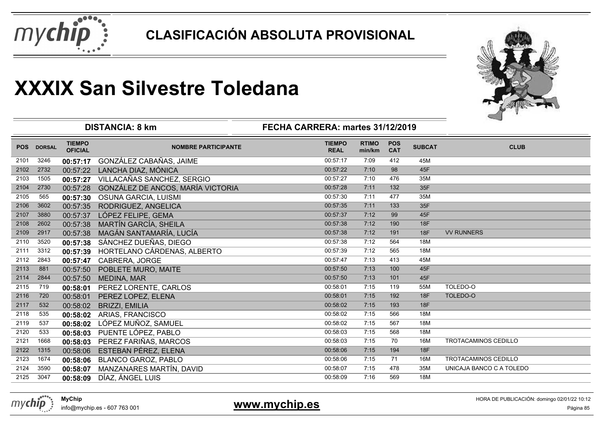



|            |               |                                 | <b>DISTANCIA: 8 km</b>            | FECHA CARRERA: martes 31/12/2019 |                        |                          |               |                             |
|------------|---------------|---------------------------------|-----------------------------------|----------------------------------|------------------------|--------------------------|---------------|-----------------------------|
| <b>POS</b> | <b>DORSAL</b> | <b>TIEMPO</b><br><b>OFICIAL</b> | <b>NOMBRE PARTICIPANTE</b>        | <b>TIEMPO</b><br><b>REAL</b>     | <b>RTIMO</b><br>min/km | <b>POS</b><br><b>CAT</b> | <b>SUBCAT</b> | <b>CLUB</b>                 |
| 2101       | 3246          | 00:57:17                        | GONZÁLEZ CABAÑAS, JAIME           | 00:57:17                         | 7:09                   | 412                      | 45M           |                             |
| 2102       | 2732          | 00:57:22                        | LANCHA DIAZ, MÓNICA               | 00:57:22                         | 7:10                   | 98                       | 45F           |                             |
| 2103       | 1505          | 00:57:27                        | VILLACAÑAS SANCHEZ, SERGIO        | 00:57:27                         | 7:10                   | 476                      | 35M           |                             |
| 2104       | 2730          | 00:57:28                        | GONZÁLEZ DE ANCOS, MARÍA VICTORIA | 00:57:28                         | 7:11                   | 132                      | 35F           |                             |
| 2105       | 565           | 00:57:30                        | OSUNA GARCIA, LUISMI              | 00:57:30                         | 7:11                   | 477                      | 35M           |                             |
| 2106       | 3602          | 00:57:35                        | RODRIGUEZ, ANGELICA               | 00:57:35                         | 7:11                   | 133                      | 35F           |                             |
| 2107       | 3880          | 00:57:37                        | LÓPEZ FELIPE, GEMA                | 00:57:37                         | 7:12                   | 99                       | 45F           |                             |
| 2108       | 2602          | 00:57:38                        | MARTÍN GARCÍA, SHEILA             | 00:57:38                         | 7:12                   | 190                      | 18F           |                             |
| 2109       | 2917          | 00:57:38                        | MAGÁN SANTAMARÍA, LUCÍA           | 00:57:38                         | 7:12                   | 191                      | <b>18F</b>    | <b>VV RUNNERS</b>           |
| 2110       | 3520          | 00:57:38                        | SÁNCHEZ DUEÑAS, DIEGO             | 00:57:38                         | 7:12                   | 564                      | 18M           |                             |
| 2111       | 3312          | 00:57:39                        | HORTELANO CÁRDENAS, ALBERTO       | 00:57:39                         | 7:12                   | 565                      | 18M           |                             |
| 2112       | 2843          | 00:57:47                        | CABRERA, JORGE                    | 00:57:47                         | 7:13                   | 413                      | 45M           |                             |
| 2113       | 881           | 00:57:50                        | POBLETE MURO, MAITE               | 00:57:50                         | 7:13                   | 100                      | 45F           |                             |
| 2114       | 2844          | 00:57:50                        | <b>MEDINA, MAR</b>                | 00:57:50                         | 7:13                   | 101                      | 45F           |                             |
| 2115       | 719           | 00:58:01                        | PEREZ LORENTE, CARLOS             | 00:58:01                         | 7:15                   | 119                      | 55M           | TOLEDO-O                    |
| 2116       | 720           | 00:58:01                        | PEREZ LOPEZ, ELENA                | 00:58:01                         | 7:15                   | 192                      | <b>18F</b>    | TOLEDO-O                    |
| 2117       | 532           | 00:58:02                        | <b>BRIZZI, EMILIA</b>             | 00:58:02                         | 7:15                   | 193                      | <b>18F</b>    |                             |
| 2118       | 535           | 00:58:02                        | ARIAS, FRANCISCO                  | 00:58:02                         | 7:15                   | 566                      | 18M           |                             |
| 2119       | 537           | 00:58:02                        | LÓPEZ MUÑOZ, SAMUEL               | 00:58:02                         | 7:15                   | 567                      | 18M           |                             |
| 2120       | 533           | 00:58:03                        | PUENTE LÓPEZ, PABLO               | 00:58:03                         | 7:15                   | 568                      | 18M           |                             |
| 2121       | 1668          | 00:58:03                        | PEREZ FARIÑAS, MARCOS             | 00:58:03                         | 7:15                   | 70                       | 16M           | <b>TROTACAMINOS CEDILLO</b> |
| 2122       | 1315          | 00:58:06                        | ESTEBAN PÉREZ, ELENA              | 00:58:06                         | 7:15                   | 194                      | 18F           |                             |
| 2123       | 1674          | 00:58:06                        | <b>BLANCO GAROZ, PABLO</b>        | 00:58:06                         | 7:15                   | 71                       | 16M           | <b>TROTACAMINOS CEDILLO</b> |
| 2124       | 3590          | 00:58:07                        | MANZANARES MARTÍN, DAVID          | 00:58:07                         | 7:15                   | 478                      | 35M           | UNICAJA BANCO C A TOLEDO    |
| 2125       | 3047          | 00:58:09                        | DÍAZ, ÁNGEL LUIS                  | 00:58:09                         | 7:16                   | 569                      | 18M           |                             |
|            |               |                                 |                                   |                                  |                        |                          |               |                             |



info@mychip.es - 607 763 001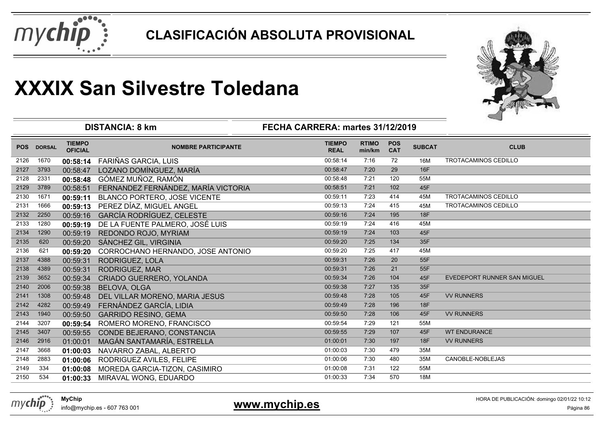



|            |               |                                 | <b>DISTANCIA: 8 km</b>              | FECHA CARRERA: martes 31/12/2019 |                        |                          |               |                             |
|------------|---------------|---------------------------------|-------------------------------------|----------------------------------|------------------------|--------------------------|---------------|-----------------------------|
| <b>POS</b> | <b>DORSAL</b> | <b>TIEMPO</b><br><b>OFICIAL</b> | <b>NOMBRE PARTICIPANTE</b>          | <b>TIEMPO</b><br><b>REAL</b>     | <b>RTIMO</b><br>min/km | <b>POS</b><br><b>CAT</b> | <b>SUBCAT</b> | <b>CLUB</b>                 |
| 2126       | 1670          | 00:58:14                        | FARIÑAS GARCIA, LUIS                | 00:58:14                         | 7:16                   | 72                       | 16M           | <b>TROTACAMINOS CEDILLO</b> |
| 2127       | 3793          | 00:58:47                        | LOZANO DOMÍNGUEZ, MARÍA             | 00:58:47                         | 7:20                   | 29                       | 16F           |                             |
| 2128       | 2331          | 00:58:48                        | GÓMEZ MUÑOZ, RAMÓN                  | 00:58:48                         | 7:21                   | 120                      | 55M           |                             |
| 2129       | 3789          | 00:58:51                        | FERNANDEZ FERNÁNDEZ, MARÍA VICTORIA | 00:58:51                         | 7:21                   | 102                      | 45F           |                             |
| 2130       | 1671          | 00:59:11                        | BLANCO PORTERO, JOSE VICENTE        | 00:59:11                         | 7:23                   | 414                      | 45M           | <b>TROTACAMINOS CEDILLO</b> |
| 2131       | 1666          | 00:59:13                        | PEREZ DÍAZ, MIGUEL ANGEL            | 00:59:13                         | 7:24                   | 415                      | 45M           | TROTACAMINOS CEDILLO        |
| 2132       | 2250          | 00:59:16                        | <b>GARCÍA RODRÍGUEZ, CELESTE</b>    | 00:59:16                         | 7:24                   | 195                      | 18F           |                             |
| 2133       | 1280          | 00:59:19                        | DE LA FUENTE PALMERO, JOSÉ LUIS     | 00:59:19                         | 7:24                   | 416                      | 45M           |                             |
| 2134       | 1290          | 00:59:19                        | REDONDO ROJO, MYRIAM                | 00:59:19                         | 7:24                   | 103                      | 45F           |                             |
| 2135       | 620           | 00:59:20                        | SÁNCHEZ GIL, VIRGINIA               | 00:59:20                         | 7:25                   | 134                      | 35F           |                             |
| 2136       | 621           | 00:59:20                        | CORROCHANO HERNANDO, JOSE ANTONIO   | 00:59:20                         | 7:25                   | 417                      | 45M           |                             |
| 2137       | 4388          | 00:59:31                        | RODRIGUEZ, LOLA                     | 00:59:31                         | 7:26                   | 20                       | 55F           |                             |
| 2138       | 4389          | 00:59:31                        | RODRIGUEZ, MAR                      | 00:59:31                         | 7:26                   | 21                       | 55F           |                             |
| 2139       | 3652          | 00:59:34                        | CRIADO GUERRERO, YOLANDA            | 00:59:34                         | 7:26                   | 104                      | 45F           | EVEDEPORT RUNNER SAN MIGUEL |
| 2140       | 2006          | 00:59:38                        | <b>BELOVA, OLGA</b>                 | 00:59:38                         | 7:27                   | 135                      | 35F           |                             |
| 2141       | 1308          | 00:59:48                        | DEL VILLAR MORENO, MARIA JESUS      | 00:59:48                         | 7:28                   | 105                      | 45F           | <b>VV RUNNERS</b>           |
| 2142       | 4282          | 00:59:49                        | FERNÁNDEZ GARCÍA, LIDIA             | 00:59:49                         | 7:28                   | 196                      | <b>18F</b>    |                             |
| 2143       | 1940          | 00:59:50                        | <b>GARRIDO RESINO, GEMA</b>         | 00:59:50                         | 7:28                   | 106                      | 45F           | <b>VV RUNNERS</b>           |
| 2144       | 3207          | 00:59:54                        | ROMERO MORENO, FRANCISCO            | 00:59:54                         | 7:29                   | 121                      | 55M           |                             |
| 2145       | 3407          | 00:59:55                        | CONDE BEJERANO, CONSTANCIA          | 00:59:55                         | 7:29                   | 107                      | 45F           | <b>WT ENDURANCE</b>         |
| 2146       | 2916          | 01:00:01                        | MAGÁN SANTAMARÍA, ESTRELLA          | 01:00:01                         | 7:30                   | 197                      | 18F           | <b>VV RUNNERS</b>           |
| 2147       | 3668          | 01:00:03                        | NAVARRO ZABAL, ALBERTO              | 01:00:03                         | 7:30                   | 479                      | 35M           |                             |
| 2148       | 2883          | 01:00:06                        | RODRIGUEZ AVILES, FELIPE            | 01:00:06                         | 7:30                   | 480                      | 35M           | CANOBLE-NOBLEJAS            |
| 2149       | 334           | 01:00:08                        | MOREDA GARCIA-TIZON, CASIMIRO       | 01:00:08                         | 7:31                   | 122                      | 55M           |                             |
| 2150       | 534           | 01:00:33                        | MIRAVAL WONG, EDUARDO               | 01:00:33                         | 7:34                   | 570                      | 18M           |                             |

mychip

#### **www.mychip.es**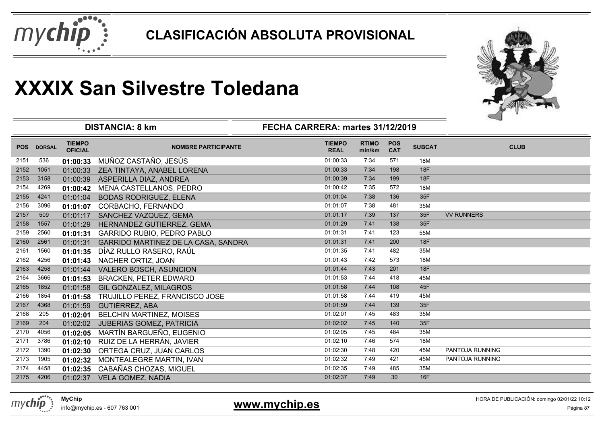



|            |               |                                 | <b>DISTANCIA: 8 km</b>                     | FECHA CARRERA: martes 31/12/2019 |                        |                          |               |                   |
|------------|---------------|---------------------------------|--------------------------------------------|----------------------------------|------------------------|--------------------------|---------------|-------------------|
| <b>POS</b> | <b>DORSAL</b> | <b>TIEMPO</b><br><b>OFICIAL</b> | <b>NOMBRE PARTICIPANTE</b>                 | <b>TIEMPO</b><br><b>REAL</b>     | <b>RTIMO</b><br>min/km | <b>POS</b><br><b>CAT</b> | <b>SUBCAT</b> | <b>CLUB</b>       |
| 2151       | 536           | 01:00:33                        | MUÑOZ CASTAÑO, JESÚS                       | 01:00:33                         | 7:34                   | 571                      | 18M           |                   |
| 2152       | 1051          | 01:00:33                        | ZEA TINTAYA, ANABEL LORENA                 | 01:00:33                         | 7:34                   | 198                      | <b>18F</b>    |                   |
| 2153       | 3158          | 01:00:39                        | ASPERILLA DIAZ, ANDREA                     | 01:00:39                         | 7:34                   | 199                      | <b>18F</b>    |                   |
| 2154       | 4269          | 01:00:42                        | MENA CASTELLANOS, PEDRO                    | 01:00:42                         | 7:35                   | 572                      | 18M           |                   |
| 2155       | 4241          | 01:01:04                        | <b>BODAS RODRIGUEZ, ELENA</b>              | 01:01:04                         | 7:38                   | 136                      | 35F           |                   |
| 2156       | 3096          | 01:01:07                        | CORBACHO, FERNANDO                         | 01:01:07                         | 7:38                   | 481                      | 35M           |                   |
| 2157       | 509           | 01:01:17                        | SANCHEZ VAZQUEZ, GEMA                      | 01:01:17                         | 7:39                   | 137                      | 35F           | <b>VV RUNNERS</b> |
| 2158       | 1557          | 01:01:29                        | HERNANDEZ GUTIERREZ, GEMA                  | 01:01:29                         | 7:41                   | 138                      | 35F           |                   |
| 2159       | 2560          | 01:01:31                        | <b>GARRIDO RUBIO, PEDRO PABLO</b>          | 01:01:31                         | 7:41                   | 123                      | 55M           |                   |
| 2160       | 2561          | 01:01:31                        | <b>GARRIDO MARTINEZ DE LA CASA, SANDRA</b> | 01:01:31                         | 7:41                   | 200                      | 18F           |                   |
| 2161       | 1560          | 01:01:35                        | DÍAZ RULLO RASERO, RAÚL                    | 01:01:35                         | 7:41                   | 482                      | 35M           |                   |
| 2162       | 4256          | 01:01:43                        | NACHER ORTIZ, JOAN                         | 01:01:43                         | 7:42                   | 573                      | 18M           |                   |
| 2163       | 4258          | 01:01:44                        | VALERO BOSCH, ASUNCION                     | 01:01:44                         | 7:43                   | 201                      | 18F           |                   |
| 2164       | 3666          | 01:01:53                        | <b>BRACKEN, PETER EDWARD</b>               | 01:01:53                         | 7:44                   | 418                      | 45M           |                   |
| 2165       | 1852          | 01:01:58                        | <b>GIL GONZALEZ, MILAGROS</b>              | 01:01:58                         | 7:44                   | 108                      | 45F           |                   |
| 2166       | 1854          | 01:01:58                        | TRUJILLO PEREZ, FRANCISCO JOSE             | 01:01:58                         | 7:44                   | 419                      | 45M           |                   |
| 2167       | 4368          | 01:01:59                        | GUTIÉRREZ, ABA                             | 01:01:59                         | 7:44                   | 139                      | 35F           |                   |
| 2168       | 205           | 01:02:01                        | <b>BELCHIN MARTINEZ, MOISES</b>            | 01:02:01                         | 7:45                   | 483                      | 35M           |                   |
| 2169       | 204           | 01:02:02                        | <b>JUBERIAS GOMEZ, PATRICIA</b>            | 01:02:02                         | 7:45                   | 140                      | 35F           |                   |
| 2170       | 4056          | 01:02:05                        | MARTÍN BARGUEÑO, EUGENIO                   | 01:02:05                         | 7:45                   | 484                      | 35M           |                   |
| 2171       | 3786          | 01:02:10                        | RUIZ DE LA HERRÁN, JAVIER                  | 01:02:10                         | 7:46                   | 574                      | 18M           |                   |
| 2172       | 1390          | 01:02:30                        | ORTEGA CRUZ, JUAN CARLOS                   | 01:02:30                         | 7:48                   | 420                      | 45M           | PANTOJA RUNNING   |
| 2173       | 1905          | 01:02:32                        | MONTEALEGRE MARTIN, IVAN                   | 01:02:32                         | 7:49                   | 421                      | 45M           | PANTOJA RUNNING   |
| 2174       | 4458          | 01:02:35                        | CABAÑAS CHOZAS, MIGUEL                     | 01:02:35                         | 7:49                   | 485                      | 35M           |                   |
| 2175       | 4206          |                                 | 01:02:37 VELA GOMEZ, NADIA                 | 01:02:37                         | 7:49                   | 30                       | 16F           |                   |



info@mychip.es - 607 763 001